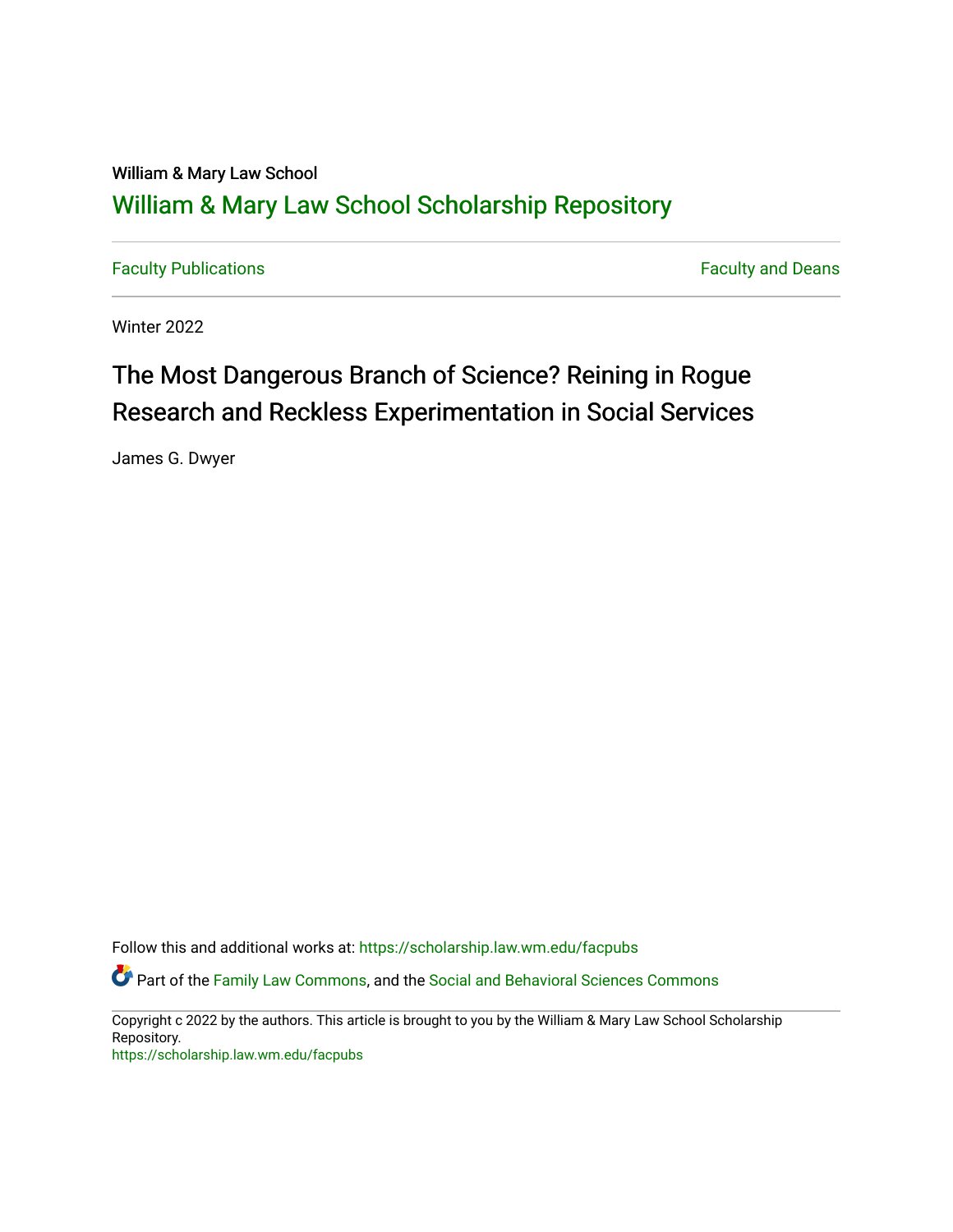## William & Mary Law School [William & Mary Law School Scholarship Repository](https://scholarship.law.wm.edu/)

[Faculty Publications](https://scholarship.law.wm.edu/facpubs) **Faculty Publications** 

Winter 2022

# The Most Dangerous Branch of Science? Reining in Rogue Research and Reckless Experimentation in Social Services

James G. Dwyer

Follow this and additional works at: [https://scholarship.law.wm.edu/facpubs](https://scholarship.law.wm.edu/facpubs?utm_source=scholarship.law.wm.edu%2Ffacpubs%2F2066&utm_medium=PDF&utm_campaign=PDFCoverPages)

Part of the [Family Law Commons,](http://network.bepress.com/hgg/discipline/602?utm_source=scholarship.law.wm.edu%2Ffacpubs%2F2066&utm_medium=PDF&utm_campaign=PDFCoverPages) and the [Social and Behavioral Sciences Commons](http://network.bepress.com/hgg/discipline/316?utm_source=scholarship.law.wm.edu%2Ffacpubs%2F2066&utm_medium=PDF&utm_campaign=PDFCoverPages)

Copyright c 2022 by the authors. This article is brought to you by the William & Mary Law School Scholarship Repository.

<https://scholarship.law.wm.edu/facpubs>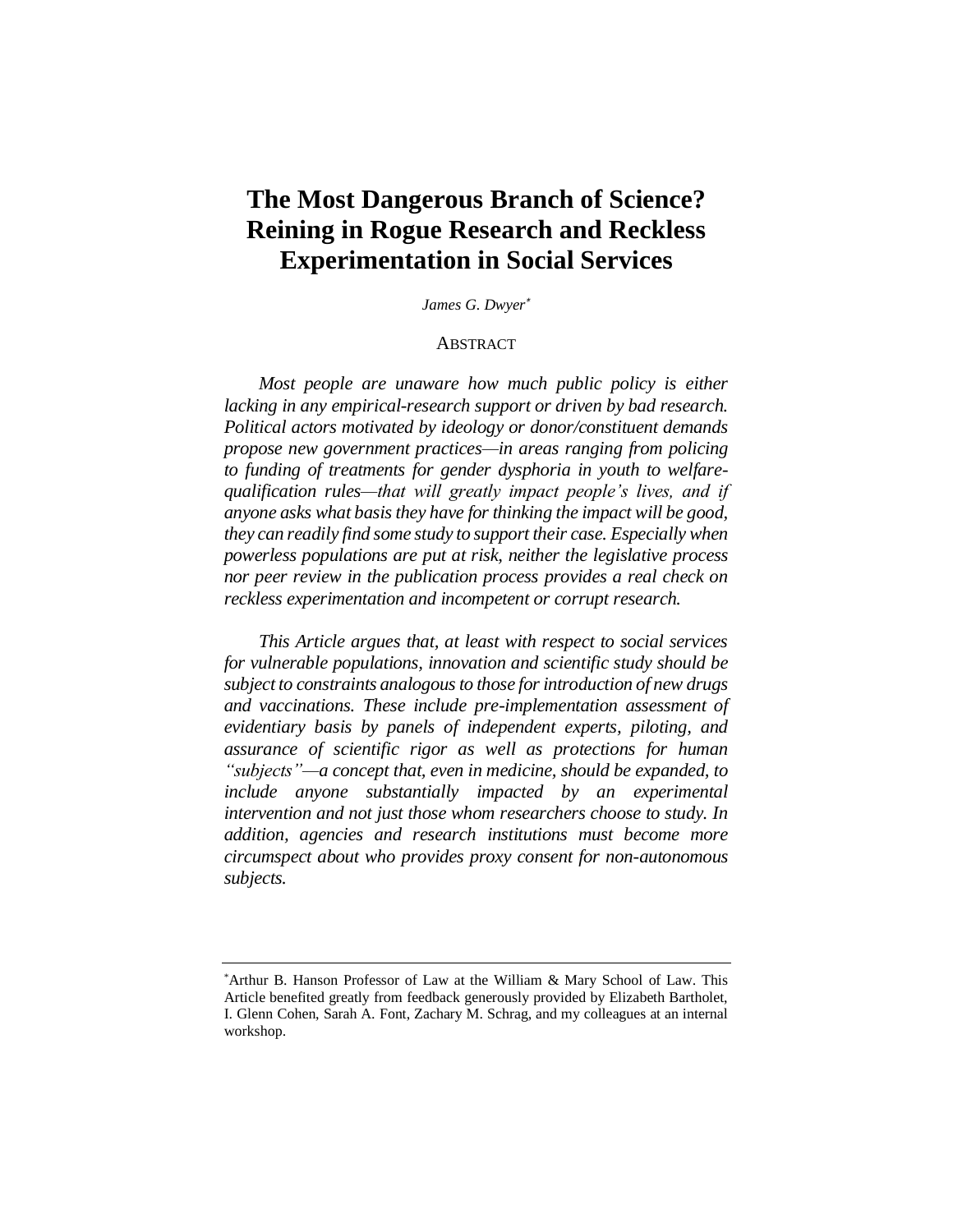## **The Most Dangerous Branch of Science? Reining in Rogue Research and Reckless Experimentation in Social Services**

*James G. Dwyer\**

#### ABSTRACT

*Most people are unaware how much public policy is either lacking in any empirical-research support or driven by bad research. Political actors motivated by ideology or donor/constituent demands propose new government practices—in areas ranging from policing to funding of treatments for gender dysphoria in youth to welfarequalification rules—that will greatly impact people's lives, and if anyone asks what basis they have for thinking the impact will be good, they can readily find some study to support their case. Especially when powerless populations are put at risk, neither the legislative process nor peer review in the publication process provides a real check on reckless experimentation and incompetent or corrupt research.*

*This Article argues that, at least with respect to social services for vulnerable populations, innovation and scientific study should be subject to constraints analogous to those for introduction of new drugs and vaccinations. These include pre-implementation assessment of evidentiary basis by panels of independent experts, piloting, and assurance of scientific rigor as well as protections for human "subjects"—a concept that, even in medicine, should be expanded, to include anyone substantially impacted by an experimental intervention and not just those whom researchers choose to study. In addition, agencies and research institutions must become more circumspect about who provides proxy consent for non-autonomous subjects.*

<sup>\*</sup>Arthur B. Hanson Professor of Law at the William & Mary School of Law. This Article benefited greatly from feedback generously provided by Elizabeth Bartholet, I. Glenn Cohen, Sarah A. Font, Zachary M. Schrag, and my colleagues at an internal workshop.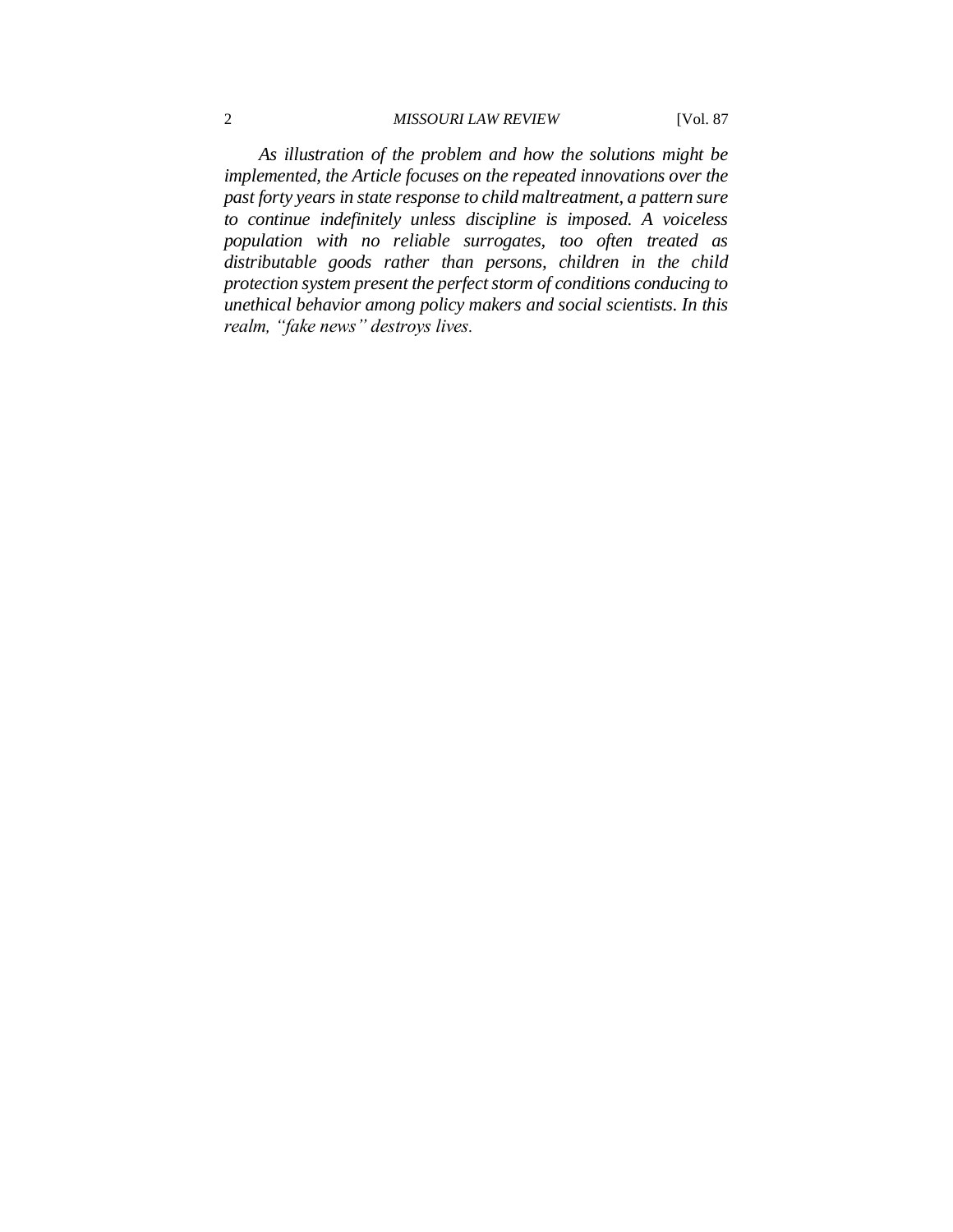### 2 *MISSOURI LAW REVIEW* [Vol. 87

*As illustration of the problem and how the solutions might be implemented, the Article focuses on the repeated innovations over the past forty years in state response to child maltreatment, a pattern sure to continue indefinitely unless discipline is imposed. A voiceless population with no reliable surrogates, too often treated as distributable goods rather than persons, children in the child protection system present the perfect storm of conditions conducing to unethical behavior among policy makers and social scientists. In this realm, "fake news" destroys lives.*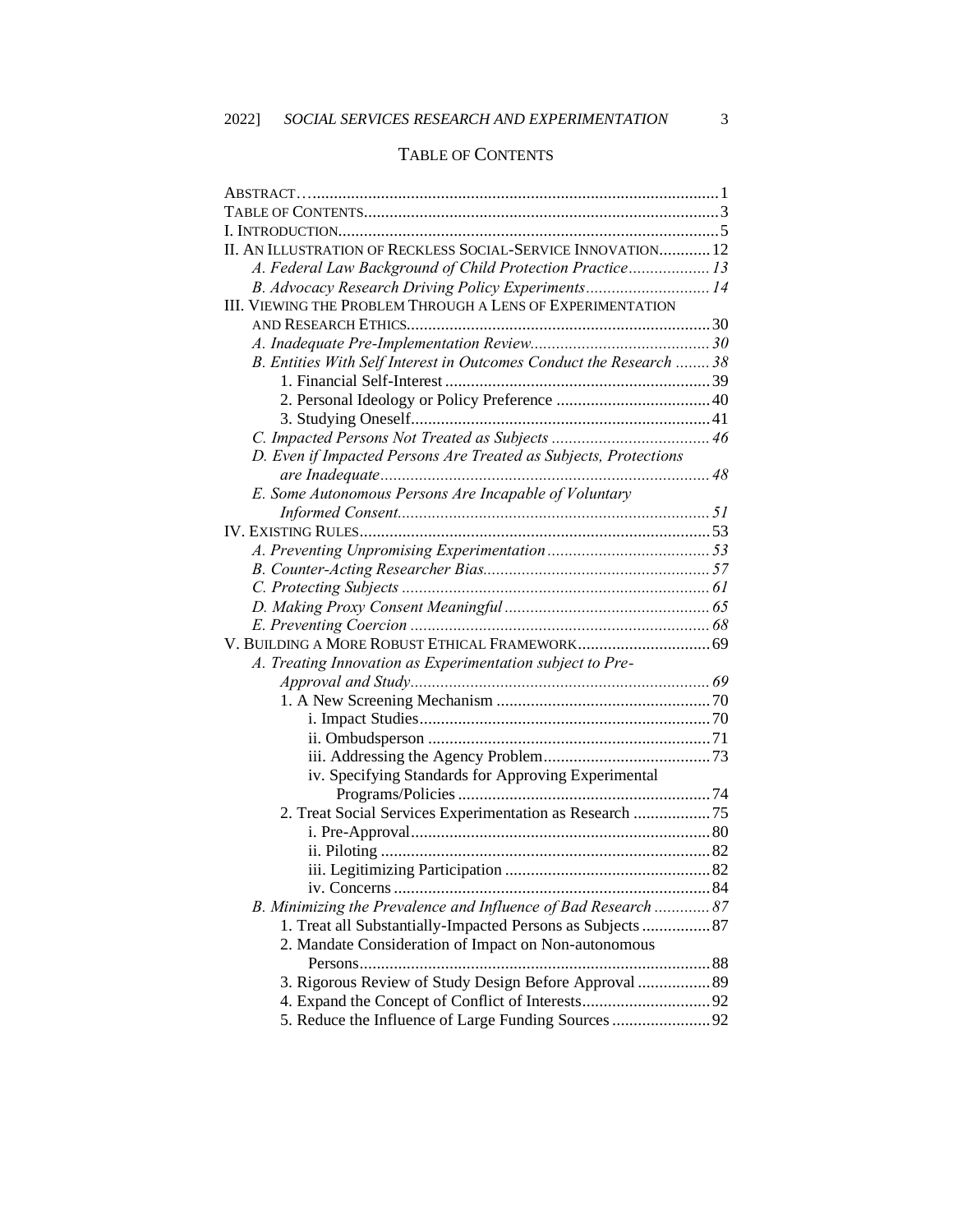## TABLE OF CONTENTS

| II. AN ILLUSTRATION OF RECKLESS SOCIAL-SERVICE INNOVATION 12        |  |
|---------------------------------------------------------------------|--|
| A. Federal Law Background of Child Protection Practice 13           |  |
| B. Advocacy Research Driving Policy Experiments 14                  |  |
| III. VIEWING THE PROBLEM THROUGH A LENS OF EXPERIMENTATION          |  |
|                                                                     |  |
|                                                                     |  |
| B. Entities With Self Interest in Outcomes Conduct the Research  38 |  |
|                                                                     |  |
|                                                                     |  |
|                                                                     |  |
|                                                                     |  |
| D. Even if Impacted Persons Are Treated as Subjects, Protections    |  |
|                                                                     |  |
| E. Some Autonomous Persons Are Incapable of Voluntary               |  |
|                                                                     |  |
|                                                                     |  |
|                                                                     |  |
|                                                                     |  |
|                                                                     |  |
|                                                                     |  |
|                                                                     |  |
|                                                                     |  |
| A. Treating Innovation as Experimentation subject to Pre-           |  |
|                                                                     |  |
|                                                                     |  |
|                                                                     |  |
|                                                                     |  |
|                                                                     |  |
| iv. Specifying Standards for Approving Experimental                 |  |
|                                                                     |  |
| 2. Treat Social Services Experimentation as Research 75             |  |
|                                                                     |  |
|                                                                     |  |
|                                                                     |  |
|                                                                     |  |
| B. Minimizing the Prevalence and Influence of Bad Research  87      |  |
| 1. Treat all Substantially-Impacted Persons as Subjects  87         |  |
| 2. Mandate Consideration of Impact on Non-autonomous                |  |
|                                                                     |  |
| 3. Rigorous Review of Study Design Before Approval  89              |  |
|                                                                     |  |
| 5. Reduce the Influence of Large Funding Sources  92                |  |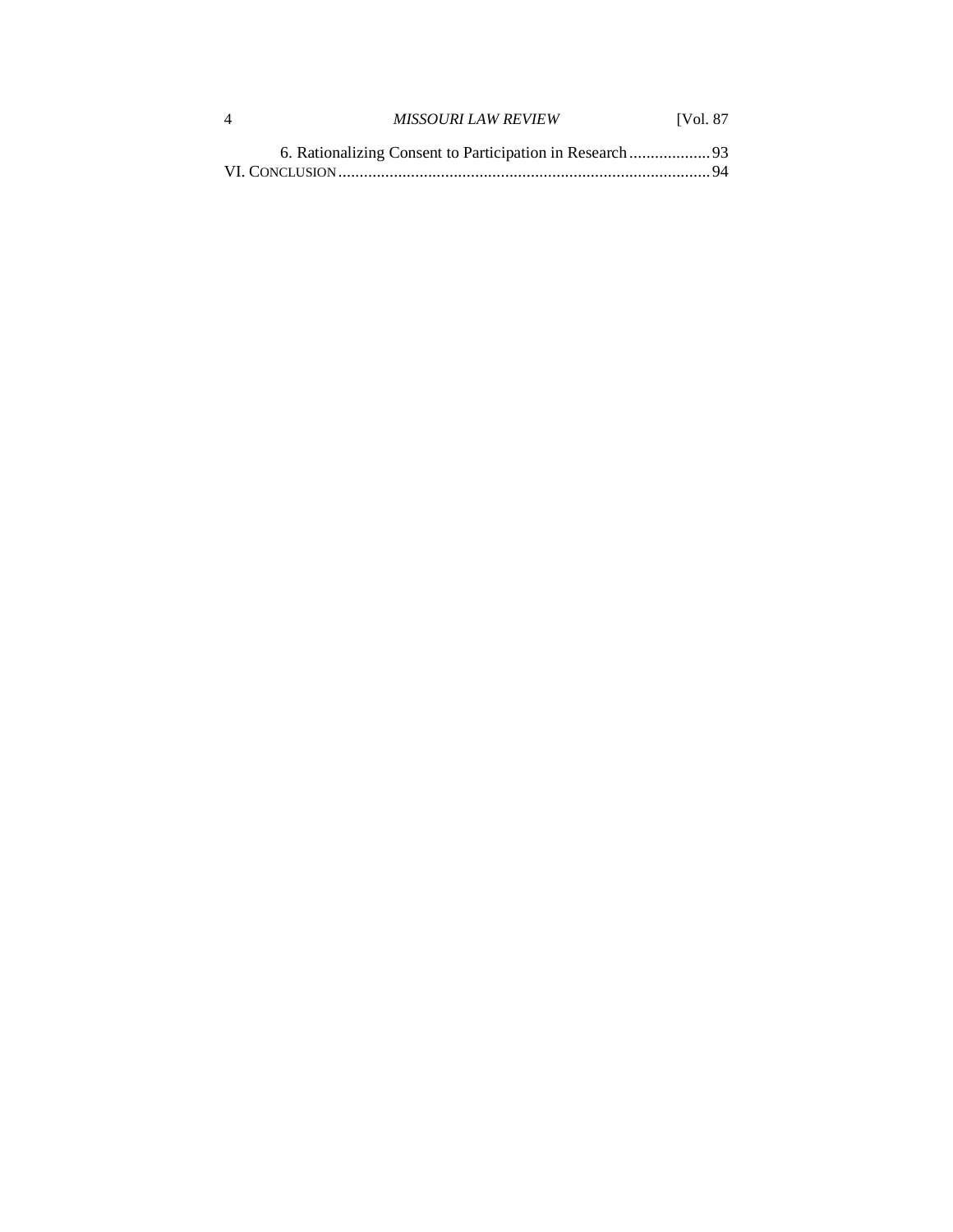| <b>MISSOURI LAW REVIEW</b> | <b>IVol. 87</b> |
|----------------------------|-----------------|
|                            |                 |
|                            |                 |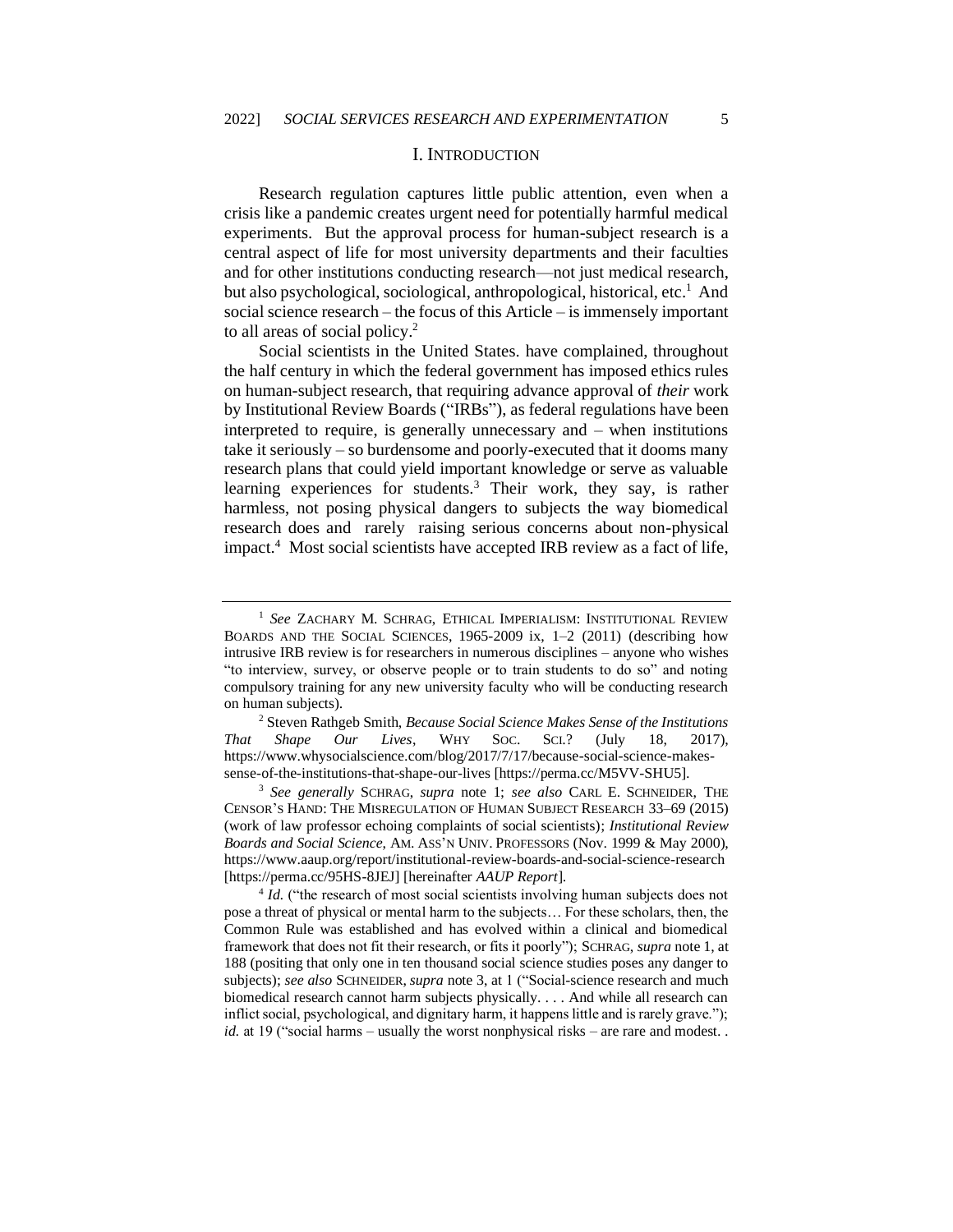#### I. INTRODUCTION

Research regulation captures little public attention, even when a crisis like a pandemic creates urgent need for potentially harmful medical experiments. But the approval process for human-subject research is a central aspect of life for most university departments and their faculties and for other institutions conducting research—not just medical research, but also psychological, sociological, anthropological, historical, etc.<sup>1</sup> And social science research – the focus of this Article – is immensely important to all areas of social policy.<sup>2</sup>

Social scientists in the United States. have complained, throughout the half century in which the federal government has imposed ethics rules on human-subject research, that requiring advance approval of *their* work by Institutional Review Boards ("IRBs"), as federal regulations have been interpreted to require, is generally unnecessary and – when institutions take it seriously – so burdensome and poorly-executed that it dooms many research plans that could yield important knowledge or serve as valuable learning experiences for students.<sup>3</sup> Their work, they say, is rather harmless, not posing physical dangers to subjects the way biomedical research does and rarely raising serious concerns about non-physical impact.<sup>4</sup> Most social scientists have accepted IRB review as a fact of life,

<sup>2</sup> Steven Rathgeb Smith, *Because Social Science Makes Sense of the Institutions That Shape Our Lives*, WHY SOC. SCI.? (July 18, 2017), https://www.whysocialscience.com/blog/2017/7/17/because-social-science-makessense-of-the-institutions-that-shape-our-lives [https://perma.cc/M5VV-SHU5].

<sup>3</sup> *See generally* SCHRAG, *supra* note 1; *see also* CARL E. SCHNEIDER, THE CENSOR'S HAND: THE MISREGULATION OF HUMAN SUBJECT RESEARCH 33–69 (2015) (work of law professor echoing complaints of social scientists); *Institutional Review Boards and Social Science*, AM. ASS'N UNIV. PROFESSORS (Nov. 1999 & May 2000), https://www.aaup.org/report/institutional-review-boards-and-social-science-research [https://perma.cc/95HS-8JEJ] [hereinafter *AAUP Report*].

<sup>4</sup> *Id.* ("the research of most social scientists involving human subjects does not pose a threat of physical or mental harm to the subjects… For these scholars, then, the Common Rule was established and has evolved within a clinical and biomedical framework that does not fit their research, or fits it poorly"); SCHRAG, *supra* note 1, at 188 (positing that only one in ten thousand social science studies poses any danger to subjects); *see also* SCHNEIDER, *supra* note 3, at 1 ("Social-science research and much biomedical research cannot harm subjects physically. . . . And while all research can inflict social, psychological, and dignitary harm, it happens little and is rarely grave."); *id.* at 19 ("social harms – usually the worst nonphysical risks – are rare and modest..

<sup>1</sup> *See* ZACHARY M. SCHRAG, ETHICAL IMPERIALISM: INSTITUTIONAL REVIEW BOARDS AND THE SOCIAL SCIENCES, 1965-2009 ix, 1–2 (2011) (describing how intrusive IRB review is for researchers in numerous disciplines – anyone who wishes "to interview, survey, or observe people or to train students to do so" and noting compulsory training for any new university faculty who will be conducting research on human subjects).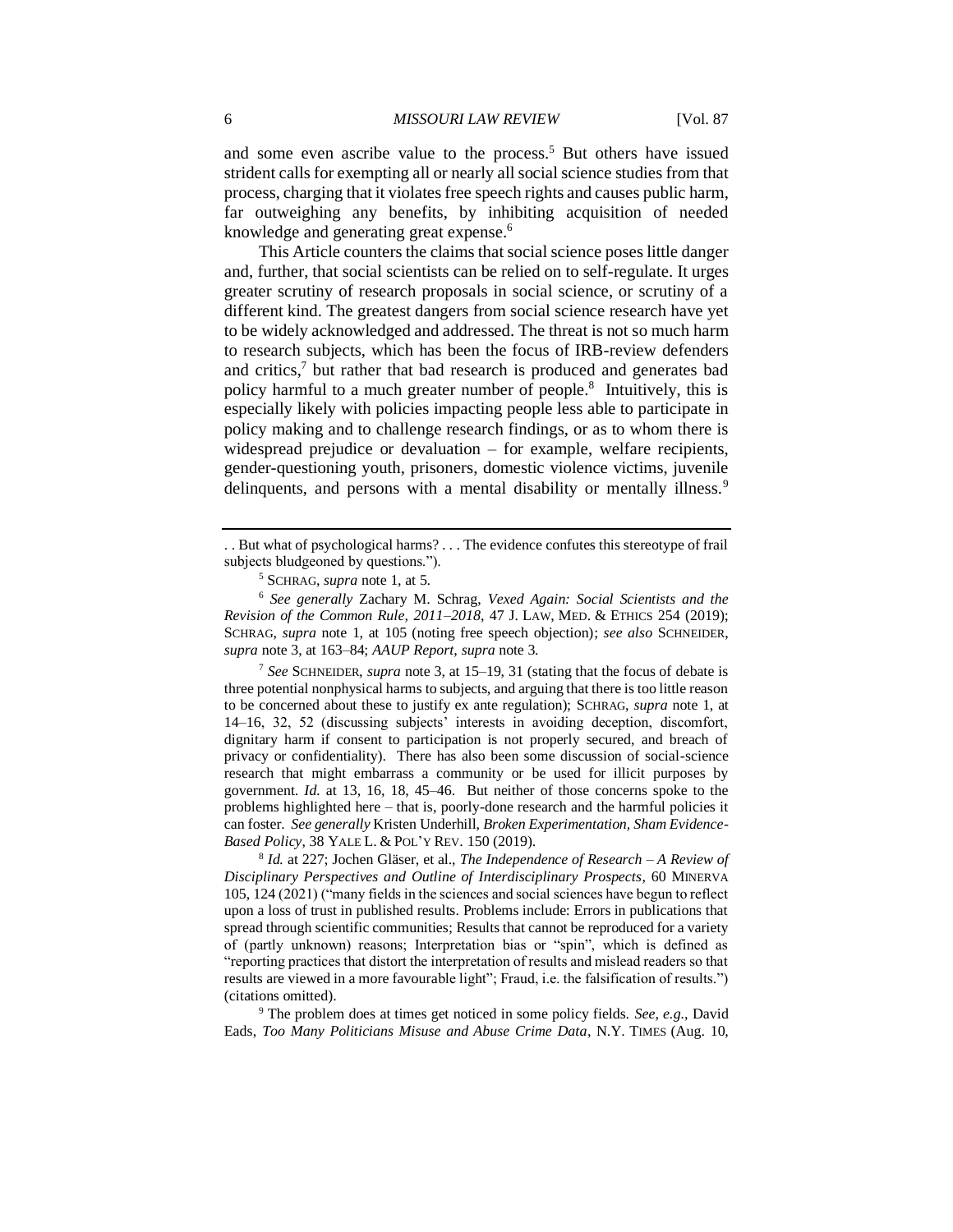and some even ascribe value to the process.<sup>5</sup> But others have issued strident calls for exempting all or nearly all social science studies from that process, charging that it violates free speech rights and causes public harm, far outweighing any benefits, by inhibiting acquisition of needed knowledge and generating great expense.<sup>6</sup>

This Article counters the claims that social science poses little danger and, further, that social scientists can be relied on to self-regulate. It urges greater scrutiny of research proposals in social science, or scrutiny of a different kind. The greatest dangers from social science research have yet to be widely acknowledged and addressed. The threat is not so much harm to research subjects, which has been the focus of IRB-review defenders and critics,<sup>7</sup> but rather that bad research is produced and generates bad policy harmful to a much greater number of people.<sup>8</sup> Intuitively, this is especially likely with policies impacting people less able to participate in policy making and to challenge research findings, or as to whom there is widespread prejudice or devaluation – for example, welfare recipients, gender-questioning youth, prisoners, domestic violence victims, juvenile delinquents, and persons with a mental disability or mentally illness.<sup>9</sup>

<sup>7</sup> *See* SCHNEIDER, *supra* note 3, at 15–19, 31 (stating that the focus of debate is three potential nonphysical harms to subjects, and arguing that there is too little reason to be concerned about these to justify ex ante regulation); SCHRAG, *supra* note 1, at 14–16, 32, 52 (discussing subjects' interests in avoiding deception, discomfort, dignitary harm if consent to participation is not properly secured, and breach of privacy or confidentiality). There has also been some discussion of social-science research that might embarrass a community or be used for illicit purposes by government. *Id.* at 13, 16, 18, 45–46. But neither of those concerns spoke to the problems highlighted here – that is, poorly-done research and the harmful policies it can foster. *See generally* Kristen Underhill, *Broken Experimentation, Sham Evidence-Based Policy*, 38 YALE L. & POL'Y REV. 150 (2019).

8 *Id.* at 227; Jochen Gläser, et al., *The Independence of Research – A Review of Disciplinary Perspectives and Outline of Interdisciplinary Prospects*, 60 MINERVA 105, 124 (2021) ("many fields in the sciences and social sciences have begun to reflect upon a loss of trust in published results. Problems include: Errors in publications that spread through scientific communities; Results that cannot be reproduced for a variety of (partly unknown) reasons; Interpretation bias or "spin", which is defined as "reporting practices that distort the interpretation of results and mislead readers so that results are viewed in a more favourable light"; Fraud, i.e. the falsification of results.") (citations omitted).

<sup>9</sup> The problem does at times get noticed in some policy fields. *See*, *e.g.*, David Eads, *Too Many Politicians Misuse and Abuse Crime Data*, N.Y. TIMES (Aug. 10,

<sup>. .</sup> But what of psychological harms? . . . The evidence confutes this stereotype of frail subjects bludgeoned by questions.").

<sup>5</sup> SCHRAG, *supra* note 1, at 5.

<sup>6</sup> *See generally* Zachary M. Schrag, *Vexed Again: Social Scientists and the Revision of the Common Rule, 2011–2018*, 47 J. LAW, MED. & ETHICS 254 (2019); SCHRAG, *supra* note 1, at 105 (noting free speech objection); *see also* SCHNEIDER, *supra* note 3, at 163–84; *AAUP Report*, *supra* note 3.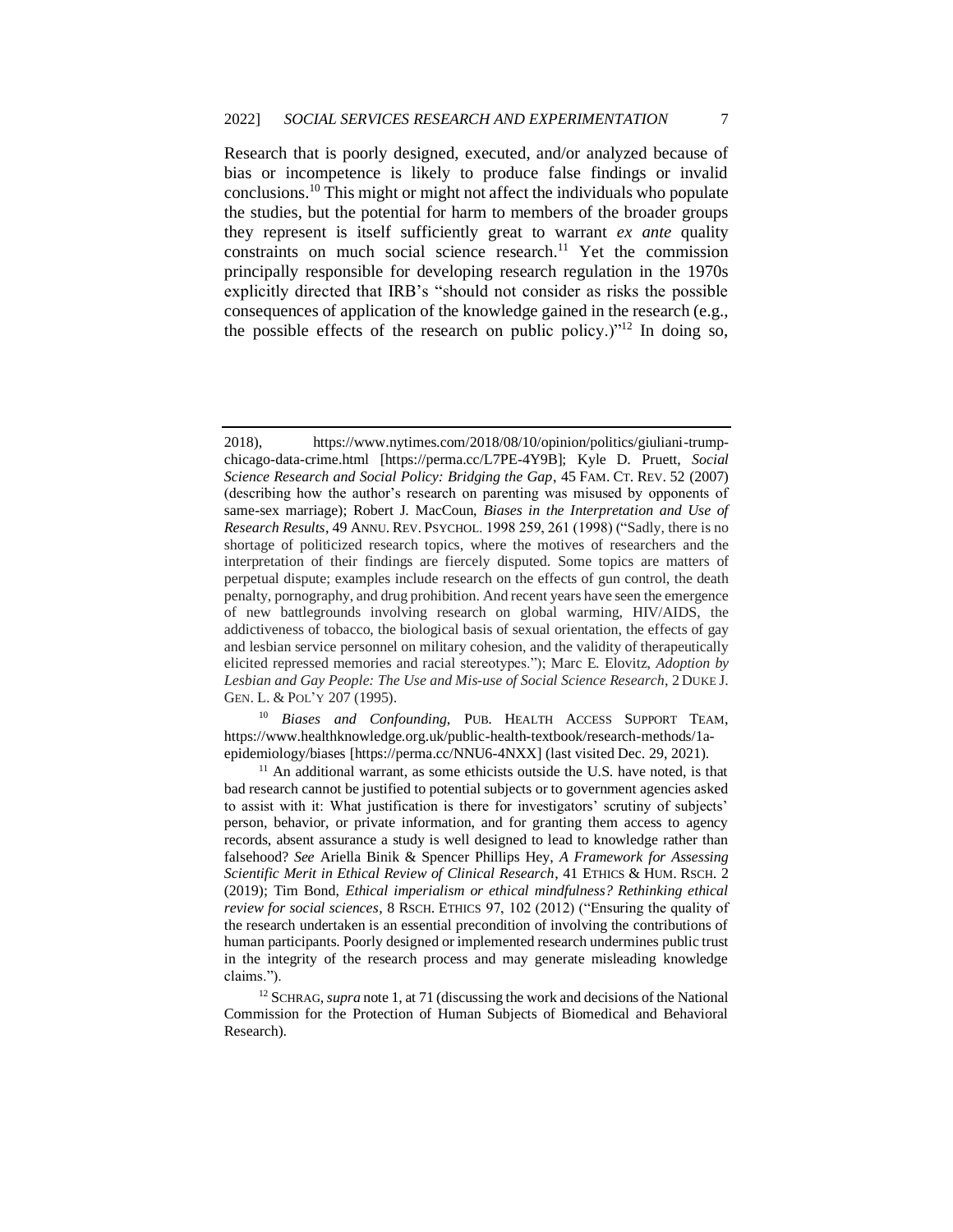Research that is poorly designed, executed, and/or analyzed because of bias or incompetence is likely to produce false findings or invalid conclusions.<sup>10</sup> This might or might not affect the individuals who populate the studies, but the potential for harm to members of the broader groups they represent is itself sufficiently great to warrant *ex ante* quality constraints on much social science research.<sup>11</sup> Yet the commission principally responsible for developing research regulation in the 1970s explicitly directed that IRB's "should not consider as risks the possible consequences of application of the knowledge gained in the research (e.g., the possible effects of the research on public policy.)"<sup>12</sup> In doing so,

<sup>10</sup> *Biases and Confounding*, PUB. HEALTH ACCESS SUPPORT TEAM, https://www.healthknowledge.org.uk/public-health-textbook/research-methods/1aepidemiology/biases [https://perma.cc/NNU6-4NXX] (last visited Dec. 29, 2021).

 $11$  An additional warrant, as some ethicists outside the U.S. have noted, is that bad research cannot be justified to potential subjects or to government agencies asked to assist with it: What justification is there for investigators' scrutiny of subjects' person, behavior, or private information, and for granting them access to agency records, absent assurance a study is well designed to lead to knowledge rather than falsehood? *See* Ariella Binik & Spencer Phillips Hey, *A Framework for Assessing Scientific Merit in Ethical Review of Clinical Research*, 41 ETHICS & HUM. RSCH. 2 (2019); Tim Bond, *Ethical imperialism or ethical mindfulness? Rethinking ethical review for social sciences*, 8 RSCH. ETHICS 97, 102 (2012) ("Ensuring the quality of the research undertaken is an essential precondition of involving the contributions of human participants. Poorly designed or implemented research undermines public trust in the integrity of the research process and may generate misleading knowledge claims.").

<sup>2018),</sup> https://www.nytimes.com/2018/08/10/opinion/politics/giuliani-trumpchicago-data-crime.html [https://perma.cc/L7PE-4Y9B]; Kyle D. Pruett, *Social Science Research and Social Policy: Bridging the Gap*, 45 FAM. CT. REV. 52 (2007) (describing how the author's research on parenting was misused by opponents of same-sex marriage); Robert J. MacCoun, *Biases in the Interpretation and Use of Research Results*, 49 ANNU. REV. PSYCHOL. 1998 259, 261 (1998) ("Sadly, there is no shortage of politicized research topics, where the motives of researchers and the interpretation of their findings are fiercely disputed. Some topics are matters of perpetual dispute; examples include research on the effects of gun control, the death penalty, pornography, and drug prohibition. And recent years have seen the emergence of new battlegrounds involving research on global warming, HIV/AIDS, the addictiveness of tobacco, the biological basis of sexual orientation, the effects of gay and lesbian service personnel on military cohesion, and the validity of therapeutically elicited repressed memories and racial stereotypes."); Marc E. Elovitz, *Adoption by Lesbian and Gay People: The Use and Mis-use of Social Science Research*, 2 DUKE J. GEN. L. & POL'Y 207 (1995).

<sup>&</sup>lt;sup>12</sup> SCHRAG, *supra* note 1, at 71 (discussing the work and decisions of the National Commission for the Protection of Human Subjects of Biomedical and Behavioral Research).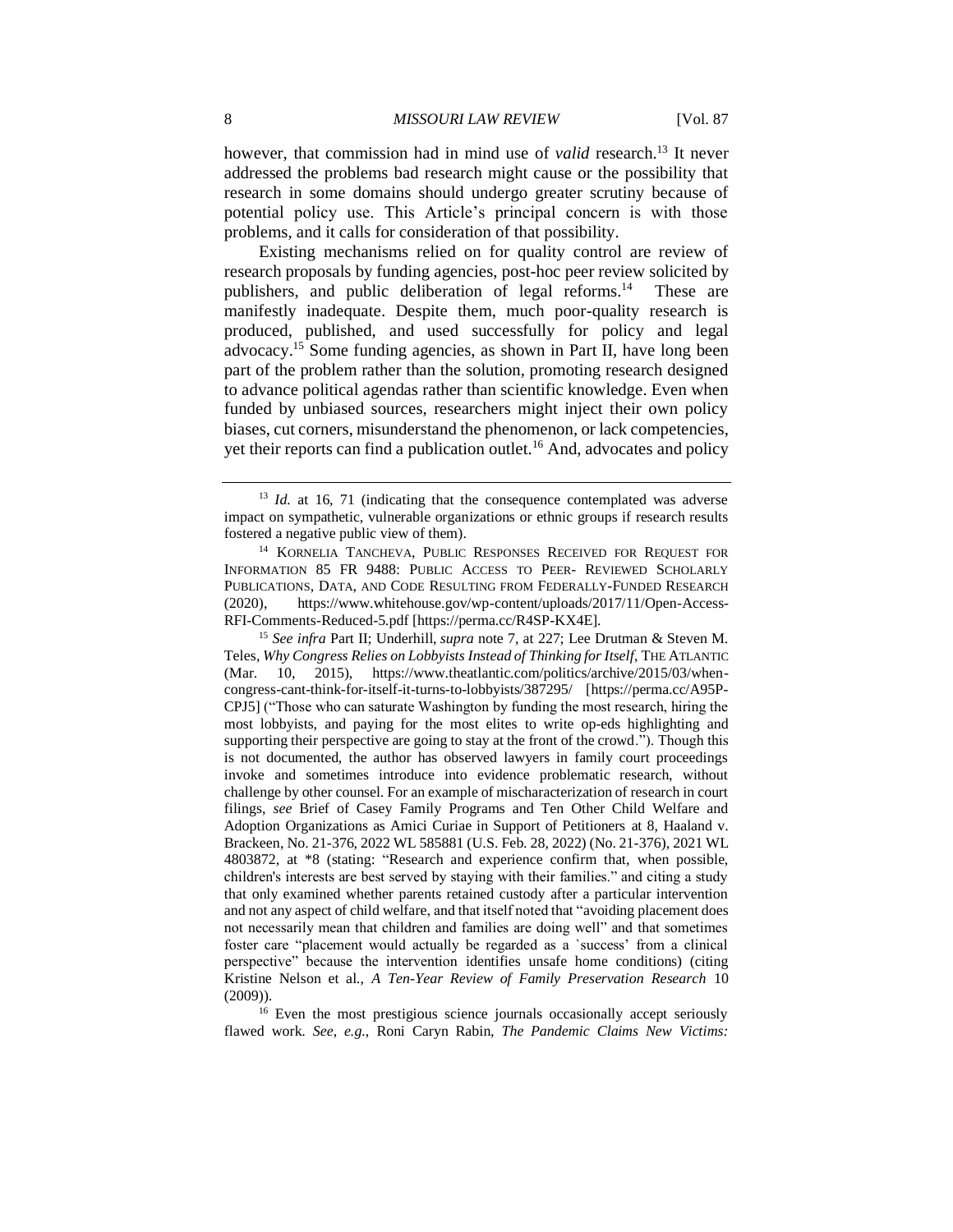however, that commission had in mind use of *valid* research.<sup>13</sup> It never addressed the problems bad research might cause or the possibility that research in some domains should undergo greater scrutiny because of potential policy use. This Article's principal concern is with those problems, and it calls for consideration of that possibility.

Existing mechanisms relied on for quality control are review of research proposals by funding agencies, post-hoc peer review solicited by publishers, and public deliberation of legal reforms.<sup>14</sup> These are manifestly inadequate. Despite them, much poor-quality research is produced, published, and used successfully for policy and legal advocacy.<sup>15</sup> Some funding agencies, as shown in Part II, have long been part of the problem rather than the solution, promoting research designed to advance political agendas rather than scientific knowledge. Even when funded by unbiased sources, researchers might inject their own policy biases, cut corners, misunderstand the phenomenon, or lack competencies, yet their reports can find a publication outlet.<sup>16</sup> And, advocates and policy

<sup>15</sup> *See infra* Part II; Underhill, *supra* note 7, at 227; Lee Drutman & Steven M. Teles, *Why Congress Relies on Lobbyists Instead of Thinking for Itself*, THE ATLANTIC (Mar. 10, 2015), https://www.theatlantic.com/politics/archive/2015/03/whencongress-cant-think-for-itself-it-turns-to-lobbyists/387295/ [https://perma.cc/A95P-CPJ5] ("Those who can saturate Washington by funding the most research, hiring the most lobbyists, and paying for the most elites to write op-eds highlighting and supporting their perspective are going to stay at the front of the crowd."). Though this is not documented, the author has observed lawyers in family court proceedings invoke and sometimes introduce into evidence problematic research, without challenge by other counsel. For an example of mischaracterization of research in court filings, *see* Brief of Casey Family Programs and Ten Other Child Welfare and Adoption Organizations as Amici Curiae in Support of Petitioners at 8, Haaland v. Brackeen, No. 21-376, 2022 WL 585881 (U.S. Feb. 28, 2022) (No. 21-376), 2021 WL 4803872, at \*8 (stating: "Research and experience confirm that, when possible, children's interests are best served by staying with their families." and citing a study that only examined whether parents retained custody after a particular intervention and not any aspect of child welfare, and that itself noted that "avoiding placement does not necessarily mean that children and families are doing well" and that sometimes foster care "placement would actually be regarded as a `success' from a clinical perspective" because the intervention identifies unsafe home conditions) (citing Kristine Nelson et al., *A Ten-Year Review of Family Preservation Research* 10 (2009)).

<sup>16</sup> Even the most prestigious science journals occasionally accept seriously flawed work. *See*, *e.g.*, Roni Caryn Rabin, *The Pandemic Claims New Victims:* 

<sup>&</sup>lt;sup>13</sup> *Id.* at 16, 71 (indicating that the consequence contemplated was adverse impact on sympathetic, vulnerable organizations or ethnic groups if research results fostered a negative public view of them).

<sup>&</sup>lt;sup>14</sup> KORNELIA TANCHEVA, PUBLIC RESPONSES RECEIVED FOR REQUEST FOR INFORMATION 85 FR 9488: PUBLIC ACCESS TO PEER- REVIEWED SCHOLARLY PUBLICATIONS, DATA, AND CODE RESULTING FROM FEDERALLY-FUNDED RESEARCH (2020), https://www.whitehouse.gov/wp-content/uploads/2017/11/Open-Access-RFI-Comments-Reduced-5.pdf [https://perma.cc/R4SP-KX4E].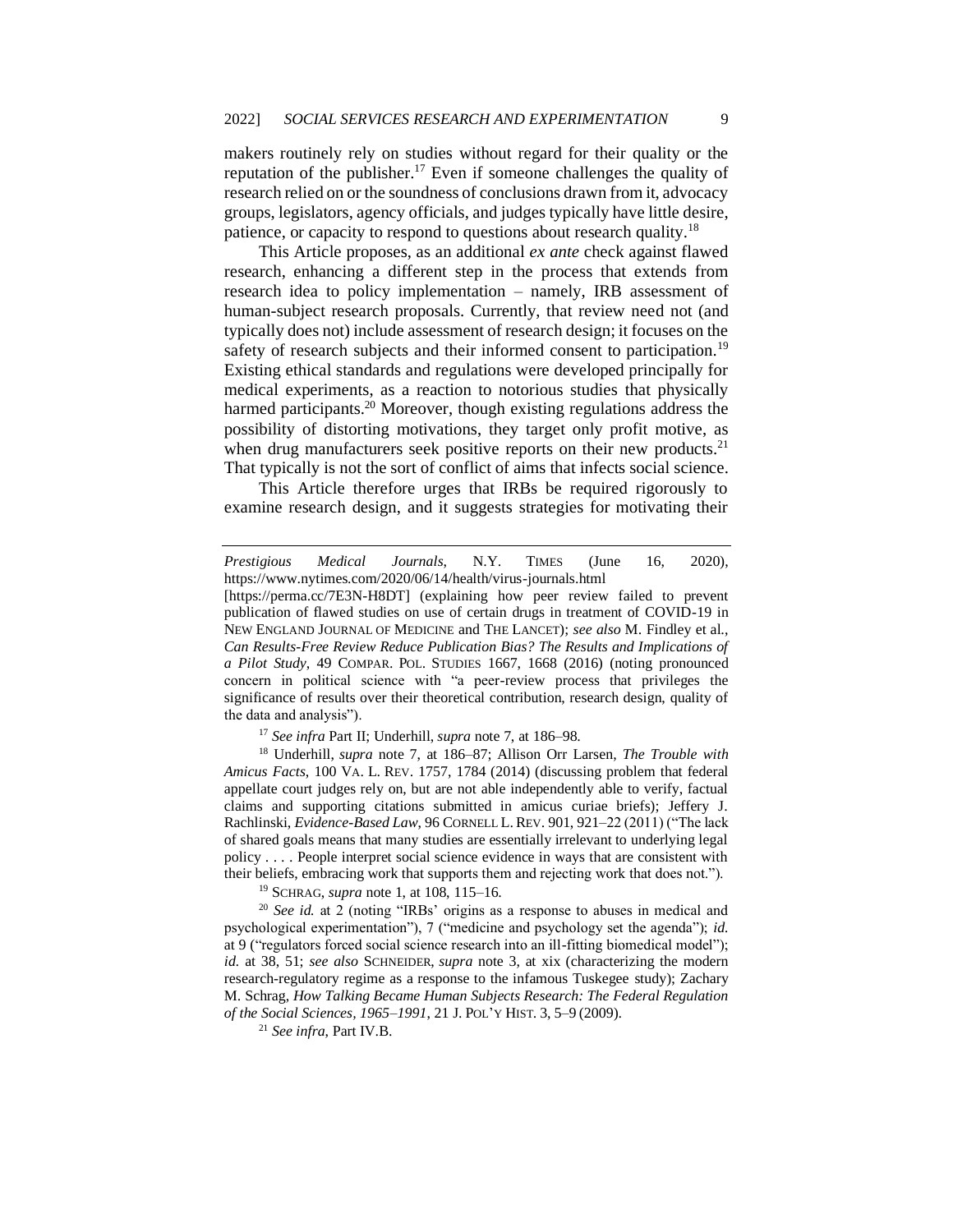makers routinely rely on studies without regard for their quality or the reputation of the publisher.<sup>17</sup> Even if someone challenges the quality of research relied on or the soundness of conclusions drawn from it, advocacy groups, legislators, agency officials, and judges typically have little desire, patience, or capacity to respond to questions about research quality.<sup>18</sup>

This Article proposes, as an additional *ex ante* check against flawed research, enhancing a different step in the process that extends from research idea to policy implementation – namely, IRB assessment of human-subject research proposals. Currently, that review need not (and typically does not) include assessment of research design; it focuses on the safety of research subjects and their informed consent to participation.<sup>19</sup> Existing ethical standards and regulations were developed principally for medical experiments, as a reaction to notorious studies that physically harmed participants.<sup>20</sup> Moreover, though existing regulations address the possibility of distorting motivations, they target only profit motive, as when drug manufacturers seek positive reports on their new products. $2<sup>1</sup>$ That typically is not the sort of conflict of aims that infects social science.

This Article therefore urges that IRBs be required rigorously to examine research design, and it suggests strategies for motivating their

<sup>17</sup> *See infra* Part II; Underhill, *supra* note 7, at 186–98.

<sup>18</sup> Underhill, *supra* note 7, at 186–87; Allison Orr Larsen, *The Trouble with Amicus Facts*, 100 VA. L. REV. 1757, 1784 (2014) (discussing problem that federal appellate court judges rely on, but are not able independently able to verify, factual claims and supporting citations submitted in amicus curiae briefs); Jeffery J. Rachlinski, *Evidence-Based Law*, 96 CORNELL L. REV. 901, 921–22 (2011) ("The lack of shared goals means that many studies are essentially irrelevant to underlying legal policy . . . . People interpret social science evidence in ways that are consistent with their beliefs, embracing work that supports them and rejecting work that does not.").

<sup>19</sup> SCHRAG, *supra* note 1, at 108, 115–16.

<sup>20</sup> *See id.* at 2 (noting "IRBs' origins as a response to abuses in medical and psychological experimentation"), 7 ("medicine and psychology set the agenda"); *id.* at 9 ("regulators forced social science research into an ill-fitting biomedical model"); *id.* at 38, 51; *see also* SCHNEIDER, *supra* note 3, at xix (characterizing the modern research-regulatory regime as a response to the infamous Tuskegee study); Zachary M. Schrag, *How Talking Became Human Subjects Research: The Federal Regulation of the Social Sciences, 1965–1991*, 21 J. POL'Y HIST. 3, 5–9 (2009).

<sup>21</sup> *See infra*, Part IV.B.

*Prestigious Medical Journals*, N.Y. TIMES (June 16, 2020), https://www.nytimes.com/2020/06/14/health/virus-journals.html

<sup>[</sup>https://perma.cc/7E3N-H8DT] (explaining how peer review failed to prevent publication of flawed studies on use of certain drugs in treatment of COVID-19 in NEW ENGLAND JOURNAL OF MEDICINE and THE LANCET); *see also* M. Findley et al., *Can Results-Free Review Reduce Publication Bias? The Results and Implications of a Pilot Study*, 49 COMPAR. POL. STUDIES 1667, 1668 (2016) (noting pronounced concern in political science with "a peer-review process that privileges the significance of results over their theoretical contribution, research design, quality of the data and analysis").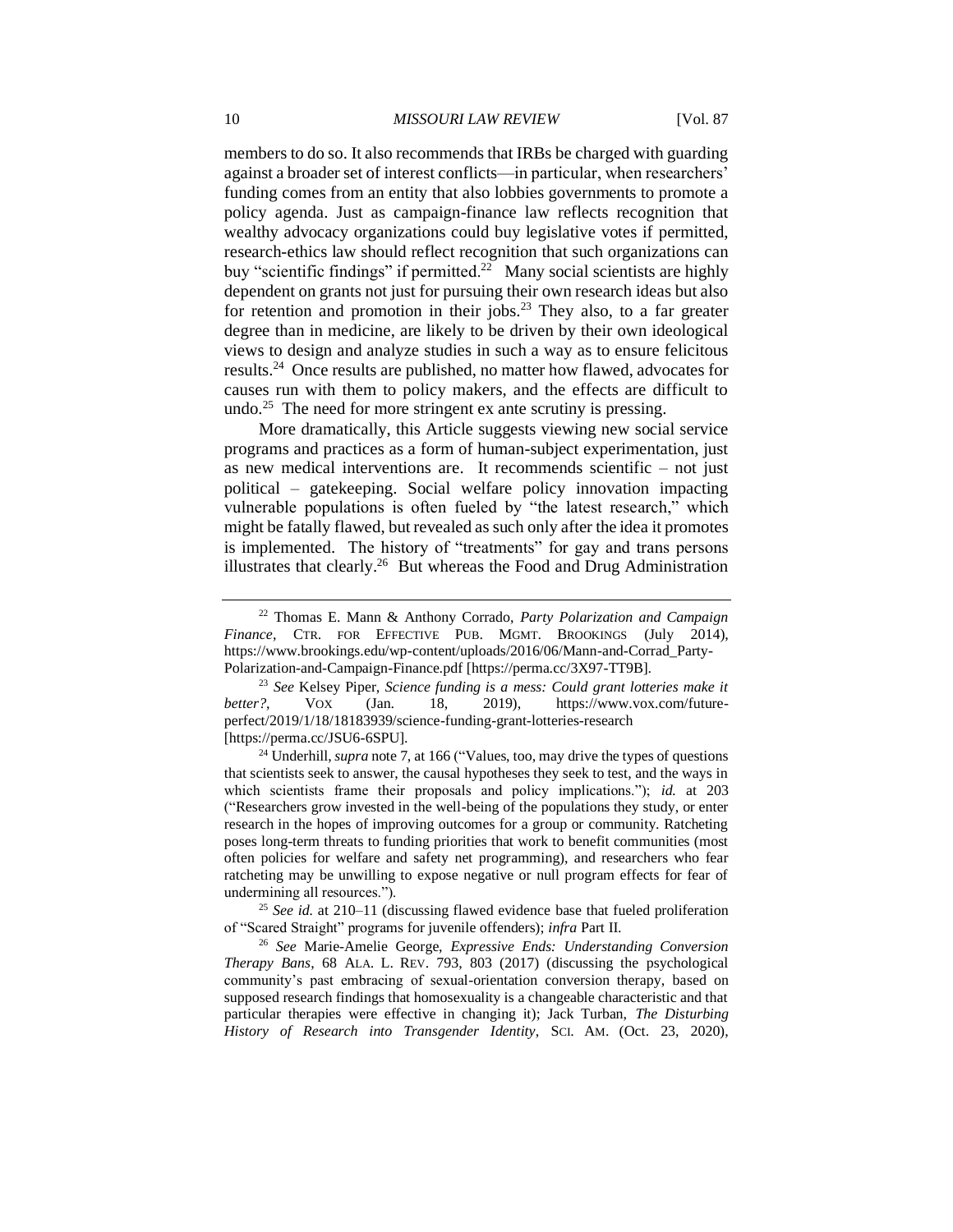members to do so. It also recommends that IRBs be charged with guarding against a broader set of interest conflicts—in particular, when researchers' funding comes from an entity that also lobbies governments to promote a policy agenda. Just as campaign-finance law reflects recognition that wealthy advocacy organizations could buy legislative votes if permitted, research-ethics law should reflect recognition that such organizations can buy "scientific findings" if permitted.<sup>22</sup> Many social scientists are highly dependent on grants not just for pursuing their own research ideas but also for retention and promotion in their jobs.<sup>23</sup> They also, to a far greater degree than in medicine, are likely to be driven by their own ideological views to design and analyze studies in such a way as to ensure felicitous results.<sup>24</sup> Once results are published, no matter how flawed, advocates for causes run with them to policy makers, and the effects are difficult to undo.<sup>25</sup> The need for more stringent ex ante scrutiny is pressing.

More dramatically, this Article suggests viewing new social service programs and practices as a form of human-subject experimentation, just as new medical interventions are. It recommends scientific – not just political – gatekeeping. Social welfare policy innovation impacting vulnerable populations is often fueled by "the latest research," which might be fatally flawed, but revealed as such only after the idea it promotes is implemented. The history of "treatments" for gay and trans persons illustrates that clearly.<sup>26</sup> But whereas the Food and Drug Administration

<sup>22</sup> Thomas E. Mann & Anthony Corrado, *Party Polarization and Campaign Finance*, CTR. FOR EFFECTIVE PUB. MGMT. BROOKINGS (July 2014), https://www.brookings.edu/wp-content/uploads/2016/06/Mann-and-Corrad\_Party-Polarization-and-Campaign-Finance.pdf [https://perma.cc/3X97-TT9B].

<sup>23</sup> *See* Kelsey Piper, *Science funding is a mess: Could grant lotteries make it better?*, VOX (Jan. 18, 2019), https://www.vox.com/futureperfect/2019/1/18/18183939/science-funding-grant-lotteries-research [https://perma.cc/JSU6-6SPU].

<sup>&</sup>lt;sup>24</sup> Underhill, *supra* note 7, at 166 ("Values, too, may drive the types of questions that scientists seek to answer, the causal hypotheses they seek to test, and the ways in which scientists frame their proposals and policy implications."); *id.* at 203 ("Researchers grow invested in the well-being of the populations they study, or enter research in the hopes of improving outcomes for a group or community. Ratcheting poses long-term threats to funding priorities that work to benefit communities (most often policies for welfare and safety net programming), and researchers who fear ratcheting may be unwilling to expose negative or null program effects for fear of undermining all resources.").

<sup>25</sup> *See id.* at 210–11 (discussing flawed evidence base that fueled proliferation of "Scared Straight" programs for juvenile offenders); *infra* Part II.

<sup>26</sup> *See* Marie-Amelie George, *Expressive Ends: Understanding Conversion Therapy Bans*, 68 ALA. L. REV. 793, 803 (2017) (discussing the psychological community's past embracing of sexual-orientation conversion therapy, based on supposed research findings that homosexuality is a changeable characteristic and that particular therapies were effective in changing it); Jack Turban, *The Disturbing History of Research into Transgender Identity*, SCI. AM. (Oct. 23, 2020),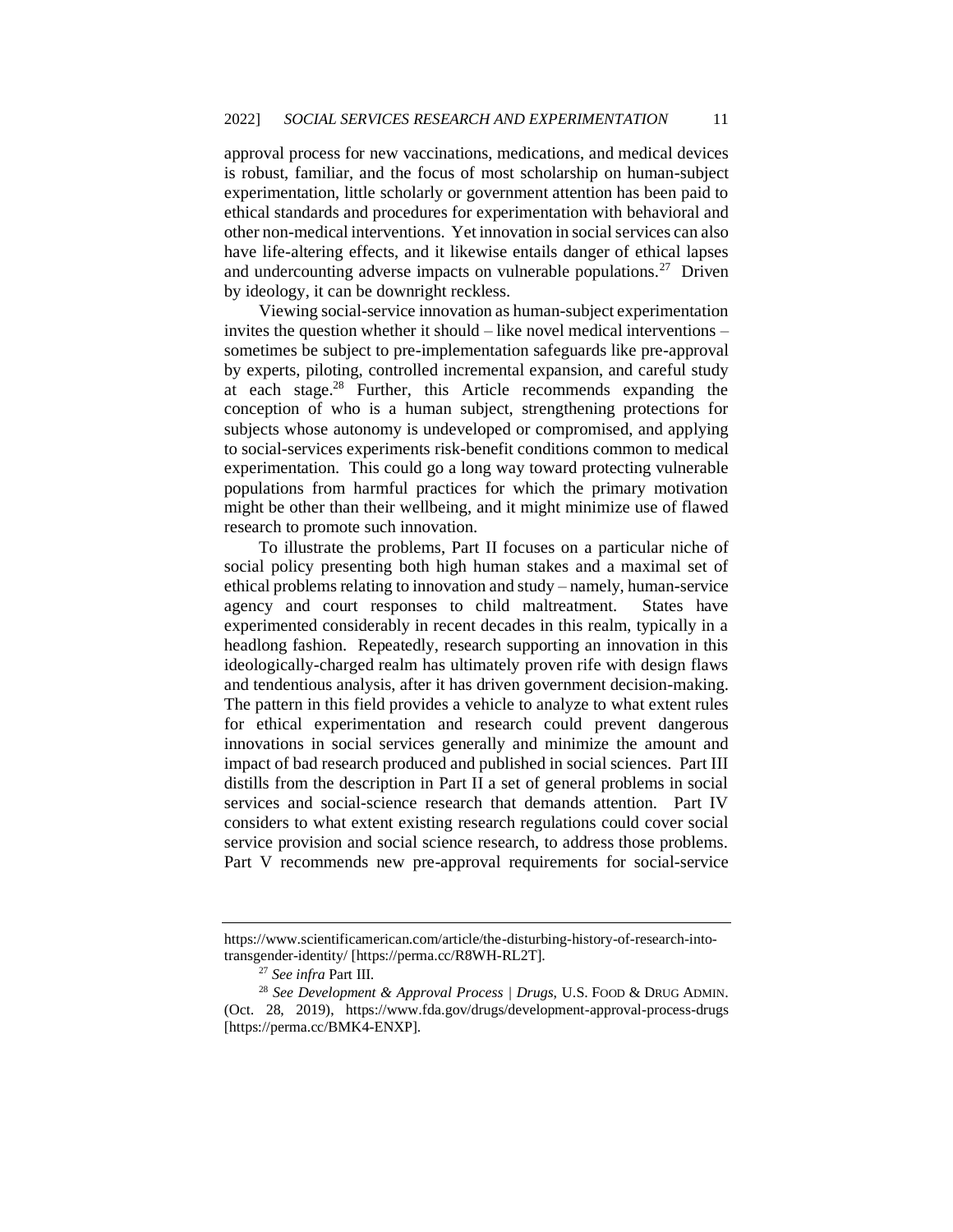approval process for new vaccinations, medications, and medical devices is robust, familiar, and the focus of most scholarship on human-subject experimentation, little scholarly or government attention has been paid to ethical standards and procedures for experimentation with behavioral and other non-medical interventions. Yet innovation in social services can also have life-altering effects, and it likewise entails danger of ethical lapses and undercounting adverse impacts on vulnerable populations.<sup>27</sup> Driven by ideology, it can be downright reckless.

Viewing social-service innovation as human-subject experimentation invites the question whether it should – like novel medical interventions – sometimes be subject to pre-implementation safeguards like pre-approval by experts, piloting, controlled incremental expansion, and careful study at each stage.<sup>28</sup> Further, this Article recommends expanding the conception of who is a human subject, strengthening protections for subjects whose autonomy is undeveloped or compromised, and applying to social-services experiments risk-benefit conditions common to medical experimentation. This could go a long way toward protecting vulnerable populations from harmful practices for which the primary motivation might be other than their wellbeing, and it might minimize use of flawed research to promote such innovation.

To illustrate the problems, Part II focuses on a particular niche of social policy presenting both high human stakes and a maximal set of ethical problems relating to innovation and study – namely, human-service agency and court responses to child maltreatment. States have experimented considerably in recent decades in this realm, typically in a headlong fashion. Repeatedly, research supporting an innovation in this ideologically-charged realm has ultimately proven rife with design flaws and tendentious analysis, after it has driven government decision-making. The pattern in this field provides a vehicle to analyze to what extent rules for ethical experimentation and research could prevent dangerous innovations in social services generally and minimize the amount and impact of bad research produced and published in social sciences. Part III distills from the description in Part II a set of general problems in social services and social-science research that demands attention. Part IV considers to what extent existing research regulations could cover social service provision and social science research, to address those problems. Part V recommends new pre-approval requirements for social-service

https://www.scientificamerican.com/article/the-disturbing-history-of-research-intotransgender-identity/ [https://perma.cc/R8WH-RL2T].

<sup>27</sup> *See infra* Part III.

<sup>28</sup> *See Development & Approval Process | Drugs*, U.S. FOOD & DRUG ADMIN. (Oct. 28, 2019), https://www.fda.gov/drugs/development-approval-process-drugs [https://perma.cc/BMK4-ENXP].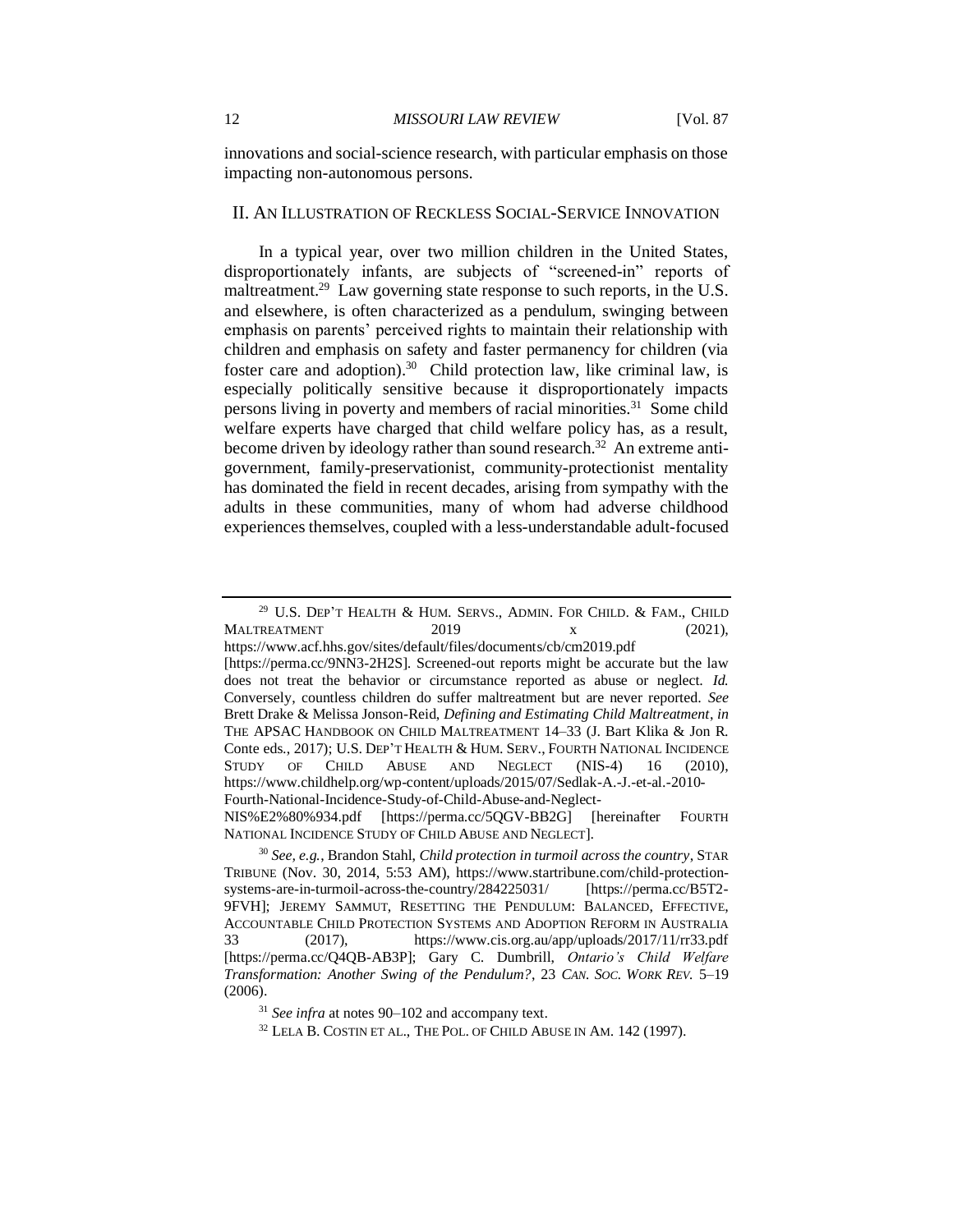innovations and social-science research, with particular emphasis on those impacting non-autonomous persons.

#### II. AN ILLUSTRATION OF RECKLESS SOCIAL-SERVICE INNOVATION

In a typical year, over two million children in the United States, disproportionately infants, are subjects of "screened-in" reports of maltreatment.<sup>29</sup> Law governing state response to such reports, in the U.S. and elsewhere, is often characterized as a pendulum, swinging between emphasis on parents' perceived rights to maintain their relationship with children and emphasis on safety and faster permanency for children (via foster care and adoption).<sup>30</sup> Child protection law, like criminal law, is especially politically sensitive because it disproportionately impacts persons living in poverty and members of racial minorities.<sup>31</sup> Some child welfare experts have charged that child welfare policy has, as a result, become driven by ideology rather than sound research.<sup>32</sup> An extreme antigovernment, family-preservationist, community-protectionist mentality has dominated the field in recent decades, arising from sympathy with the adults in these communities, many of whom had adverse childhood experiences themselves, coupled with a less-understandable adult-focused

[https://perma.cc/9NN3-2H2S]. Screened-out reports might be accurate but the law does not treat the behavior or circumstance reported as abuse or neglect. *Id.*  Conversely, countless children do suffer maltreatment but are never reported. *See*  Brett Drake & Melissa Jonson-Reid, *Defining and Estimating Child Maltreatment*, *in* THE APSAC HANDBOOK ON CHILD MALTREATMENT 14–33 (J. Bart Klika & Jon R. Conte eds., 2017); U.S. DEP'T HEALTH & HUM. SERV., FOURTH NATIONAL INCIDENCE STUDY OF CHILD ABUSE AND NEGLECT (NIS-4) 16 (2010), https://www.childhelp.org/wp-content/uploads/2015/07/Sedlak-A.-J.-et-al.-2010- Fourth-National-Incidence-Study-of-Child-Abuse-and-Neglect-

NIS%E2%80%934.pdf [https://perma.cc/5QGV-BB2G] [hereinafter FOURTH NATIONAL INCIDENCE STUDY OF CHILD ABUSE AND NEGLECT].

 $32$  LELA B. COSTIN ET AL., THE POL. OF CHILD ABUSE IN AM. 142 (1997).

 $29$  U.S. DEP'T HEALTH & HUM. SERVS., ADMIN. FOR CHILD. & FAM., CHILD MALTREATMENT 2019 x (2021), https://www.acf.hhs.gov/sites/default/files/documents/cb/cm2019.pdf

<sup>30</sup> *See, e.g.*, Brandon Stahl, *Child protection in turmoil across the country*, STAR TRIBUNE (Nov. 30, 2014, 5:53 AM), https://www.startribune.com/child-protectionsystems-are-in-turmoil-across-the-country/284225031/ [https://perma.cc/B5T2- 9FVH]; JEREMY SAMMUT, RESETTING THE PENDULUM: BALANCED, EFFECTIVE, ACCOUNTABLE CHILD PROTECTION SYSTEMS AND ADOPTION REFORM IN AUSTRALIA 33 (2017), https://www.cis.org.au/app/uploads/2017/11/rr33.pdf [https://perma.cc/Q4QB-AB3P]; Gary C. Dumbrill, *Ontario's Child Welfare Transformation: Another Swing of the Pendulum?*, 23 *CAN. SOC. WORK REV.* 5–19 (2006).

<sup>31</sup> *See infra* at notes 90–102 and accompany text.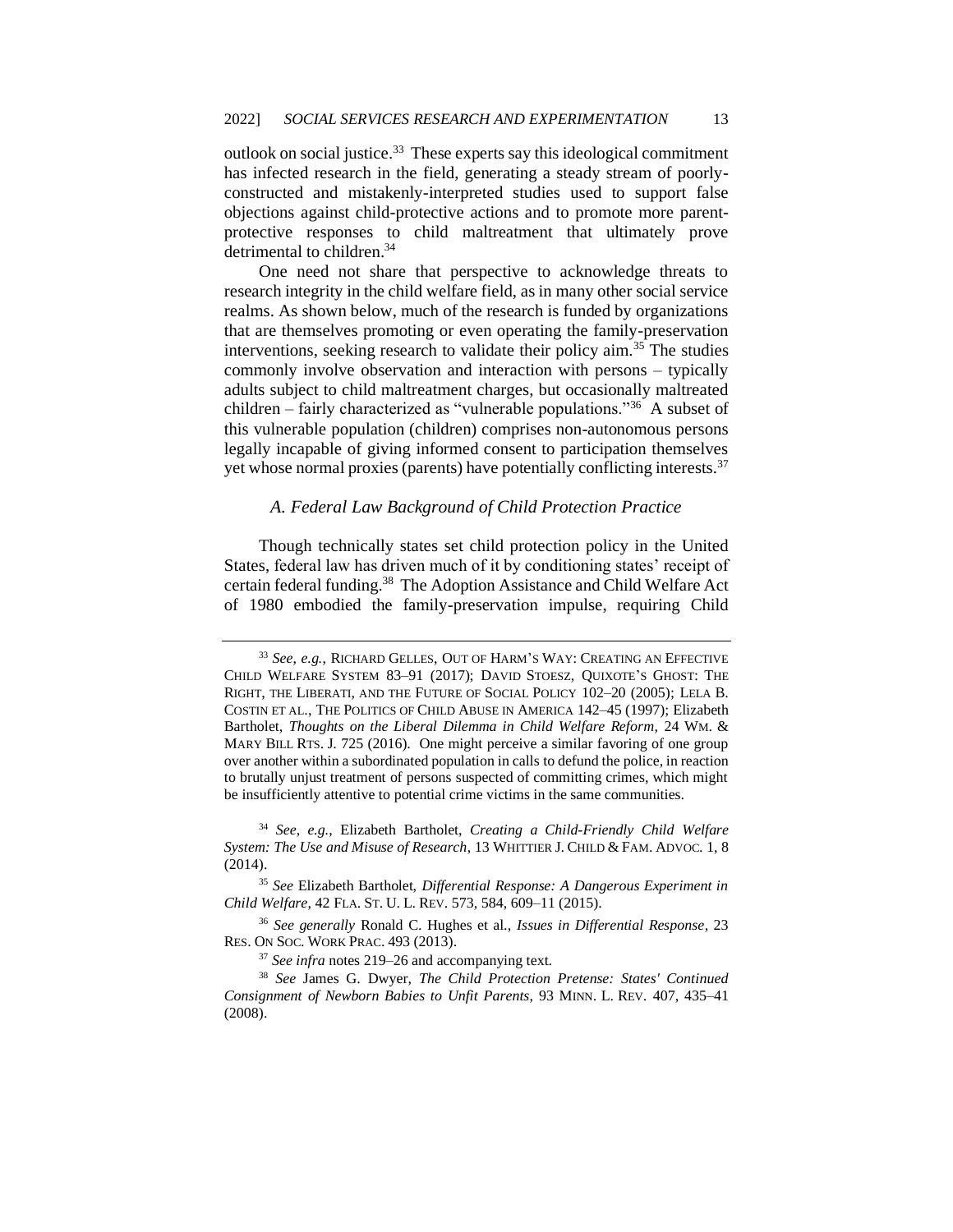outlook on social justice. $33$  These experts say this ideological commitment has infected research in the field, generating a steady stream of poorlyconstructed and mistakenly-interpreted studies used to support false objections against child-protective actions and to promote more parentprotective responses to child maltreatment that ultimately prove detrimental to children.<sup>34</sup>

One need not share that perspective to acknowledge threats to research integrity in the child welfare field, as in many other social service realms. As shown below, much of the research is funded by organizations that are themselves promoting or even operating the family-preservation interventions, seeking research to validate their policy aim.<sup>35</sup> The studies commonly involve observation and interaction with persons – typically adults subject to child maltreatment charges, but occasionally maltreated children – fairly characterized as "vulnerable populations."<sup>36</sup> A subset of this vulnerable population (children) comprises non-autonomous persons legally incapable of giving informed consent to participation themselves yet whose normal proxies (parents) have potentially conflicting interests.<sup>37</sup>

### *A. Federal Law Background of Child Protection Practice*

Though technically states set child protection policy in the United States, federal law has driven much of it by conditioning states' receipt of certain federal funding.<sup>38</sup> The Adoption Assistance and Child Welfare Act of 1980 embodied the family-preservation impulse, requiring Child

<sup>33</sup> *See*, *e.g.*, RICHARD GELLES, OUT OF HARM'S WAY: CREATING AN EFFECTIVE CHILD WELFARE SYSTEM 83–91 (2017); DAVID STOESZ, QUIXOTE'S GHOST: THE RIGHT, THE LIBERATI, AND THE FUTURE OF SOCIAL POLICY 102–20 (2005); LELA B. COSTIN ET AL., THE POLITICS OF CHILD ABUSE IN AMERICA 142–45 (1997); Elizabeth Bartholet, *Thoughts on the Liberal Dilemma in Child Welfare Reform*, 24 WM. & MARY BILL RTS. J. 725 (2016). One might perceive a similar favoring of one group over another within a subordinated population in calls to defund the police, in reaction to brutally unjust treatment of persons suspected of committing crimes, which might be insufficiently attentive to potential crime victims in the same communities.

<sup>34</sup> *See*, *e.g.*, Elizabeth Bartholet, *Creating a Child-Friendly Child Welfare System: The Use and Misuse of Research*, 13 WHITTIER J. CHILD & FAM. ADVOC. 1, 8 (2014).

<sup>35</sup> *See* Elizabeth Bartholet, *Differential Response: A Dangerous Experiment in Child Welfare*, 42 FLA. ST. U. L. REV. 573, 584, 609–11 (2015).

<sup>36</sup> *See generally* Ronald C. Hughes et al., *Issues in Differential Response*, 23 RES. ON SOC. WORK PRAC. 493 (2013).

<sup>37</sup> *See infra* notes 219–26 and accompanying text.

<sup>38</sup> *See* James G. Dwyer, *The Child Protection Pretense: States' Continued Consignment of Newborn Babies to Unfit Parents*, 93 MINN. L. REV. 407, 435–41 (2008).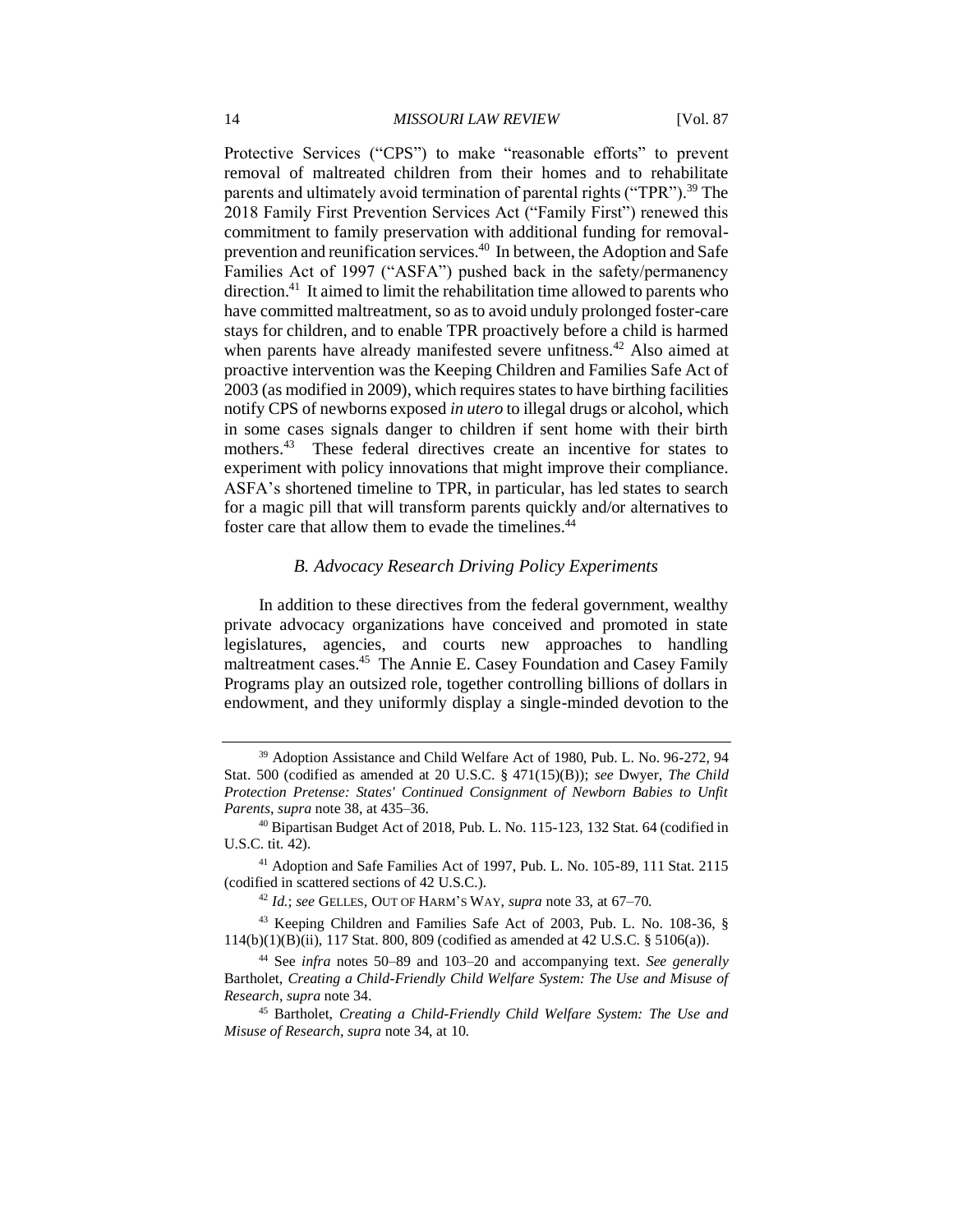Protective Services ("CPS") to make "reasonable efforts" to prevent removal of maltreated children from their homes and to rehabilitate parents and ultimately avoid termination of parental rights ("TPR").<sup>39</sup> The 2018 Family First Prevention Services Act ("Family First") renewed this commitment to family preservation with additional funding for removalprevention and reunification services.<sup>40</sup> In between, the Adoption and Safe Families Act of 1997 ("ASFA") pushed back in the safety/permanency direction.<sup>41</sup> It aimed to limit the rehabilitation time allowed to parents who have committed maltreatment, so as to avoid unduly prolonged foster-care stays for children, and to enable TPR proactively before a child is harmed when parents have already manifested severe unfitness.<sup>42</sup> Also aimed at proactive intervention was the Keeping Children and Families Safe Act of 2003 (as modified in 2009), which requires states to have birthing facilities notify CPS of newborns exposed *in utero* to illegal drugs or alcohol, which in some cases signals danger to children if sent home with their birth mothers.<sup>43</sup> These federal directives create an incentive for states to experiment with policy innovations that might improve their compliance. ASFA's shortened timeline to TPR, in particular, has led states to search for a magic pill that will transform parents quickly and/or alternatives to foster care that allow them to evade the timelines.<sup>44</sup>

#### *B. Advocacy Research Driving Policy Experiments*

In addition to these directives from the federal government, wealthy private advocacy organizations have conceived and promoted in state legislatures, agencies, and courts new approaches to handling maltreatment cases.<sup>45</sup> The Annie E. Casey Foundation and Casey Family Programs play an outsized role, together controlling billions of dollars in endowment, and they uniformly display a single-minded devotion to the

<sup>&</sup>lt;sup>39</sup> Adoption Assistance and Child Welfare Act of 1980, Pub. L. No. 96-272, 94 Stat. 500 (codified as amended at 20 U.S.C. § 471(15)(B)); *see* Dwyer, *The Child Protection Pretense: States' Continued Consignment of Newborn Babies to Unfit Parents*, *supra* note 38, at 435–36.

<sup>40</sup> Bipartisan Budget Act of 2018, Pub. L. No. 115-123, 132 Stat. 64 (codified in U.S.C. tit. 42).

<sup>41</sup> Adoption and Safe Families Act of 1997, Pub. L. No. 105-89, 111 Stat. 2115 (codified in scattered sections of 42 U.S.C.).

<sup>42</sup> *Id.*; *see* GELLES, OUT OF HARM'S WAY, *supra* note 33, at 67–70.

<sup>43</sup> Keeping Children and Families Safe Act of 2003, Pub. L. No. 108-36, § 114(b)(1)(B)(ii), 117 Stat. 800, 809 (codified as amended at 42 U.S.C. § 5106(a)).

<sup>44</sup> See *infra* notes 50–89 and 103–20 and accompanying text. *See generally*  Bartholet, *Creating a Child-Friendly Child Welfare System: The Use and Misuse of Research*, *supra* note 34.

<sup>45</sup> Bartholet, *Creating a Child-Friendly Child Welfare System: The Use and Misuse of Research*, *supra* note 34, at 10.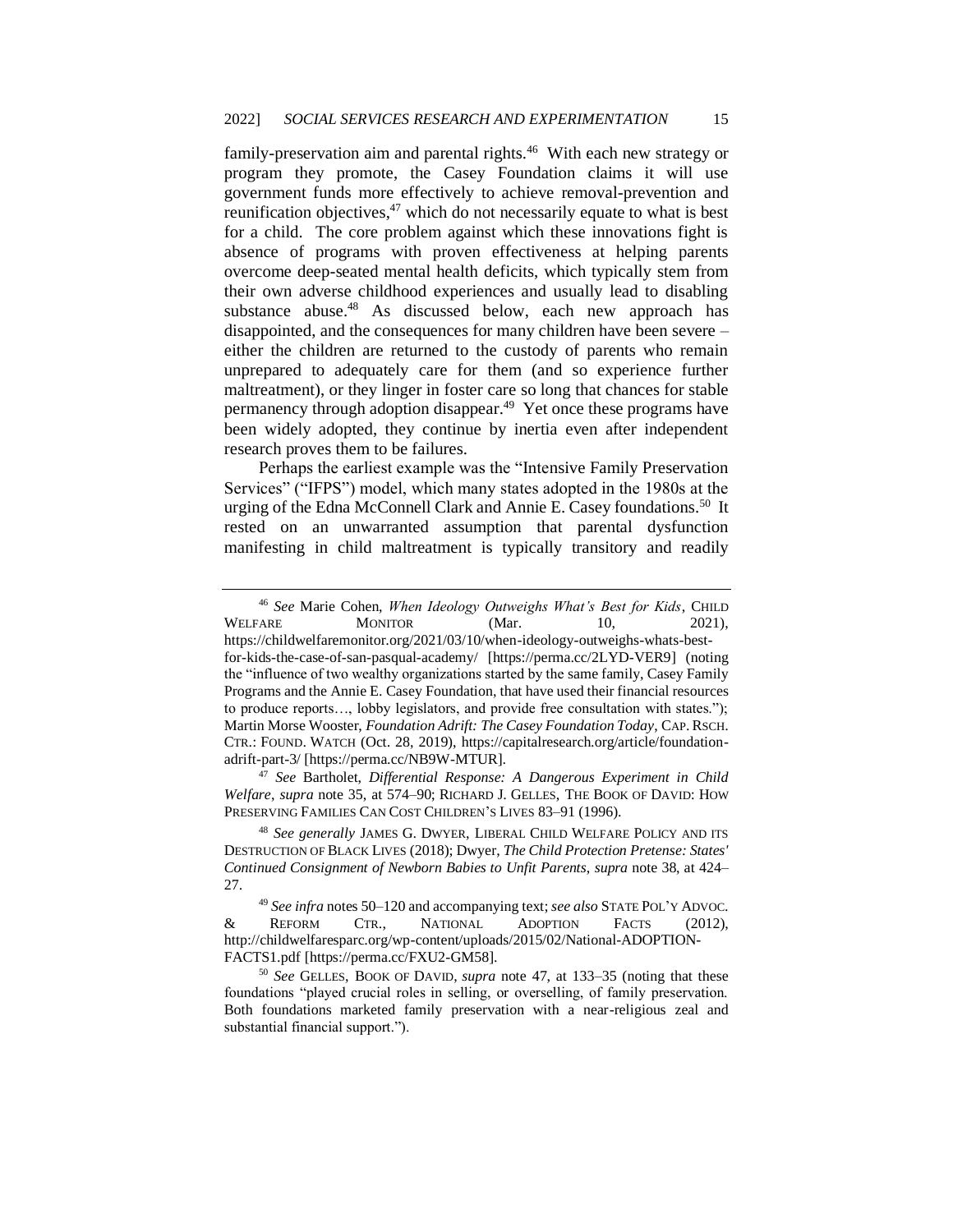family-preservation aim and parental rights.<sup>46</sup> With each new strategy or program they promote, the Casey Foundation claims it will use government funds more effectively to achieve removal-prevention and reunification objectives,<sup>47</sup> which do not necessarily equate to what is best for a child. The core problem against which these innovations fight is absence of programs with proven effectiveness at helping parents overcome deep-seated mental health deficits, which typically stem from their own adverse childhood experiences and usually lead to disabling substance abuse.<sup>48</sup> As discussed below, each new approach has disappointed, and the consequences for many children have been severe – either the children are returned to the custody of parents who remain unprepared to adequately care for them (and so experience further maltreatment), or they linger in foster care so long that chances for stable permanency through adoption disappear.<sup>49</sup> Yet once these programs have been widely adopted, they continue by inertia even after independent research proves them to be failures.

Perhaps the earliest example was the "Intensive Family Preservation Services" ("IFPS") model, which many states adopted in the 1980s at the urging of the Edna McConnell Clark and Annie E. Casey foundations.<sup>50</sup> It rested on an unwarranted assumption that parental dysfunction manifesting in child maltreatment is typically transitory and readily

<sup>47</sup> *See* Bartholet, *Differential Response: A Dangerous Experiment in Child Welfare*, *supra* note 35, at 574–90; RICHARD J. GELLES, THE BOOK OF DAVID: HOW PRESERVING FAMILIES CAN COST CHILDREN'S LIVES 83–91 (1996).

<sup>48</sup> *See generally* JAMES G. DWYER, LIBERAL CHILD WELFARE POLICY AND ITS DESTRUCTION OF BLACK LIVES (2018); Dwyer, *The Child Protection Pretense: States' Continued Consignment of Newborn Babies to Unfit Parents*, *supra* note 38, at 424– 27.

<sup>49</sup> *See infra* notes 50–120 and accompanying text; *see also* STATE POL'Y ADVOC. & REFORM CTR., NATIONAL ADOPTION FACTS (2012), http://childwelfaresparc.org/wp-content/uploads/2015/02/National-ADOPTION-FACTS1.pdf [https://perma.cc/FXU2-GM58].

<sup>50</sup> *See* GELLES, BOOK OF DAVID, *supra* note 47, at 133–35 (noting that these foundations "played crucial roles in selling, or overselling, of family preservation. Both foundations marketed family preservation with a near-religious zeal and substantial financial support.").

<sup>46</sup> *See* Marie Cohen, *When Ideology Outweighs What's Best for Kids*, CHILD WELFARE MONITOR (Mar. 10, 2021), https://childwelfaremonitor.org/2021/03/10/when-ideology-outweighs-whats-bestfor-kids-the-case-of-san-pasqual-academy/ [https://perma.cc/2LYD-VER9] (noting the "influence of two wealthy organizations started by the same family, Casey Family Programs and the Annie E. Casey Foundation, that have used their financial resources to produce reports…, lobby legislators, and provide free consultation with states."); Martin Morse Wooster, *Foundation Adrift: The Casey Foundation Today*, CAP. RSCH. CTR.: FOUND. WATCH (Oct. 28, 2019), https://capitalresearch.org/article/foundationadrift-part-3/ [https://perma.cc/NB9W-MTUR].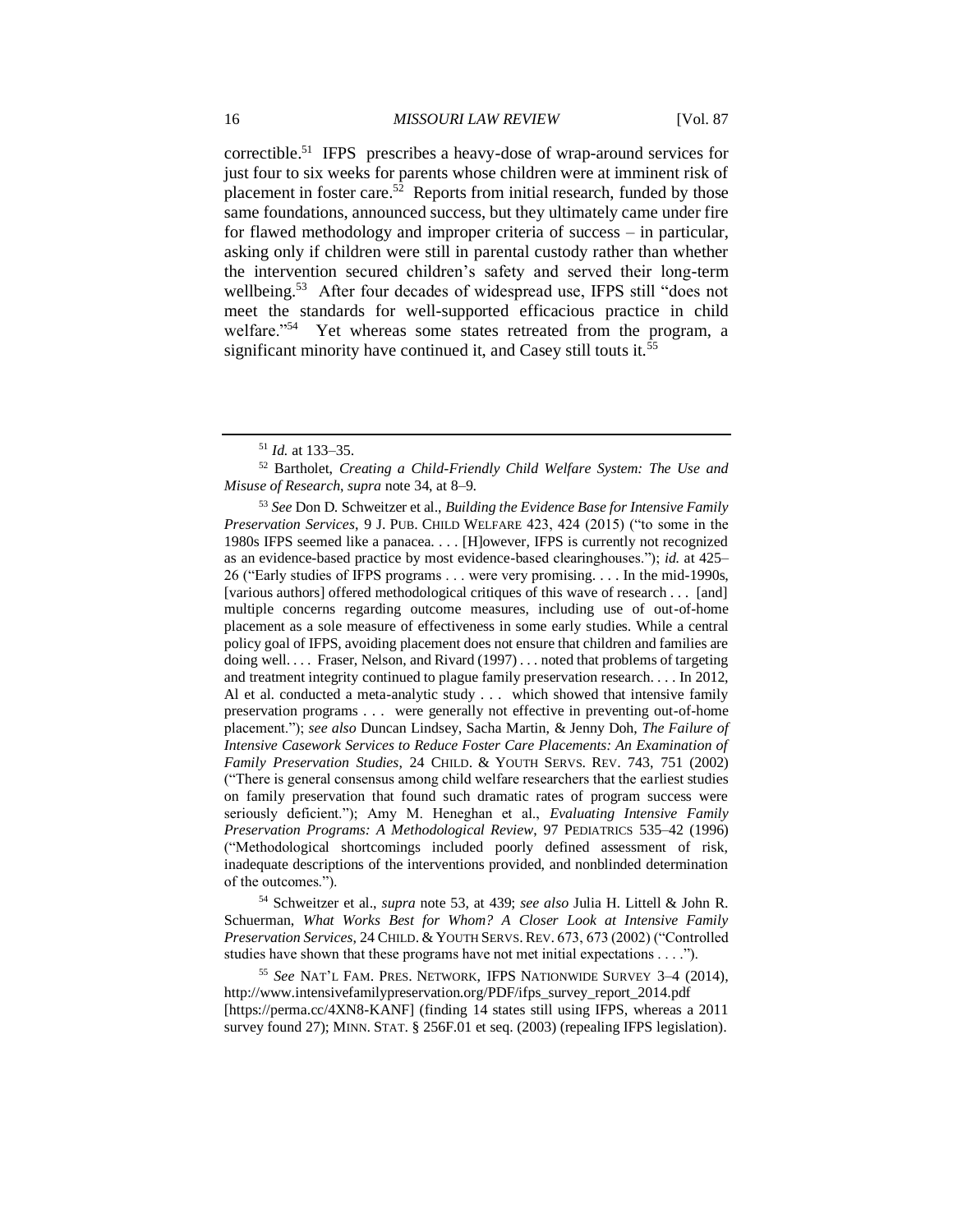correctible.<sup>51</sup> IFPS prescribes a heavy-dose of wrap-around services for just four to six weeks for parents whose children were at imminent risk of placement in foster care.<sup>52</sup> Reports from initial research, funded by those same foundations, announced success, but they ultimately came under fire for flawed methodology and improper criteria of success – in particular, asking only if children were still in parental custody rather than whether the intervention secured children's safety and served their long-term wellbeing.<sup>53</sup> After four decades of widespread use, IFPS still "does not meet the standards for well-supported efficacious practice in child welfare."<sup>54</sup> Yet whereas some states retreated from the program, a significant minority have continued it, and Casey still touts it.<sup>55</sup>

<sup>53</sup> *See* Don D. Schweitzer et al., *Building the Evidence Base for Intensive Family Preservation Services*, 9 J. PUB. CHILD WELFARE 423, 424 (2015) ("to some in the 1980s IFPS seemed like a panacea. . . . [H]owever, IFPS is currently not recognized as an evidence-based practice by most evidence-based clearinghouses."); *id.* at 425– 26 ("Early studies of IFPS programs . . . were very promising. . . . In the mid-1990s, [various authors] offered methodological critiques of this wave of research . . . [and] multiple concerns regarding outcome measures, including use of out-of-home placement as a sole measure of effectiveness in some early studies. While a central policy goal of IFPS, avoiding placement does not ensure that children and families are doing well. . . . Fraser, Nelson, and Rivard (1997) . . . noted that problems of targeting and treatment integrity continued to plague family preservation research. . . . In 2012, Al et al. conducted a meta-analytic study . . . which showed that intensive family preservation programs . . . were generally not effective in preventing out-of-home placement."); *see also* Duncan Lindsey, Sacha Martin, & Jenny Doh, *The Failure of Intensive Casework Services to Reduce Foster Care Placements: An Examination of Family Preservation Studies*, 24 CHILD. & YOUTH SERVS. REV. 743, 751 (2002) ("There is general consensus among child welfare researchers that the earliest studies on family preservation that found such dramatic rates of program success were seriously deficient."); Amy M. Heneghan et al., *Evaluating Intensive Family Preservation Programs: A Methodological Review*, 97 PEDIATRICS 535–42 (1996) ("Methodological shortcomings included poorly defined assessment of risk, inadequate descriptions of the interventions provided, and nonblinded determination of the outcomes.").

<sup>54</sup> Schweitzer et al., *supra* note 53, at 439; *see also* Julia H. Littell & John R. Schuerman, *What Works Best for Whom? A Closer Look at Intensive Family Preservation Services*, 24 CHILD. & YOUTH SERVS. REV. 673, 673 (2002) ("Controlled studies have shown that these programs have not met initial expectations . . . .").

<sup>55</sup> *See* NAT'L FAM. PRES. NETWORK, IFPS NATIONWIDE SURVEY 3–4 (2014), http://www.intensivefamilypreservation.org/PDF/ifps\_survey\_report\_2014.pdf [https://perma.cc/4XN8-KANF] (finding 14 states still using IFPS, whereas a 2011 survey found 27); MINN. STAT. § 256F.01 et seq. (2003) (repealing IFPS legislation).

<sup>51</sup> *Id.* at 133–35.

<sup>52</sup> Bartholet, *Creating a Child-Friendly Child Welfare System: The Use and Misuse of Research*, *supra* note 34, at 8–9.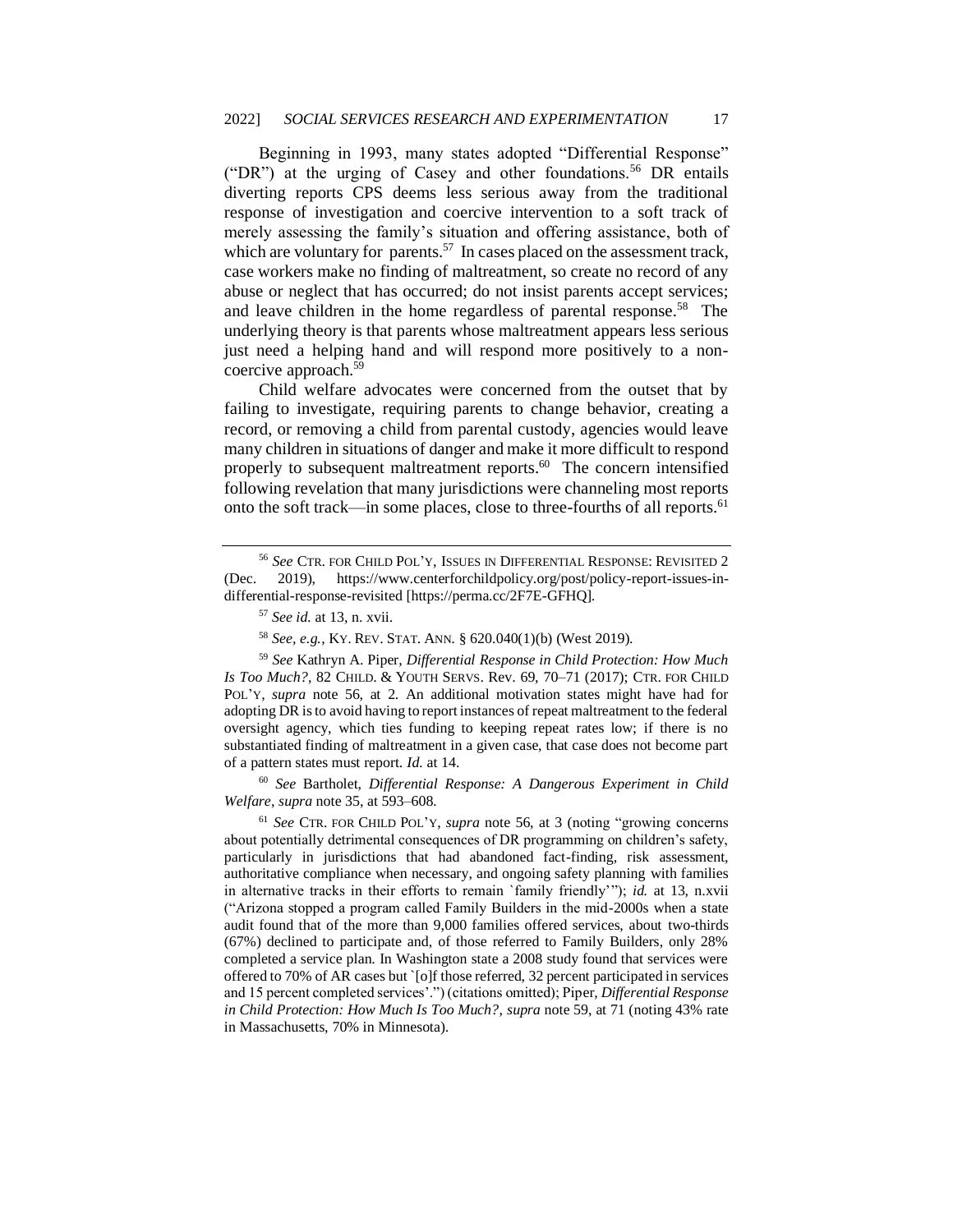Beginning in 1993, many states adopted "Differential Response" ("DR") at the urging of Casey and other foundations.<sup>56</sup> DR entails diverting reports CPS deems less serious away from the traditional response of investigation and coercive intervention to a soft track of merely assessing the family's situation and offering assistance, both of which are voluntary for parents.<sup>57</sup> In cases placed on the assessment track, case workers make no finding of maltreatment, so create no record of any abuse or neglect that has occurred; do not insist parents accept services; and leave children in the home regardless of parental response.<sup>58</sup> The underlying theory is that parents whose maltreatment appears less serious just need a helping hand and will respond more positively to a noncoercive approach.<sup>59</sup>

Child welfare advocates were concerned from the outset that by failing to investigate, requiring parents to change behavior, creating a record, or removing a child from parental custody, agencies would leave many children in situations of danger and make it more difficult to respond properly to subsequent maltreatment reports.<sup>60</sup> The concern intensified following revelation that many jurisdictions were channeling most reports onto the soft track—in some places, close to three-fourths of all reports.<sup>61</sup>

<sup>58</sup> *See, e.g.*, KY. REV. STAT. ANN. § 620.040(1)(b) (West 2019).

<sup>60</sup> *See* Bartholet, *Differential Response: A Dangerous Experiment in Child Welfare*, *supra* note 35, at 593–608*.*

<sup>61</sup> *See* CTR. FOR CHILD POL'Y, *supra* note 56, at 3 (noting "growing concerns about potentially detrimental consequences of DR programming on children's safety, particularly in jurisdictions that had abandoned fact-finding, risk assessment, authoritative compliance when necessary, and ongoing safety planning with families in alternative tracks in their efforts to remain `family friendly'"); *id.* at 13, n.xvii ("Arizona stopped a program called Family Builders in the mid-2000s when a state audit found that of the more than 9,000 families offered services, about two-thirds (67%) declined to participate and, of those referred to Family Builders, only 28% completed a service plan. In Washington state a 2008 study found that services were offered to 70% of AR cases but `[o]f those referred, 32 percent participated in services and 15 percent completed services'.") (citations omitted); Piper, *Differential Response in Child Protection: How Much Is Too Much?*, *supra* note 59, at 71 (noting 43% rate in Massachusetts, 70% in Minnesota).

<sup>56</sup> *See* CTR. FOR CHILD POL'Y, ISSUES IN DIFFERENTIAL RESPONSE: REVISITED 2 (Dec. 2019), https://www.centerforchildpolicy.org/post/policy-report-issues-indifferential-response-revisited [https://perma.cc/2F7E-GFHQ].

<sup>57</sup> *See id.* at 13, n. xvii.

<sup>59</sup> *See* Kathryn A. Piper, *Differential Response in Child Protection: How Much Is Too Much?*, 82 CHILD. & YOUTH SERVS. Rev. 69, 70–71 (2017); CTR. FOR CHILD POL'Y, *supra* note 56, at 2. An additional motivation states might have had for adopting DR is to avoid having to report instances of repeat maltreatment to the federal oversight agency, which ties funding to keeping repeat rates low; if there is no substantiated finding of maltreatment in a given case, that case does not become part of a pattern states must report. *Id.* at 14.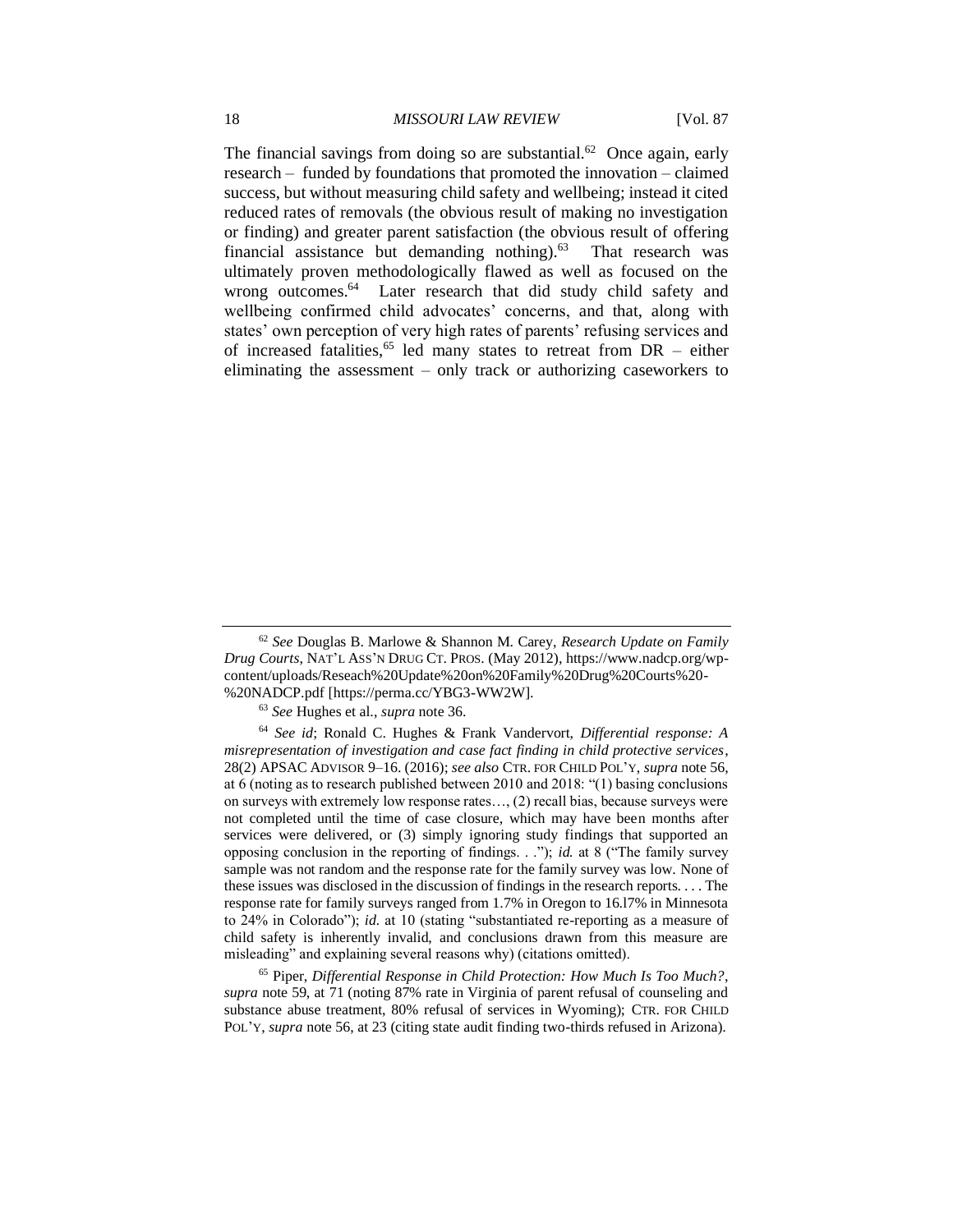The financial savings from doing so are substantial.<sup>62</sup> Once again, early research – funded by foundations that promoted the innovation – claimed success, but without measuring child safety and wellbeing; instead it cited reduced rates of removals (the obvious result of making no investigation or finding) and greater parent satisfaction (the obvious result of offering financial assistance but demanding nothing).<sup>63</sup> That research was ultimately proven methodologically flawed as well as focused on the wrong outcomes.<sup>64</sup> Later research that did study child safety and wellbeing confirmed child advocates' concerns, and that, along with states' own perception of very high rates of parents' refusing services and of increased fatalities,<sup>65</sup> led many states to retreat from  $DR -$  either eliminating the assessment – only track or authorizing caseworkers to

<sup>65</sup> Piper, *Differential Response in Child Protection: How Much Is Too Much?*, *supra* note 59, at 71 (noting 87% rate in Virginia of parent refusal of counseling and substance abuse treatment, 80% refusal of services in Wyoming); CTR. FOR CHILD POL'Y, *supra* note 56, at 23 (citing state audit finding two-thirds refused in Arizona).

<sup>62</sup> *See* Douglas B. Marlowe & Shannon M. Carey, *Research Update on Family Drug Courts*, NAT'L ASS'N DRUG CT. PROS. (May 2012), https://www.nadcp.org/wpcontent/uploads/Reseach%20Update%20on%20Family%20Drug%20Courts%20- %20NADCP.pdf [https://perma.cc/YBG3-WW2W].

<sup>63</sup> *See* Hughes et al., *supra* note 36.

<sup>64</sup> *See id*; Ronald C. Hughes & Frank Vandervort, *Differential response: A misrepresentation of investigation and case fact finding in child protective services*, 28(2) APSAC ADVISOR 9–16. (2016); *see also* CTR. FOR CHILD POL'Y, *supra* note 56, at 6 (noting as to research published between 2010 and 2018: "(1) basing conclusions on surveys with extremely low response rates…, (2) recall bias, because surveys were not completed until the time of case closure, which may have been months after services were delivered, or (3) simply ignoring study findings that supported an opposing conclusion in the reporting of findings. . ."); *id.* at 8 ("The family survey sample was not random and the response rate for the family survey was low. None of these issues was disclosed in the discussion of findings in the research reports. . . . The response rate for family surveys ranged from 1.7% in Oregon to 16.l7% in Minnesota to 24% in Colorado"); *id.* at 10 (stating "substantiated re-reporting as a measure of child safety is inherently invalid, and conclusions drawn from this measure are misleading" and explaining several reasons why) (citations omitted).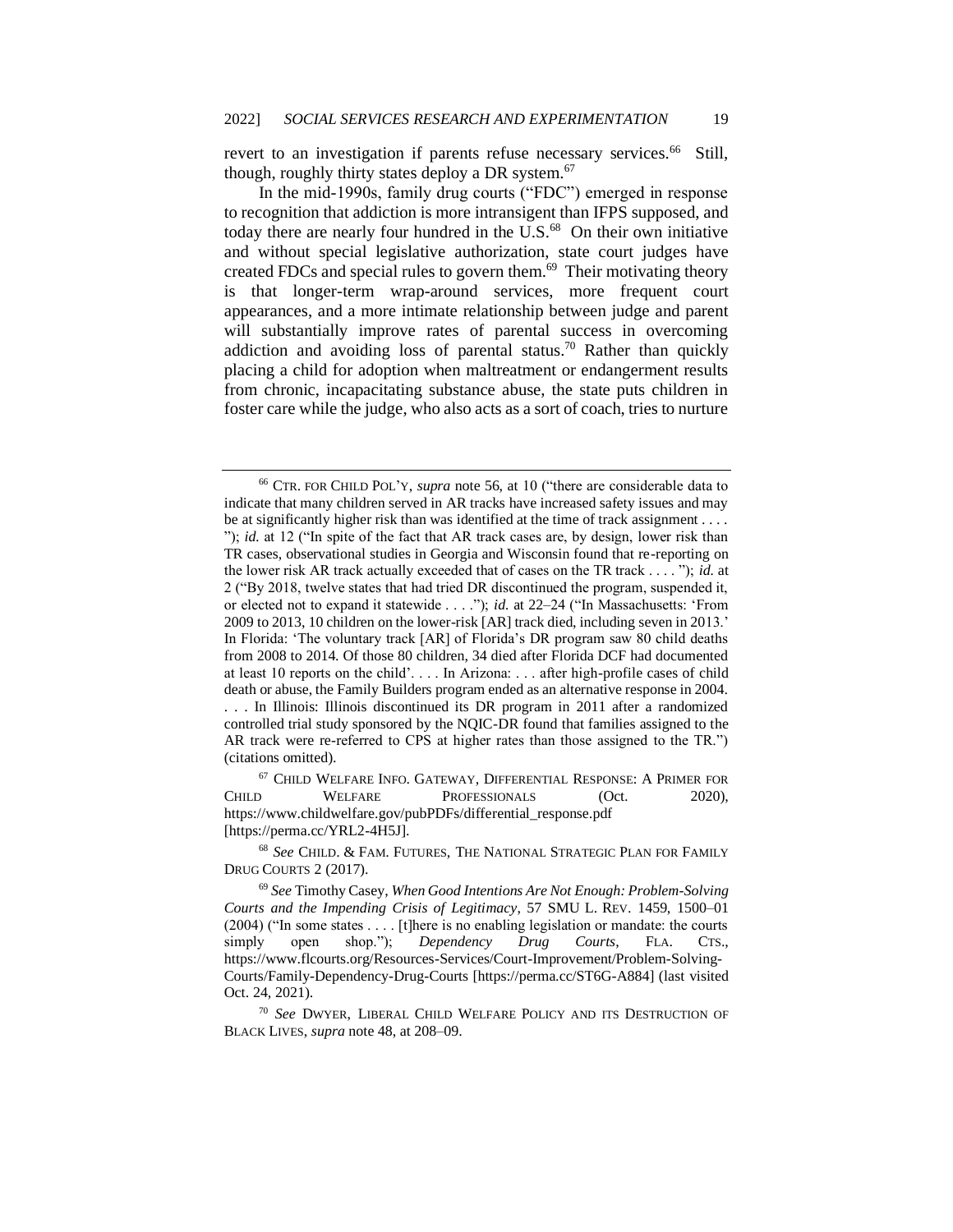revert to an investigation if parents refuse necessary services.<sup>66</sup> Still, though, roughly thirty states deploy a DR system.<sup>67</sup>

In the mid-1990s, family drug courts ("FDC") emerged in response to recognition that addiction is more intransigent than IFPS supposed, and today there are nearly four hundred in the U.S.<sup>68</sup> On their own initiative and without special legislative authorization, state court judges have created FDCs and special rules to govern them.<sup>69</sup> Their motivating theory is that longer-term wrap-around services, more frequent court appearances, and a more intimate relationship between judge and parent will substantially improve rates of parental success in overcoming addiction and avoiding loss of parental status.<sup>70</sup> Rather than quickly placing a child for adoption when maltreatment or endangerment results from chronic, incapacitating substance abuse, the state puts children in foster care while the judge, who also acts as a sort of coach, tries to nurture

<sup>66</sup> CTR. FOR CHILD POL'Y, *supra* note 56, at 10 ("there are considerable data to indicate that many children served in AR tracks have increased safety issues and may be at significantly higher risk than was identified at the time of track assignment . . . . "); *id.* at 12 ("In spite of the fact that AR track cases are, by design, lower risk than TR cases, observational studies in Georgia and Wisconsin found that re-reporting on the lower risk AR track actually exceeded that of cases on the TR track . . . . "); *id.* at 2 ("By 2018, twelve states that had tried DR discontinued the program, suspended it, or elected not to expand it statewide . . . ."); *id.* at 22–24 ("In Massachusetts: 'From 2009 to 2013, 10 children on the lower-risk [AR] track died, including seven in 2013.' In Florida: 'The voluntary track [AR] of Florida's DR program saw 80 child deaths from 2008 to 2014. Of those 80 children, 34 died after Florida DCF had documented at least 10 reports on the child'. . . . In Arizona: . . . after high-profile cases of child death or abuse, the Family Builders program ended as an alternative response in 2004. . . . In Illinois: Illinois discontinued its DR program in 2011 after a randomized controlled trial study sponsored by the NQIC-DR found that families assigned to the AR track were re-referred to CPS at higher rates than those assigned to the TR.") (citations omitted).

<sup>67</sup> CHILD WELFARE INFO. GATEWAY, DIFFERENTIAL RESPONSE: A PRIMER FOR CHILD WELFARE PROFESSIONALS (Oct. 2020), https://www.childwelfare.gov/pubPDFs/differential\_response.pdf [https://perma.cc/YRL2-4H5J].

<sup>68</sup> *See* CHILD. & FAM. FUTURES, THE NATIONAL STRATEGIC PLAN FOR FAMILY DRUG COURTS 2 (2017).

<sup>69</sup> *See* Timothy Casey, *When Good Intentions Are Not Enough: Problem-Solving Courts and the Impending Crisis of Legitimacy*, 57 SMU L. REV. 1459, 1500–01 (2004) ("In some states . . . . [t]here is no enabling legislation or mandate: the courts simply open shop."); *Dependency Drug Courts*, FLA. CTS., https://www.flcourts.org/Resources-Services/Court-Improvement/Problem-Solving-Courts/Family-Dependency-Drug-Courts [https://perma.cc/ST6G-A884] (last visited Oct. 24, 2021).

<sup>70</sup> *See* DWYER, LIBERAL CHILD WELFARE POLICY AND ITS DESTRUCTION OF BLACK LIVES, *supra* note 48, at 208–09.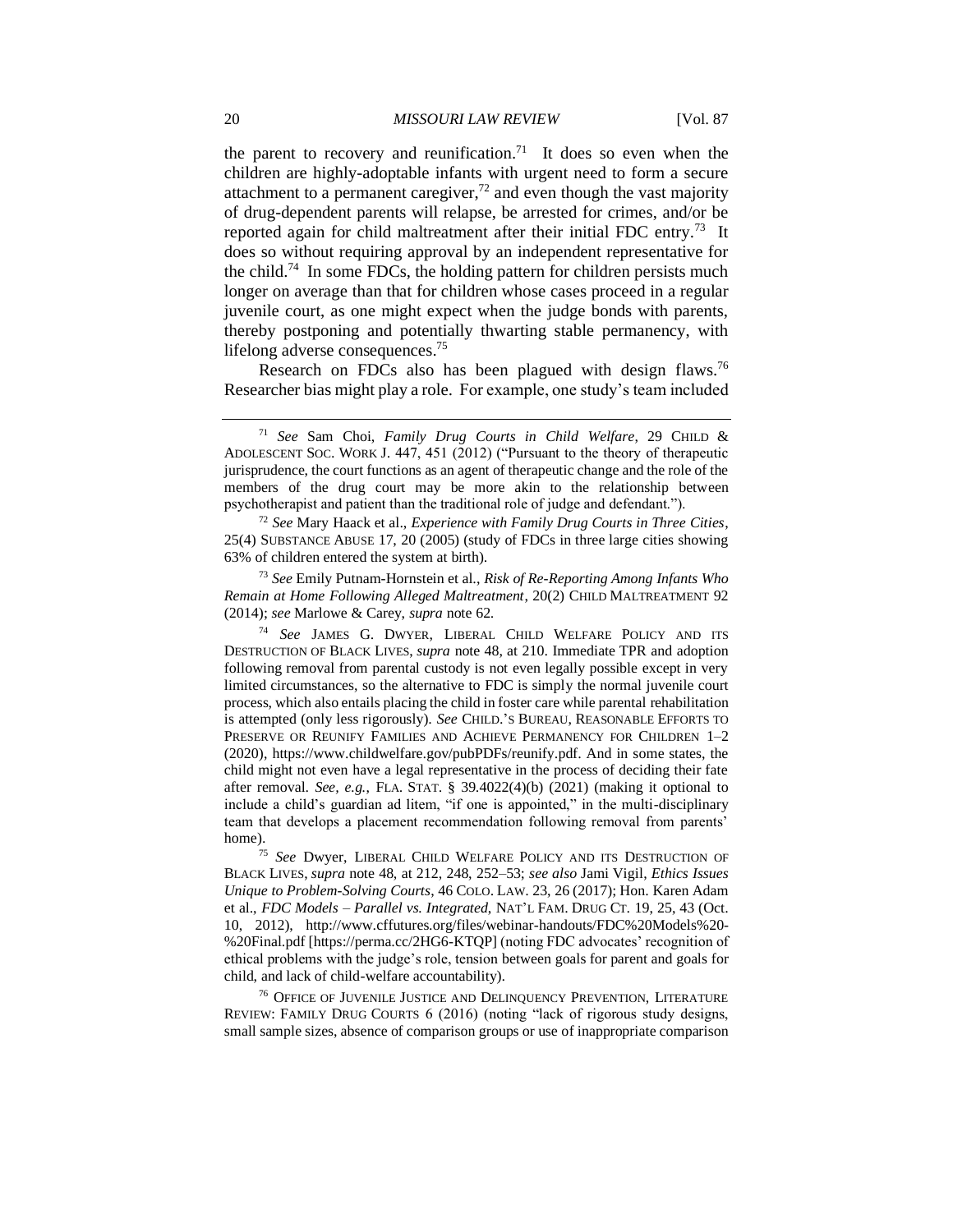the parent to recovery and reunification.<sup>71</sup> It does so even when the children are highly-adoptable infants with urgent need to form a secure attachment to a permanent caregiver, $^{72}$  and even though the vast majority of drug-dependent parents will relapse, be arrested for crimes, and/or be reported again for child maltreatment after their initial FDC entry.<sup>73</sup> It does so without requiring approval by an independent representative for the child.<sup>74</sup> In some FDCs, the holding pattern for children persists much longer on average than that for children whose cases proceed in a regular juvenile court, as one might expect when the judge bonds with parents, thereby postponing and potentially thwarting stable permanency, with lifelong adverse consequences.<sup>75</sup>

Research on FDCs also has been plagued with design flaws.<sup>76</sup> Researcher bias might play a role. For example, one study's team included

<sup>72</sup> *See* Mary Haack et al., *Experience with Family Drug Courts in Three Cities*, 25(4) SUBSTANCE ABUSE 17, 20 (2005) (study of FDCs in three large cities showing 63% of children entered the system at birth).

<sup>73</sup> *See* Emily Putnam-Hornstein et al., *Risk of Re-Reporting Among Infants Who Remain at Home Following Alleged Maltreatment*, 20(2) CHILD MALTREATMENT 92 (2014); *see* Marlowe & Carey, *supra* note 62.

<sup>74</sup> *See* JAMES G. DWYER, LIBERAL CHILD WELFARE POLICY AND ITS DESTRUCTION OF BLACK LIVES, *supra* note 48, at 210. Immediate TPR and adoption following removal from parental custody is not even legally possible except in very limited circumstances, so the alternative to FDC is simply the normal juvenile court process, which also entails placing the child in foster care while parental rehabilitation is attempted (only less rigorously). *See* CHILD.'S BUREAU, REASONABLE EFFORTS TO PRESERVE OR REUNIFY FAMILIES AND ACHIEVE PERMANENCY FOR CHILDREN 1–2 (2020), https://www.childwelfare.gov/pubPDFs/reunify.pdf. And in some states, the child might not even have a legal representative in the process of deciding their fate after removal. *See, e.g.*, FLA. STAT. § 39.4022(4)(b) (2021) (making it optional to include a child's guardian ad litem, "if one is appointed," in the multi-disciplinary team that develops a placement recommendation following removal from parents' home).

<sup>75</sup> *See* Dwyer, LIBERAL CHILD WELFARE POLICY AND ITS DESTRUCTION OF BLACK LIVES, *supra* note 48, at 212, 248, 252–53; *see also* Jami Vigil, *Ethics Issues Unique to Problem-Solving Courts*, 46 COLO. LAW. 23, 26 (2017); Hon. Karen Adam et al., *FDC Models – Parallel vs. Integrated*, NAT'L FAM. DRUG CT. 19, 25, 43 (Oct. 10, 2012), http://www.cffutures.org/files/webinar-handouts/FDC%20Models%20- %20Final.pdf [https://perma.cc/2HG6-KTQP] (noting FDC advocates' recognition of ethical problems with the judge's role, tension between goals for parent and goals for child, and lack of child-welfare accountability).

<sup>76</sup> OFFICE OF JUVENILE JUSTICE AND DELINQUENCY PREVENTION, LITERATURE REVIEW: FAMILY DRUG COURTS 6 (2016) (noting "lack of rigorous study designs, small sample sizes, absence of comparison groups or use of inappropriate comparison

<sup>71</sup> *See* Sam Choi, *Family Drug Courts in Child Welfare*, 29 CHILD & ADOLESCENT SOC. WORK J. 447, 451 (2012) ("Pursuant to the theory of therapeutic jurisprudence, the court functions as an agent of therapeutic change and the role of the members of the drug court may be more akin to the relationship between psychotherapist and patient than the traditional role of judge and defendant.").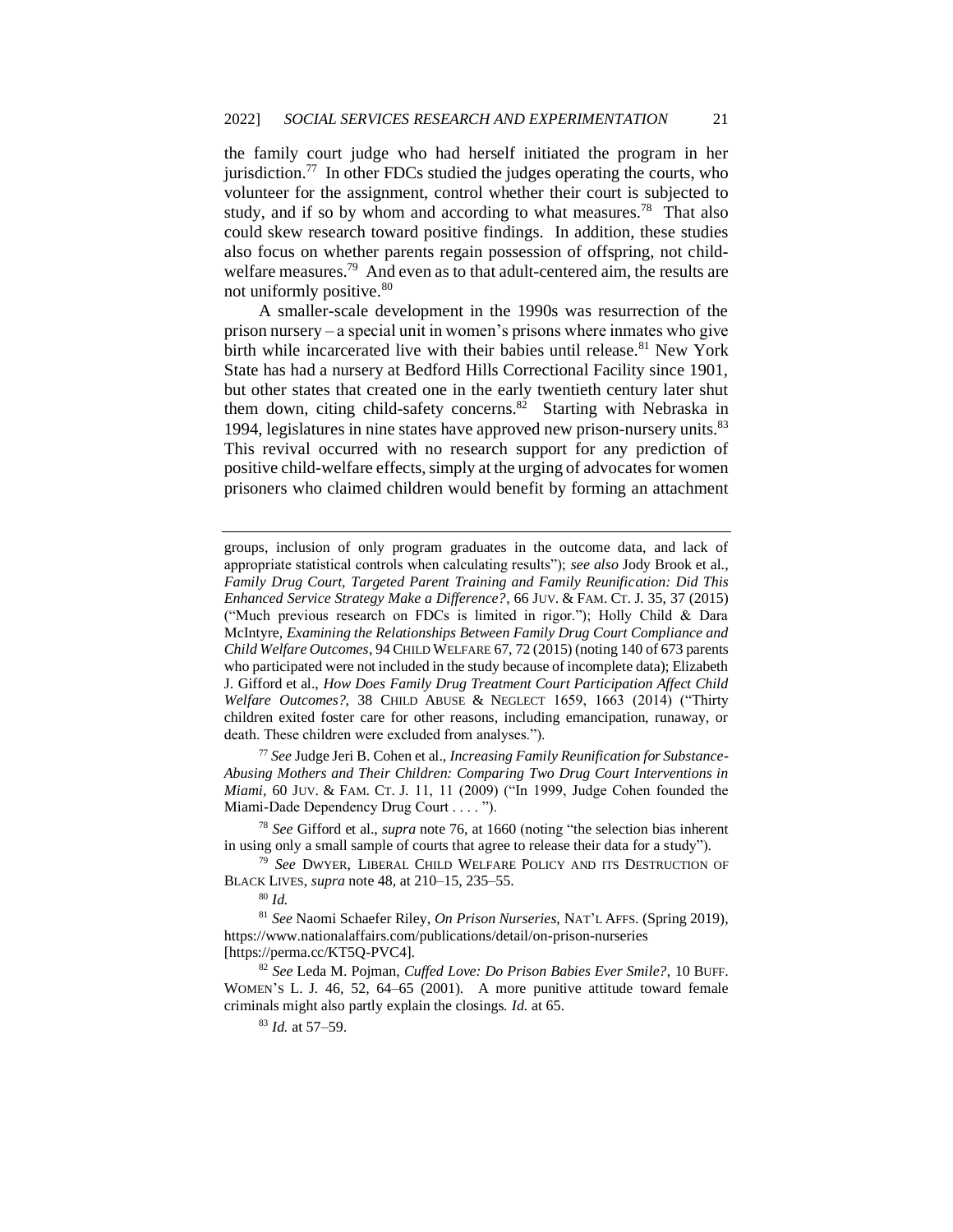the family court judge who had herself initiated the program in her jurisdiction.<sup>77</sup> In other FDCs studied the judges operating the courts, who volunteer for the assignment, control whether their court is subjected to study, and if so by whom and according to what measures.<sup>78</sup> That also could skew research toward positive findings. In addition, these studies also focus on whether parents regain possession of offspring, not childwelfare measures.<sup>79</sup> And even as to that adult-centered aim, the results are not uniformly positive.<sup>80</sup>

A smaller-scale development in the 1990s was resurrection of the prison nursery – a special unit in women's prisons where inmates who give birth while incarcerated live with their babies until release.<sup>81</sup> New York State has had a nursery at Bedford Hills Correctional Facility since 1901, but other states that created one in the early twentieth century later shut them down, citing child-safety concerns.<sup>82</sup> Starting with Nebraska in 1994, legislatures in nine states have approved new prison-nursery units.<sup>83</sup> This revival occurred with no research support for any prediction of positive child-welfare effects, simply at the urging of advocates for women prisoners who claimed children would benefit by forming an attachment

<sup>77</sup> *See* Judge Jeri B. Cohen et al., *Increasing Family Reunification for Substance-Abusing Mothers and Their Children: Comparing Two Drug Court Interventions in Miami*, 60 JUV. & FAM. CT. J. 11, 11 (2009) ("In 1999, Judge Cohen founded the Miami-Dade Dependency Drug Court . . . . ").

<sup>78</sup> *See* Gifford et al., *supra* note 76, at 1660 (noting "the selection bias inherent in using only a small sample of courts that agree to release their data for a study").

<sup>79</sup> *See* DWYER, LIBERAL CHILD WELFARE POLICY AND ITS DESTRUCTION OF BLACK LIVES, *supra* note 48, at 210–15, 235–55.

<sup>80</sup> *Id.* 

<sup>81</sup> *See* Naomi Schaefer Riley, *On Prison Nurseries*, NAT'L AFFS. (Spring 2019), https://www.nationalaffairs.com/publications/detail/on-prison-nurseries [https://perma.cc/KT5Q-PVC4].

<sup>82</sup> *See* Leda M. Pojman, *Cuffed Love: Do Prison Babies Ever Smile?*, 10 BUFF. WOMEN'S L. J. 46, 52, 64–65 (2001). A more punitive attitude toward female criminals might also partly explain the closings. *Id.* at 65.

<sup>83</sup> *Id.* at 57–59.

groups, inclusion of only program graduates in the outcome data, and lack of appropriate statistical controls when calculating results"); *see also* Jody Brook et al., *Family Drug Court, Targeted Parent Training and Family Reunification: Did This Enhanced Service Strategy Make a Difference?*, 66 JUV. & FAM. CT. J. 35, 37 (2015) ("Much previous research on FDCs is limited in rigor."); Holly Child & Dara McIntyre, *Examining the Relationships Between Family Drug Court Compliance and Child Welfare Outcomes*, 94 CHILD WELFARE 67, 72 (2015) (noting 140 of 673 parents who participated were not included in the study because of incomplete data); Elizabeth J. Gifford et al., *How Does Family Drug Treatment Court Participation Affect Child Welfare Outcomes?*, 38 CHILD ABUSE & NEGLECT 1659, 1663 (2014) ("Thirty children exited foster care for other reasons, including emancipation, runaway, or death. These children were excluded from analyses.").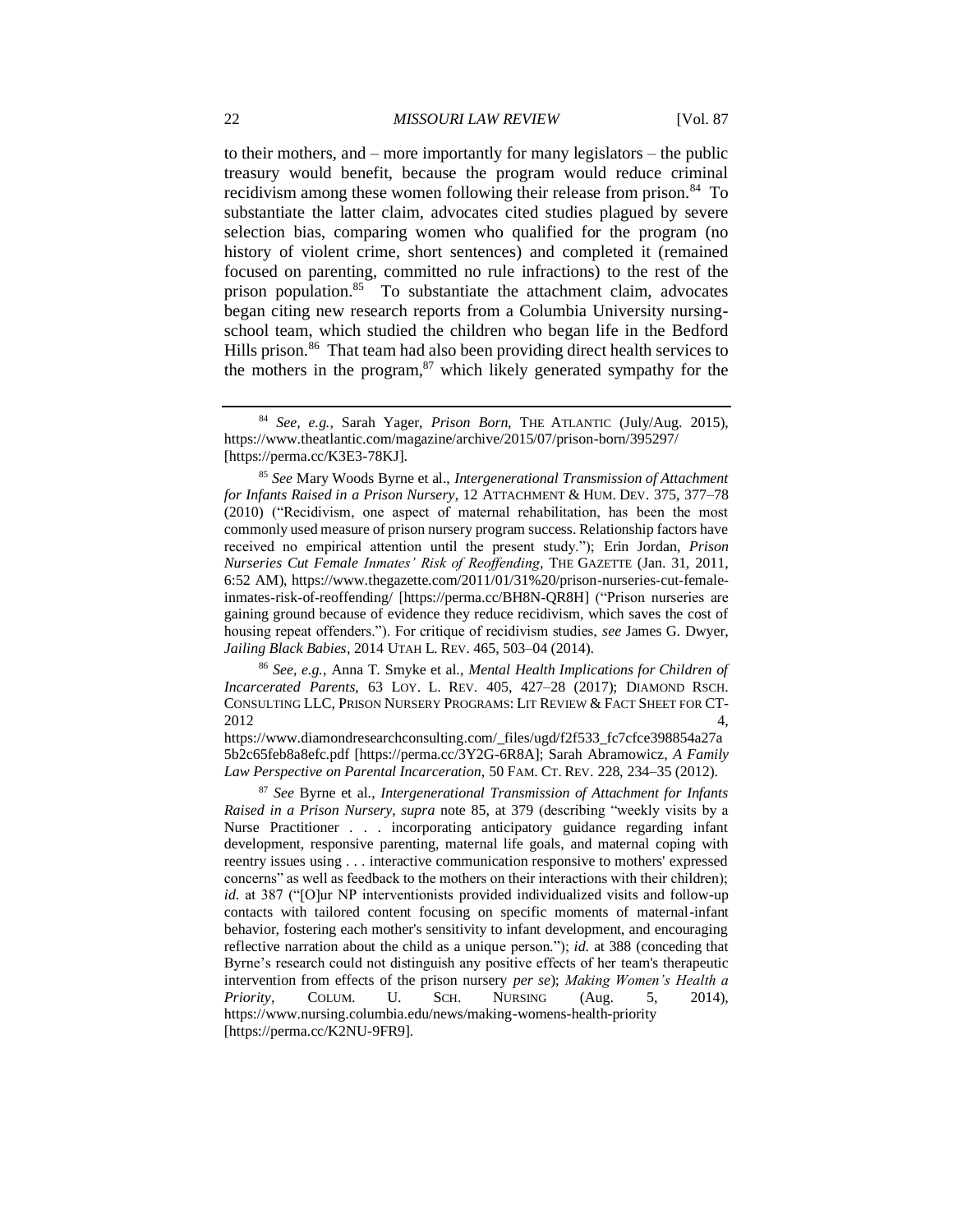to their mothers, and – more importantly for many legislators – the public treasury would benefit, because the program would reduce criminal recidivism among these women following their release from prison.<sup>84</sup> To substantiate the latter claim, advocates cited studies plagued by severe selection bias, comparing women who qualified for the program (no history of violent crime, short sentences) and completed it (remained focused on parenting, committed no rule infractions) to the rest of the prison population.<sup>85</sup> To substantiate the attachment claim, advocates began citing new research reports from a Columbia University nursingschool team, which studied the children who began life in the Bedford Hills prison.<sup>86</sup> That team had also been providing direct health services to the mothers in the program, $87$  which likely generated sympathy for the

<sup>86</sup> *See, e.g.*, Anna T. Smyke et al., *Mental Health Implications for Children of Incarcerated Parents*, 63 LOY. L. REV. 405, 427–28 (2017); DIAMOND RSCH. CONSULTING LLC, PRISON NURSERY PROGRAMS: LIT REVIEW & FACT SHEET FOR CT- $2012$   $4,$ 

https://www.diamondresearchconsulting.com/\_files/ugd/f2f533\_fc7cfce398854a27a 5b2c65feb8a8efc.pdf [https://perma.cc/3Y2G-6R8A]; Sarah Abramowicz, *A Family Law Perspective on Parental Incarceration*, 50 FAM. CT. REV. 228, 234–35 (2012).

<sup>87</sup> *See* Byrne et al., *Intergenerational Transmission of Attachment for Infants Raised in a Prison Nursery*, *supra* note 85, at 379 (describing "weekly visits by a Nurse Practitioner . . . incorporating anticipatory guidance regarding infant development, responsive parenting, maternal life goals, and maternal coping with reentry issues using . . . interactive communication responsive to mothers' expressed concerns" as well as feedback to the mothers on their interactions with their children); *id.* at 387 ("[O]ur NP interventionists provided individualized visits and follow-up contacts with tailored content focusing on specific moments of maternal-infant behavior, fostering each mother's sensitivity to infant development, and encouraging reflective narration about the child as a unique person."); *id.* at 388 (conceding that Byrne's research could not distinguish any positive effects of her team's therapeutic intervention from effects of the prison nursery *per se*); *Making Women's Health a Priority*, COLUM. U. SCH. NURSING (Aug. 5, 2014), https://www.nursing.columbia.edu/news/making-womens-health-priority [https://perma.cc/K2NU-9FR9].

<sup>84</sup> *See, e.g.*, Sarah Yager, *Prison Born*, THE ATLANTIC (July/Aug. 2015), https://www.theatlantic.com/magazine/archive/2015/07/prison-born/395297/ [https://perma.cc/K3E3-78KJ].

<sup>85</sup> *See* Mary Woods Byrne et al., *Intergenerational Transmission of Attachment for Infants Raised in a Prison Nursery*, 12 ATTACHMENT & HUM. DEV. 375, 377–78 (2010) ("Recidivism, one aspect of maternal rehabilitation, has been the most commonly used measure of prison nursery program success. Relationship factors have received no empirical attention until the present study."); Erin Jordan, *Prison Nurseries Cut Female Inmates' Risk of Reoffending*, THE GAZETTE (Jan. 31, 2011, 6:52 AM), https://www.thegazette.com/2011/01/31%20/prison-nurseries-cut-femaleinmates-risk-of-reoffending/ [https://perma.cc/BH8N-QR8H] ("Prison nurseries are gaining ground because of evidence they reduce recidivism, which saves the cost of housing repeat offenders."). For critique of recidivism studies, *see* James G. Dwyer, *Jailing Black Babies*, 2014 UTAH L. REV. 465, 503–04 (2014).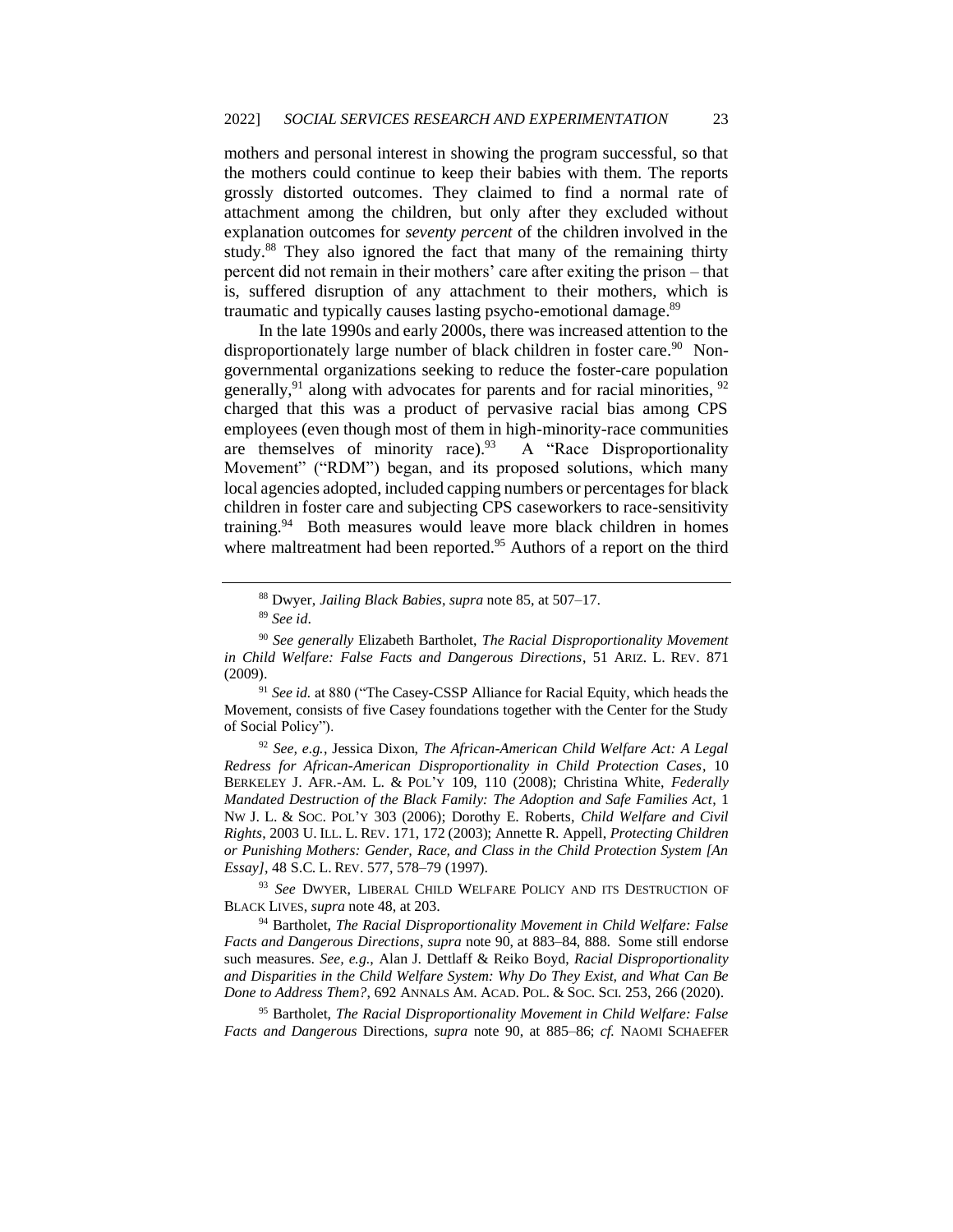mothers and personal interest in showing the program successful, so that the mothers could continue to keep their babies with them. The reports grossly distorted outcomes. They claimed to find a normal rate of attachment among the children, but only after they excluded without explanation outcomes for *seventy percent* of the children involved in the study.<sup>88</sup> They also ignored the fact that many of the remaining thirty percent did not remain in their mothers' care after exiting the prison – that is, suffered disruption of any attachment to their mothers, which is traumatic and typically causes lasting psycho-emotional damage.<sup>89</sup>

In the late 1990s and early 2000s, there was increased attention to the disproportionately large number of black children in foster care.<sup>90</sup> Nongovernmental organizations seeking to reduce the foster-care population generally,  $91$  along with advocates for parents and for racial minorities,  $92$ charged that this was a product of pervasive racial bias among CPS employees (even though most of them in high-minority-race communities are themselves of minority race).<sup>93</sup> A "Race Disproportionality Movement" ("RDM") began, and its proposed solutions, which many local agencies adopted, included capping numbers or percentages for black children in foster care and subjecting CPS caseworkers to race-sensitivity training.<sup>94</sup> Both measures would leave more black children in homes where maltreatment had been reported.<sup>95</sup> Authors of a report on the third

<sup>92</sup> *See, e.g.*, Jessica Dixon, *The African-American Child Welfare Act: A Legal Redress for African-American Disproportionality in Child Protection Cases*, 10 BERKELEY J. AFR.-AM. L. & POL'Y 109, 110 (2008); Christina White, *Federally Mandated Destruction of the Black Family: The Adoption and Safe Families Act*, 1 NW J. L. & SOC. POL'Y 303 (2006); Dorothy E. Roberts, *Child Welfare and Civil Rights*, 2003 U. ILL. L. REV. 171, 172 (2003); Annette R. Appell, *Protecting Children or Punishing Mothers: Gender, Race, and Class in the Child Protection System [An Essay]*, 48 S.C. L. REV. 577, 578–79 (1997).

<sup>93</sup> *See* DWYER, LIBERAL CHILD WELFARE POLICY AND ITS DESTRUCTION OF BLACK LIVES, *supra* note 48, at 203.

<sup>94</sup> Bartholet, *The Racial Disproportionality Movement in Child Welfare: False Facts and Dangerous Directions*, *supra* note 90, at 883–84, 888. Some still endorse such measures. *See, e.g.*, Alan J. Dettlaff & Reiko Boyd, *Racial Disproportionality and Disparities in the Child Welfare System: Why Do They Exist, and What Can Be Done to Address Them?*, 692 ANNALS AM. ACAD. POL. & SOC. SCI. 253, 266 (2020).

<sup>95</sup> Bartholet, *The Racial Disproportionality Movement in Child Welfare: False Facts and Dangerous* Directions, *supra* note 90, at 885–86; *cf.* NAOMI SCHAEFER

<sup>88</sup> Dwyer, *Jailing Black Babies*, *supra* note 85, at 507–17.

<sup>89</sup> *See id*.

<sup>90</sup> *See generally* Elizabeth Bartholet, *The Racial Disproportionality Movement in Child Welfare: False Facts and Dangerous Directions*, 51 ARIZ. L. REV. 871 (2009).

<sup>&</sup>lt;sup>91</sup> See id. at 880 ("The Casey-CSSP Alliance for Racial Equity, which heads the Movement, consists of five Casey foundations together with the Center for the Study of Social Policy").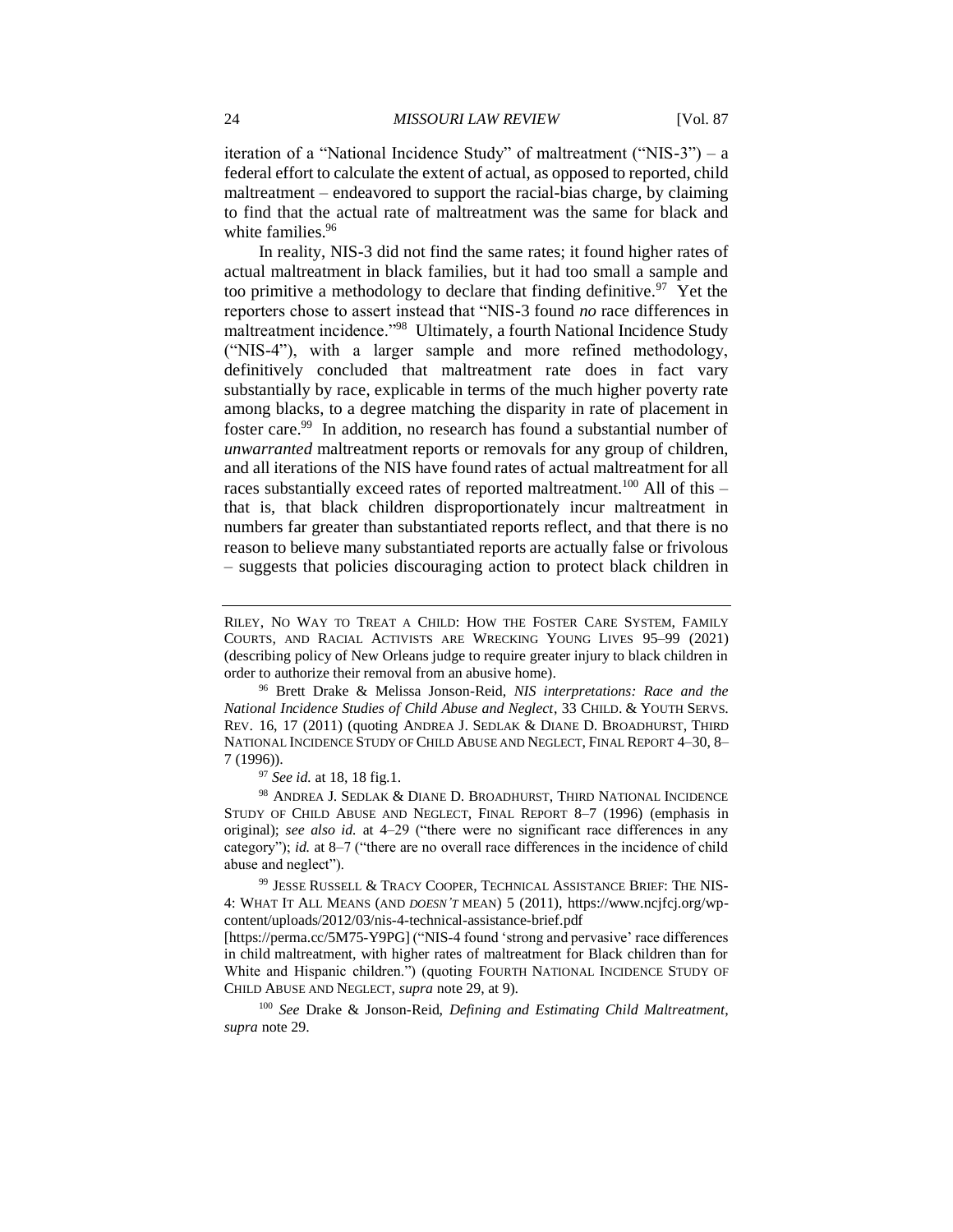iteration of a "National Incidence Study" of maltreatment ("NIS-3") – a federal effort to calculate the extent of actual, as opposed to reported, child maltreatment – endeavored to support the racial-bias charge, by claiming to find that the actual rate of maltreatment was the same for black and white families.<sup>96</sup>

In reality, NIS-3 did not find the same rates; it found higher rates of actual maltreatment in black families, but it had too small a sample and too primitive a methodology to declare that finding definitive.<sup>97</sup> Yet the reporters chose to assert instead that "NIS-3 found *no* race differences in maltreatment incidence."<sup>98</sup> Ultimately, a fourth National Incidence Study ("NIS-4"), with a larger sample and more refined methodology, definitively concluded that maltreatment rate does in fact vary substantially by race, explicable in terms of the much higher poverty rate among blacks, to a degree matching the disparity in rate of placement in foster care.<sup>99</sup> In addition, no research has found a substantial number of *unwarranted* maltreatment reports or removals for any group of children, and all iterations of the NIS have found rates of actual maltreatment for all races substantially exceed rates of reported maltreatment.<sup>100</sup> All of this  $$ that is, that black children disproportionately incur maltreatment in numbers far greater than substantiated reports reflect, and that there is no reason to believe many substantiated reports are actually false or frivolous – suggests that policies discouraging action to protect black children in

RILEY, NO WAY TO TREAT A CHILD: HOW THE FOSTER CARE SYSTEM, FAMILY COURTS, AND RACIAL ACTIVISTS ARE WRECKING YOUNG LIVES 95–99 (2021) (describing policy of New Orleans judge to require greater injury to black children in order to authorize their removal from an abusive home).

<sup>96</sup> Brett Drake & Melissa Jonson-Reid, *NIS interpretations: Race and the National Incidence Studies of Child Abuse and Neglect*, 33 CHILD. & YOUTH SERVS. REV. 16, 17 (2011) (quoting ANDREA J. SEDLAK & DIANE D. BROADHURST, THIRD NATIONAL INCIDENCE STUDY OF CHILD ABUSE AND NEGLECT, FINAL REPORT 4–30, 8– 7 (1996)).

<sup>97</sup> *See id.* at 18, 18 fig.1.

<sup>98</sup> ANDREA J. SEDLAK & DIANE D. BROADHURST, THIRD NATIONAL INCIDENCE STUDY OF CHILD ABUSE AND NEGLECT, FINAL REPORT 8–7 (1996) (emphasis in original); *see also id.* at 4–29 ("there were no significant race differences in any category"); *id.* at 8–7 ("there are no overall race differences in the incidence of child abuse and neglect").

<sup>99</sup> JESSE RUSSELL & TRACY COOPER, TECHNICAL ASSISTANCE BRIEF: THE NIS-4: WHAT IT ALL MEANS (AND *DOESN'T* MEAN) 5 (2011), https://www.ncjfcj.org/wpcontent/uploads/2012/03/nis-4-technical-assistance-brief.pdf

<sup>[</sup>https://perma.cc/5M75-Y9PG] ("NIS-4 found 'strong and pervasive' race differences in child maltreatment, with higher rates of maltreatment for Black children than for White and Hispanic children.") (quoting FOURTH NATIONAL INCIDENCE STUDY OF CHILD ABUSE AND NEGLECT, *supra* note 29, at 9).

<sup>100</sup> *See* Drake & Jonson-Reid, *Defining and Estimating Child Maltreatment*, *supra* note 29.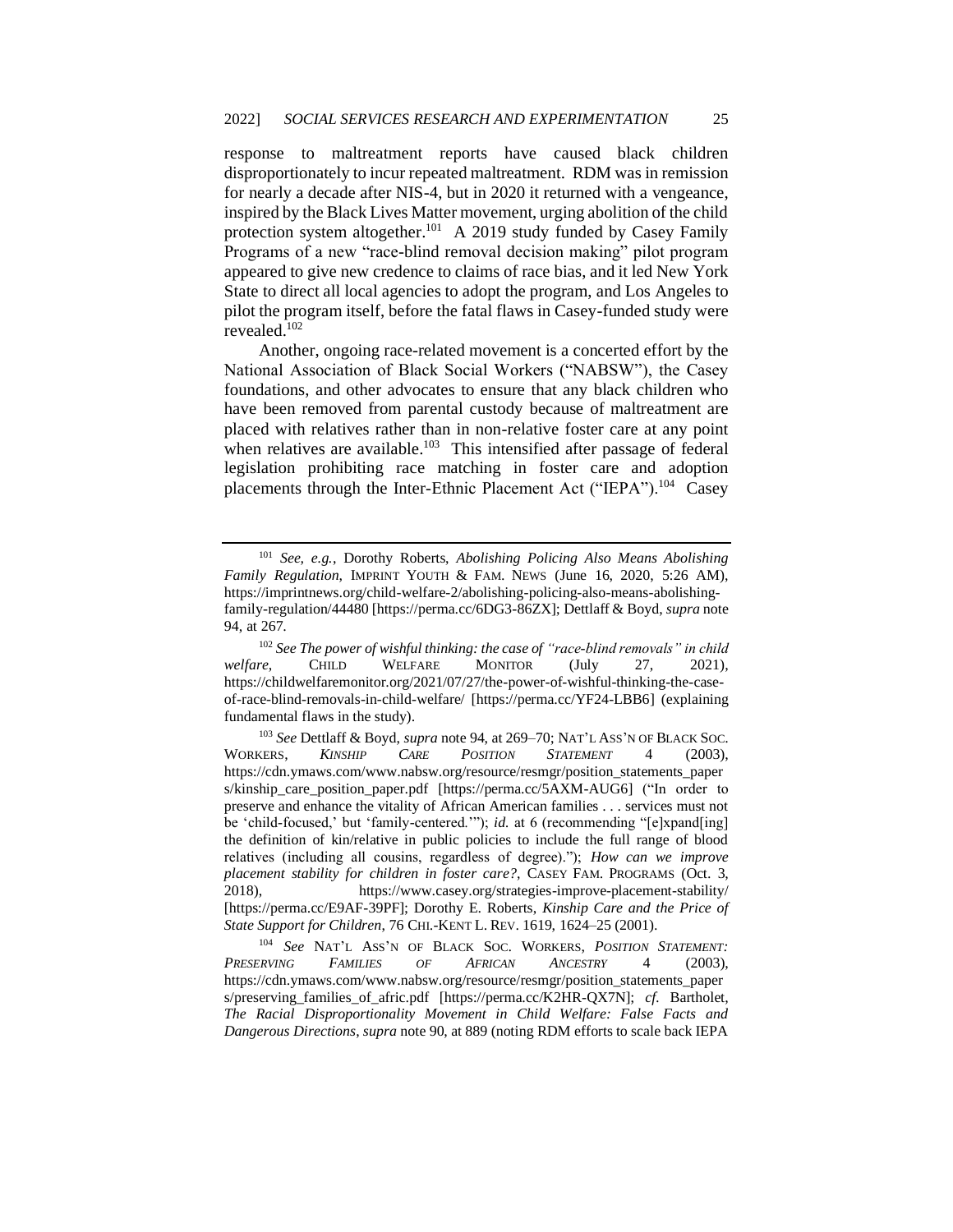response to maltreatment reports have caused black children disproportionately to incur repeated maltreatment. RDM was in remission for nearly a decade after NIS-4, but in 2020 it returned with a vengeance, inspired by the Black Lives Matter movement, urging abolition of the child protection system altogether.<sup>101</sup> A 2019 study funded by Casey Family Programs of a new "race-blind removal decision making" pilot program appeared to give new credence to claims of race bias, and it led New York State to direct all local agencies to adopt the program, and Los Angeles to pilot the program itself, before the fatal flaws in Casey-funded study were revealed.<sup>102</sup>

Another, ongoing race-related movement is a concerted effort by the National Association of Black Social Workers ("NABSW"), the Casey foundations, and other advocates to ensure that any black children who have been removed from parental custody because of maltreatment are placed with relatives rather than in non-relative foster care at any point when relatives are available.<sup>103</sup> This intensified after passage of federal legislation prohibiting race matching in foster care and adoption placements through the Inter-Ethnic Placement Act ("IEPA").<sup>104</sup> Casey

<sup>101</sup> *See, e.g.*, Dorothy Roberts, *Abolishing Policing Also Means Abolishing Family Regulation*, IMPRINT YOUTH & FAM. NEWS (June 16, 2020, 5:26 AM), https://imprintnews.org/child-welfare-2/abolishing-policing-also-means-abolishingfamily-regulation/44480 [https://perma.cc/6DG3-86ZX]; Dettlaff & Boyd, *supra* note 94, at 267.

<sup>102</sup> *See The power of wishful thinking: the case of "race-blind removals" in child welfare*, CHILD WELFARE MONITOR (July 27, 2021), https://childwelfaremonitor.org/2021/07/27/the-power-of-wishful-thinking-the-caseof-race-blind-removals-in-child-welfare/ [https://perma.cc/YF24-LBB6] (explaining fundamental flaws in the study).

<sup>103</sup> *See* Dettlaff & Boyd, *supra* note 94, at 269–70; NAT'L ASS'N OF BLACK SOC. WORKERS, *KINSHIP CARE POSITION STATEMENT* 4 (2003), https://cdn.ymaws.com/www.nabsw.org/resource/resmgr/position\_statements\_paper s/kinship\_care\_position\_paper.pdf [https://perma.cc/5AXM-AUG6] ("In order to preserve and enhance the vitality of African American families . . . services must not be 'child-focused,' but 'family-centered.'"); *id.* at 6 (recommending "[e]xpand[ing] the definition of kin/relative in public policies to include the full range of blood relatives (including all cousins, regardless of degree)."); *How can we improve placement stability for children in foster care?*, CASEY FAM. PROGRAMS (Oct. 3, 2018), https://www.casey.org/strategies-improve-placement-stability/ [https://perma.cc/E9AF-39PF]; Dorothy E. Roberts, *Kinship Care and the Price of State Support for Children*, 76 CHI.-KENT L. REV. 1619, 1624–25 (2001).

<sup>104</sup> *See* NAT'L ASS'N OF BLACK SOC. WORKERS, *POSITION STATEMENT: PRESERVING FAMILIES OF AFRICAN ANCESTRY* 4 (2003), https://cdn.ymaws.com/www.nabsw.org/resource/resmgr/position\_statements\_paper s/preserving families of afric.pdf [https://perma.cc/K2HR-OX7N]; *cf.* Bartholet, *The Racial Disproportionality Movement in Child Welfare: False Facts and Dangerous Directions*, *supra* note 90, at 889 (noting RDM efforts to scale back IEPA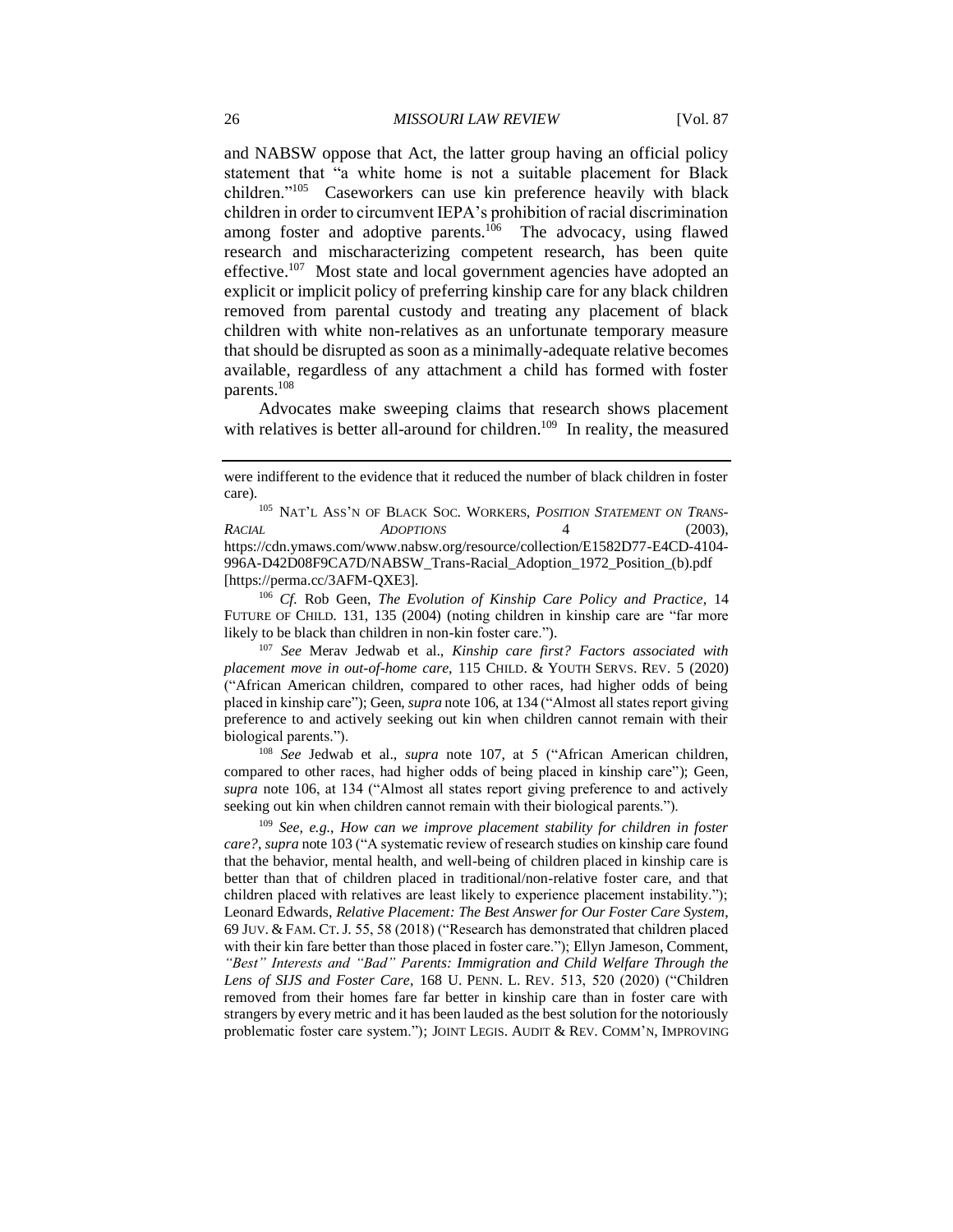and NABSW oppose that Act, the latter group having an official policy statement that "a white home is not a suitable placement for Black children."<sup>105</sup> Caseworkers can use kin preference heavily with black children in order to circumvent IEPA's prohibition of racial discrimination among foster and adoptive parents.<sup>106</sup> The advocacy, using flawed research and mischaracterizing competent research, has been quite effective.<sup>107</sup> Most state and local government agencies have adopted an explicit or implicit policy of preferring kinship care for any black children removed from parental custody and treating any placement of black children with white non-relatives as an unfortunate temporary measure that should be disrupted as soon as a minimally-adequate relative becomes available, regardless of any attachment a child has formed with foster parents.<sup>108</sup>

Advocates make sweeping claims that research shows placement with relatives is better all-around for children.<sup>109</sup> In reality, the measured

105 NAT'L ASS'N OF BLACK SOC. WORKERS, POSITION STATEMENT ON TRANS-*RACIAL ADOPTIONS* 4 (2003), https://cdn.ymaws.com/www.nabsw.org/resource/collection/E1582D77-E4CD-4104- 996A-D42D08F9CA7D/NABSW\_Trans-Racial\_Adoption\_1972\_Position\_(b).pdf [https://perma.cc/3AFM-QXE3].

<sup>106</sup> *Cf.* Rob Geen, *The Evolution of Kinship Care Policy and Practice*, 14 FUTURE OF CHILD. 131, 135 (2004) (noting children in kinship care are "far more likely to be black than children in non-kin foster care.").

<sup>107</sup> *See* Merav Jedwab et al., *Kinship care first? Factors associated with placement move in out-of-home care*, 115 CHILD. & YOUTH SERVS. REV. 5 (2020) ("African American children, compared to other races, had higher odds of being placed in kinship care"); Geen, *supra* note 106, at 134 ("Almost all states report giving preference to and actively seeking out kin when children cannot remain with their biological parents.").

<sup>108</sup> *See* Jedwab et al., *supra* note 107, at 5 ("African American children, compared to other races, had higher odds of being placed in kinship care"); Geen, *supra* note 106, at 134 ("Almost all states report giving preference to and actively seeking out kin when children cannot remain with their biological parents.").

<sup>109</sup> *See, e.g.*, *How can we improve placement stability for children in foster care?*, *supra* note 103 ("A systematic review of research studies on kinship care found that the behavior, mental health, and well-being of children placed in kinship care is better than that of children placed in traditional/non-relative foster care, and that children placed with relatives are least likely to experience placement instability."); Leonard Edwards, *Relative Placement: The Best Answer for Our Foster Care System*, 69 JUV. & FAM. CT. J. 55, 58 (2018) ("Research has demonstrated that children placed with their kin fare better than those placed in foster care."); Ellyn Jameson, Comment, *"Best" Interests and "Bad" Parents: Immigration and Child Welfare Through the Lens of SIJS and Foster Care*, 168 U. PENN. L. REV. 513, 520 (2020) ("Children removed from their homes fare far better in kinship care than in foster care with strangers by every metric and it has been lauded as the best solution for the notoriously problematic foster care system."); JOINT LEGIS. AUDIT & REV. COMM'N, IMPROVING

were indifferent to the evidence that it reduced the number of black children in foster care).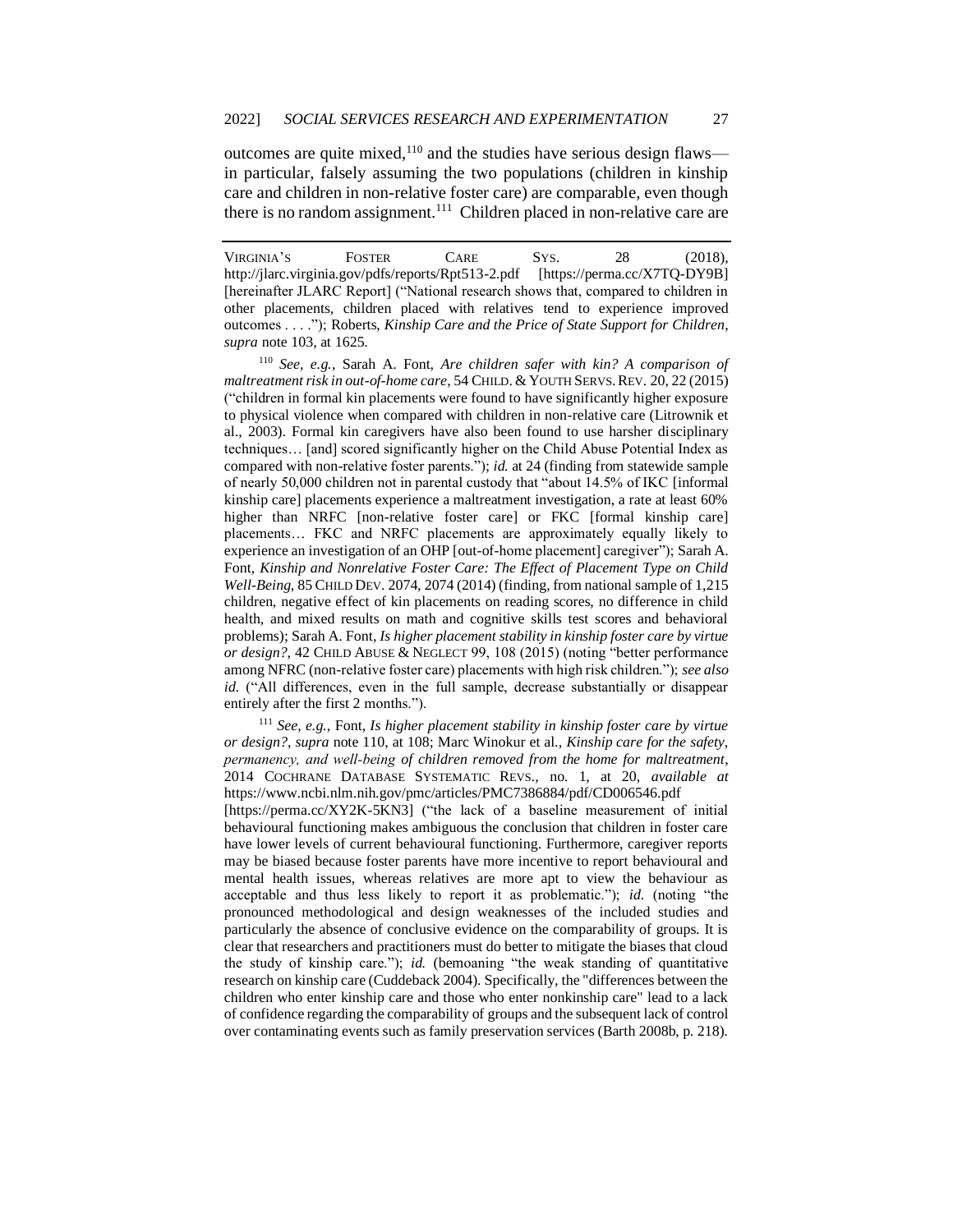outcomes are quite mixed, $110$  and the studies have serious design flaws in particular, falsely assuming the two populations (children in kinship care and children in non-relative foster care) are comparable, even though there is no random assignment.<sup>111</sup> Children placed in non-relative care are

<sup>110</sup> *See, e.g.*, Sarah A. Font, *Are children safer with kin? A comparison of maltreatment risk in out-of-home care*, 54 CHILD. & YOUTH SERVS. REV. 20, 22 (2015) ("children in formal kin placements were found to have significantly higher exposure to physical violence when compared with children in non-relative care (Litrownik et al., 2003). Formal kin caregivers have also been found to use harsher disciplinary techniques… [and] scored significantly higher on the Child Abuse Potential Index as compared with non-relative foster parents."); *id.* at 24 (finding from statewide sample of nearly 50,000 children not in parental custody that "about 14.5% of IKC [informal kinship care] placements experience a maltreatment investigation, a rate at least 60% higher than NRFC [non-relative foster care] or FKC [formal kinship care] placements… FKC and NRFC placements are approximately equally likely to experience an investigation of an OHP [out-of-home placement] caregiver"); Sarah A. Font, *Kinship and Nonrelative Foster Care: The Effect of Placement Type on Child Well-Being*, 85 CHILD DEV. 2074, 2074 (2014) (finding, from national sample of 1,215 children, negative effect of kin placements on reading scores, no difference in child health, and mixed results on math and cognitive skills test scores and behavioral problems); Sarah A. Font, *Is higher placement stability in kinship foster care by virtue or design?*, 42 CHILD ABUSE & NEGLECT 99, 108 (2015) (noting "better performance among NFRC (non-relative foster care) placements with high risk children."); *see also id.* ("All differences, even in the full sample, decrease substantially or disappear entirely after the first 2 months.").

<sup>111</sup> *See, e.g.*, Font, *Is higher placement stability in kinship foster care by virtue or design?*, *supra* note 110, at 108; Marc Winokur et al., *Kinship care for the safety, permanency, and well‐being of children removed from the home for maltreatment*, 2014 COCHRANE DATABASE SYSTEMATIC REVS., no. 1, at 20, *available at* https://www.ncbi.nlm.nih.gov/pmc/articles/PMC7386884/pdf/CD006546.pdf

[https://perma.cc/XY2K-5KN3] ("the lack of a baseline measurement of initial behavioural functioning makes ambiguous the conclusion that children in foster care have lower levels of current behavioural functioning. Furthermore, caregiver reports may be biased because foster parents have more incentive to report behavioural and mental health issues, whereas relatives are more apt to view the behaviour as acceptable and thus less likely to report it as problematic."); *id.* (noting "the pronounced methodological and design weaknesses of the included studies and particularly the absence of conclusive evidence on the comparability of groups. It is clear that researchers and practitioners must do better to mitigate the biases that cloud the study of kinship care."); *id.* (bemoaning "the weak standing of quantitative research on kinship care (Cuddeback 2004). Specifically, the "differences between the children who enter kinship care and those who enter nonkinship care" lead to a lack of confidence regarding the comparability of groups and the subsequent lack of control over contaminating events such as family preservation services (Barth 2008b, p. 218).

VIRGINIA'S FOSTER CARE SYS. 28 (2018), http://jlarc.virginia.gov/pdfs/reports/Rpt513-2.pdf [https://perma.cc/X7TQ-DY9B] [hereinafter JLARC Report] ("National research shows that, compared to children in other placements, children placed with relatives tend to experience improved outcomes . . . ."); Roberts, *Kinship Care and the Price of State Support for Children*, *supra* note 103, at 1625.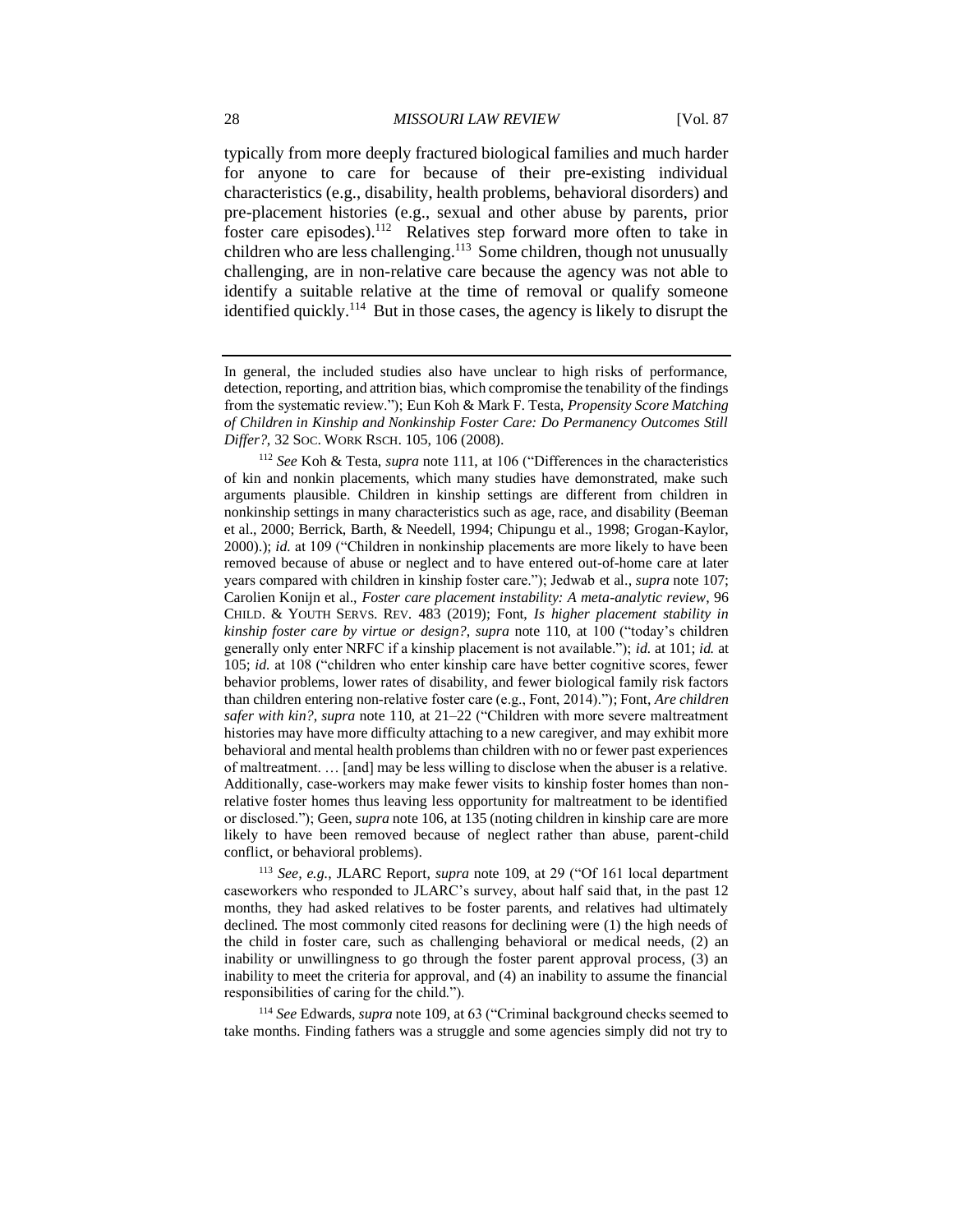typically from more deeply fractured biological families and much harder for anyone to care for because of their pre-existing individual characteristics (e.g., disability, health problems, behavioral disorders) and pre-placement histories (e.g., sexual and other abuse by parents, prior foster care episodes).<sup>112</sup> Relatives step forward more often to take in children who are less challenging.<sup>113</sup> Some children, though not unusually challenging, are in non-relative care because the agency was not able to identify a suitable relative at the time of removal or qualify someone identified quickly.<sup>114</sup> But in those cases, the agency is likely to disrupt the

<sup>113</sup> *See, e.g.*, JLARC Report, *supra* note 109, at 29 ("Of 161 local department caseworkers who responded to JLARC's survey, about half said that, in the past 12 months, they had asked relatives to be foster parents, and relatives had ultimately declined. The most commonly cited reasons for declining were (1) the high needs of the child in foster care, such as challenging behavioral or medical needs, (2) an inability or unwillingness to go through the foster parent approval process, (3) an inability to meet the criteria for approval, and (4) an inability to assume the financial responsibilities of caring for the child.").

<sup>114</sup> *See* Edwards, *supra* note 109, at 63 ("Criminal background checks seemed to take months. Finding fathers was a struggle and some agencies simply did not try to

In general, the included studies also have unclear to high risks of performance, detection, reporting, and attrition bias, which compromise the tenability of the findings from the systematic review."); Eun Koh & Mark F. Testa, *Propensity Score Matching of Children in Kinship and Nonkinship Foster Care: Do Permanency Outcomes Still Differ?*, 32 SOC. WORK RSCH. 105, 106 (2008).

<sup>112</sup> *See* Koh & Testa, *supra* note 111, at 106 ("Differences in the characteristics of kin and nonkin placements, which many studies have demonstrated, make such arguments plausible. Children in kinship settings are different from children in nonkinship settings in many characteristics such as age, race, and disability (Beeman et al., 2000; Berrick, Barth, & Needell, 1994; Chipungu et al., 1998; Grogan-Kaylor, 2000).); *id.* at 109 ("Children in nonkinship placements are more likely to have been removed because of abuse or neglect and to have entered out-of-home care at later years compared with children in kinship foster care."); Jedwab et al., *supra* note 107; Carolien Konijn et al., *Foster care placement instability: A meta-analytic review*, 96 CHILD. & YOUTH SERVS. REV. 483 (2019); Font, *Is higher placement stability in kinship foster care by virtue or design?*, *supra* note 110, at 100 ("today's children generally only enter NRFC if a kinship placement is not available."); *id.* at 101; *id.* at 105; *id.* at 108 ("children who enter kinship care have better cognitive scores, fewer behavior problems, lower rates of disability, and fewer biological family risk factors than children entering non-relative foster care (e.g., Font, 2014)."); Font, *Are children safer with kin?*, *supra* note 110, at 21–22 ("Children with more severe maltreatment histories may have more difficulty attaching to a new caregiver, and may exhibit more behavioral and mental health problems than children with no or fewer past experiences of maltreatment. … [and] may be less willing to disclose when the abuser is a relative. Additionally, case-workers may make fewer visits to kinship foster homes than nonrelative foster homes thus leaving less opportunity for maltreatment to be identified or disclosed."); Geen, *supra* note 106, at 135 (noting children in kinship care are more likely to have been removed because of neglect rather than abuse, parent-child conflict, or behavioral problems).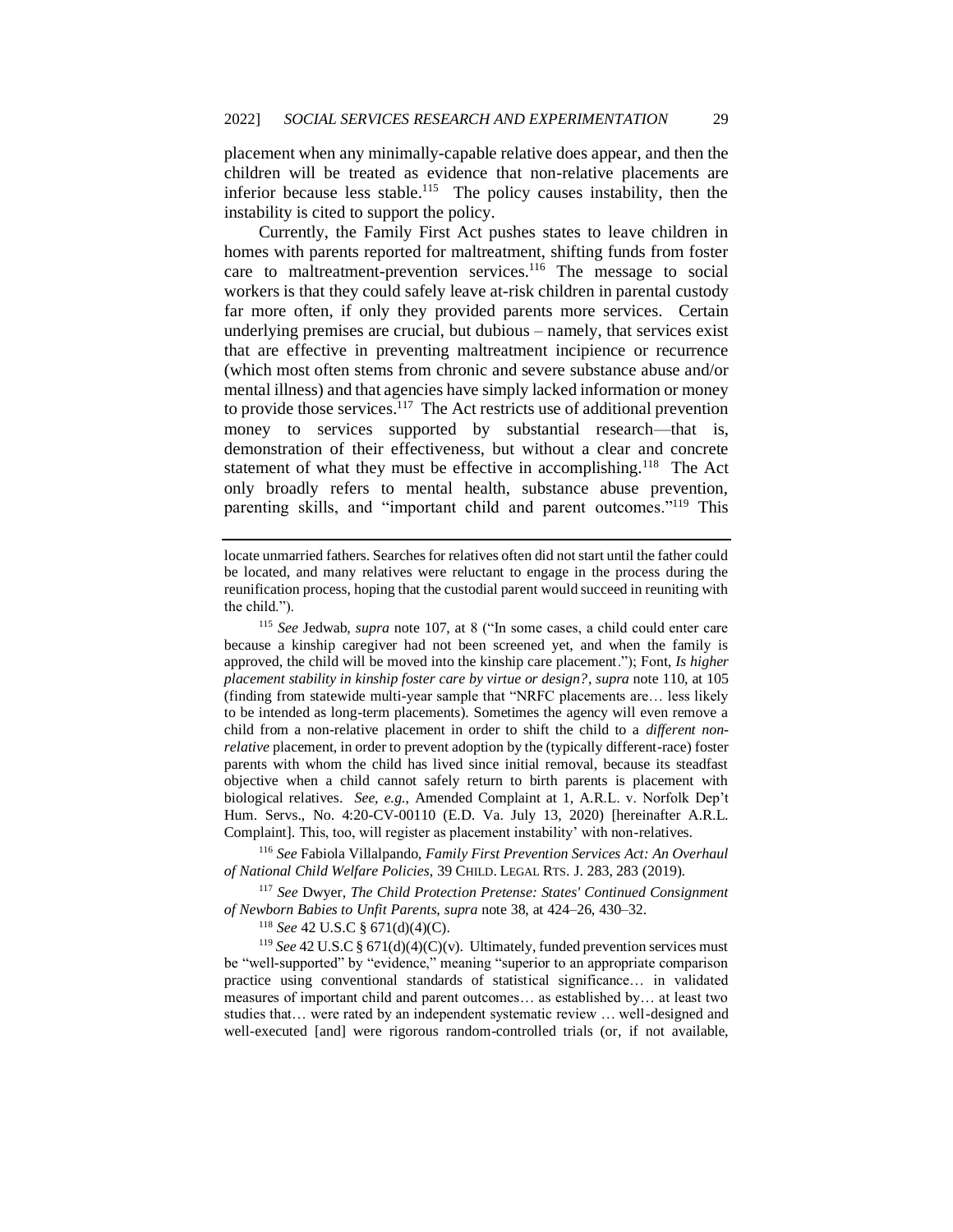placement when any minimally-capable relative does appear, and then the children will be treated as evidence that non-relative placements are inferior because less stable.<sup>115</sup> The policy causes instability, then the instability is cited to support the policy.

Currently, the Family First Act pushes states to leave children in homes with parents reported for maltreatment, shifting funds from foster care to maltreatment-prevention services.<sup>116</sup> The message to social workers is that they could safely leave at-risk children in parental custody far more often, if only they provided parents more services. Certain underlying premises are crucial, but dubious – namely, that services exist that are effective in preventing maltreatment incipience or recurrence (which most often stems from chronic and severe substance abuse and/or mental illness) and that agencies have simply lacked information or money to provide those services.<sup>117</sup> The Act restricts use of additional prevention money to services supported by substantial research—that is, demonstration of their effectiveness, but without a clear and concrete statement of what they must be effective in accomplishing.<sup>118</sup> The Act only broadly refers to mental health, substance abuse prevention, parenting skills, and "important child and parent outcomes."<sup>119</sup> This

<sup>116</sup> *See* Fabiola Villalpando, *Family First Prevention Services Act: An Overhaul of National Child Welfare Policies*, 39 CHILD. LEGAL RTS. J. 283, 283 (2019).

<sup>117</sup> *See* Dwyer, *The Child Protection Pretense: States' Continued Consignment of Newborn Babies to Unfit Parents*, *supra* note 38, at 424–26, 430–32.

<sup>118</sup> *See* 42 U.S.C § 671(d)(4)(C).

<sup>119</sup> *See* 42 U.S.C § 671(d)(4)(C)(v). Ultimately, funded prevention services must be "well-supported" by "evidence," meaning "superior to an appropriate comparison practice using conventional standards of statistical significance… in validated measures of important child and parent outcomes… as established by… at least two studies that… were rated by an independent systematic review … well-designed and well-executed [and] were rigorous random-controlled trials (or, if not available,

locate unmarried fathers. Searches for relatives often did not start until the father could be located, and many relatives were reluctant to engage in the process during the reunification process, hoping that the custodial parent would succeed in reuniting with the child.").

<sup>115</sup> *See* Jedwab, *supra* note 107, at 8 ("In some cases, a child could enter care because a kinship caregiver had not been screened yet, and when the family is approved, the child will be moved into the kinship care placement."); Font*, Is higher placement stability in kinship foster care by virtue or design?*, *supra* note 110, at 105 (finding from statewide multi-year sample that "NRFC placements are… less likely to be intended as long-term placements). Sometimes the agency will even remove a child from a non-relative placement in order to shift the child to a *different nonrelative* placement, in order to prevent adoption by the (typically different-race) foster parents with whom the child has lived since initial removal, because its steadfast objective when a child cannot safely return to birth parents is placement with biological relatives. *See, e.g.*, Amended Complaint at 1, A.R.L. v. Norfolk Dep't Hum. Servs., No. 4:20-CV-00110 (E.D. Va. July 13, 2020) [hereinafter A.R.L. Complaint]. This, too, will register as placement instability' with non-relatives.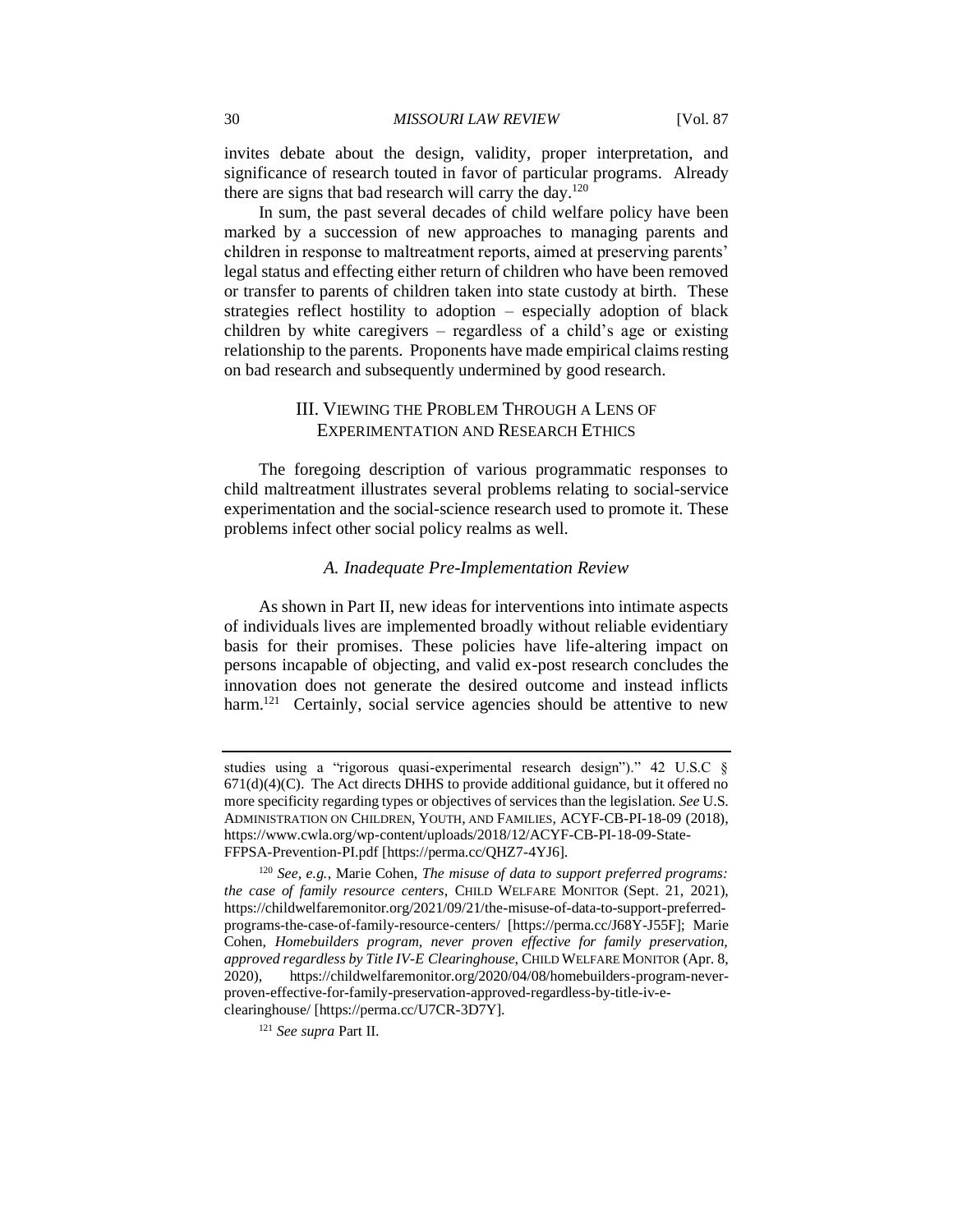invites debate about the design, validity, proper interpretation, and significance of research touted in favor of particular programs. Already there are signs that bad research will carry the day.<sup>120</sup>

In sum, the past several decades of child welfare policy have been marked by a succession of new approaches to managing parents and children in response to maltreatment reports, aimed at preserving parents' legal status and effecting either return of children who have been removed or transfer to parents of children taken into state custody at birth. These strategies reflect hostility to adoption – especially adoption of black children by white caregivers – regardless of a child's age or existing relationship to the parents. Proponents have made empirical claims resting on bad research and subsequently undermined by good research.

## III. VIEWING THE PROBLEM THROUGH A LENS OF EXPERIMENTATION AND RESEARCH ETHICS

The foregoing description of various programmatic responses to child maltreatment illustrates several problems relating to social-service experimentation and the social-science research used to promote it. These problems infect other social policy realms as well.

#### *A. Inadequate Pre-Implementation Review*

As shown in Part II, new ideas for interventions into intimate aspects of individuals lives are implemented broadly without reliable evidentiary basis for their promises. These policies have life-altering impact on persons incapable of objecting, and valid ex-post research concludes the innovation does not generate the desired outcome and instead inflicts harm.<sup>121</sup> Certainly, social service agencies should be attentive to new

studies using a "rigorous quasi-experimental research design")." 42 U.S.C §  $671(d)(4)(C)$ . The Act directs DHHS to provide additional guidance, but it offered no more specificity regarding types or objectives of services than the legislation. *See* U.S. ADMINISTRATION ON CHILDREN, YOUTH, AND FAMILIES*,* ACYF-CB-PI-18-09 (2018), https://www.cwla.org/wp-content/uploads/2018/12/ACYF-CB-PI-18-09-State-FFPSA-Prevention-PI.pdf [https://perma.cc/QHZ7-4YJ6].

<sup>120</sup> *See, e.g.*, Marie Cohen, *The misuse of data to support preferred programs: the case of family resource centers*, CHILD WELFARE MONITOR (Sept. 21, 2021), https://childwelfaremonitor.org/2021/09/21/the-misuse-of-data-to-support-preferredprograms-the-case-of-family-resource-centers/ [https://perma.cc/J68Y-J55F]; Marie Cohen, *Homebuilders program, never proven effective for family preservation, approved regardless by Title IV-E Clearinghouse*, CHILD WELFARE MONITOR (Apr. 8, 2020), https://childwelfaremonitor.org/2020/04/08/homebuilders-program-neverproven-effective-for-family-preservation-approved-regardless-by-title-iv-eclearinghouse/ [https://perma.cc/U7CR-3D7Y].

<sup>121</sup> *See supra* Part II.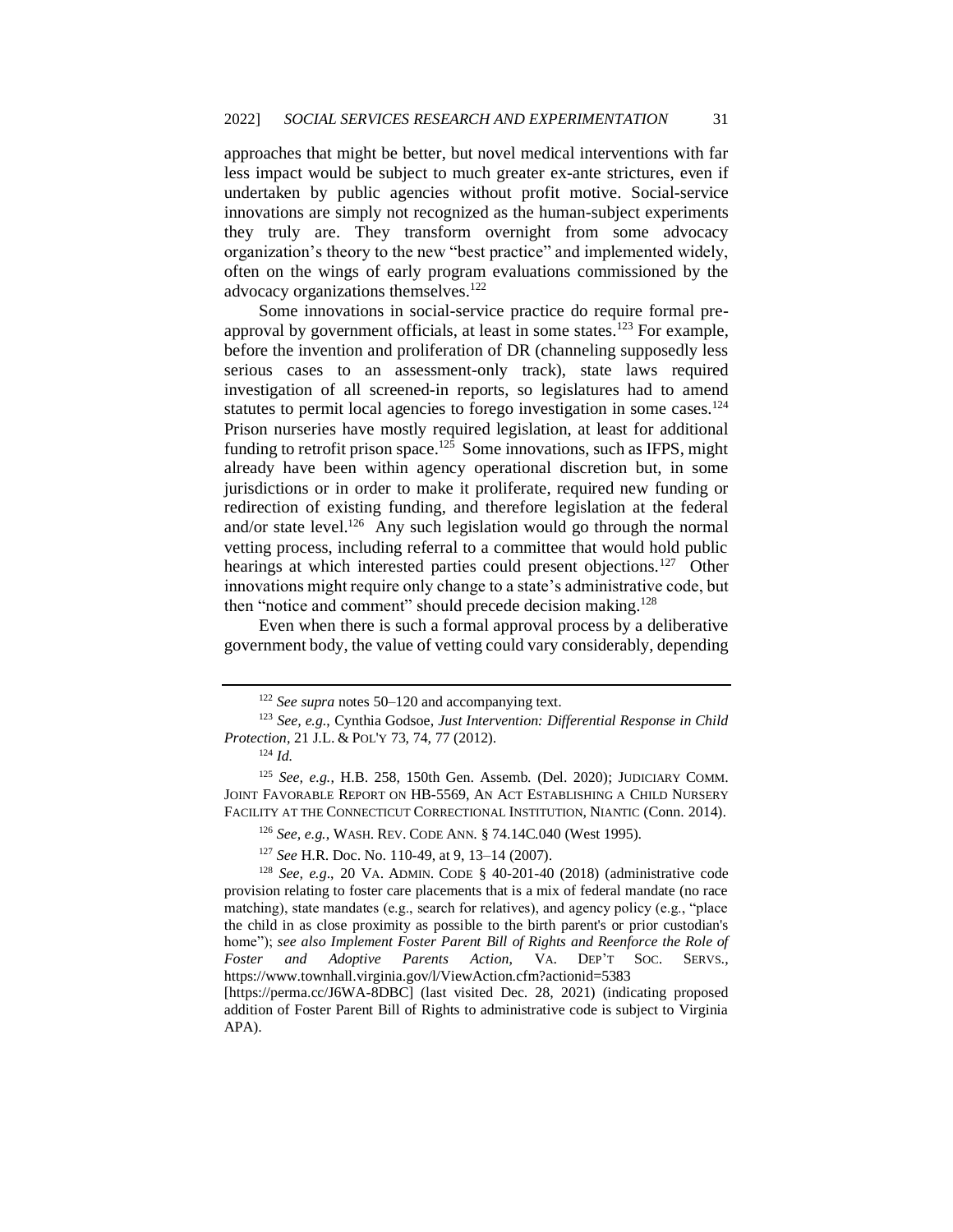approaches that might be better, but novel medical interventions with far less impact would be subject to much greater ex-ante strictures, even if undertaken by public agencies without profit motive. Social-service innovations are simply not recognized as the human-subject experiments they truly are. They transform overnight from some advocacy organization's theory to the new "best practice" and implemented widely, often on the wings of early program evaluations commissioned by the advocacy organizations themselves.<sup>122</sup>

Some innovations in social-service practice do require formal preapproval by government officials, at least in some states.<sup>123</sup> For example, before the invention and proliferation of DR (channeling supposedly less serious cases to an assessment-only track), state laws required investigation of all screened-in reports, so legislatures had to amend statutes to permit local agencies to forego investigation in some cases.<sup>124</sup> Prison nurseries have mostly required legislation, at least for additional funding to retrofit prison space.<sup>125</sup> Some innovations, such as IFPS, might already have been within agency operational discretion but, in some jurisdictions or in order to make it proliferate, required new funding or redirection of existing funding, and therefore legislation at the federal and/or state level.<sup>126</sup> Any such legislation would go through the normal vetting process, including referral to a committee that would hold public hearings at which interested parties could present objections.<sup>127</sup> Other innovations might require only change to a state's administrative code, but then "notice and comment" should precede decision making.<sup>128</sup>

Even when there is such a formal approval process by a deliberative government body, the value of vetting could vary considerably, depending

<sup>122</sup> *See supra* notes 50–120 and accompanying text.

<sup>123</sup> *See, e.g.*, Cynthia Godsoe, *Just Intervention: Differential Response in Child Protection*, 21 J.L. & POL'Y 73, 74, 77 (2012).

<sup>124</sup> *Id.*

<sup>125</sup> *See, e.g.*, H.B. 258, 150th Gen. Assemb. (Del. 2020); JUDICIARY COMM. JOINT FAVORABLE REPORT ON HB-5569, AN ACT ESTABLISHING A CHILD NURSERY FACILITY AT THE CONNECTICUT CORRECTIONAL INSTITUTION, NIANTIC (Conn. 2014).

<sup>126</sup> *See, e.g.*, WASH. REV. CODE ANN. § 74.14C.040 (West 1995).

<sup>127</sup> *See* H.R. Doc. No. 110-49, at 9, 13–14 (2007).

<sup>128</sup> *See, e.g*., 20 VA. ADMIN. CODE § 40-201-40 (2018) (administrative code provision relating to foster care placements that is a mix of federal mandate (no race matching), state mandates (e.g., search for relatives), and agency policy (e.g., "place the child in as close proximity as possible to the birth parent's or prior custodian's home"); *see also Implement Foster Parent Bill of Rights and Reenforce the Role of Foster and Adoptive Parents Action*, VA. DEP'T SOC. SERVS., https://www.townhall.virginia.gov/l/ViewAction.cfm?actionid=5383

<sup>[</sup>https://perma.cc/J6WA-8DBC] (last visited Dec. 28, 2021) (indicating proposed addition of Foster Parent Bill of Rights to administrative code is subject to Virginia APA).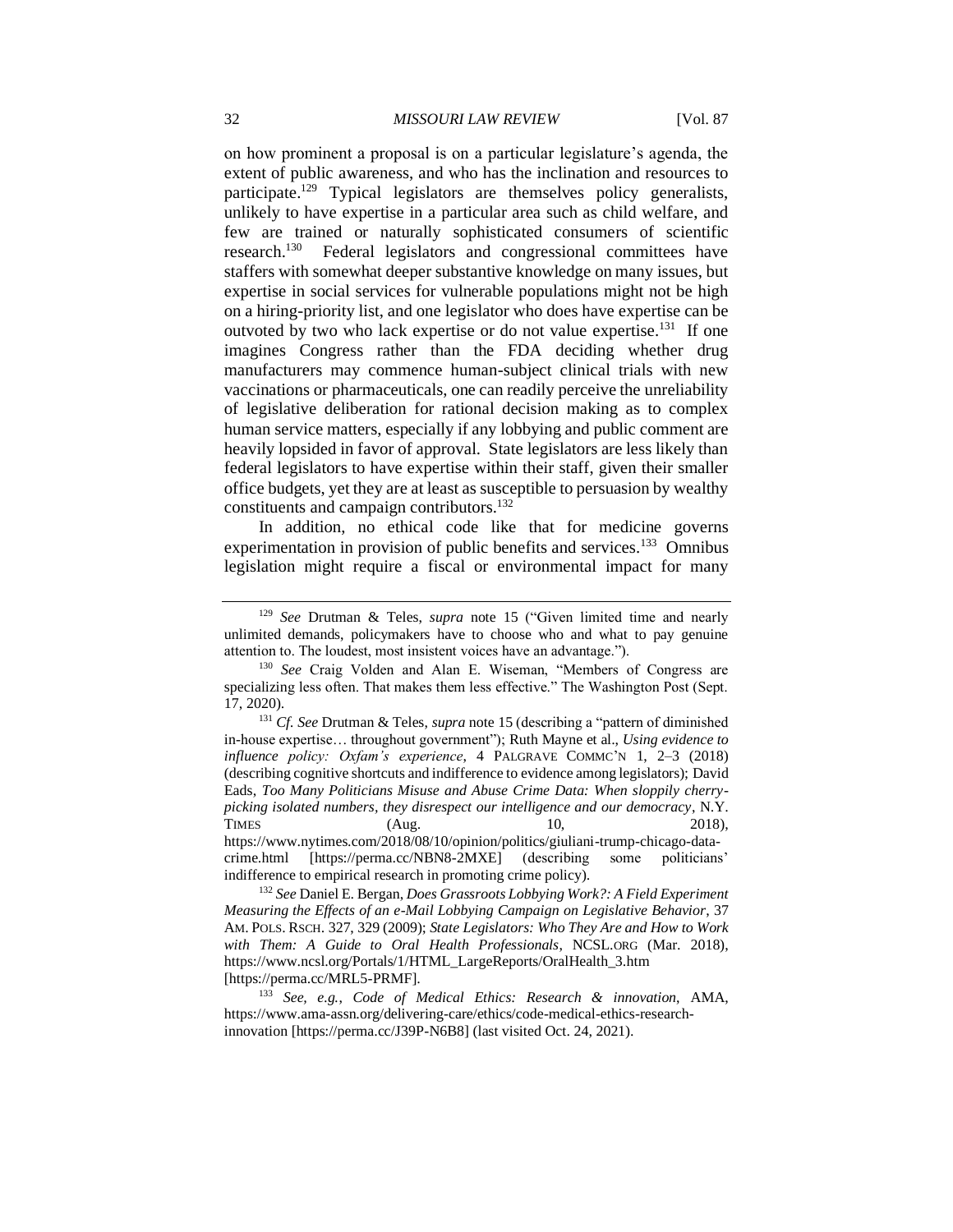on how prominent a proposal is on a particular legislature's agenda, the extent of public awareness, and who has the inclination and resources to participate.<sup>129</sup> Typical legislators are themselves policy generalists, unlikely to have expertise in a particular area such as child welfare, and few are trained or naturally sophisticated consumers of scientific research.<sup>130</sup> Federal legislators and congressional committees have staffers with somewhat deeper substantive knowledge on many issues, but expertise in social services for vulnerable populations might not be high on a hiring-priority list, and one legislator who does have expertise can be outvoted by two who lack expertise or do not value expertise.<sup>131</sup> If one imagines Congress rather than the FDA deciding whether drug manufacturers may commence human-subject clinical trials with new vaccinations or pharmaceuticals, one can readily perceive the unreliability of legislative deliberation for rational decision making as to complex human service matters, especially if any lobbying and public comment are heavily lopsided in favor of approval. State legislators are less likely than federal legislators to have expertise within their staff, given their smaller office budgets, yet they are at least as susceptible to persuasion by wealthy constituents and campaign contributors.<sup>132</sup>

In addition, no ethical code like that for medicine governs experimentation in provision of public benefits and services.<sup>133</sup> Omnibus legislation might require a fiscal or environmental impact for many

<sup>129</sup> *See* Drutman & Teles, *supra* note 15 ("Given limited time and nearly unlimited demands, policymakers have to choose who and what to pay genuine attention to. The loudest, most insistent voices have an advantage.").

<sup>130</sup> *See* Craig Volden and Alan E. Wiseman, "Members of Congress are specializing less often. That makes them less effective." The Washington Post (Sept. 17, 2020).

<sup>131</sup> *Cf. See* Drutman & Teles, *supra* note 15 (describing a "pattern of diminished in-house expertise… throughout government"); Ruth Mayne et al., *Using evidence to influence policy: Oxfam's experience*, 4 PALGRAVE COMMC'N 1, 2–3 (2018) (describing cognitive shortcuts and indifference to evidence among legislators); David Eads, *Too Many Politicians Misuse and Abuse Crime Data: When sloppily cherrypicking isolated numbers, they disrespect our intelligence and our democracy*, N.Y. TIMES (Aug. 10, 2018), https://www.nytimes.com/2018/08/10/opinion/politics/giuliani-trump-chicago-datacrime.html [https://perma.cc/NBN8-2MXE] (describing some politicians' indifference to empirical research in promoting crime policy).

<sup>132</sup> *See* Daniel E. Bergan, *Does Grassroots Lobbying Work?: A Field Experiment Measuring the Effects of an e-Mail Lobbying Campaign on Legislative Behavior*, 37 AM. POLS. RSCH. 327, 329 (2009); *State Legislators: Who They Are and How to Work with Them: A Guide to Oral Health Professionals*, NCSL.ORG (Mar. 2018), https://www.ncsl.org/Portals/1/HTML\_LargeReports/OralHealth\_3.htm [https://perma.cc/MRL5-PRMF].

<sup>133</sup> *See, e.g.*, *Code of Medical Ethics: Research & innovation*, AMA, https://www.ama-assn.org/delivering-care/ethics/code-medical-ethics-researchinnovation [https://perma.cc/J39P-N6B8] (last visited Oct. 24, 2021).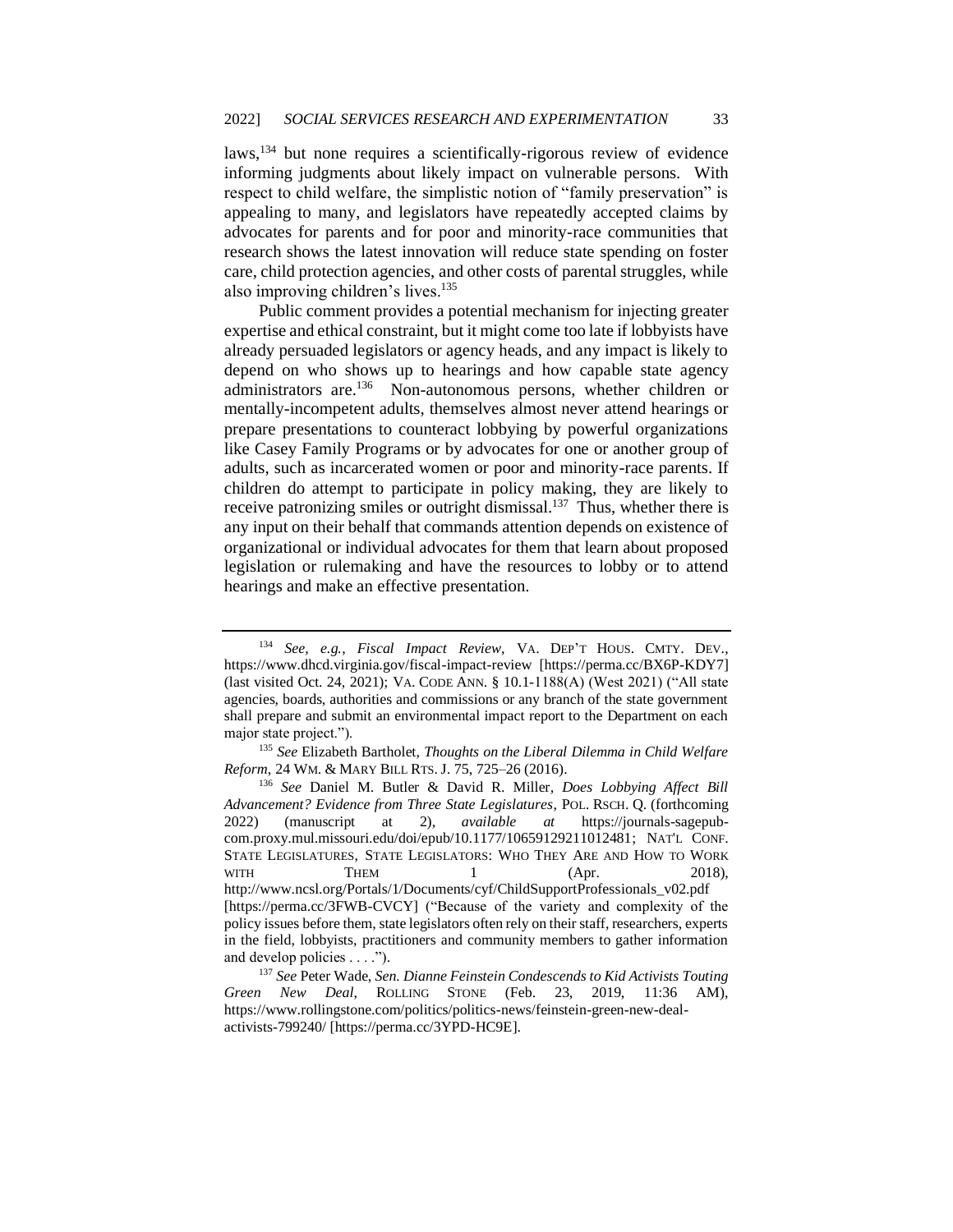laws,<sup>134</sup> but none requires a scientifically-rigorous review of evidence informing judgments about likely impact on vulnerable persons. With respect to child welfare, the simplistic notion of "family preservation" is appealing to many, and legislators have repeatedly accepted claims by advocates for parents and for poor and minority-race communities that research shows the latest innovation will reduce state spending on foster care, child protection agencies, and other costs of parental struggles, while also improving children's lives.<sup>135</sup>

Public comment provides a potential mechanism for injecting greater expertise and ethical constraint, but it might come too late if lobbyists have already persuaded legislators or agency heads, and any impact is likely to depend on who shows up to hearings and how capable state agency administrators are.<sup>136</sup> Non-autonomous persons, whether children or mentally-incompetent adults, themselves almost never attend hearings or prepare presentations to counteract lobbying by powerful organizations like Casey Family Programs or by advocates for one or another group of adults, such as incarcerated women or poor and minority-race parents. If children do attempt to participate in policy making, they are likely to receive patronizing smiles or outright dismissal.<sup>137</sup> Thus, whether there is any input on their behalf that commands attention depends on existence of organizational or individual advocates for them that learn about proposed legislation or rulemaking and have the resources to lobby or to attend hearings and make an effective presentation.

<sup>134</sup> *See, e.g.*, *Fiscal Impact Review*, VA. DEP'T HOUS. CMTY. DEV., https://www.dhcd.virginia.gov/fiscal-impact-review [https://perma.cc/BX6P-KDY7] (last visited Oct. 24, 2021); VA. CODE ANN. § 10.1-1188(A) (West 2021) ("All state agencies, boards, authorities and commissions or any branch of the state government shall prepare and submit an environmental impact report to the Department on each major state project.").

<sup>135</sup> *See* Elizabeth Bartholet, *Thoughts on the Liberal Dilemma in Child Welfare Reform*, 24 WM. & MARY BILL RTS. J. 75, 725–26 (2016).

<sup>136</sup> *See* Daniel M. Butler & David R. Miller*, Does Lobbying Affect Bill Advancement? Evidence from Three State Legislatures*, POL. RSCH. Q. (forthcoming 2022) (manuscript at 2), *available at* https://journals-sagepubcom.proxy.mul.missouri.edu/doi/epub/10.1177/10659129211012481; NAT'L CONF. STATE LEGISLATURES, STATE LEGISLATORS: WHO THEY ARE AND HOW TO WORK WITH THEM 1 (Apr. 2018), http://www.ncsl.org/Portals/1/Documents/cyf/ChildSupportProfessionals\_v02.pdf [https://perma.cc/3FWB-CVCY] ("Because of the variety and complexity of the policy issues before them, state legislators often rely on their staff, researchers, experts in the field, lobbyists, practitioners and community members to gather information and develop policies . . . .").

<sup>137</sup> *See* Peter Wade, *Sen. Dianne Feinstein Condescends to Kid Activists Touting Green New Deal*, ROLLING STONE (Feb. 23, 2019, 11:36 AM), https://www.rollingstone.com/politics/politics-news/feinstein-green-new-dealactivists-799240/ [https://perma.cc/3YPD-HC9E].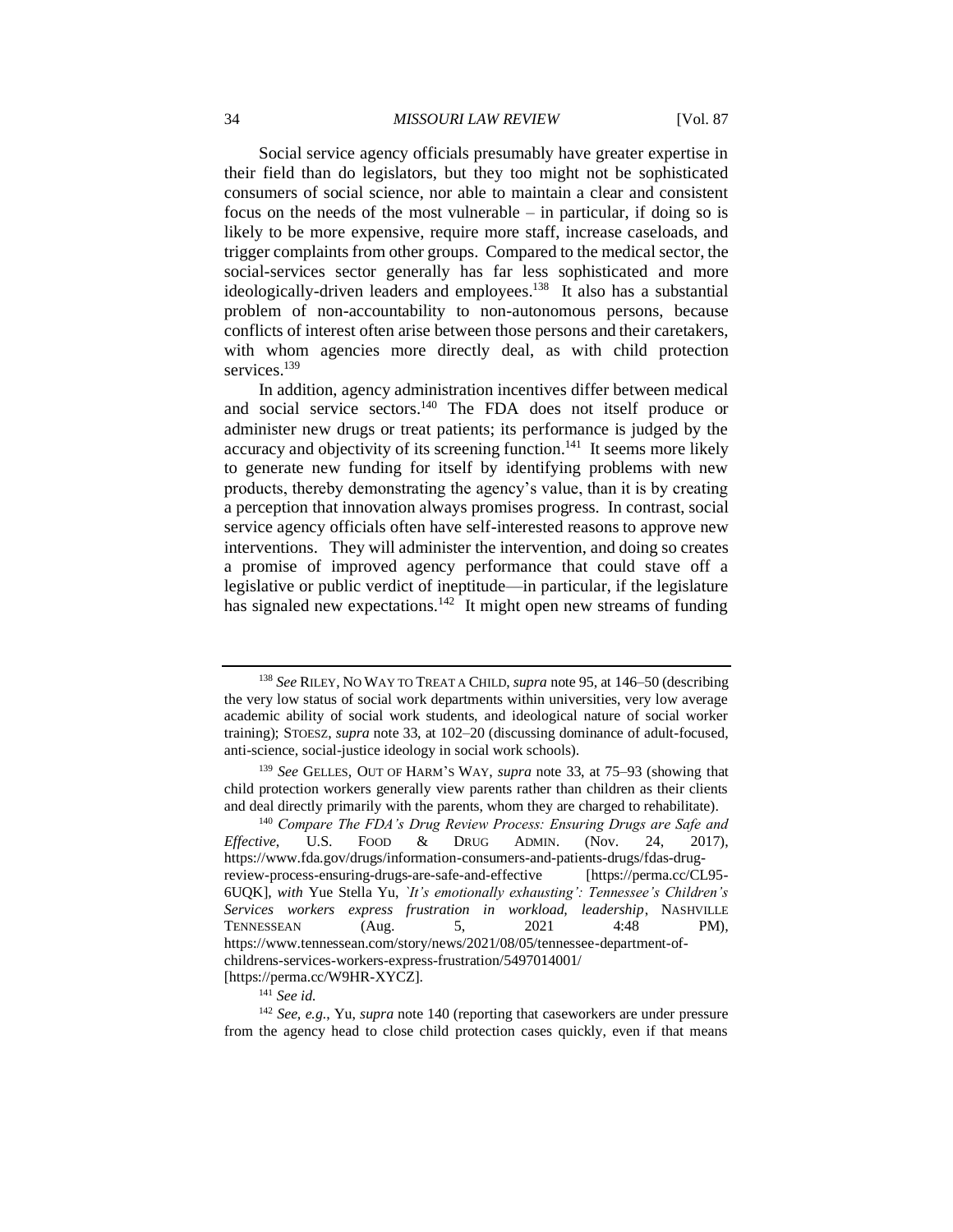#### 34 *MISSOURI LAW REVIEW* [Vol. 87

Social service agency officials presumably have greater expertise in their field than do legislators, but they too might not be sophisticated consumers of social science, nor able to maintain a clear and consistent focus on the needs of the most vulnerable – in particular, if doing so is likely to be more expensive, require more staff, increase caseloads, and trigger complaints from other groups. Compared to the medical sector, the social-services sector generally has far less sophisticated and more ideologically-driven leaders and employees.<sup>138</sup> It also has a substantial problem of non-accountability to non-autonomous persons, because conflicts of interest often arise between those persons and their caretakers, with whom agencies more directly deal, as with child protection services.<sup>139</sup>

In addition, agency administration incentives differ between medical and social service sectors.<sup>140</sup> The FDA does not itself produce or administer new drugs or treat patients; its performance is judged by the accuracy and objectivity of its screening function.<sup>141</sup> It seems more likely to generate new funding for itself by identifying problems with new products, thereby demonstrating the agency's value, than it is by creating a perception that innovation always promises progress. In contrast, social service agency officials often have self-interested reasons to approve new interventions. They will administer the intervention, and doing so creates a promise of improved agency performance that could stave off a legislative or public verdict of ineptitude—in particular, if the legislature has signaled new expectations.<sup>142</sup> It might open new streams of funding

<sup>138</sup> *See* RILEY, NO WAY TO TREAT A CHILD, *supra* note 95, at 146–50 (describing the very low status of social work departments within universities, very low average academic ability of social work students, and ideological nature of social worker training); STOESZ, *supra* note 33, at 102–20 (discussing dominance of adult-focused, anti-science, social-justice ideology in social work schools).

<sup>139</sup> *See* GELLES, OUT OF HARM'S WAY, *supra* note 33, at 75–93 (showing that child protection workers generally view parents rather than children as their clients and deal directly primarily with the parents, whom they are charged to rehabilitate).

<sup>140</sup> *Compare The FDA's Drug Review Process: Ensuring Drugs are Safe and Effective*, U.S. FOOD & DRUG ADMIN. (Nov. 24, 2017), https://www.fda.gov/drugs/information-consumers-and-patients-drugs/fdas-drugreview-process-ensuring-drugs-are-safe-and-effective [https://perma.cc/CL95- 6UQK], *with* Yue Stella Yu, *`It's emotionally exhausting': Tennessee's Children's Services workers express frustration in workload, leadership*, NASHVILLE TENNESSEAN (Aug. 5, 2021 4:48 PM), https://www.tennessean.com/story/news/2021/08/05/tennessee-department-ofchildrens-services-workers-express-frustration/5497014001/ [https://perma.cc/W9HR-XYCZ].

<sup>141</sup> *See id.*

<sup>142</sup> *See, e.g.*, Yu, *supra* note 140 (reporting that caseworkers are under pressure from the agency head to close child protection cases quickly, even if that means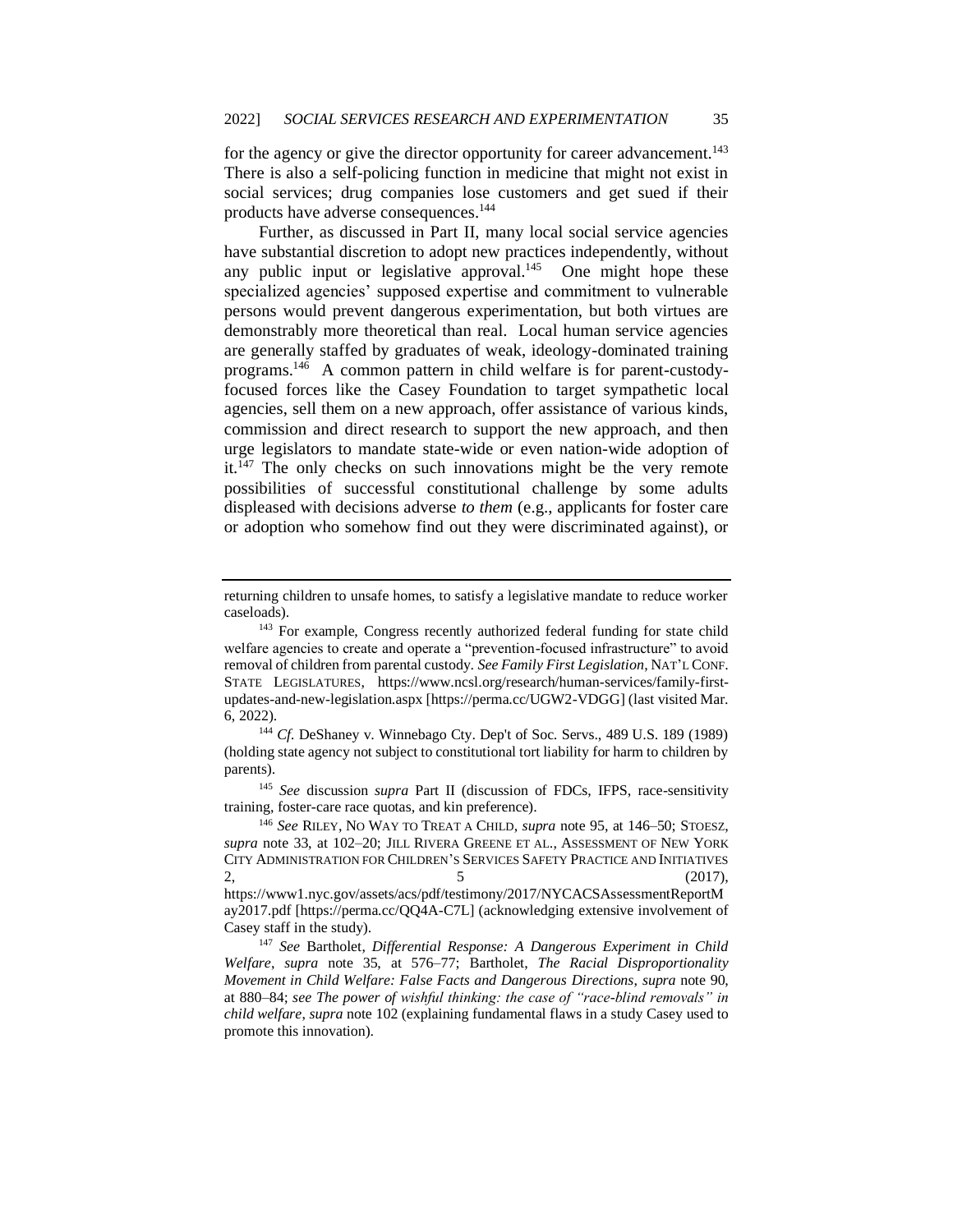for the agency or give the director opportunity for career advancement.<sup>143</sup> There is also a self-policing function in medicine that might not exist in social services; drug companies lose customers and get sued if their products have adverse consequences.<sup>144</sup>

Further, as discussed in Part II, many local social service agencies have substantial discretion to adopt new practices independently, without any public input or legislative approval. $145$  One might hope these specialized agencies' supposed expertise and commitment to vulnerable persons would prevent dangerous experimentation, but both virtues are demonstrably more theoretical than real. Local human service agencies are generally staffed by graduates of weak, ideology-dominated training programs.<sup>146</sup> A common pattern in child welfare is for parent-custodyfocused forces like the Casey Foundation to target sympathetic local agencies, sell them on a new approach, offer assistance of various kinds, commission and direct research to support the new approach, and then urge legislators to mandate state-wide or even nation-wide adoption of it.<sup>147</sup> The only checks on such innovations might be the very remote possibilities of successful constitutional challenge by some adults displeased with decisions adverse *to them* (e.g., applicants for foster care or adoption who somehow find out they were discriminated against), or

<sup>145</sup> *See* discussion *supra* Part II (discussion of FDCs, IFPS, race-sensitivity training, foster-care race quotas, and kin preference).

returning children to unsafe homes, to satisfy a legislative mandate to reduce worker caseloads).

<sup>&</sup>lt;sup>143</sup> For example, Congress recently authorized federal funding for state child welfare agencies to create and operate a "prevention-focused infrastructure" to avoid removal of children from parental custody. *See Family First Legislation*, NAT'L CONF. STATE LEGISLATURES, https://www.ncsl.org/research/human-services/family-firstupdates-and-new-legislation.aspx [https://perma.cc/UGW2-VDGG] (last visited Mar. 6, 2022).

<sup>&</sup>lt;sup>144</sup> *Cf.* DeShaney v. Winnebago Cty. Dep't of Soc. Servs., 489 U.S. 189 (1989) (holding state agency not subject to constitutional tort liability for harm to children by parents).

<sup>146</sup> *See* RILEY, NO WAY TO TREAT A CHILD, *supra* note 95, at 146–50; STOESZ, *supra* note 33, at 102–20; JILL RIVERA GREENE ET AL., ASSESSMENT OF NEW YORK CITY ADMINISTRATION FOR CHILDREN'S SERVICES SAFETY PRACTICE AND INITIATIVES  $2,$  (2017),

https://www1.nyc.gov/assets/acs/pdf/testimony/2017/NYCACSAssessmentReportM ay2017.pdf [https://perma.cc/QQ4A-C7L] (acknowledging extensive involvement of Casey staff in the study).

<sup>147</sup> *See* Bartholet, *Differential Response: A Dangerous Experiment in Child Welfare*, *supra* note 35, at 576–77; Bartholet, *The Racial Disproportionality Movement in Child Welfare: False Facts and Dangerous Directions*, *supra* note 90, at 880–84; *see The power of wishful thinking: the case of "race-blind removals" in child welfare*, *supra* note 102 (explaining fundamental flaws in a study Casey used to promote this innovation).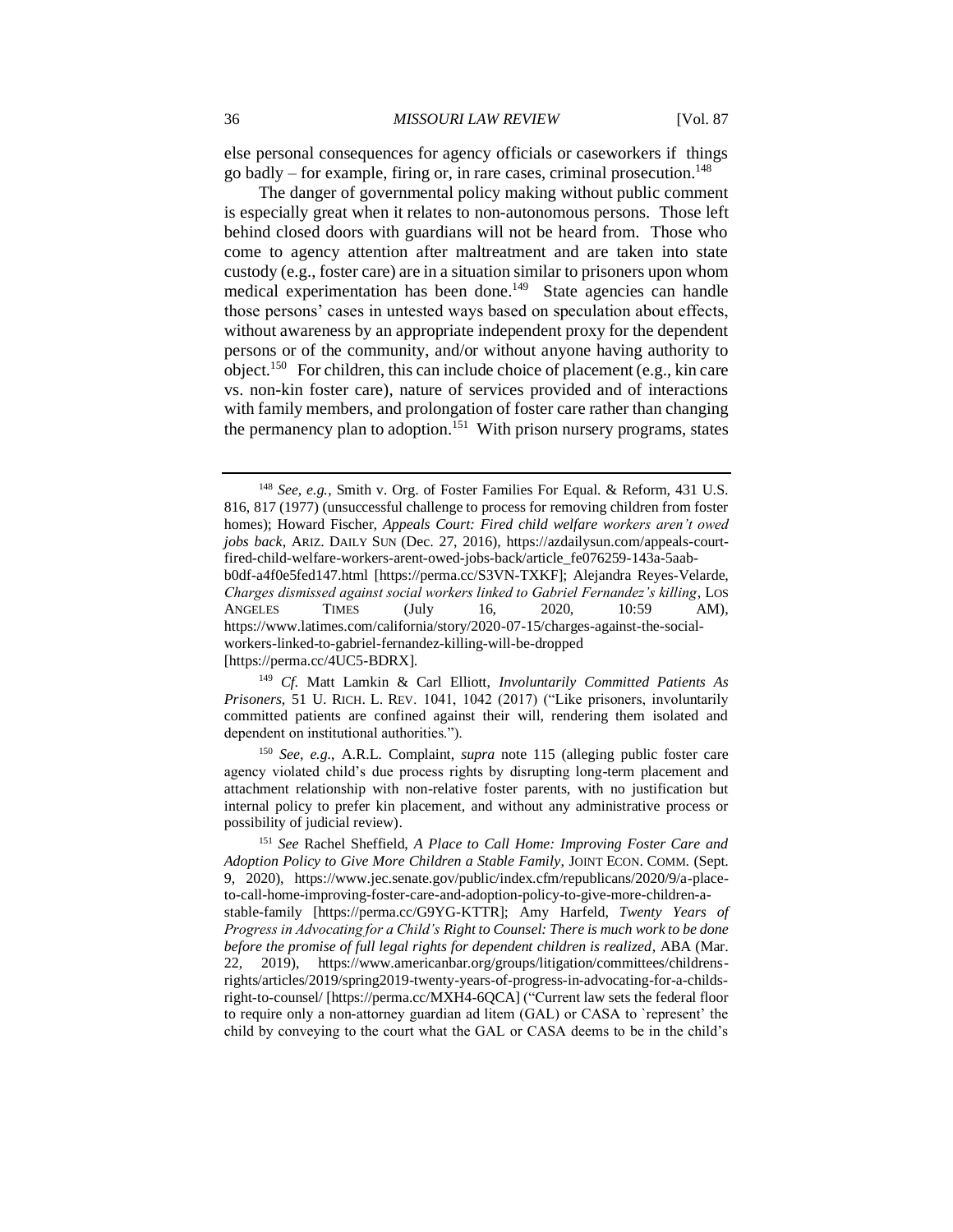else personal consequences for agency officials or caseworkers if things go badly – for example, firing or, in rare cases, criminal prosecution.<sup>148</sup>

The danger of governmental policy making without public comment is especially great when it relates to non-autonomous persons. Those left behind closed doors with guardians will not be heard from. Those who come to agency attention after maltreatment and are taken into state custody (e.g., foster care) are in a situation similar to prisoners upon whom medical experimentation has been done.<sup>149</sup> State agencies can handle those persons' cases in untested ways based on speculation about effects, without awareness by an appropriate independent proxy for the dependent persons or of the community, and/or without anyone having authority to object.<sup>150</sup> For children, this can include choice of placement (e.g., kin care vs. non-kin foster care), nature of services provided and of interactions with family members, and prolongation of foster care rather than changing the permanency plan to adoption.<sup>151</sup> With prison nursery programs, states

https://www.latimes.com/california/story/2020-07-15/charges-against-the-socialworkers-linked-to-gabriel-fernandez-killing-will-be-dropped [https://perma.cc/4UC5-BDRX].

dependent on institutional authorities.").

<sup>148</sup> *See, e.g.*, Smith v. Org. of Foster Families For Equal. & Reform, 431 U.S. 816, 817 (1977) (unsuccessful challenge to process for removing children from foster homes); Howard Fischer*, Appeals Court: Fired child welfare workers aren't owed jobs back*, ARIZ. DAILY SUN (Dec. 27, 2016), https://azdailysun.com/appeals-courtfired-child-welfare-workers-arent-owed-jobs-back/article\_fe076259-143a-5aabb0df-a4f0e5fed147.html [https://perma.cc/S3VN-TXKF]; Alejandra Reyes-Velarde, *Charges dismissed against social workers linked to Gabriel Fernandez's killing*, LOS ANGELES TIMES (July 16, 2020, 10:59 AM),

<sup>149</sup> *Cf.* Matt Lamkin & Carl Elliott, *Involuntarily Committed Patients As Prisoners*, 51 U. RICH. L. REV. 1041, 1042 (2017) ("Like prisoners, involuntarily committed patients are confined against their will, rendering them isolated and

<sup>150</sup> *See, e.g.*, A.R.L. Complaint, *supra* note 115 (alleging public foster care agency violated child's due process rights by disrupting long-term placement and attachment relationship with non-relative foster parents, with no justification but internal policy to prefer kin placement, and without any administrative process or possibility of judicial review).

<sup>151</sup> *See* Rachel Sheffield, *A Place to Call Home: Improving Foster Care and Adoption Policy to Give More Children a Stable Family*, JOINT ECON. COMM. (Sept. 9, 2020), https://www.jec.senate.gov/public/index.cfm/republicans/2020/9/a-placeto-call-home-improving-foster-care-and-adoption-policy-to-give-more-children-astable-family [https://perma.cc/G9YG-KTTR]; Amy Harfeld, *Twenty Years of Progress in Advocating for a Child's Right to Counsel: There is much work to be done before the promise of full legal rights for dependent children is realized*, ABA (Mar. 22, 2019), https://www.americanbar.org/groups/litigation/committees/childrensrights/articles/2019/spring2019-twenty-years-of-progress-in-advocating-for-a-childsright-to-counsel/ [https://perma.cc/MXH4-6QCA] ("Current law sets the federal floor to require only a non-attorney guardian ad litem (GAL) or CASA to `represent' the child by conveying to the court what the GAL or CASA deems to be in the child's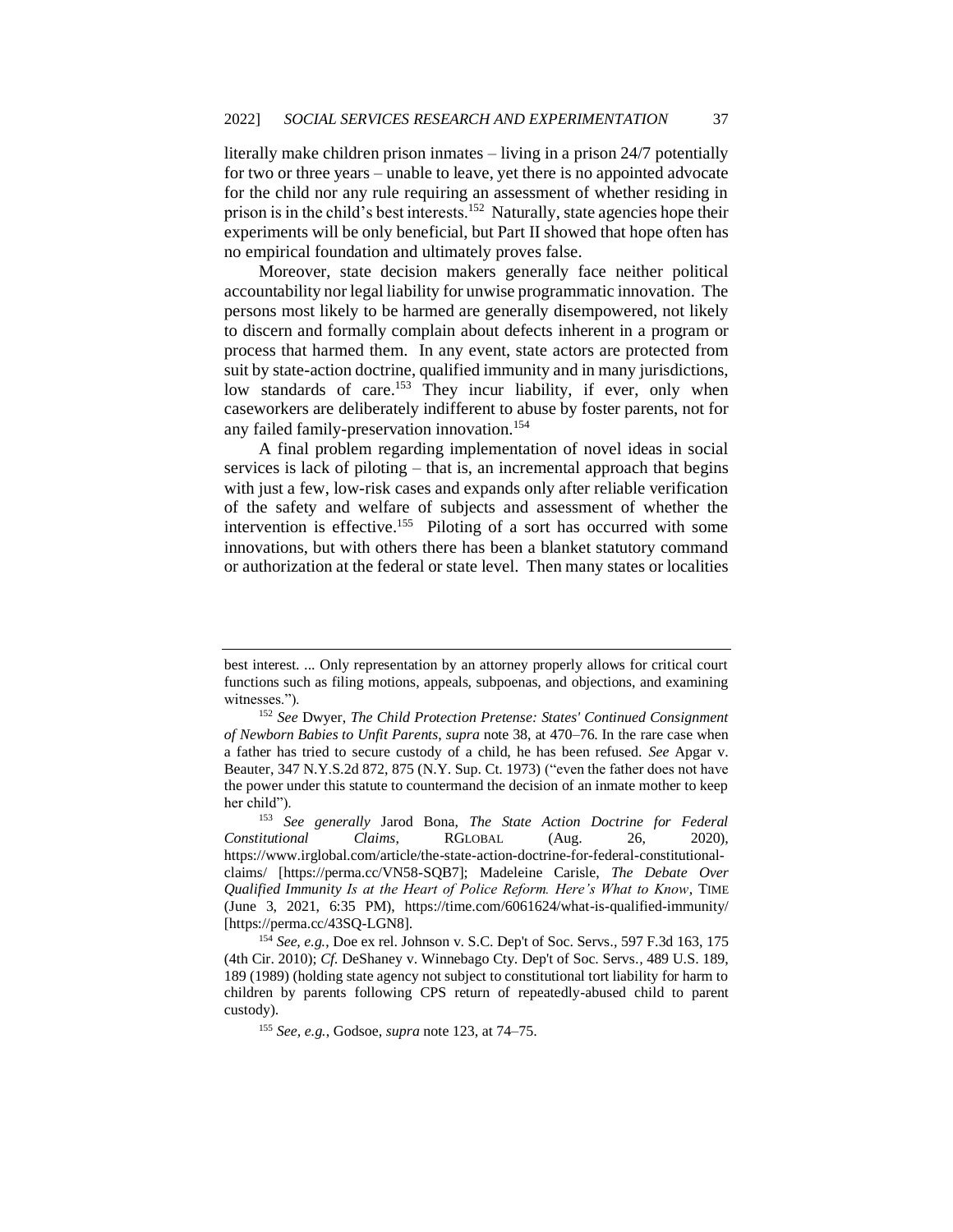literally make children prison inmates – living in a prison 24/7 potentially for two or three years – unable to leave, yet there is no appointed advocate for the child nor any rule requiring an assessment of whether residing in prison is in the child's best interests.<sup>152</sup> Naturally, state agencies hope their experiments will be only beneficial, but Part II showed that hope often has no empirical foundation and ultimately proves false.

Moreover, state decision makers generally face neither political accountability nor legal liability for unwise programmatic innovation. The persons most likely to be harmed are generally disempowered, not likely to discern and formally complain about defects inherent in a program or process that harmed them. In any event, state actors are protected from suit by state-action doctrine, qualified immunity and in many jurisdictions, low standards of care.<sup>153</sup> They incur liability, if ever, only when caseworkers are deliberately indifferent to abuse by foster parents, not for any failed family-preservation innovation.<sup>154</sup>

A final problem regarding implementation of novel ideas in social services is lack of piloting – that is, an incremental approach that begins with just a few, low-risk cases and expands only after reliable verification of the safety and welfare of subjects and assessment of whether the intervention is effective.<sup>155</sup> Piloting of a sort has occurred with some innovations, but with others there has been a blanket statutory command or authorization at the federal or state level. Then many states or localities

best interest. ... Only representation by an attorney properly allows for critical court functions such as filing motions, appeals, subpoenas, and objections, and examining witnesses.").

<sup>152</sup> *See* Dwyer, *The Child Protection Pretense: States' Continued Consignment of Newborn Babies to Unfit Parents*, *supra* note 38, at 470–76. In the rare case when a father has tried to secure custody of a child, he has been refused. *See* [Apgar v.](https://1.next.westlaw.com/Link/Document/FullText?findType=Y&serNum=1973120673&pubNum=0000602&originatingDoc=Ia1369d5c34b611e498db8b09b4f043e0&refType=RP&fi=co_pp_sp_602_875&originationContext=document&transitionType=DocumentItem&contextData=(sc.Search)#co_pp_sp_602_875)  [Beauter, 347 N.Y.S.2d 872, 875 \(N.Y. Sup. Ct. 1973\)](https://1.next.westlaw.com/Link/Document/FullText?findType=Y&serNum=1973120673&pubNum=0000602&originatingDoc=Ia1369d5c34b611e498db8b09b4f043e0&refType=RP&fi=co_pp_sp_602_875&originationContext=document&transitionType=DocumentItem&contextData=(sc.Search)#co_pp_sp_602_875) ("even the father does not have the power under this statute to countermand the decision of an inmate mother to keep her child").

<sup>153</sup> *See generally* Jarod Bona, *The State Action Doctrine for Federal Constitutional Claims*, RGLOBAL (Aug. 26, 2020), https://www.irglobal.com/article/the-state-action-doctrine-for-federal-constitutionalclaims/ [https://perma.cc/VN58-SQB7]; Madeleine Carisle, *The Debate Over Qualified Immunity Is at the Heart of Police Reform. Here's What to Know*, TIME (June 3, 2021, 6:35 PM), https://time.com/6061624/what-is-qualified-immunity/ [https://perma.cc/43SQ-LGN8].

<sup>154</sup> *See, e.g.*, Doe ex rel. Johnson v. S.C. Dep't of Soc. Servs*.,* 597 F.3d 163, 175 (4th Cir. 2010); *Cf.* DeShaney v. Winnebago Cty. Dep't of Soc. Servs*.,* 489 U.S. 189, 189 (1989) (holding state agency not subject to constitutional tort liability for harm to children by parents following CPS return of repeatedly-abused child to parent custody).

<sup>155</sup> *See, e.g.*, Godsoe, *supra* note 123, at 74–75.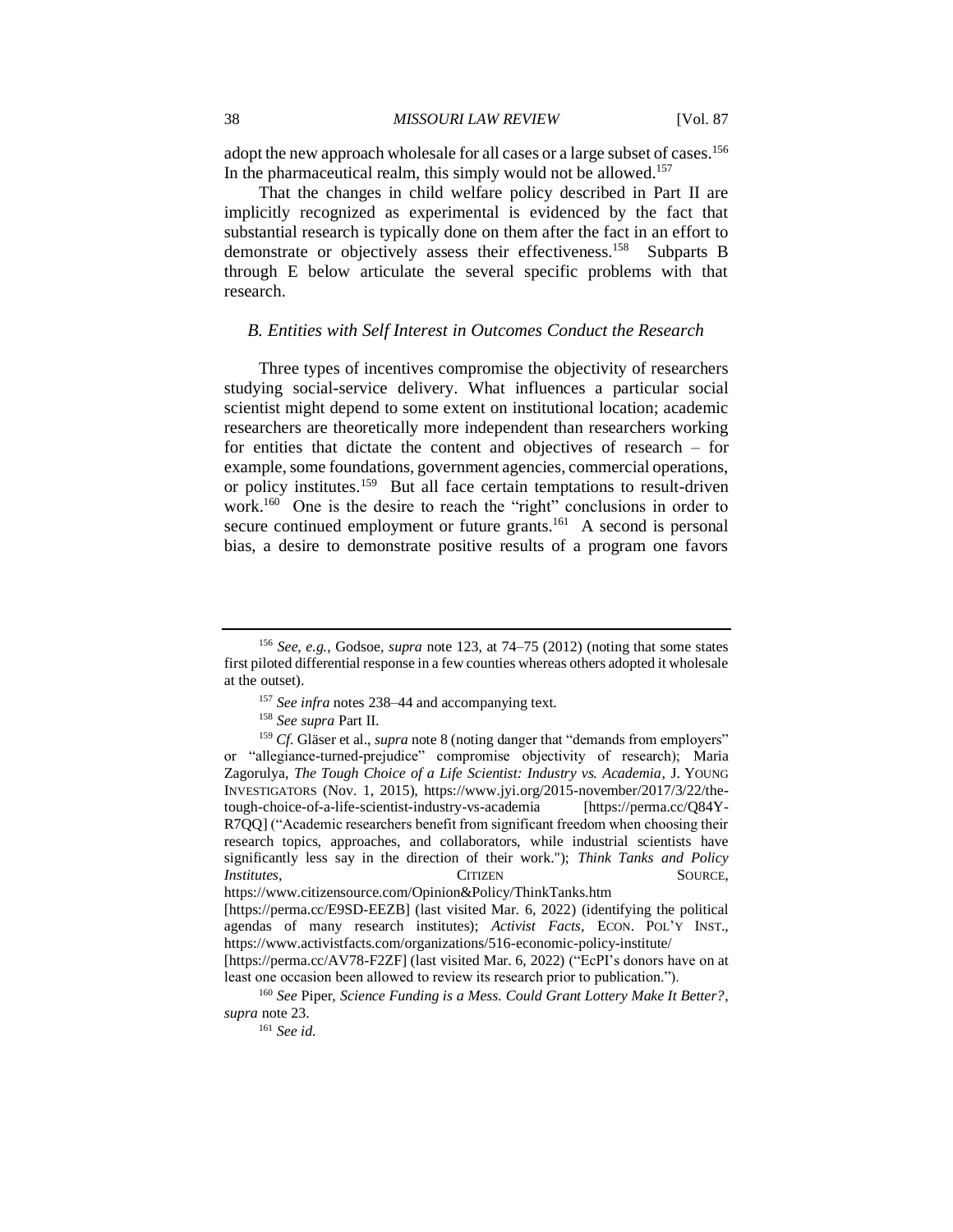adopt the new approach wholesale for all cases or a large subset of cases.<sup>156</sup> In the pharmaceutical realm, this simply would not be allowed.<sup>157</sup>

That the changes in child welfare policy described in Part II are implicitly recognized as experimental is evidenced by the fact that substantial research is typically done on them after the fact in an effort to demonstrate or objectively assess their effectiveness.<sup>158</sup> Subparts B through E below articulate the several specific problems with that research.

### *B. Entities with Self Interest in Outcomes Conduct the Research*

Three types of incentives compromise the objectivity of researchers studying social-service delivery. What influences a particular social scientist might depend to some extent on institutional location; academic researchers are theoretically more independent than researchers working for entities that dictate the content and objectives of research – for example, some foundations, government agencies, commercial operations, or policy institutes.<sup>159</sup> But all face certain temptations to result-driven work.<sup>160</sup> One is the desire to reach the "right" conclusions in order to secure continued employment or future grants.<sup>161</sup> A second is personal bias, a desire to demonstrate positive results of a program one favors

https://www.citizensource.com/Opinion&Policy/ThinkTanks.htm

<sup>156</sup> *See*, *e.g.*, Godsoe, *supra* note 123, at 74–75 (2012) (noting that some states first piloted differential response in a few counties whereas others adopted it wholesale at the outset).

<sup>157</sup> *See infra* notes 238–44 and accompanying text.

<sup>158</sup> *See supra* Part II.

<sup>&</sup>lt;sup>159</sup> *Cf.* Gläser et al., *supra* note 8 (noting danger that "demands from employers" or "allegiance-turned-prejudice" compromise objectivity of research); Maria Zagorulya, *The Tough Choice of a Life Scientist: Industry vs. Academia*, J. YOUNG INVESTIGATORS (Nov. 1, 2015), https://www.jyi.org/2015-november/2017/3/22/thetough-choice-of-a-life-scientist-industry-vs-academia [https://perma.cc/Q84Y-R7QQ] ("Academic researchers benefit from significant freedom when choosing their research topics, approaches, and collaborators, while industrial scientists have significantly less say in the direction of their work."); *Think Tanks and Policy*  **Institutes, SOURCE, SOURCE, SOURCE, SOURCE, SOURCE, SOURCE, SOURCE, SOURCE, SOURCE, SOURCE, SOURCE, SOURCE, SOURCE, SOURCE, SOURCE, SOURCE, SOURCE, SOURCE, SOURCE, SOURCE, SOURCE, SOURCE, SOURCE, SOURCE, SOURCE, SOURCE, S** 

<sup>[</sup>https://perma.cc/E9SD-EEZB] (last visited Mar. 6, 2022) (identifying the political agendas of many research institutes); *Activist Facts*, ECON. POL'Y INST., https://www.activistfacts.com/organizations/516-economic-policy-institute/

<sup>[</sup>https://perma.cc/AV78-F2ZF] (last visited Mar. 6, 2022) ("EcPI's donors have on at least one occasion been allowed to review its research prior to publication.").

<sup>160</sup> *See* Piper, *Science Funding is a Mess. Could Grant Lottery Make It Better?*, *supra* note 23.

<sup>161</sup> *See id.*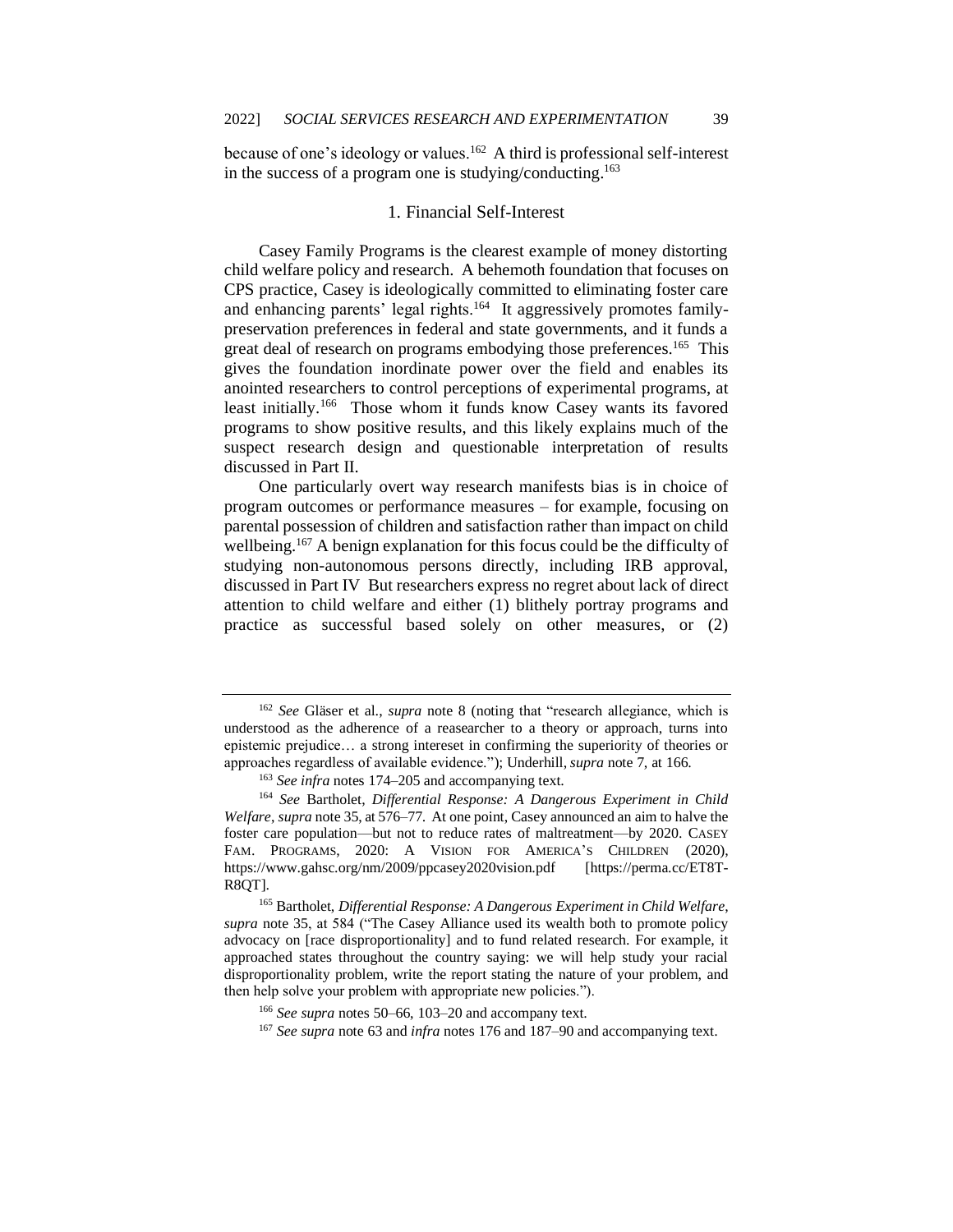because of one's ideology or values.<sup>162</sup> A third is professional self-interest in the success of a program one is studying/conducting. 163

#### 1. Financial Self-Interest

Casey Family Programs is the clearest example of money distorting child welfare policy and research. A behemoth foundation that focuses on CPS practice, Casey is ideologically committed to eliminating foster care and enhancing parents' legal rights.<sup>164</sup> It aggressively promotes familypreservation preferences in federal and state governments, and it funds a great deal of research on programs embodying those preferences.<sup>165</sup> This gives the foundation inordinate power over the field and enables its anointed researchers to control perceptions of experimental programs, at least initially.<sup>166</sup> Those whom it funds know Casey wants its favored programs to show positive results, and this likely explains much of the suspect research design and questionable interpretation of results discussed in Part II.

One particularly overt way research manifests bias is in choice of program outcomes or performance measures – for example, focusing on parental possession of children and satisfaction rather than impact on child wellbeing.<sup>167</sup> A benign explanation for this focus could be the difficulty of studying non-autonomous persons directly, including IRB approval, discussed in Part IV But researchers express no regret about lack of direct attention to child welfare and either (1) blithely portray programs and practice as successful based solely on other measures, or (2)

<sup>165</sup> Bartholet, *Differential Response: A Dangerous Experiment in Child Welfare*, *supra* note 35, at 584 ("The Casey Alliance used its wealth both to promote policy advocacy on [race disproportionality] and to fund related research. For example, it approached states throughout the country saying: we will help study your racial disproportionality problem, write the report stating the nature of your problem, and then help solve your problem with appropriate new policies.").

<sup>162</sup> *See* Gläser et al., *supra* note 8 (noting that "research allegiance, which is understood as the adherence of a reasearcher to a theory or approach, turns into epistemic prejudice… a strong intereset in confirming the superiority of theories or approaches regardless of available evidence."); Underhill, *supra* note 7, at 166.

<sup>163</sup> *See infra* notes 174–205 and accompanying text.

<sup>164</sup> *See* Bartholet, *Differential Response: A Dangerous Experiment in Child Welfare*, *supra* note 35, at 576–77. At one point, Casey announced an aim to halve the foster care population—but not to reduce rates of maltreatment—by 2020. CASEY FAM. PROGRAMS, 2020: A VISION FOR AMERICA'S CHILDREN (2020), https://www.gahsc.org/nm/2009/ppcasey2020vision.pdf [https://perma.cc/ET8T-R8QT].

<sup>166</sup> *See supra* notes 50–66, 103–20 and accompany text.

<sup>167</sup> *See supra* note 63 and *infra* notes 176 and 187–90 and accompanying text.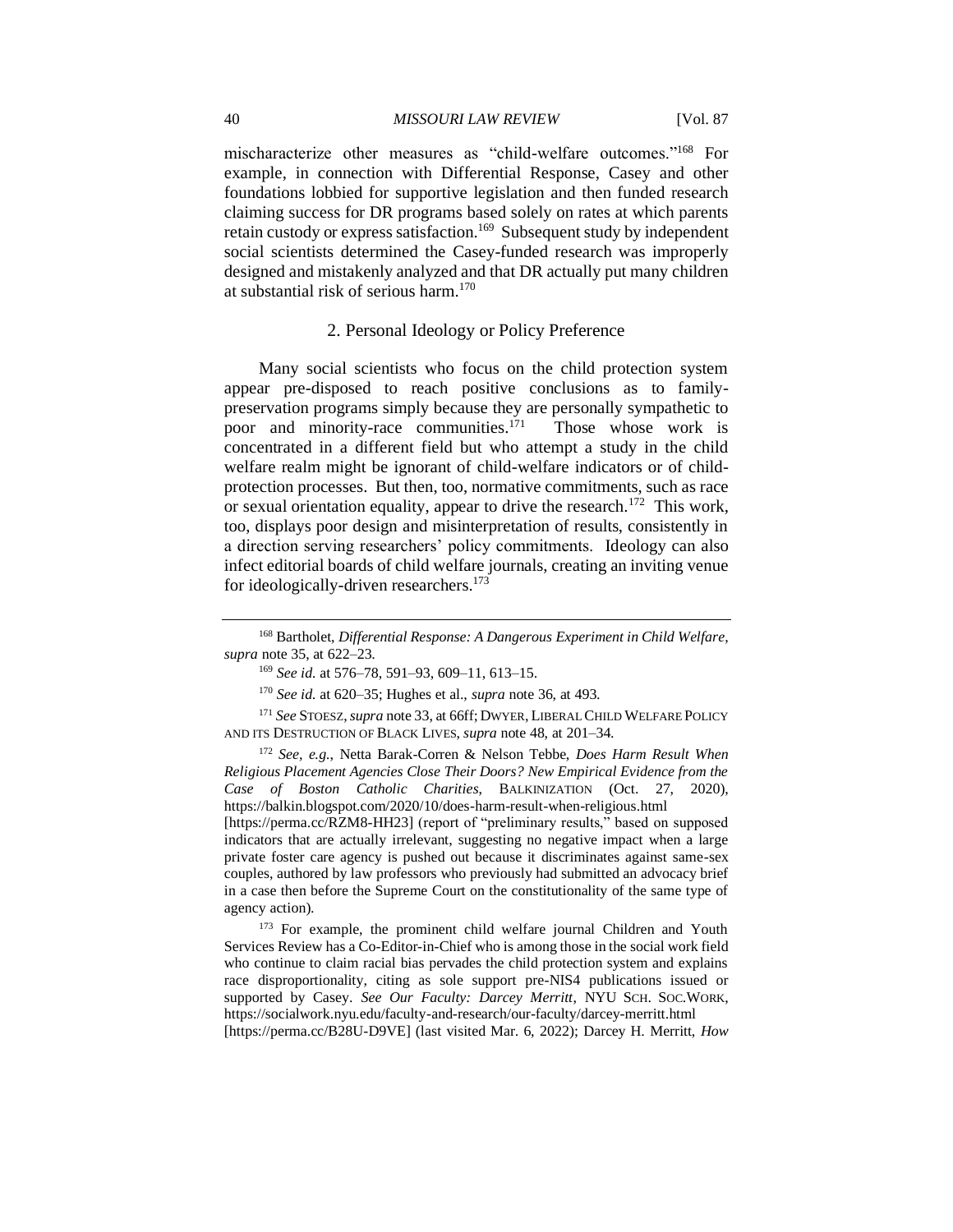mischaracterize other measures as "child-welfare outcomes."<sup>168</sup> For example, in connection with Differential Response, Casey and other foundations lobbied for supportive legislation and then funded research claiming success for DR programs based solely on rates at which parents retain custody or express satisfaction.<sup>169</sup> Subsequent study by independent social scientists determined the Casey-funded research was improperly designed and mistakenly analyzed and that DR actually put many children at substantial risk of serious harm. $170$ 

#### 2. Personal Ideology or Policy Preference

Many social scientists who focus on the child protection system appear pre-disposed to reach positive conclusions as to familypreservation programs simply because they are personally sympathetic to poor and minority-race communities.<sup>171</sup> Those whose work is concentrated in a different field but who attempt a study in the child welfare realm might be ignorant of child-welfare indicators or of childprotection processes. But then, too, normative commitments, such as race or sexual orientation equality, appear to drive the research.<sup>172</sup> This work, too, displays poor design and misinterpretation of results, consistently in a direction serving researchers' policy commitments. Ideology can also infect editorial boards of child welfare journals, creating an inviting venue for ideologically-driven researchers.<sup>173</sup>

<sup>172</sup> *See, e.g.*, Netta Barak-Corren & Nelson Tebbe, *Does Harm Result When Religious Placement Agencies Close Their Doors? New Empirical Evidence from the Case of Boston Catholic Charities*, BALKINIZATION (Oct. 27, 2020), https://balkin.blogspot.com/2020/10/does-harm-result-when-religious.html [https://perma.cc/RZM8-HH23] (report of "preliminary results," based on supposed

indicators that are actually irrelevant, suggesting no negative impact when a large private foster care agency is pushed out because it discriminates against same-sex couples, authored by law professors who previously had submitted an advocacy brief in a case then before the Supreme Court on the constitutionality of the same type of agency action).

<sup>173</sup> For example, the prominent child welfare journal Children and Youth Services Review has a Co-Editor-in-Chief who is among those in the social work field who continue to claim racial bias pervades the child protection system and explains race disproportionality, citing as sole support pre-NIS4 publications issued or supported by Casey. *See Our Faculty: Darcey Merritt*, NYU SCH. SOC.WORK, https://socialwork.nyu.edu/faculty-and-research/our-faculty/darcey-merritt.html [https://perma.cc/B28U-D9VE] (last visited Mar. 6, 2022); Darcey H. Merritt, *How* 

<sup>168</sup> Bartholet, *Differential Response: A Dangerous Experiment in Child Welfare*, *supra* note 35, at 622–23.

<sup>169</sup> *See id.* at 576–78, 591–93, 609–11, 613–15.

<sup>170</sup> *See id.* at 620–35; Hughes et al., *supra* note 36, at 493.

<sup>171</sup> *See* STOESZ,*supra* note 33, at 66ff;DWYER, LIBERAL CHILD WELFARE POLICY AND ITS DESTRUCTION OF BLACK LIVES, *supra* note 48, at 201–34.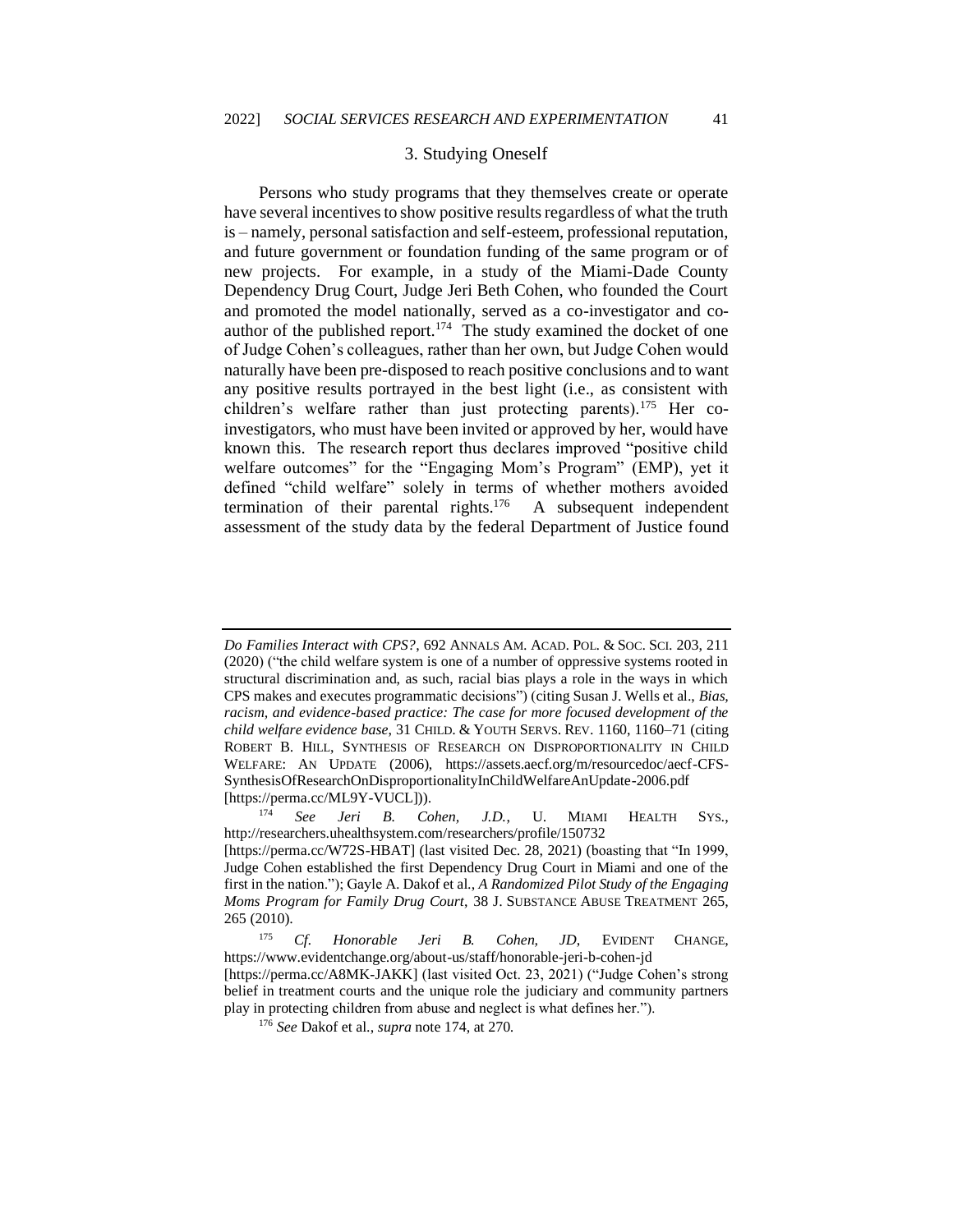### 3. Studying Oneself

Persons who study programs that they themselves create or operate have several incentives to show positive results regardless of what the truth is – namely, personal satisfaction and self-esteem, professional reputation, and future government or foundation funding of the same program or of new projects. For example, in a study of the Miami-Dade County Dependency Drug Court, Judge Jeri Beth Cohen, who founded the Court and promoted the model nationally, served as a co-investigator and coauthor of the published report.<sup>174</sup> The study examined the docket of one of Judge Cohen's colleagues, rather than her own, but Judge Cohen would naturally have been pre-disposed to reach positive conclusions and to want any positive results portrayed in the best light (i.e., as consistent with children's welfare rather than just protecting parents).<sup>175</sup> Her coinvestigators, who must have been invited or approved by her, would have known this. The research report thus declares improved "positive child welfare outcomes" for the "Engaging Mom's Program" (EMP), yet it defined "child welfare" solely in terms of whether mothers avoided termination of their parental rights. $176$  A subsequent independent assessment of the study data by the federal Department of Justice found

*Do Families Interact with CPS?*, 692 ANNALS AM. ACAD. POL. & SOC. SCI. 203, 211 (2020) ("the child welfare system is one of a number of oppressive systems rooted in structural discrimination and, as such, racial bias plays a role in the ways in which CPS makes and executes programmatic decisions") (citing Susan J. Wells et al., *Bias, racism, and evidence-based practice: The case for more focused development of the child welfare evidence base*, 31 CHILD. & YOUTH SERVS. REV. 1160, 1160–71 (citing ROBERT B. HILL, SYNTHESIS OF RESEARCH ON DISPROPORTIONALITY IN CHILD WELFARE: AN UPDATE (2006), https://assets.aecf.org/m/resourcedoc/aecf-CFS-SynthesisOfResearchOnDisproportionalityInChildWelfareAnUpdate-2006.pdf [https://perma.cc/ML9Y-VUCL])).

<sup>174</sup> *See Jeri B. Cohen, J.D.*, U. MIAMI HEALTH SYS., http://researchers.uhealthsystem.com/researchers/profile/150732 [https://perma.cc/W72S-HBAT] (last visited Dec. 28, 2021) (boasting that "In 1999, Judge Cohen established the first Dependency Drug Court in Miami and one of the first in the nation."); Gayle A. Dakof et al., *A Randomized Pilot Study of the Engaging Moms Program for Family Drug Court*, 38 J. SUBSTANCE ABUSE TREATMENT 265,

<sup>265 (2010).</sup>

<sup>175</sup> *Cf. Honorable Jeri B. Cohen, JD*, EVIDENT CHANGE, https://www.evidentchange.org/about-us/staff/honorable-jeri-b-cohen-jd [https://perma.cc/A8MK-JAKK] (last visited Oct. 23, 2021) ("Judge Cohen's strong

belief in treatment courts and the unique role the judiciary and community partners play in protecting children from abuse and neglect is what defines her.").

<sup>176</sup> *See* Dakof et al., *supra* note 174, at 270.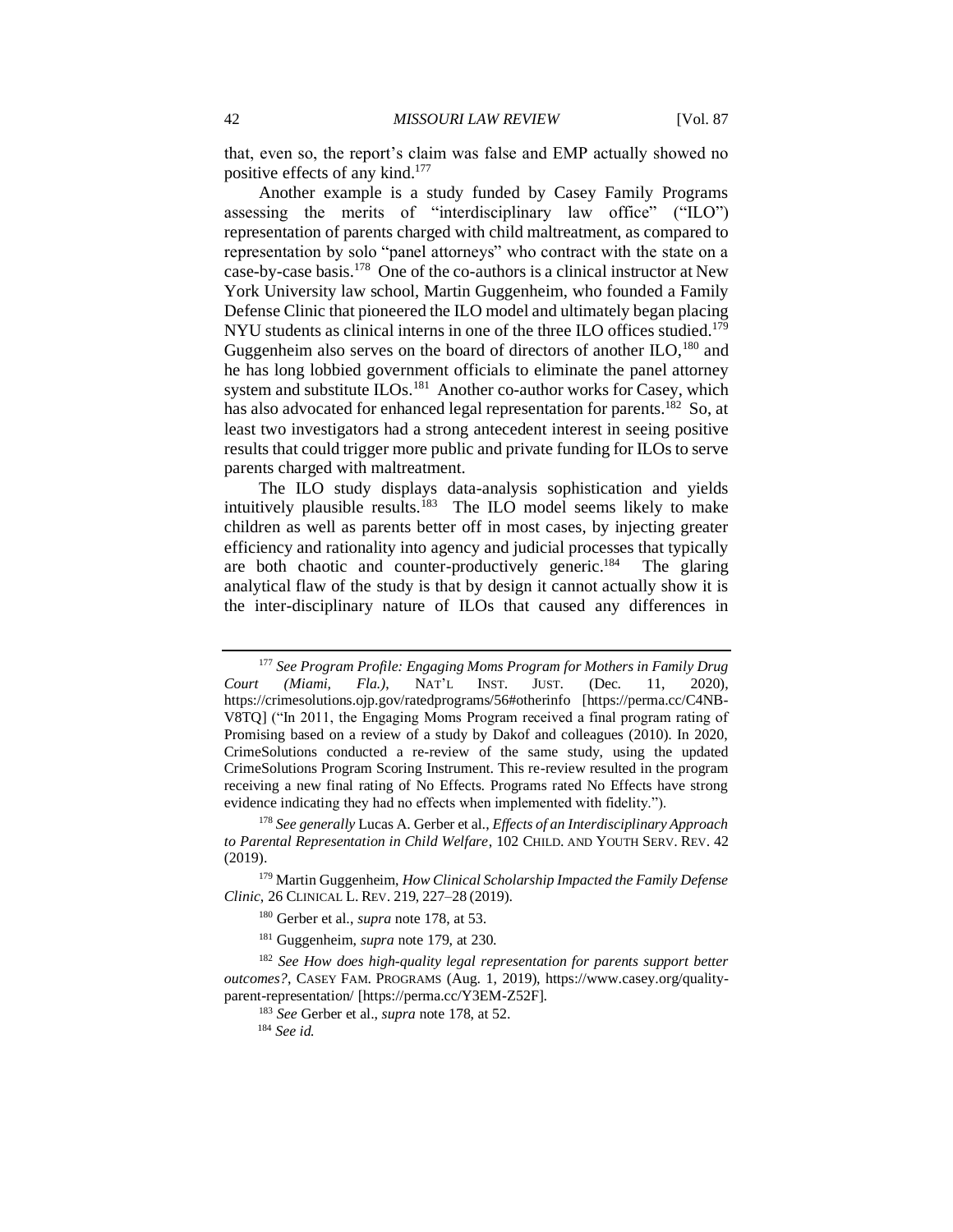that, even so, the report's claim was false and EMP actually showed no positive effects of any kind.<sup>177</sup>

Another example is a study funded by Casey Family Programs assessing the merits of "interdisciplinary law office" ("ILO") representation of parents charged with child maltreatment, as compared to representation by solo "panel attorneys" who contract with the state on a case-by-case basis.<sup>178</sup> One of the co-authors is a clinical instructor at New York University law school, Martin Guggenheim, who founded a Family Defense Clinic that pioneered the ILO model and ultimately began placing NYU students as clinical interns in one of the three ILO offices studied.<sup>179</sup> Guggenheim also serves on the board of directors of another ILO,<sup>180</sup> and he has long lobbied government officials to eliminate the panel attorney system and substitute ILOs.<sup>181</sup> Another co-author works for Casey, which has also advocated for enhanced legal representation for parents.<sup>182</sup> So, at least two investigators had a strong antecedent interest in seeing positive results that could trigger more public and private funding for ILOs to serve parents charged with maltreatment.

The ILO study displays data-analysis sophistication and yields intuitively plausible results.<sup>183</sup> The ILO model seems likely to make children as well as parents better off in most cases, by injecting greater efficiency and rationality into agency and judicial processes that typically are both chaotic and counter-productively generic.<sup>184</sup> The glaring analytical flaw of the study is that by design it cannot actually show it is the inter-disciplinary nature of ILOs that caused any differences in

<sup>177</sup> *See Program Profile: Engaging Moms Program for Mothers in Family Drug Court (Miami, Fla.)*, NAT'L INST. JUST. (Dec. 11, 2020), https://crimesolutions.ojp.gov/ratedprograms/56#otherinfo [https://perma.cc/C4NB-V8TQ] ("In 2011, the Engaging Moms Program received a final program rating of Promising based on a review of a study by Dakof and colleagues (2010). In 2020, CrimeSolutions conducted a re-review of the same study, using the updated CrimeSolutions Program Scoring Instrument. This re-review resulted in the program receiving a new final rating of No Effects. Programs rated No Effects have strong evidence indicating they had no effects when implemented with fidelity.").

<sup>178</sup> *See generally* Lucas A. Gerber et al., *Effects of an Interdisciplinary Approach to Parental Representation in Child Welfare*, 102 CHILD. AND YOUTH SERV. REV. 42 (2019).

<sup>179</sup> Martin Guggenheim, *How Clinical Scholarship Impacted the Family Defense Clinic*, 26 CLINICAL L. REV. 219, 227–28 (2019).

<sup>180</sup> Gerber et al., *supra* note 178, at 53.

<sup>181</sup> Guggenheim, *supra* note 179, at 230.

<sup>182</sup> *See How does high-quality legal representation for parents support better outcomes?*, CASEY FAM. PROGRAMS (Aug. 1, 2019), https://www.casey.org/qualityparent-representation/ [https://perma.cc/Y3EM-Z52F].

<sup>183</sup> *See* Gerber et al., *supra* note 178, at 52.

<sup>184</sup> *See id.*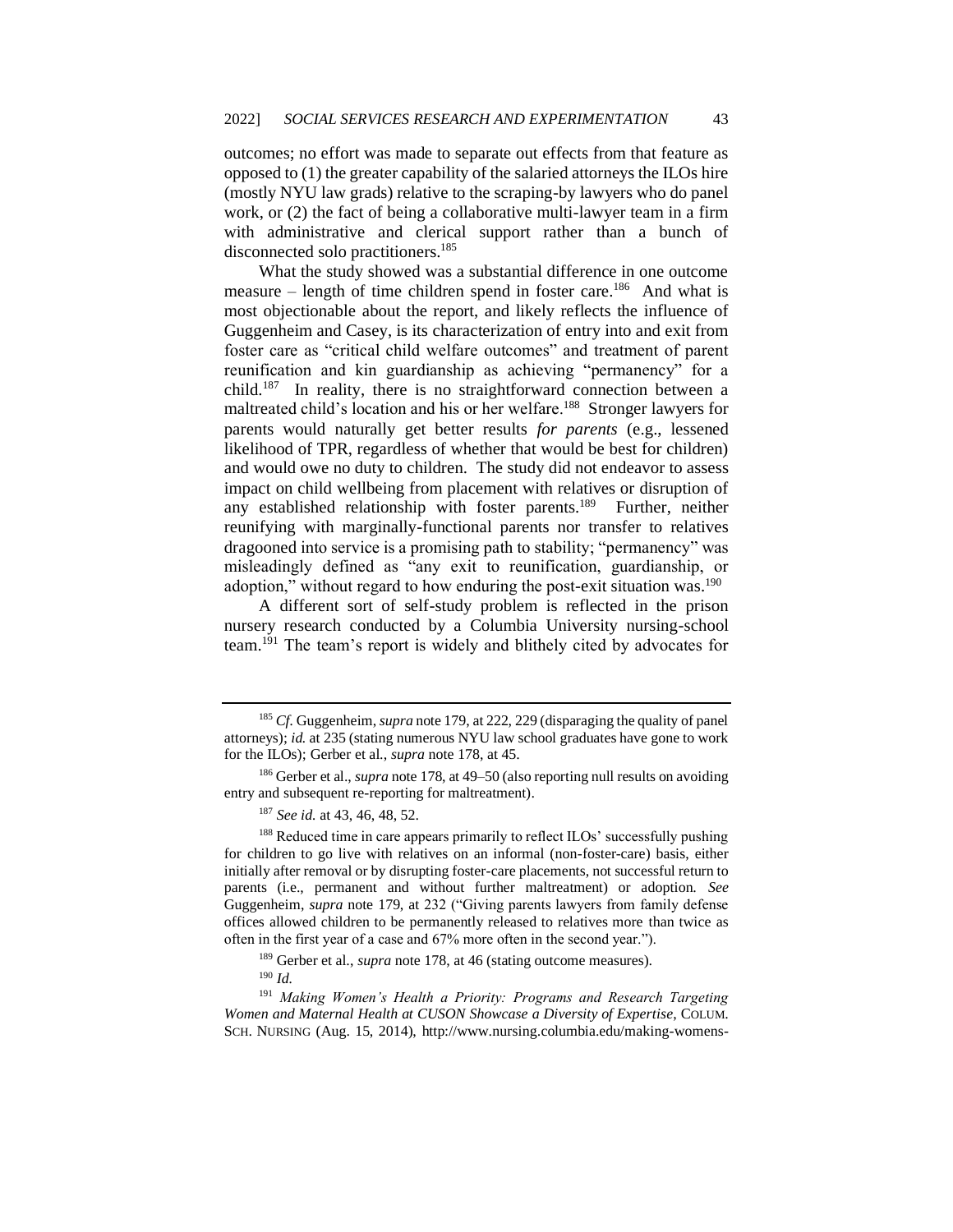outcomes; no effort was made to separate out effects from that feature as opposed to (1) the greater capability of the salaried attorneys the ILOs hire (mostly NYU law grads) relative to the scraping-by lawyers who do panel work, or (2) the fact of being a collaborative multi-lawyer team in a firm with administrative and clerical support rather than a bunch of disconnected solo practitioners.<sup>185</sup>

What the study showed was a substantial difference in one outcome measure – length of time children spend in foster care.<sup>186</sup> And what is most objectionable about the report, and likely reflects the influence of Guggenheim and Casey, is its characterization of entry into and exit from foster care as "critical child welfare outcomes" and treatment of parent reunification and kin guardianship as achieving "permanency" for a child.<sup>187</sup> In reality, there is no straightforward connection between a maltreated child's location and his or her welfare.<sup>188</sup> Stronger lawyers for parents would naturally get better results *for parents* (e.g., lessened likelihood of TPR, regardless of whether that would be best for children) and would owe no duty to children. The study did not endeavor to assess impact on child wellbeing from placement with relatives or disruption of any established relationship with foster parents.<sup>189</sup> Further, neither reunifying with marginally-functional parents nor transfer to relatives dragooned into service is a promising path to stability; "permanency" was misleadingly defined as "any exit to reunification, guardianship, or adoption," without regard to how enduring the post-exit situation was.<sup>190</sup>

A different sort of self-study problem is reflected in the prison nursery research conducted by a Columbia University nursing-school team.<sup>191</sup> The team's report is widely and blithely cited by advocates for

<sup>185</sup> *Cf.* Guggenheim, *supra* note 179, at 222, 229 (disparaging the quality of panel attorneys); *id.* at 235 (stating numerous NYU law school graduates have gone to work for the ILOs); Gerber et al., *supra* note 178, at 45.

<sup>186</sup> Gerber et al., *supra* note 178, at 49–50 (also reporting null results on avoiding entry and subsequent re-reporting for maltreatment).

<sup>187</sup> *See id.* at 43, 46, 48, 52.

<sup>&</sup>lt;sup>188</sup> Reduced time in care appears primarily to reflect ILOs' successfully pushing for children to go live with relatives on an informal (non-foster-care) basis, either initially after removal or by disrupting foster-care placements, not successful return to parents (i.e., permanent and without further maltreatment) or adoption. *See* Guggenheim, *supra* note 179, at 232 ("Giving parents lawyers from family defense offices allowed children to be permanently released to relatives more than twice as often in the first year of a case and 67% more often in the second year.").

<sup>189</sup> Gerber et al., *supra* note 178, at 46 (stating outcome measures). <sup>190</sup> *Id.*

<sup>191</sup> *Making Women's Health a Priority: Programs and Research Targeting Women and Maternal Health at CUSON Showcase a Diversity of Expertise*, COLUM. SCH. NURSING (Aug. 15, 2014), http://www.nursing.columbia.edu/making-womens-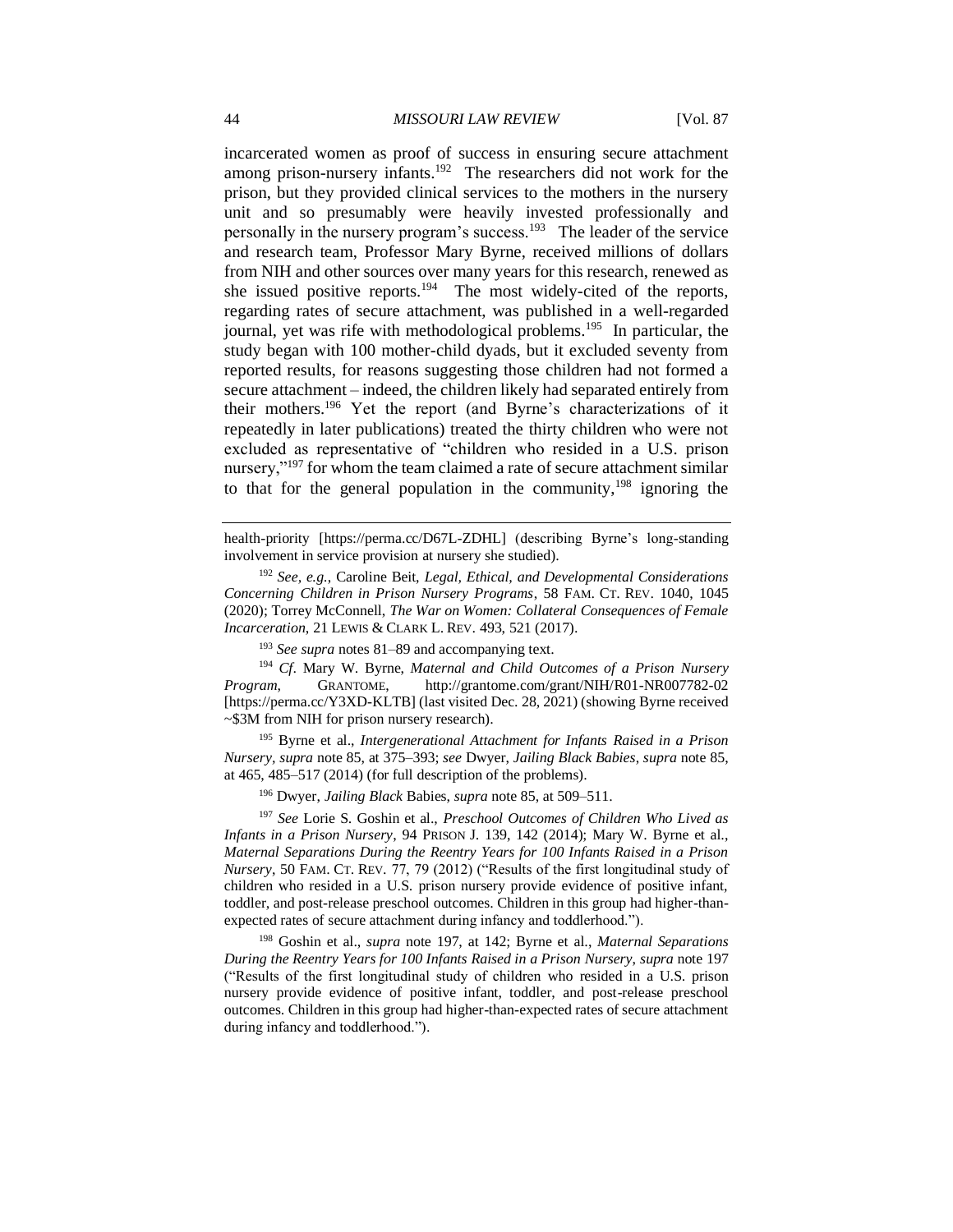incarcerated women as proof of success in ensuring secure attachment among prison-nursery infants.<sup>192</sup> The researchers did not work for the prison, but they provided clinical services to the mothers in the nursery unit and so presumably were heavily invested professionally and personally in the nursery program's success.<sup>193</sup> The leader of the service and research team, Professor Mary Byrne, received millions of dollars from NIH and other sources over many years for this research, renewed as she issued positive reports.<sup>194</sup> The most widely-cited of the reports, regarding rates of secure attachment, was published in a well-regarded journal, yet was rife with methodological problems.<sup>195</sup> In particular, the study began with 100 mother-child dyads, but it excluded seventy from reported results, for reasons suggesting those children had not formed a secure attachment – indeed, the children likely had separated entirely from their mothers.<sup>196</sup> Yet the report (and Byrne's characterizations of it repeatedly in later publications) treated the thirty children who were not excluded as representative of "children who resided in a U.S. prison nursery,"<sup>197</sup> for whom the team claimed a rate of secure attachment similar to that for the general population in the community,<sup>198</sup> ignoring the

health-priority [https://perma.cc/D67L-ZDHL] (describing Byrne's long-standing involvement in service provision at nursery she studied).

<sup>192</sup> *See, e.g.*, Caroline Beit, *Legal, Ethical, and Developmental Considerations Concerning Children in Prison Nursery Programs*, 58 FAM. CT. REV. 1040, 1045 (2020); Torrey McConnell, *The War on Women: Collateral Consequences of Female Incarceration*, 21 LEWIS & CLARK L. REV. 493, 521 (2017).

<sup>193</sup> *See supra* notes 81–89 and accompanying text.

<sup>194</sup> *Cf*. Mary W. Byrne, *Maternal and Child Outcomes of a Prison Nursery Program*, GRANTOME, http://grantome.com/grant/NIH/R01-NR007782-02 [https://perma.cc/Y3XD-KLTB] (last visited Dec. 28, 2021) (showing Byrne received ~\$3M from NIH for prison nursery research).

<sup>195</sup> Byrne et al., *Intergenerational Attachment for Infants Raised in a Prison Nursery, supra* note 85, at 375–393; *see* Dwyer, *Jailing Black Babies*, *supra* note 85, at 465, 485–517 (2014) (for full description of the problems).

<sup>196</sup> Dwyer, *Jailing Black* Babies, *supra* note 85, at 509–511.

<sup>197</sup> *See* Lorie S. Goshin et al., *Preschool Outcomes of Children Who Lived as Infants in a Prison Nursery*, 94 PRISON J. 139, 142 (2014); Mary W. Byrne et al., *Maternal Separations During the Reentry Years for 100 Infants Raised in a Prison Nursery*, 50 FAM. CT. REV. 77, 79 (2012) ("Results of the first longitudinal study of children who resided in a U.S. prison nursery provide evidence of positive infant, toddler, and post-release preschool outcomes. Children in this group had higher-thanexpected rates of secure attachment during infancy and toddlerhood.").

<sup>198</sup> Goshin et al., *supra* note 197, at 142; Byrne et al., *Maternal Separations During the Reentry Years for 100 Infants Raised in a Prison Nursery*, *supra* note 197 ("Results of the first longitudinal study of children who resided in a U.S. prison nursery provide evidence of positive infant, toddler, and post-release preschool outcomes. Children in this group had higher-than-expected rates of secure attachment during infancy and toddlerhood.").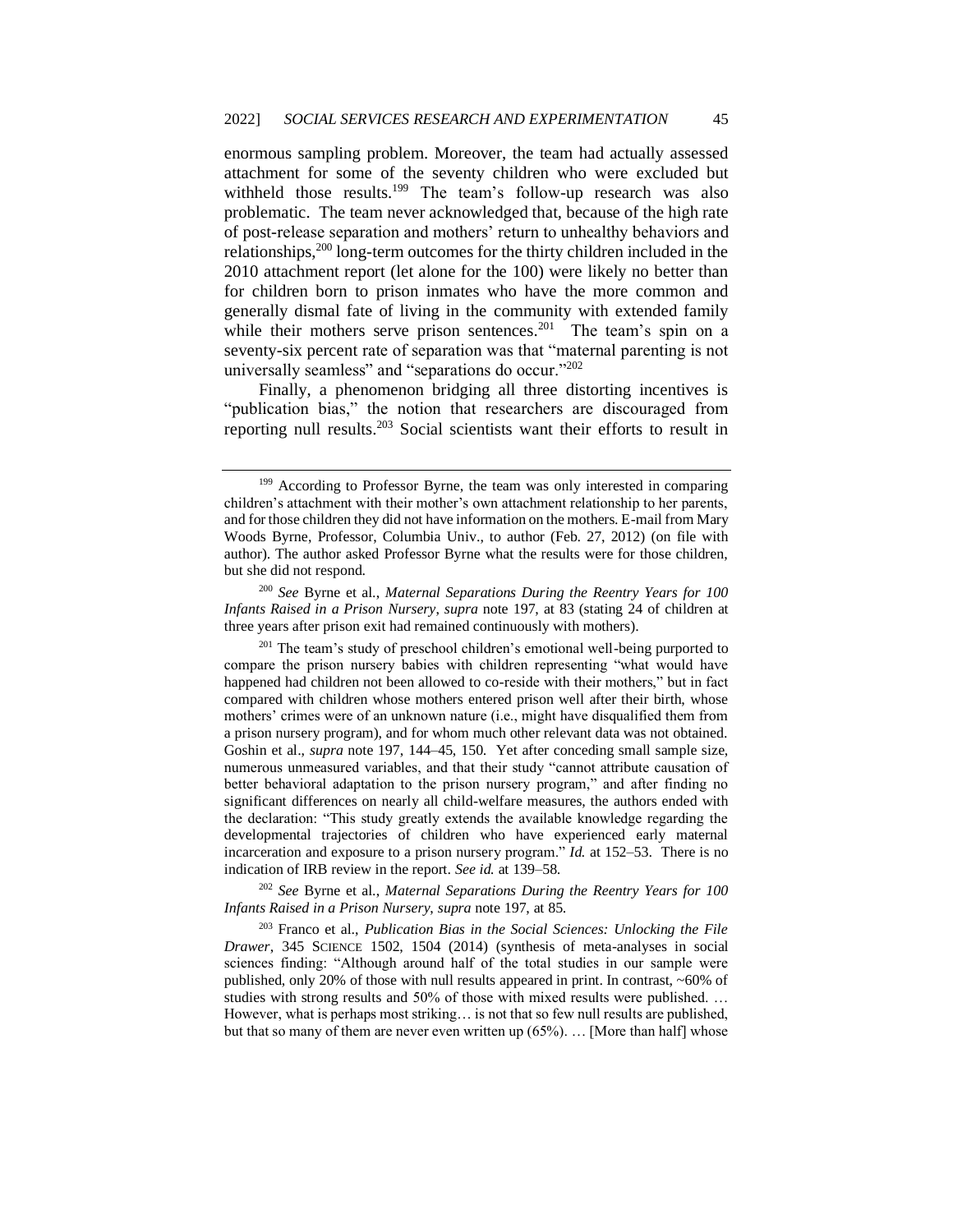enormous sampling problem. Moreover, the team had actually assessed attachment for some of the seventy children who were excluded but withheld those results.<sup>199</sup> The team's follow-up research was also problematic. The team never acknowledged that, because of the high rate of post-release separation and mothers' return to unhealthy behaviors and relationships,<sup>200</sup> long-term outcomes for the thirty children included in the 2010 attachment report (let alone for the 100) were likely no better than for children born to prison inmates who have the more common and generally dismal fate of living in the community with extended family while their mothers serve prison sentences.<sup>201</sup> The team's spin on a seventy-six percent rate of separation was that "maternal parenting is not universally seamless" and "separations do occur."<sup>202</sup>

Finally, a phenomenon bridging all three distorting incentives is "publication bias," the notion that researchers are discouraged from reporting null results.<sup>203</sup> Social scientists want their efforts to result in

<sup>200</sup> *See* Byrne et al., *Maternal Separations During the Reentry Years for 100 Infants Raised in a Prison Nursery*, *supra* note 197, at 83 (stating 24 of children at three years after prison exit had remained continuously with mothers).

<sup>202</sup> *See* Byrne et al., *Maternal Separations During the Reentry Years for 100 Infants Raised in a Prison Nursery*, *supra* note 197, at 85.

<sup>203</sup> Franco et al., *Publication Bias in the Social Sciences: Unlocking the File Drawer*, 345 SCIENCE 1502, 1504 (2014) (synthesis of meta-analyses in social sciences finding: "Although around half of the total studies in our sample were published, only 20% of those with null results appeared in print. In contrast, ~60% of studies with strong results and 50% of those with mixed results were published. … However, what is perhaps most striking… is not that so few null results are published, but that so many of them are never even written up (65%). … [More than half] whose

<sup>&</sup>lt;sup>199</sup> According to Professor Byrne, the team was only interested in comparing children's attachment with their mother's own attachment relationship to her parents, and for those children they did not have information on the mothers. E-mail from Mary Woods Byrne, Professor, Columbia Univ., to author (Feb. 27, 2012) (on file with author). The author asked Professor Byrne what the results were for those children, but she did not respond.

 $201$  The team's study of preschool children's emotional well-being purported to compare the prison nursery babies with children representing "what would have happened had children not been allowed to co-reside with their mothers," but in fact compared with children whose mothers entered prison well after their birth, whose mothers' crimes were of an unknown nature (i.e., might have disqualified them from a prison nursery program), and for whom much other relevant data was not obtained. Goshin et al., *supra* note 197, 144–45, 150. Yet after conceding small sample size, numerous unmeasured variables, and that their study "cannot attribute causation of better behavioral adaptation to the prison nursery program," and after finding no significant differences on nearly all child-welfare measures, the authors ended with the declaration: "This study greatly extends the available knowledge regarding the developmental trajectories of children who have experienced early maternal incarceration and exposure to a prison nursery program." *Id.* at 152–53. There is no indication of IRB review in the report. *See id.* at 139–58.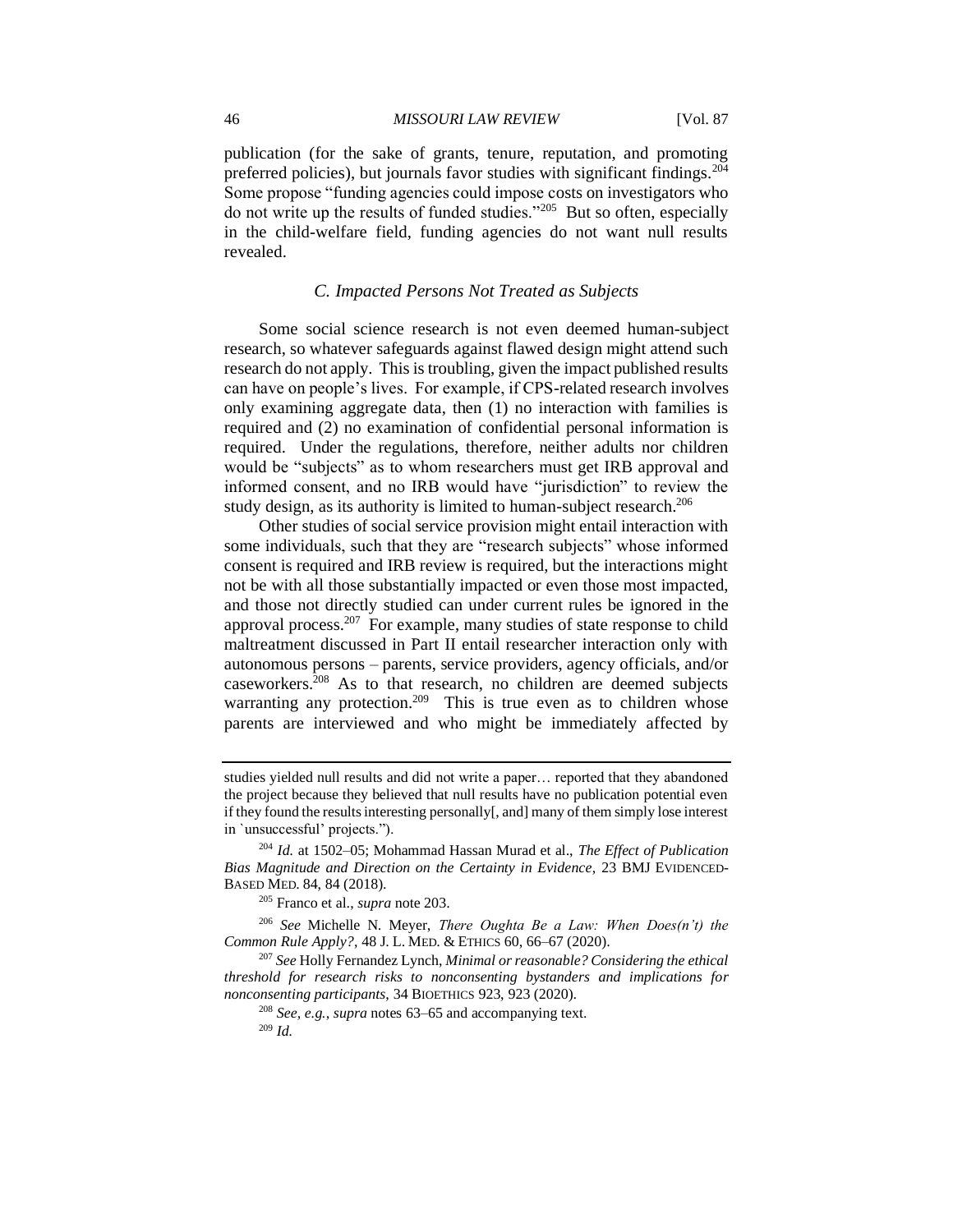publication (for the sake of grants, tenure, reputation, and promoting preferred policies), but journals favor studies with significant findings.<sup>204</sup> Some propose "funding agencies could impose costs on investigators who do not write up the results of funded studies."<sup>205</sup> But so often, especially in the child-welfare field, funding agencies do not want null results revealed.

## *C. Impacted Persons Not Treated as Subjects*

Some social science research is not even deemed human-subject research, so whatever safeguards against flawed design might attend such research do not apply. This is troubling, given the impact published results can have on people's lives. For example, if CPS-related research involves only examining aggregate data, then (1) no interaction with families is required and (2) no examination of confidential personal information is required. Under the regulations, therefore, neither adults nor children would be "subjects" as to whom researchers must get IRB approval and informed consent, and no IRB would have "jurisdiction" to review the study design, as its authority is limited to human-subject research.<sup>206</sup>

Other studies of social service provision might entail interaction with some individuals, such that they are "research subjects" whose informed consent is required and IRB review is required, but the interactions might not be with all those substantially impacted or even those most impacted, and those not directly studied can under current rules be ignored in the approval process.<sup>207</sup> For example, many studies of state response to child maltreatment discussed in Part II entail researcher interaction only with autonomous persons – parents, service providers, agency officials, and/or caseworkers.<sup>208</sup> As to that research, no children are deemed subjects warranting any protection.<sup>209</sup> This is true even as to children whose parents are interviewed and who might be immediately affected by

studies yielded null results and did not write a paper… reported that they abandoned the project because they believed that null results have no publication potential even if they found the results interesting personally[, and] many of them simply lose interest in `unsuccessful' projects.").

<sup>204</sup> *Id.* at 1502–05; Mohammad Hassan Murad et al., *The Effect of Publication Bias Magnitude and Direction on the Certainty in Evidence*, 23 BMJ EVIDENCED-BASED MED. 84, 84 (2018).

<sup>205</sup> Franco et al., *supra* note 203.

<sup>206</sup> *See* Michelle N. Meyer, *There Oughta Be a Law: When Does(n't) the Common Rule Apply?*, 48 J. L. MED. & ETHICS 60, 66–67 (2020).

<sup>207</sup> *See* Holly Fernandez Lynch, *Minimal or reasonable? Considering the ethical threshold for research risks to nonconsenting bystanders and implications for nonconsenting participants*, 34 BIOETHICS 923, 923 (2020).

<sup>208</sup> *See, e.g.*, *supra* notes 63–65 and accompanying text.

<sup>209</sup> *Id.*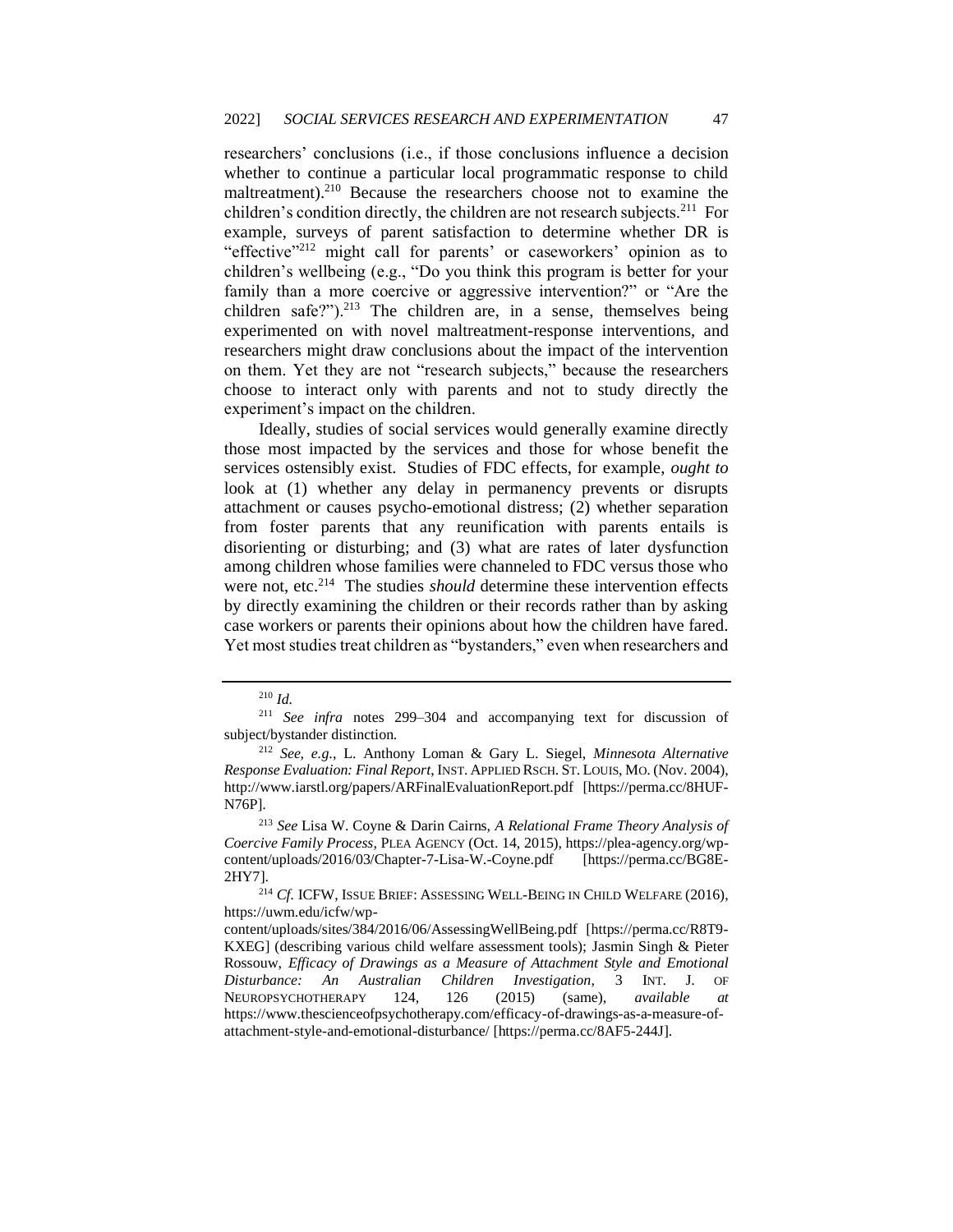researchers' conclusions (i.e., if those conclusions influence a decision whether to continue a particular local programmatic response to child maltreatment).<sup>210</sup> Because the researchers choose not to examine the children's condition directly, the children are not research subjects.<sup>211</sup> For example, surveys of parent satisfaction to determine whether DR is "effective"<sup>212</sup> might call for parents' or caseworkers' opinion as to children's wellbeing (e.g., "Do you think this program is better for your family than a more coercive or aggressive intervention?" or "Are the children safe?").<sup>213</sup> The children are, in a sense, themselves being experimented on with novel maltreatment-response interventions, and researchers might draw conclusions about the impact of the intervention on them. Yet they are not "research subjects," because the researchers choose to interact only with parents and not to study directly the experiment's impact on the children.

Ideally, studies of social services would generally examine directly those most impacted by the services and those for whose benefit the services ostensibly exist. Studies of FDC effects, for example, *ought to* look at (1) whether any delay in permanency prevents or disrupts attachment or causes psycho-emotional distress; (2) whether separation from foster parents that any reunification with parents entails is disorienting or disturbing; and (3) what are rates of later dysfunction among children whose families were channeled to FDC versus those who were not, etc.<sup>214</sup> The studies *should* determine these intervention effects by directly examining the children or their records rather than by asking case workers or parents their opinions about how the children have fared. Yet most studies treat children as "bystanders," even when researchers and

<sup>210</sup> *Id.*

<sup>211</sup> *See infra* notes 299–304 and accompanying text for discussion of subject/bystander distinction.

<sup>212</sup> *See, e.g*., L. Anthony Loman & Gary L. Siegel, *Minnesota Alternative Response Evaluation: Final Report*, INST. APPLIED RSCH. ST. LOUIS, MO. (Nov. 2004), http://www.iarstl.org/papers/ARFinalEvaluationReport.pdf [https://perma.cc/8HUF-N76P].

<sup>213</sup> *See* Lisa W. Coyne & Darin Cairns, *A Relational Frame Theory Analysis of Coercive Family Process*, PLEA AGENCY (Oct. 14, 2015), https://plea-agency.org/wpcontent/uploads/2016/03/Chapter-7-Lisa-W.-Coyne.pdf [https://perma.cc/BG8E-2HY7].

<sup>214</sup> *Cf.* ICFW, ISSUE BRIEF: ASSESSING WELL-BEING IN CHILD WELFARE (2016), https://uwm.edu/icfw/wp-

content/uploads/sites/384/2016/06/AssessingWellBeing.pdf [https://perma.cc/R8T9- KXEG] (describing various child welfare assessment tools); Jasmin Singh & Pieter Rossouw, *Efficacy of Drawings as a Measure of Attachment Style and Emotional Disturbance: An Australian Children Investigation*, 3 INT. J. OF NEUROPSYCHOTHERAPY 124, 126 (2015) (same), *available at*  https://www.thescienceofpsychotherapy.com/efficacy-of-drawings-as-a-measure-ofattachment-style-and-emotional-disturbance/ [https://perma.cc/8AF5-244J].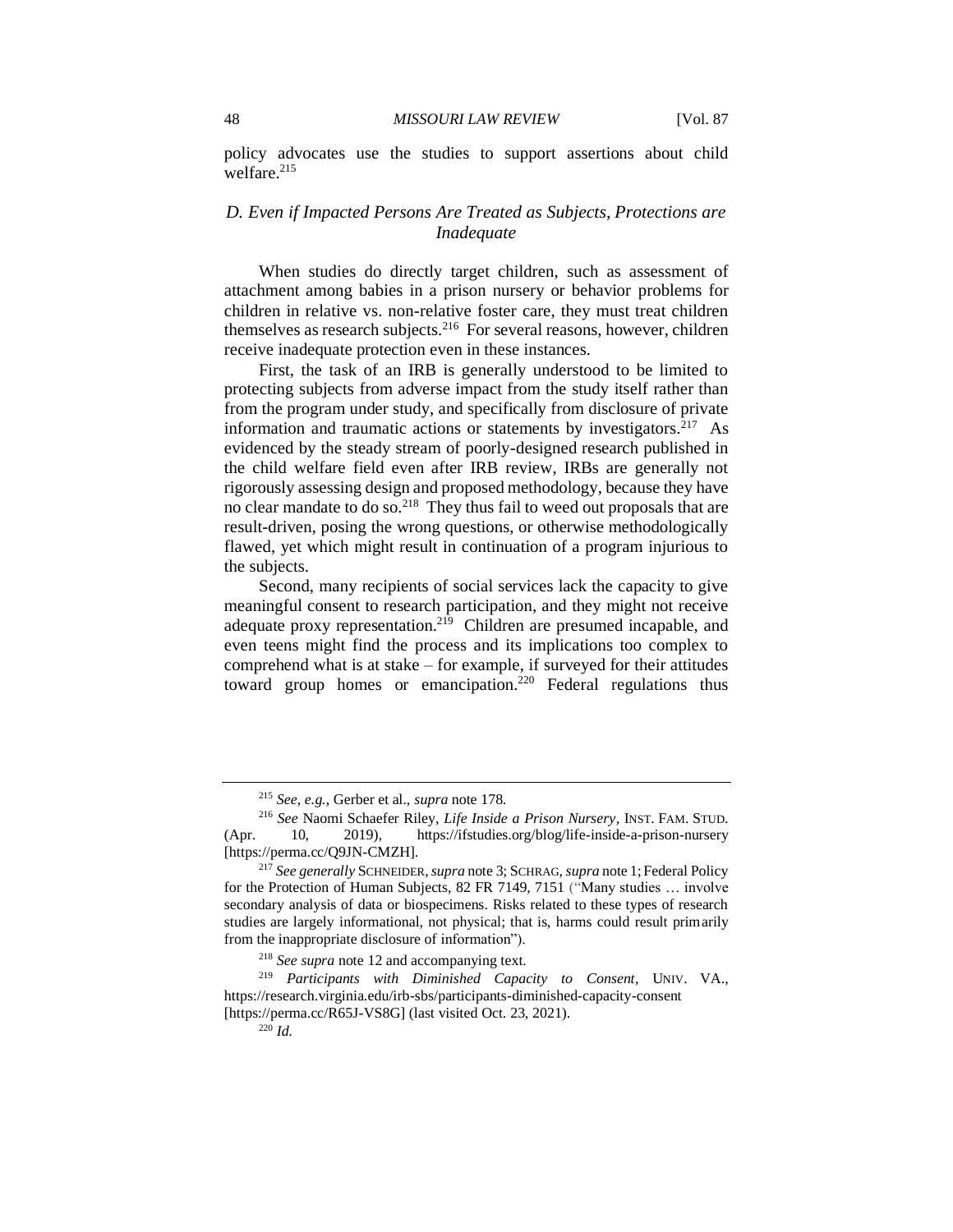#### 48 *MISSOURI LAW REVIEW* [Vol. 87

policy advocates use the studies to support assertions about child welfare. $215$ 

# *D. Even if Impacted Persons Are Treated as Subjects, Protections are Inadequate*

When studies do directly target children, such as assessment of attachment among babies in a prison nursery or behavior problems for children in relative vs. non-relative foster care, they must treat children themselves as research subjects.<sup>216</sup> For several reasons, however, children receive inadequate protection even in these instances.

First, the task of an IRB is generally understood to be limited to protecting subjects from adverse impact from the study itself rather than from the program under study, and specifically from disclosure of private information and traumatic actions or statements by investigators.<sup>217</sup> As evidenced by the steady stream of poorly-designed research published in the child welfare field even after IRB review, IRBs are generally not rigorously assessing design and proposed methodology, because they have no clear mandate to do so.<sup>218</sup> They thus fail to weed out proposals that are result-driven, posing the wrong questions, or otherwise methodologically flawed, yet which might result in continuation of a program injurious to the subjects.

Second, many recipients of social services lack the capacity to give meaningful consent to research participation, and they might not receive adequate proxy representation.<sup>219</sup> Children are presumed incapable, and even teens might find the process and its implications too complex to comprehend what is at stake – for example, if surveyed for their attitudes toward group homes or emancipation.<sup>220</sup> Federal regulations thus

<sup>215</sup> *See, e.g.*, Gerber et al., *supra* note 178.

<sup>216</sup> *See* Naomi Schaefer Riley, *Life Inside a Prison Nursery*, INST. FAM. STUD. (Apr. 10, 2019), https://ifstudies.org/blog/life-inside-a-prison-nursery [https://perma.cc/Q9JN-CMZH].

<sup>217</sup> *See generally* SCHNEIDER,*supra* note 3; SCHRAG, *supra* note 1; Federal Policy for the Protection of Human Subjects, 82 FR 7149, 7151 ("Many studies … involve secondary analysis of data or biospecimens. Risks related to these types of research studies are largely informational, not physical; that is, harms could result primarily from the inappropriate disclosure of information").

<sup>218</sup> *See supra* note 12 and accompanying text.

<sup>219</sup> *Participants with Diminished Capacity to Consent*, UNIV. VA., https://research.virginia.edu/irb-sbs/participants-diminished-capacity-consent [https://perma.cc/R65J-VS8G] (last visited Oct. 23, 2021).

<sup>220</sup> *Id.*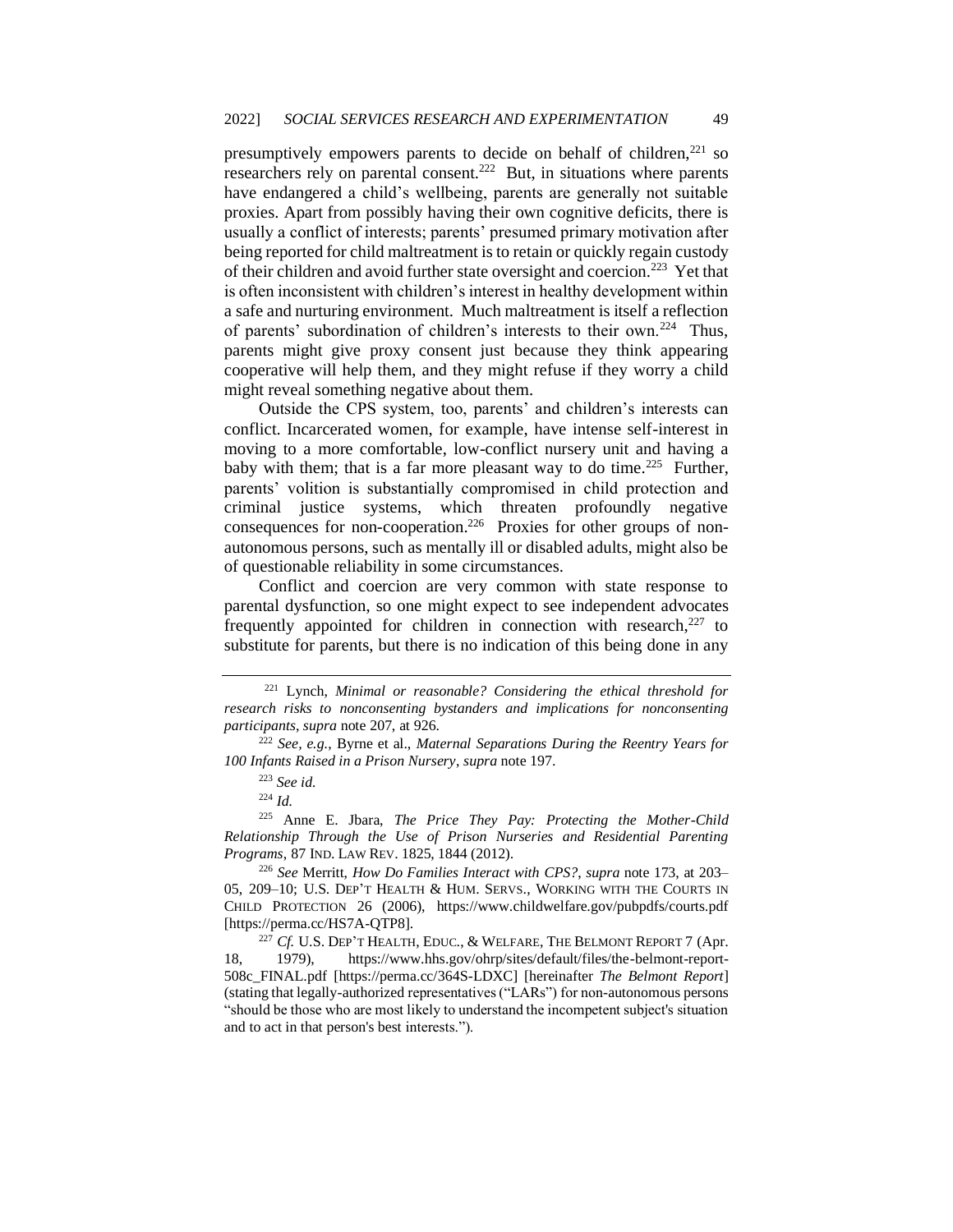presumptively empowers parents to decide on behalf of children, $^{221}$  so researchers rely on parental consent.<sup>222</sup> But, in situations where parents have endangered a child's wellbeing, parents are generally not suitable proxies. Apart from possibly having their own cognitive deficits, there is usually a conflict of interests; parents' presumed primary motivation after being reported for child maltreatment is to retain or quickly regain custody of their children and avoid further state oversight and coercion.<sup>223</sup> Yet that is often inconsistent with children's interest in healthy development within a safe and nurturing environment. Much maltreatment is itself a reflection of parents' subordination of children's interests to their own.<sup>224</sup> Thus, parents might give proxy consent just because they think appearing cooperative will help them, and they might refuse if they worry a child might reveal something negative about them.

Outside the CPS system, too, parents' and children's interests can conflict. Incarcerated women, for example, have intense self-interest in moving to a more comfortable, low-conflict nursery unit and having a baby with them; that is a far more pleasant way to do time.<sup>225</sup> Further, parents' volition is substantially compromised in child protection and criminal justice systems, which threaten profoundly negative consequences for non-cooperation.<sup>226</sup> Proxies for other groups of nonautonomous persons, such as mentally ill or disabled adults, might also be of questionable reliability in some circumstances.

Conflict and coercion are very common with state response to parental dysfunction, so one might expect to see independent advocates frequently appointed for children in connection with research, $227$  to substitute for parents, but there is no indication of this being done in any

<sup>221</sup> Lynch, *Minimal or reasonable? Considering the ethical threshold for research risks to nonconsenting bystanders and implications for nonconsenting participants*, *supra* note 207, at 926.

<sup>222</sup> *See, e.g.*, Byrne et al., *Maternal Separations During the Reentry Years for 100 Infants Raised in a Prison Nursery*, *supra* note 197.

<sup>223</sup> *See id.*

<sup>224</sup> *Id.*

<sup>225</sup> Anne E. Jbara, *The Price They Pay: Protecting the Mother-Child Relationship Through the Use of Prison Nurseries and Residential Parenting Programs*, 87 IND. LAW REV. 1825, 1844 (2012).

<sup>226</sup> *See* Merritt, *How Do Families Interact with CPS?*, *supra* note 173, at 203– 05, 209–10; U.S. DEP'T HEALTH & HUM. SERVS., WORKING WITH THE COURTS IN CHILD PROTECTION 26 (2006), https://www.childwelfare.gov/pubpdfs/courts.pdf [https://perma.cc/HS7A-QTP8].

<sup>&</sup>lt;sup>227</sup> *Cf.* U.S. DEP'T HEALTH, EDUC., & WELFARE, THE BELMONT REPORT 7 (Apr. 18, 1979), https://www.hhs.gov/ohrp/sites/default/files/the-belmont-report-508c\_FINAL.pdf [https://perma.cc/364S-LDXC] [hereinafter *The Belmont Report*] (stating that legally-authorized representatives ("LARs") for non-autonomous persons "should be those who are most likely to understand the incompetent subject's situation and to act in that person's best interests.").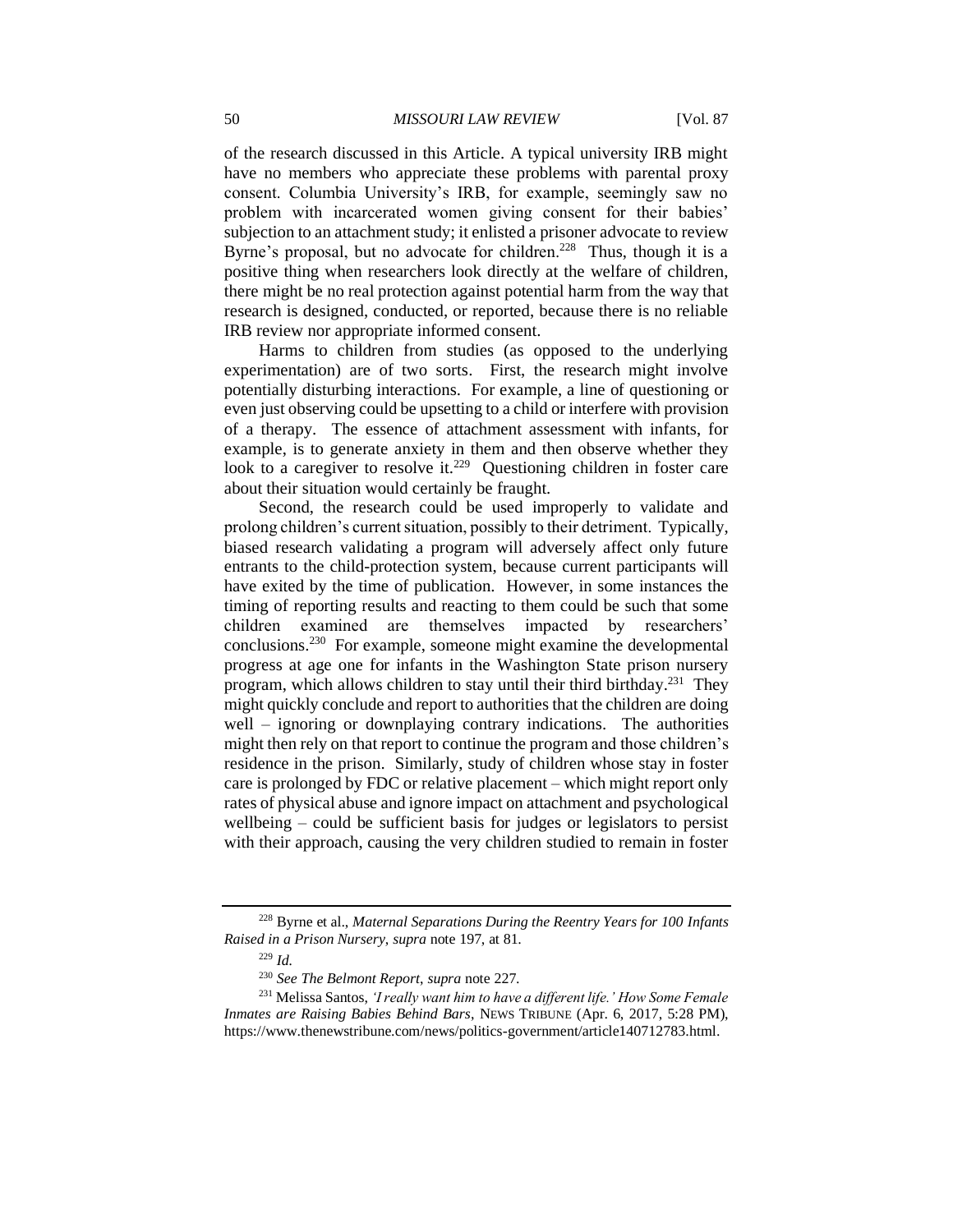of the research discussed in this Article. A typical university IRB might have no members who appreciate these problems with parental proxy consent. Columbia University's IRB, for example, seemingly saw no problem with incarcerated women giving consent for their babies' subjection to an attachment study; it enlisted a prisoner advocate to review Byrne's proposal, but no advocate for children.<sup>228</sup> Thus, though it is a positive thing when researchers look directly at the welfare of children, there might be no real protection against potential harm from the way that research is designed, conducted, or reported, because there is no reliable IRB review nor appropriate informed consent.

Harms to children from studies (as opposed to the underlying experimentation) are of two sorts. First, the research might involve potentially disturbing interactions. For example, a line of questioning or even just observing could be upsetting to a child or interfere with provision of a therapy. The essence of attachment assessment with infants, for example, is to generate anxiety in them and then observe whether they look to a caregiver to resolve it.<sup>229</sup> Questioning children in foster care about their situation would certainly be fraught.

Second, the research could be used improperly to validate and prolong children's current situation, possibly to their detriment. Typically, biased research validating a program will adversely affect only future entrants to the child-protection system, because current participants will have exited by the time of publication. However, in some instances the timing of reporting results and reacting to them could be such that some children examined are themselves impacted by researchers' conclusions.<sup>230</sup> For example, someone might examine the developmental progress at age one for infants in the Washington State prison nursery program, which allows children to stay until their third birthday.<sup>231</sup> They might quickly conclude and report to authorities that the children are doing well – ignoring or downplaying contrary indications. The authorities might then rely on that report to continue the program and those children's residence in the prison. Similarly, study of children whose stay in foster care is prolonged by FDC or relative placement – which might report only rates of physical abuse and ignore impact on attachment and psychological wellbeing – could be sufficient basis for judges or legislators to persist with their approach, causing the very children studied to remain in foster

<sup>228</sup> Byrne et al., *Maternal Separations During the Reentry Years for 100 Infants Raised in a Prison Nursery*, *supra* note 197, at 81.

<sup>229</sup> *Id.*

<sup>230</sup> *See The Belmont Report*, *supra* note 227.

<sup>231</sup> Melissa Santos, *'I really want him to have a different life.' How Some Female Inmates are Raising Babies Behind Bars*, NEWS TRIBUNE (Apr. 6, 2017, 5:28 PM), https://www.thenewstribune.com/news/politics-government/article140712783.html.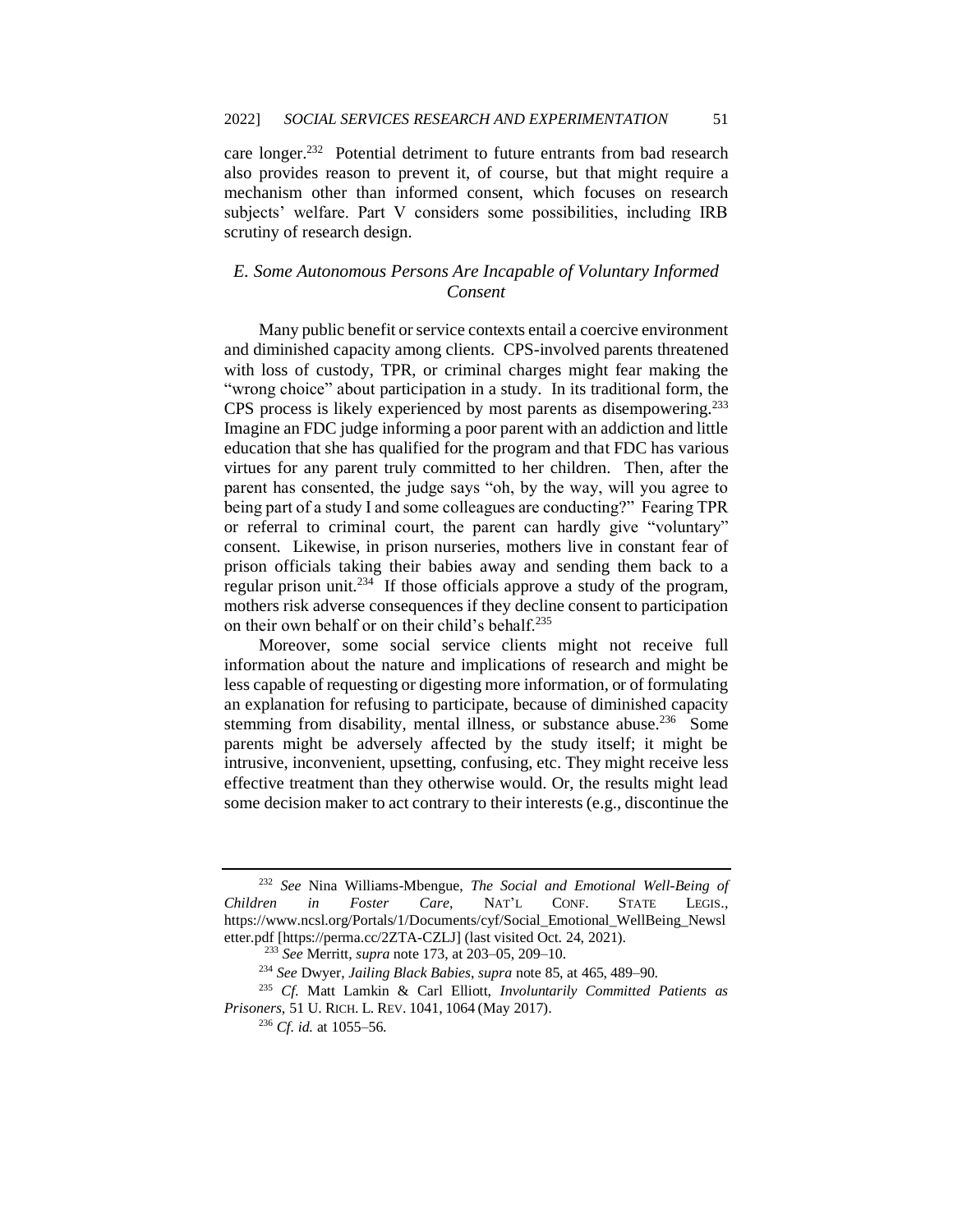care longer.<sup>232</sup> Potential detriment to future entrants from bad research also provides reason to prevent it, of course, but that might require a mechanism other than informed consent, which focuses on research subjects' welfare. Part V considers some possibilities, including IRB scrutiny of research design.

# *E. Some Autonomous Persons Are Incapable of Voluntary Informed Consent*

Many public benefit or service contexts entail a coercive environment and diminished capacity among clients. CPS-involved parents threatened with loss of custody, TPR, or criminal charges might fear making the "wrong choice" about participation in a study. In its traditional form, the CPS process is likely experienced by most parents as disempowering.<sup>233</sup> Imagine an FDC judge informing a poor parent with an addiction and little education that she has qualified for the program and that FDC has various virtues for any parent truly committed to her children. Then, after the parent has consented, the judge says "oh, by the way, will you agree to being part of a study I and some colleagues are conducting?" Fearing TPR or referral to criminal court, the parent can hardly give "voluntary" consent. Likewise, in prison nurseries, mothers live in constant fear of prison officials taking their babies away and sending them back to a regular prison unit.<sup>234</sup> If those officials approve a study of the program, mothers risk adverse consequences if they decline consent to participation on their own behalf or on their child's behalf.<sup>235</sup>

Moreover, some social service clients might not receive full information about the nature and implications of research and might be less capable of requesting or digesting more information, or of formulating an explanation for refusing to participate, because of diminished capacity stemming from disability, mental illness, or substance abuse.<sup>236</sup> Some parents might be adversely affected by the study itself; it might be intrusive, inconvenient, upsetting, confusing, etc. They might receive less effective treatment than they otherwise would. Or, the results might lead some decision maker to act contrary to their interests (e.g., discontinue the

<sup>232</sup> *See* Nina Williams-Mbengue, *The Social and Emotional Well-Being of Children in Foster Care*, NAT'L CONF. STATE LEGIS., https://www.ncsl.org/Portals/1/Documents/cyf/Social\_Emotional\_WellBeing\_Newsl etter.pdf [https://perma.cc/2ZTA-CZLJ] (last visited Oct. 24, 2021).

<sup>233</sup> *See* Merritt, *supra* note 173, at 203–05, 209–10.

<sup>234</sup> *See* Dwyer, *Jailing Black Babies*, *supra* note 85, at 465, 489–90.

<sup>235</sup> *Cf.* Matt Lamkin & Carl Elliott, *Involuntarily Committed Patients as Prisoners*, 51 U. RICH. L. REV. 1041, 1064 (May 2017).

<sup>236</sup> *Cf. id.* at 1055–56.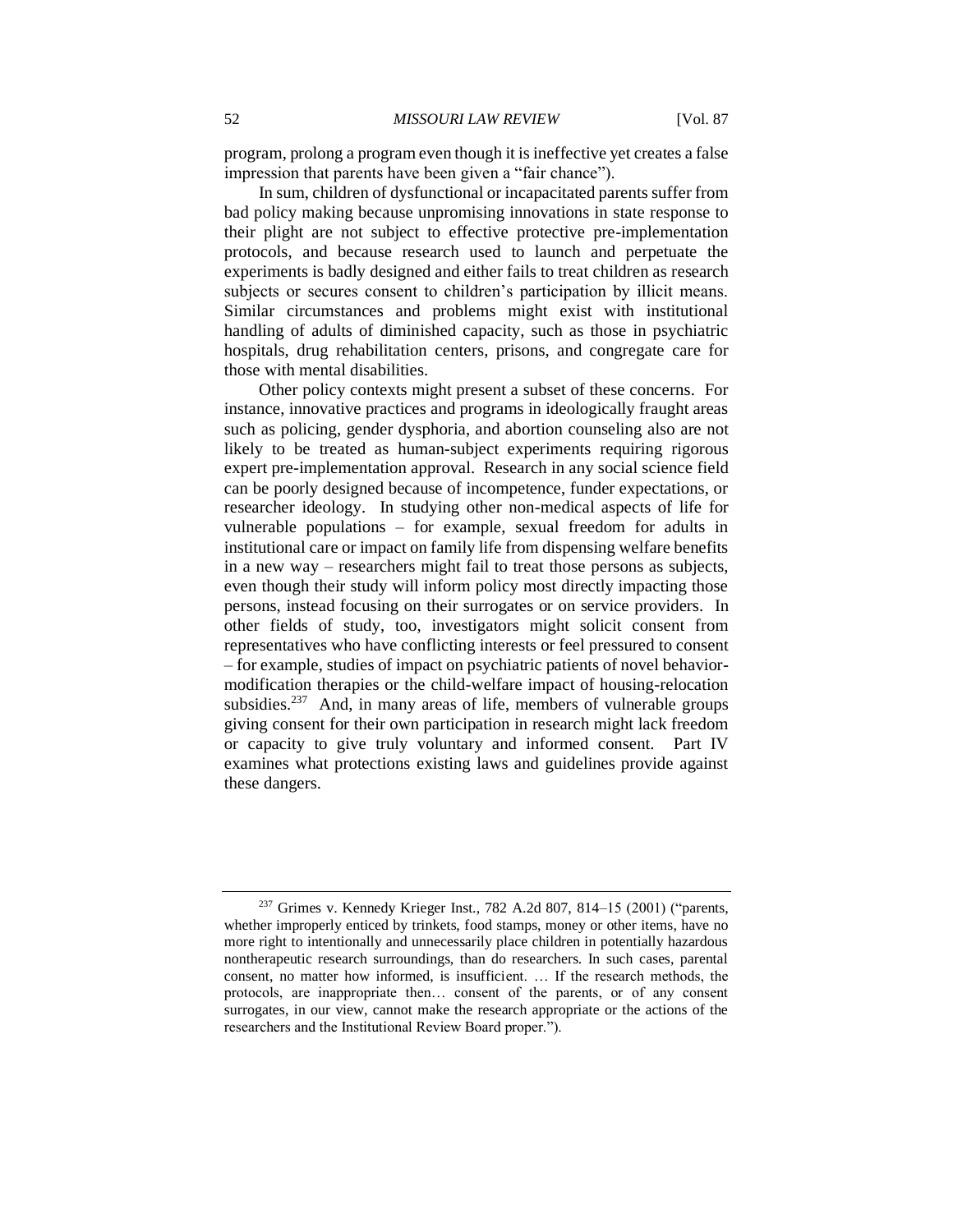program, prolong a program even though it is ineffective yet creates a false impression that parents have been given a "fair chance").

In sum, children of dysfunctional or incapacitated parents suffer from bad policy making because unpromising innovations in state response to their plight are not subject to effective protective pre-implementation protocols, and because research used to launch and perpetuate the experiments is badly designed and either fails to treat children as research subjects or secures consent to children's participation by illicit means. Similar circumstances and problems might exist with institutional handling of adults of diminished capacity, such as those in psychiatric hospitals, drug rehabilitation centers, prisons, and congregate care for those with mental disabilities.

Other policy contexts might present a subset of these concerns. For instance, innovative practices and programs in ideologically fraught areas such as policing, gender dysphoria, and abortion counseling also are not likely to be treated as human-subject experiments requiring rigorous expert pre-implementation approval. Research in any social science field can be poorly designed because of incompetence, funder expectations, or researcher ideology. In studying other non-medical aspects of life for vulnerable populations – for example, sexual freedom for adults in institutional care or impact on family life from dispensing welfare benefits in a new way – researchers might fail to treat those persons as subjects, even though their study will inform policy most directly impacting those persons, instead focusing on their surrogates or on service providers. In other fields of study, too, investigators might solicit consent from representatives who have conflicting interests or feel pressured to consent – for example, studies of impact on psychiatric patients of novel behaviormodification therapies or the child-welfare impact of housing-relocation subsidies. $237$  And, in many areas of life, members of vulnerable groups giving consent for their own participation in research might lack freedom or capacity to give truly voluntary and informed consent. Part IV examines what protections existing laws and guidelines provide against these dangers.

<sup>&</sup>lt;sup>237</sup> Grimes v. Kennedy Krieger Inst., 782 A.2d 807, 814–15 (2001) ("parents, whether improperly enticed by trinkets, food stamps, money or other items, have no more right to intentionally and unnecessarily place children in potentially hazardous nontherapeutic research surroundings, than do researchers. In such cases, parental consent, no matter how informed, is insufficient. … If the research methods, the protocols, are inappropriate then… consent of the parents, or of any consent surrogates, in our view, cannot make the research appropriate or the actions of the researchers and the Institutional Review Board proper.").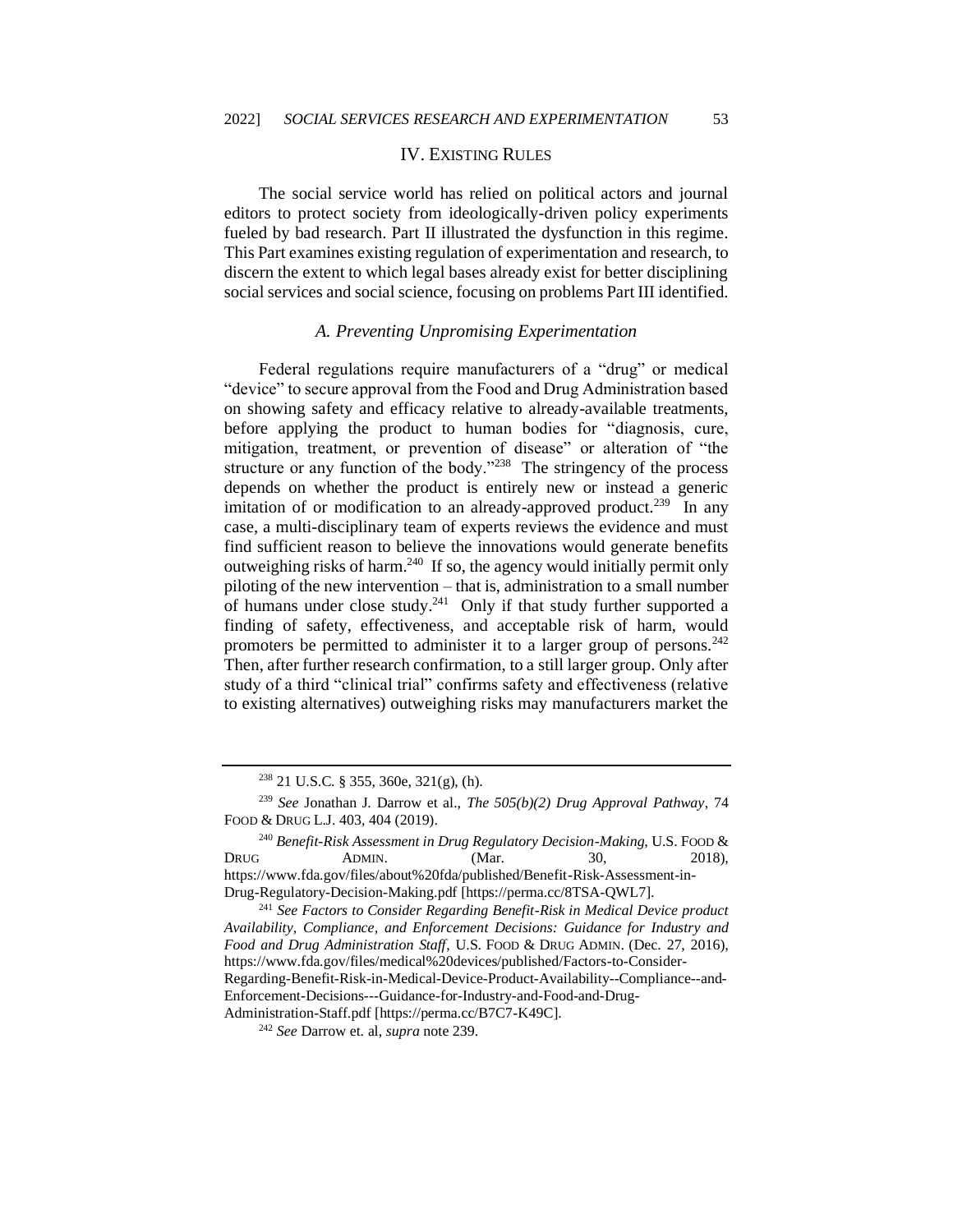### IV. EXISTING RULES

The social service world has relied on political actors and journal editors to protect society from ideologically-driven policy experiments fueled by bad research. Part II illustrated the dysfunction in this regime. This Part examines existing regulation of experimentation and research, to discern the extent to which legal bases already exist for better disciplining social services and social science, focusing on problems Part III identified.

### *A. Preventing Unpromising Experimentation*

Federal regulations require manufacturers of a "drug" or medical "device" to secure approval from the Food and Drug Administration based on showing safety and efficacy relative to already-available treatments, before applying the product to human bodies for "diagnosis, cure, mitigation, treatment, or prevention of disease" or alteration of "the structure or any function of the body." $238$  The stringency of the process depends on whether the product is entirely new or instead a generic imitation of or modification to an already-approved product.<sup>239</sup> In any case, a multi-disciplinary team of experts reviews the evidence and must find sufficient reason to believe the innovations would generate benefits outweighing risks of harm.<sup>240</sup> If so, the agency would initially permit only piloting of the new intervention – that is, administration to a small number of humans under close study.<sup>241</sup> Only if that study further supported a finding of safety, effectiveness, and acceptable risk of harm, would promoters be permitted to administer it to a larger group of persons.<sup>242</sup> Then, after further research confirmation, to a still larger group. Only after study of a third "clinical trial" confirms safety and effectiveness (relative to existing alternatives) outweighing risks may manufacturers market the

 $238$  21 U.S.C. § 355, 360e, 321(g), (h).

<sup>239</sup> *See* Jonathan J. Darrow et al., *The 505(b)(2) Drug Approval Pathway*, 74 FOOD & DRUG L.J. 403, 404 (2019).

<sup>240</sup> *Benefit-Risk Assessment in Drug Regulatory Decision-Making*, U.S. FOOD & DRUG ADMIN. (Mar. 30, 2018), https://www.fda.gov/files/about%20fda/published/Benefit-Risk-Assessment-in-Drug-Regulatory-Decision-Making.pdf [https://perma.cc/8TSA-QWL7].

<sup>241</sup> *See Factors to Consider Regarding Benefit-Risk in Medical Device product Availability, Compliance, and Enforcement Decisions: Guidance for Industry and Food and Drug Administration Staff*, U.S. FOOD & DRUG ADMIN. (Dec. 27, 2016), https://www.fda.gov/files/medical%20devices/published/Factors-to-Consider-Regarding-Benefit-Risk-in-Medical-Device-Product-Availability--Compliance--and-Enforcement-Decisions---Guidance-for-Industry-and-Food-and-Drug-Administration-Staff.pdf [https://perma.cc/B7C7-K49C].

<sup>242</sup> *See* Darrow et. al, *supra* note 239.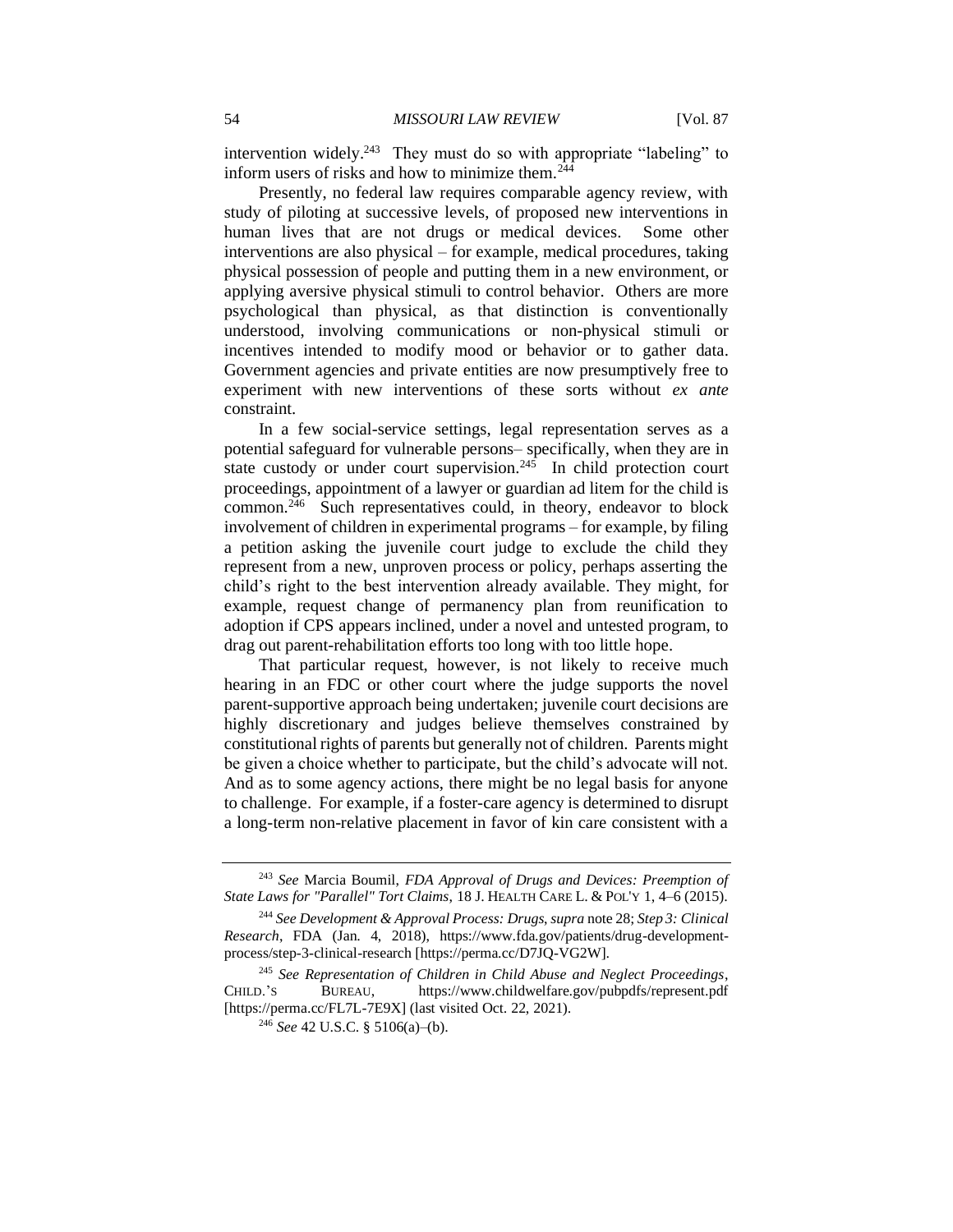intervention widely.<sup>243</sup> They must do so with appropriate "labeling" to inform users of risks and how to minimize them.<sup>244</sup>

Presently, no federal law requires comparable agency review, with study of piloting at successive levels, of proposed new interventions in human lives that are not drugs or medical devices. Some other interventions are also physical – for example, medical procedures, taking physical possession of people and putting them in a new environment, or applying aversive physical stimuli to control behavior. Others are more psychological than physical, as that distinction is conventionally understood, involving communications or non-physical stimuli or incentives intended to modify mood or behavior or to gather data. Government agencies and private entities are now presumptively free to experiment with new interventions of these sorts without *ex ante* constraint.

In a few social-service settings, legal representation serves as a potential safeguard for vulnerable persons– specifically, when they are in state custody or under court supervision.<sup>245</sup> In child protection court proceedings, appointment of a lawyer or guardian ad litem for the child is common.<sup>246</sup> Such representatives could, in theory, endeavor to block involvement of children in experimental programs – for example, by filing a petition asking the juvenile court judge to exclude the child they represent from a new, unproven process or policy, perhaps asserting the child's right to the best intervention already available. They might, for example, request change of permanency plan from reunification to adoption if CPS appears inclined, under a novel and untested program, to drag out parent-rehabilitation efforts too long with too little hope.

That particular request, however, is not likely to receive much hearing in an FDC or other court where the judge supports the novel parent-supportive approach being undertaken; juvenile court decisions are highly discretionary and judges believe themselves constrained by constitutional rights of parents but generally not of children. Parents might be given a choice whether to participate, but the child's advocate will not. And as to some agency actions, there might be no legal basis for anyone to challenge. For example, if a foster-care agency is determined to disrupt a long-term non-relative placement in favor of kin care consistent with a

<sup>243</sup> *See* Marcia Boumil, *FDA Approval of Drugs and Devices: Preemption of State Laws for "Parallel" Tort Claims*, 18 J. HEALTH CARE L. & POL'Y 1, 4–6 (2015).

<sup>244</sup> *See Development & Approval Process: Drugs*, *supra* note 28; *Step 3: Clinical Research*, FDA (Jan. 4, 2018), https://www.fda.gov/patients/drug-developmentprocess/step-3-clinical-research [https://perma.cc/D7JQ-VG2W].

<sup>245</sup> *See Representation of Children in Child Abuse and Neglect Proceedings*, CHILD.'S BUREAU, https://www.childwelfare.gov/pubpdfs/represent.pdf [https://perma.cc/FL7L-7E9X] (last visited Oct. 22, 2021).

<sup>246</sup> *See* 42 U.S.C. § 5106(a)–(b).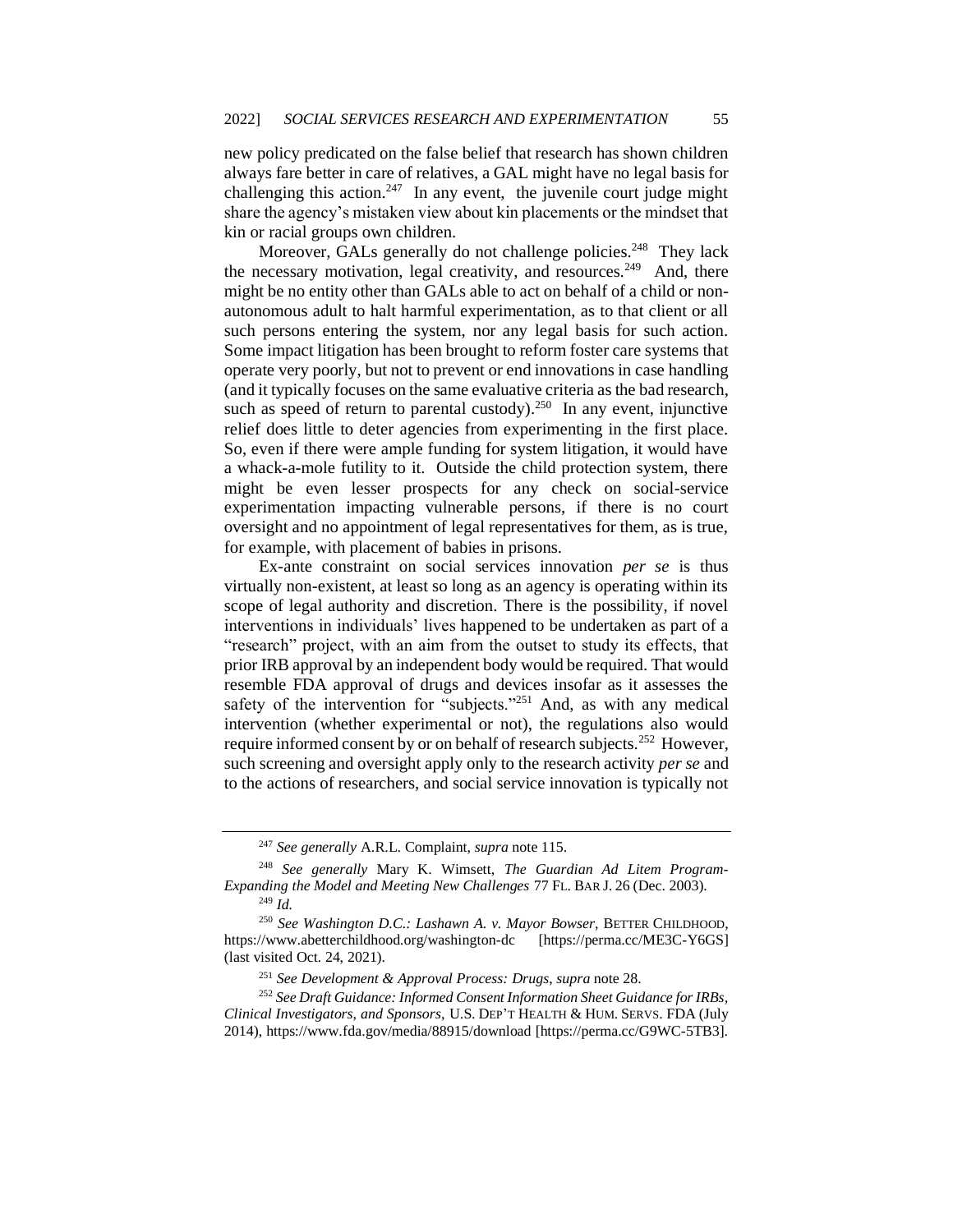new policy predicated on the false belief that research has shown children always fare better in care of relatives, a GAL might have no legal basis for challenging this action.<sup>247</sup> In any event, the juvenile court judge might share the agency's mistaken view about kin placements or the mindset that kin or racial groups own children.

Moreover, GALs generally do not challenge policies.<sup>248</sup> They lack the necessary motivation, legal creativity, and resources.<sup>249</sup> And, there might be no entity other than GALs able to act on behalf of a child or nonautonomous adult to halt harmful experimentation, as to that client or all such persons entering the system, nor any legal basis for such action. Some impact litigation has been brought to reform foster care systems that operate very poorly, but not to prevent or end innovations in case handling (and it typically focuses on the same evaluative criteria as the bad research, such as speed of return to parental custody).<sup>250</sup> In any event, injunctive relief does little to deter agencies from experimenting in the first place. So, even if there were ample funding for system litigation, it would have a whack-a-mole futility to it. Outside the child protection system, there might be even lesser prospects for any check on social-service experimentation impacting vulnerable persons, if there is no court oversight and no appointment of legal representatives for them, as is true, for example, with placement of babies in prisons.

Ex-ante constraint on social services innovation *per se* is thus virtually non-existent, at least so long as an agency is operating within its scope of legal authority and discretion. There is the possibility, if novel interventions in individuals' lives happened to be undertaken as part of a "research" project, with an aim from the outset to study its effects, that prior IRB approval by an independent body would be required. That would resemble FDA approval of drugs and devices insofar as it assesses the safety of the intervention for "subjects."<sup>251</sup> And, as with any medical intervention (whether experimental or not), the regulations also would require informed consent by or on behalf of research subjects.<sup>252</sup> However, such screening and oversight apply only to the research activity *per se* and to the actions of researchers, and social service innovation is typically not

<sup>247</sup> *See generally* A.R.L. Complaint, *supra* note 115.

<sup>248</sup> *See generally* Mary K. Wimsett, *The Guardian Ad Litem Program-Expanding the Model and Meeting New Challenges* 77 FL. BAR J. 26 (Dec. 2003).

<sup>249</sup> *Id.*

<sup>250</sup> *See Washington D.C.: Lashawn A. v. Mayor Bowser*, BETTER CHILDHOOD, https://www.abetterchildhood.org/washington-dc [https://perma.cc/ME3C-Y6GS] (last visited Oct. 24, 2021).

<sup>251</sup> *See Development & Approval Process: Drugs*, *supra* note 28.

<sup>252</sup> *See Draft Guidance: Informed Consent Information Sheet Guidance for IRBs, Clinical Investigators, and Sponsors*, U.S. DEP'T HEALTH & HUM. SERVS. FDA (July 2014), https://www.fda.gov/media/88915/download [https://perma.cc/G9WC-5TB3].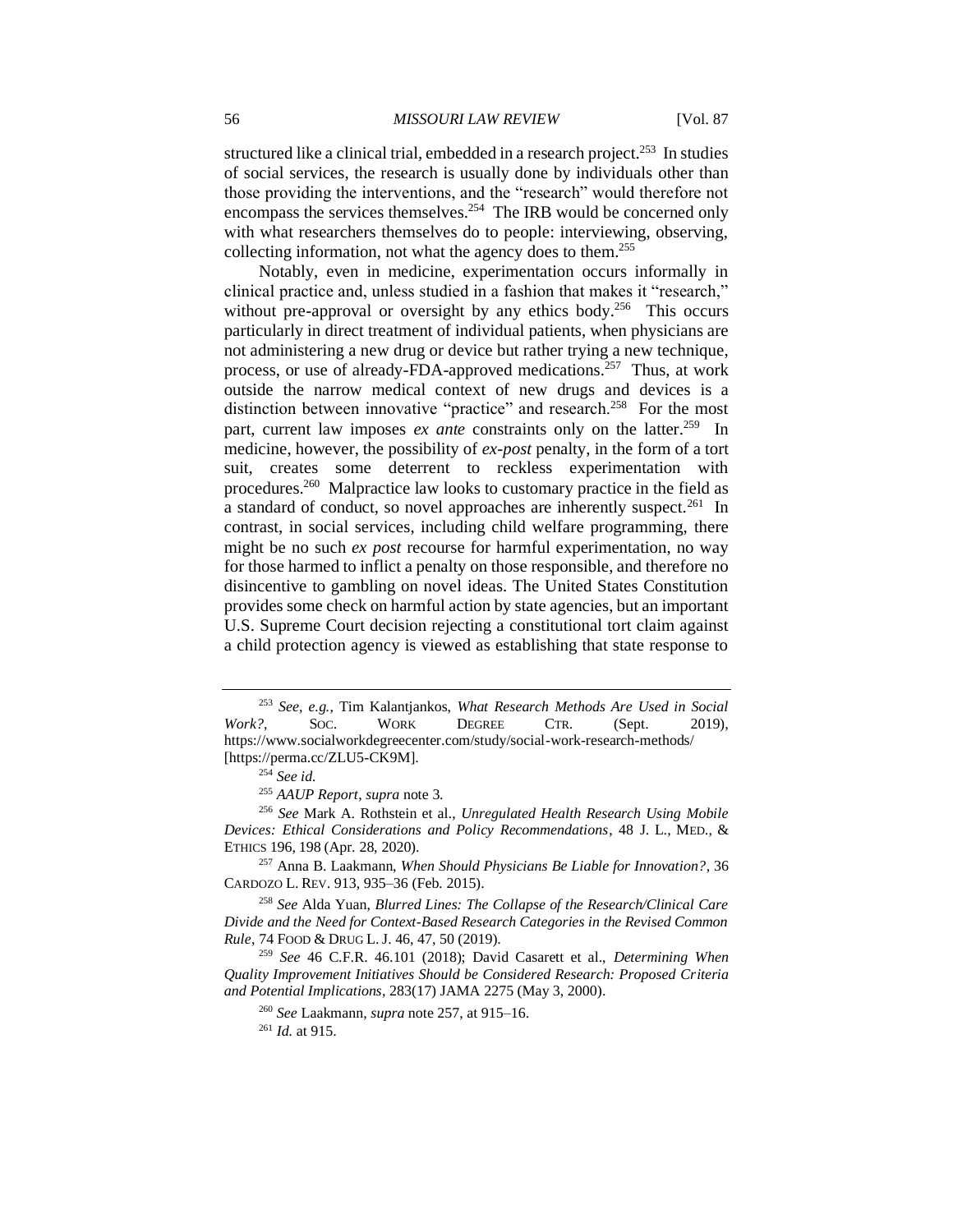structured like a clinical trial, embedded in a research project.<sup>253</sup> In studies of social services, the research is usually done by individuals other than those providing the interventions, and the "research" would therefore not encompass the services themselves.<sup>254</sup> The IRB would be concerned only with what researchers themselves do to people: interviewing, observing, collecting information, not what the agency does to them.<sup>255</sup>

Notably, even in medicine, experimentation occurs informally in clinical practice and, unless studied in a fashion that makes it "research," without pre-approval or oversight by any ethics body.<sup>256</sup> This occurs particularly in direct treatment of individual patients, when physicians are not administering a new drug or device but rather trying a new technique, process, or use of already-FDA-approved medications.<sup>257</sup> Thus, at work outside the narrow medical context of new drugs and devices is a distinction between innovative "practice" and research.<sup>258</sup> For the most part, current law imposes *ex ante* constraints only on the latter.<sup>259</sup> In medicine, however, the possibility of *ex-post* penalty, in the form of a tort suit, creates some deterrent to reckless experimentation with procedures.<sup>260</sup> Malpractice law looks to customary practice in the field as a standard of conduct, so novel approaches are inherently suspect.<sup>261</sup> In contrast, in social services, including child welfare programming, there might be no such *ex post* recourse for harmful experimentation, no way for those harmed to inflict a penalty on those responsible, and therefore no disincentive to gambling on novel ideas. The United States Constitution provides some check on harmful action by state agencies, but an important U.S. Supreme Court decision rejecting a constitutional tort claim against a child protection agency is viewed as establishing that state response to

<sup>258</sup> *See* Alda Yuan, *Blurred Lines: The Collapse of the Research/Clinical Care Divide and the Need for Context-Based Research Categories in the Revised Common Rule*, 74 FOOD & DRUG L. J. 46, 47, 50 (2019).

<sup>259</sup> *See* 46 C.F.R. 46.101 (2018); David Casarett et al., *Determining When Quality Improvement Initiatives Should be Considered Research: Proposed Criteria and Potential Implications*, 283(17) JAMA 2275 (May 3, 2000).

<sup>260</sup> *See* Laakmann, *supra* note 257, at 915–16.

<sup>253</sup> *See, e.g.*, Tim Kalantjankos, *What Research Methods Are Used in Social*  Work?, SOC. WORK DEGREE CTR. (Sept. 2019), https://www.socialworkdegreecenter.com/study/social-work-research-methods/ [https://perma.cc/ZLU5-CK9M].

<sup>254</sup> *See id.*

<sup>255</sup> *AAUP Report*, *supra* note 3.

<sup>256</sup> *See* Mark A. Rothstein et al*.*, *Unregulated Health Research Using Mobile Devices: Ethical Considerations and Policy Recommendations*, 48 J. L., MED., & ETHICS 196, 198 (Apr. 28, 2020).

<sup>257</sup> Anna B. Laakmann, *When Should Physicians Be Liable for Innovation?*, 36 CARDOZO L. REV. 913, 935–36 (Feb. 2015).

<sup>261</sup> *Id.* at 915.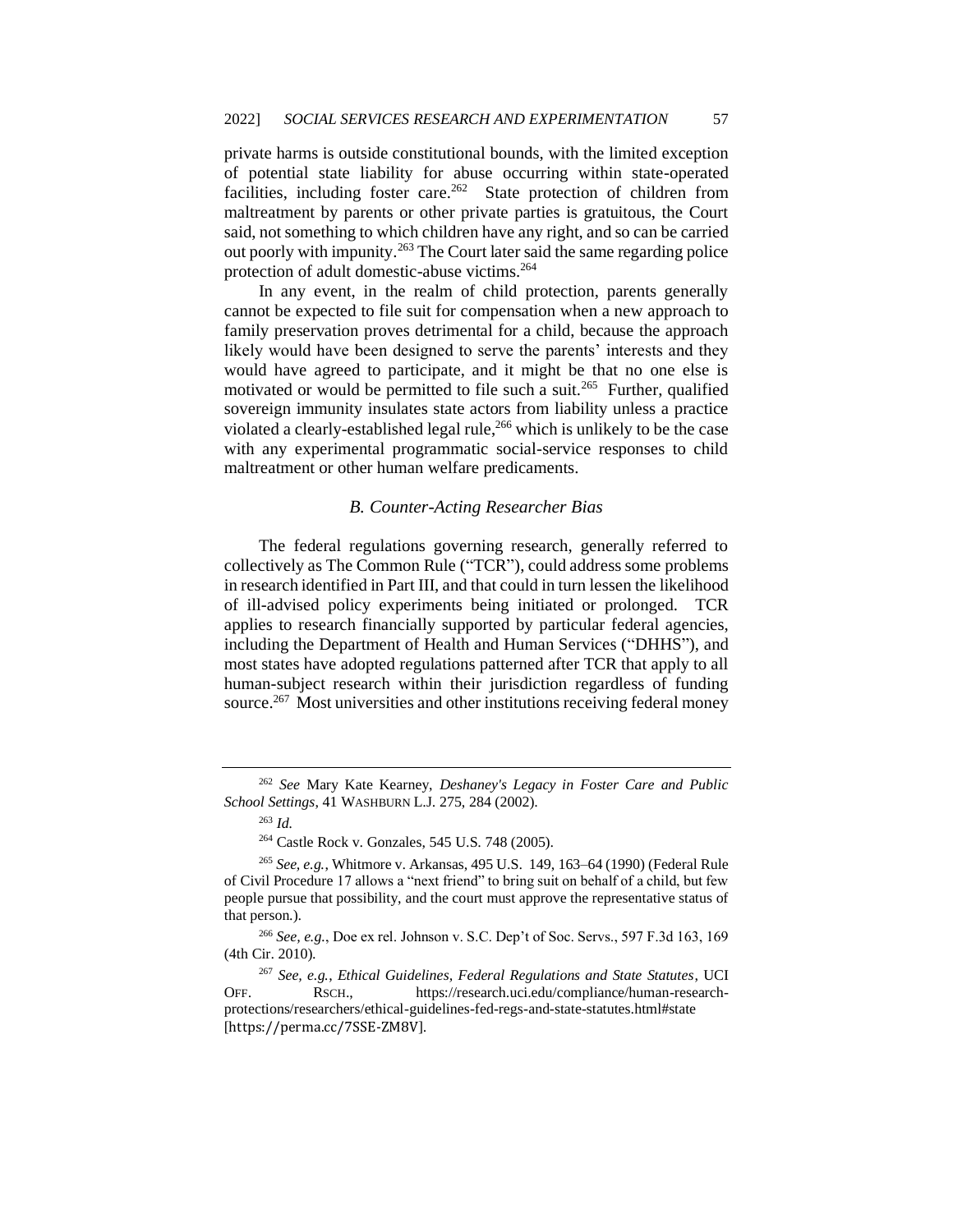private harms is outside constitutional bounds, with the limited exception of potential state liability for abuse occurring within state-operated facilities, including foster care.<sup>262</sup> State protection of children from maltreatment by parents or other private parties is gratuitous, the Court said, not something to which children have any right, and so can be carried out poorly with impunity.<sup>263</sup> The Court later said the same regarding police protection of adult domestic-abuse victims.<sup>264</sup>

In any event, in the realm of child protection, parents generally cannot be expected to file suit for compensation when a new approach to family preservation proves detrimental for a child, because the approach likely would have been designed to serve the parents' interests and they would have agreed to participate, and it might be that no one else is motivated or would be permitted to file such a suit.<sup>265</sup> Further, qualified sovereign immunity insulates state actors from liability unless a practice violated a clearly-established legal rule,<sup>266</sup> which is unlikely to be the case with any experimental programmatic social-service responses to child maltreatment or other human welfare predicaments.

## *B. Counter-Acting Researcher Bias*

The federal regulations governing research, generally referred to collectively as The Common Rule ("TCR"), could address some problems in research identified in Part III, and that could in turn lessen the likelihood of ill-advised policy experiments being initiated or prolonged. TCR applies to research financially supported by particular federal agencies, including the Department of Health and Human Services ("DHHS"), and most states have adopted regulations patterned after TCR that apply to all human-subject research within their jurisdiction regardless of funding source.<sup>267</sup> Most universities and other institutions receiving federal money

<sup>262</sup> *See* Mary Kate Kearney, *Deshaney's Legacy in Foster Care and Public School Settings*, 41 WASHBURN L.J. 275, 284 (2002).

<sup>263</sup> *Id.*

<sup>264</sup> Castle Rock v. Gonzales, 545 U.S. 748 (2005).

<sup>265</sup> *See, e.g.*, Whitmore v. Arkansas, 495 U.S. 149, 163–64 (1990) (Federal Rule of Civil Procedure 17 allows a "next friend" to bring suit on behalf of a child, but few people pursue that possibility, and the court must approve the representative status of that person.).

<sup>266</sup> *See, e.g.*, Doe ex rel. Johnson v. S.C. Dep't of Soc. Servs., 597 F.3d 163, 169 (4th Cir. 2010).

<sup>267</sup> *See, e.g.*, *Ethical Guidelines, Federal Regulations and State Statutes*, UCI OFF. RSCH., https://research.uci.edu/compliance/human-researchprotections/researchers/ethical-guidelines-fed-regs-and-state-statutes.html#state [https://perma.cc/7SSE-ZM8V].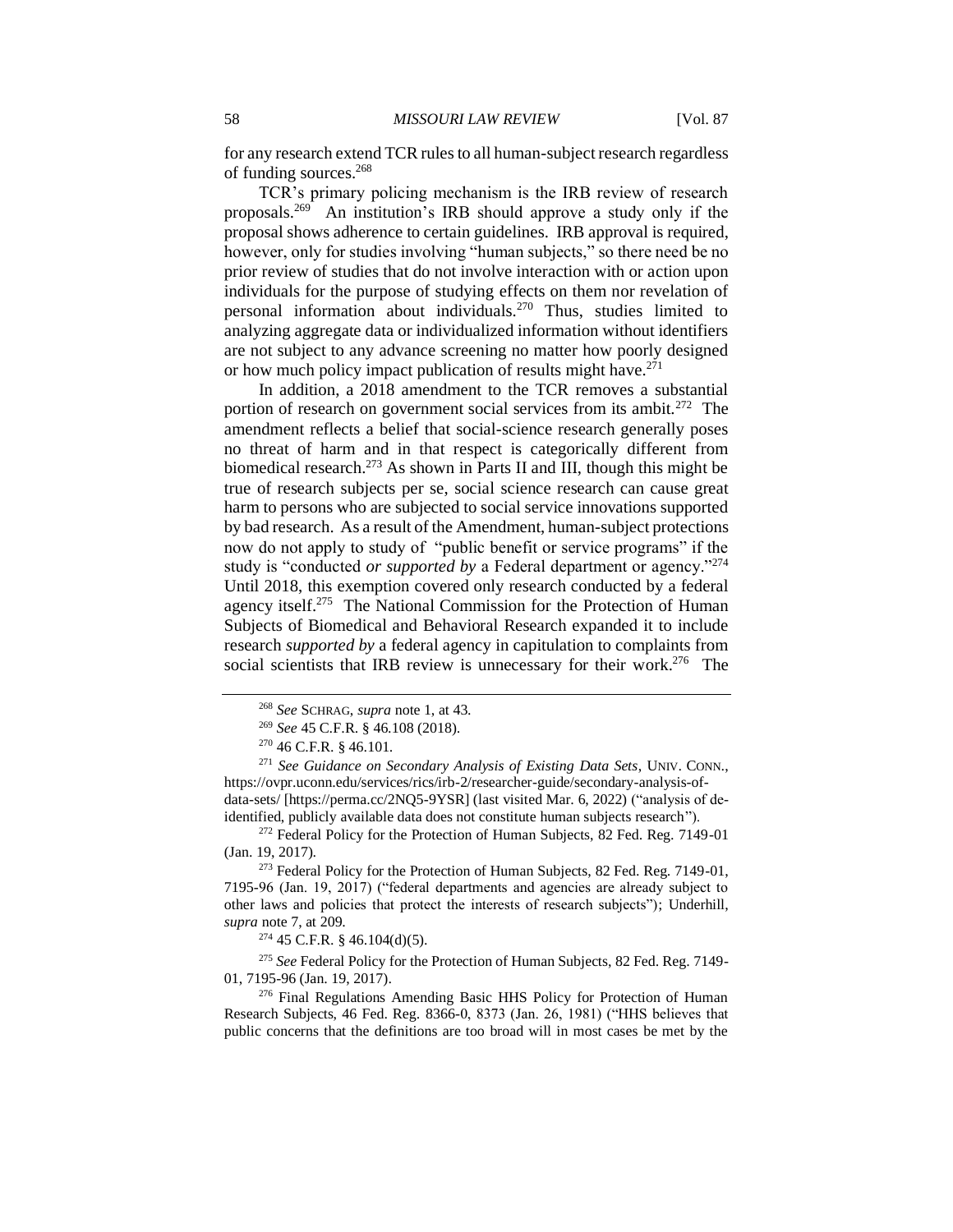for any research extend TCR rules to all human-subject research regardless of funding sources.<sup>268</sup>

TCR's primary policing mechanism is the IRB review of research proposals.<sup>269</sup> An institution's IRB should approve a study only if the proposal shows adherence to certain guidelines. IRB approval is required, however, only for studies involving "human subjects," so there need be no prior review of studies that do not involve interaction with or action upon individuals for the purpose of studying effects on them nor revelation of personal information about individuals.<sup>270</sup> Thus, studies limited to analyzing aggregate data or individualized information without identifiers are not subject to any advance screening no matter how poorly designed or how much policy impact publication of results might have.<sup>271</sup>

In addition, a 2018 amendment to the TCR removes a substantial portion of research on government social services from its ambit.<sup>272</sup> The amendment reflects a belief that social-science research generally poses no threat of harm and in that respect is categorically different from biomedical research.<sup>273</sup> As shown in Parts II and III, though this might be true of research subjects per se, social science research can cause great harm to persons who are subjected to social service innovations supported by bad research. As a result of the Amendment, human-subject protections now do not apply to study of "public benefit or service programs" if the study is "conducted *or supported by* a Federal department or agency."<sup>274</sup> Until 2018, this exemption covered only research conducted by a federal agency itself.<sup>275</sup> The National Commission for the Protection of Human Subjects of Biomedical and Behavioral Research expanded it to include research *supported by* a federal agency in capitulation to complaints from social scientists that IRB review is unnecessary for their work.<sup>276</sup> The

 $272$  Federal Policy for the Protection of Human Subjects, 82 Fed. Reg. 7149-01 (Jan. 19, 2017).

<sup>274</sup> 45 C.F.R. § 46.104(d)(5).

<sup>275</sup> *See* Federal Policy for the Protection of Human Subjects, 82 Fed. Reg. 7149- 01, 7195-96 (Jan. 19, 2017).

<sup>276</sup> Final Regulations Amending Basic HHS Policy for Protection of Human Research Subjects, 46 Fed. Reg. 8366-0, 8373 (Jan. 26, 1981) ("HHS believes that public concerns that the definitions are too broad will in most cases be met by the

<sup>268</sup> *See* SCHRAG, *supra* note 1, at 43.

<sup>269</sup> *See* 45 C.F.R. § 46.108 (2018).

<sup>270</sup> 46 C.F.R. § 46.101.

<sup>271</sup> *See Guidance on Secondary Analysis of Existing Data Sets*, UNIV. CONN., https://ovpr.uconn.edu/services/rics/irb-2/researcher-guide/secondary-analysis-ofdata-sets/ [https://perma.cc/2NQ5-9YSR] (last visited Mar. 6, 2022) ("analysis of deidentified, publicly available data does not constitute human subjects research").

<sup>&</sup>lt;sup>273</sup> Federal Policy for the Protection of Human Subjects, 82 Fed. Reg. 7149-01, 7195-96 (Jan. 19, 2017) ("federal departments and agencies are already subject to other laws and policies that protect the interests of research subjects"); Underhill, *supra* note 7, at 209.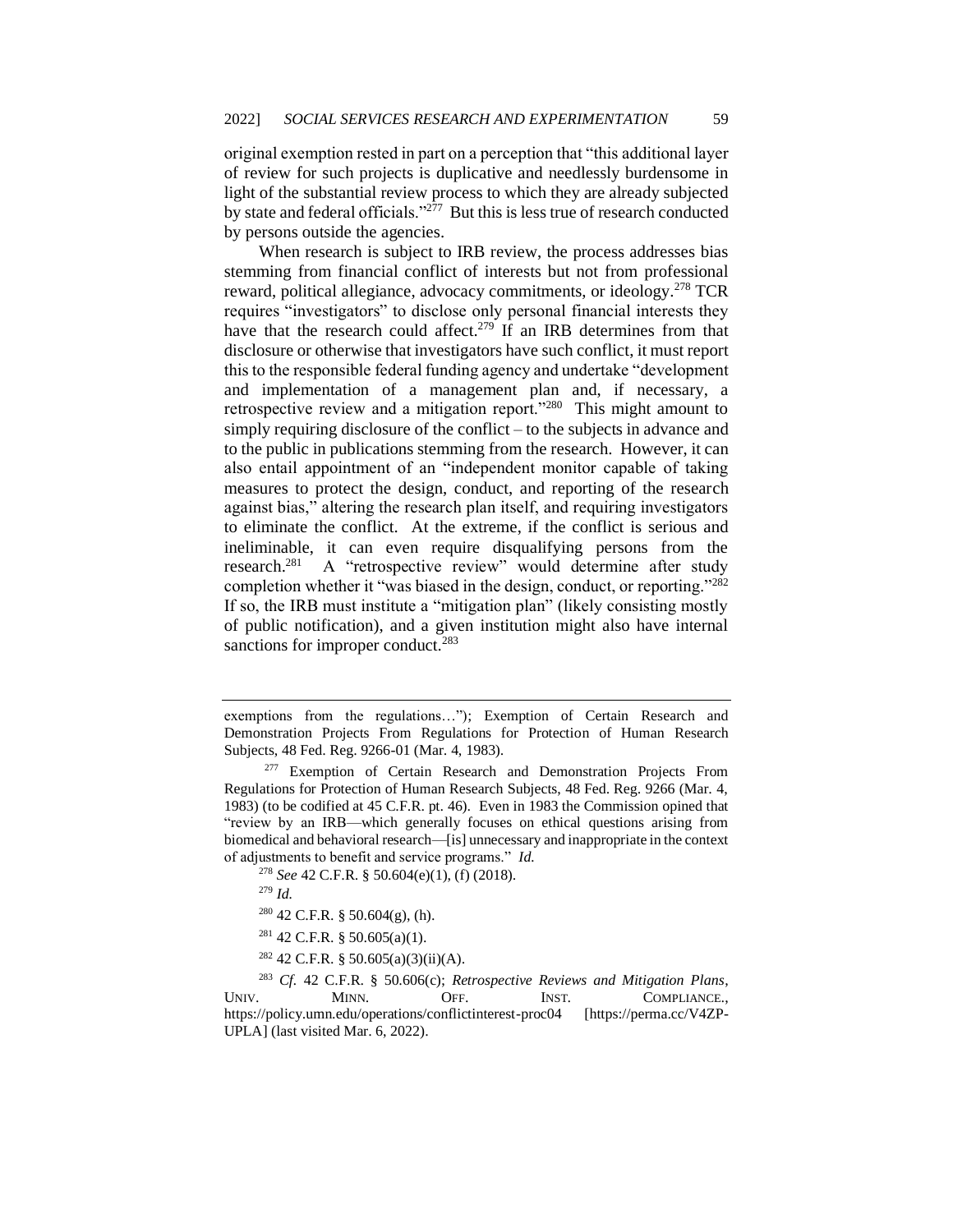original exemption rested in part on a perception that "this additional layer of review for such projects is duplicative and needlessly burdensome in light of the substantial review process to which they are already subjected by state and federal officials."<sup>277</sup> But this is less true of research conducted by persons outside the agencies.

When research is subject to IRB review, the process addresses bias stemming from financial conflict of interests but not from professional reward, political allegiance, advocacy commitments, or ideology.<sup>278</sup> TCR requires "investigators" to disclose only personal financial interests they have that the research could affect.<sup>279</sup> If an IRB determines from that disclosure or otherwise that investigators have such conflict, it must report this to the responsible federal funding agency and undertake "development and implementation of a management plan and, if necessary, a retrospective review and a mitigation report."<sup>280</sup> This might amount to simply requiring disclosure of the conflict – to the subjects in advance and to the public in publications stemming from the research. However, it can also entail appointment of an "independent monitor capable of taking measures to protect the design, conduct, and reporting of the research against bias," altering the research plan itself, and requiring investigators to eliminate the conflict. At the extreme, if the conflict is serious and ineliminable, it can even require disqualifying persons from the research.<sup>281</sup> A "retrospective review" would determine after study completion whether it "was biased in the design, conduct, or reporting."<sup>282</sup> If so, the IRB must institute a "mitigation plan" (likely consisting mostly of public notification), and a given institution might also have internal sanctions for improper conduct.<sup>283</sup>

- $281$  42 C.F.R. § 50.605(a)(1).
- $282$  42 C.F.R. § 50.605(a)(3)(ii)(A).

<sup>283</sup> *Cf.* 42 C.F.R. § 50.606(c); *Retrospective Reviews and Mitigation Plans*, UNIV. MINN. OFF. INST. COMPLIANCE., https://policy.umn.edu/operations/conflictinterest-proc04 [https://perma.cc/V4ZP-UPLA] (last visited Mar. 6, 2022).

exemptions from the regulations…"); Exemption of Certain Research and Demonstration Projects From Regulations for Protection of Human Research Subjects, 48 Fed. Reg. 9266-01 (Mar. 4, 1983).

<sup>&</sup>lt;sup>277</sup> Exemption of Certain Research and Demonstration Projects From Regulations for Protection of Human Research Subjects, 48 Fed. Reg. 9266 (Mar. 4, 1983) (to be codified at 45 C.F.R. pt. 46). Even in 1983 the Commission opined that "review by an IRB—which generally focuses on ethical questions arising from biomedical and behavioral research—[is] unnecessary and inappropriate in the context of adjustments to benefit and service programs." *Id.*

<sup>278</sup> *See* 42 C.F.R. § 50.604(e)(1), (f) (2018).

<sup>279</sup> *Id.*

<sup>280</sup> 42 C.F.R. § 50.604(g), (h).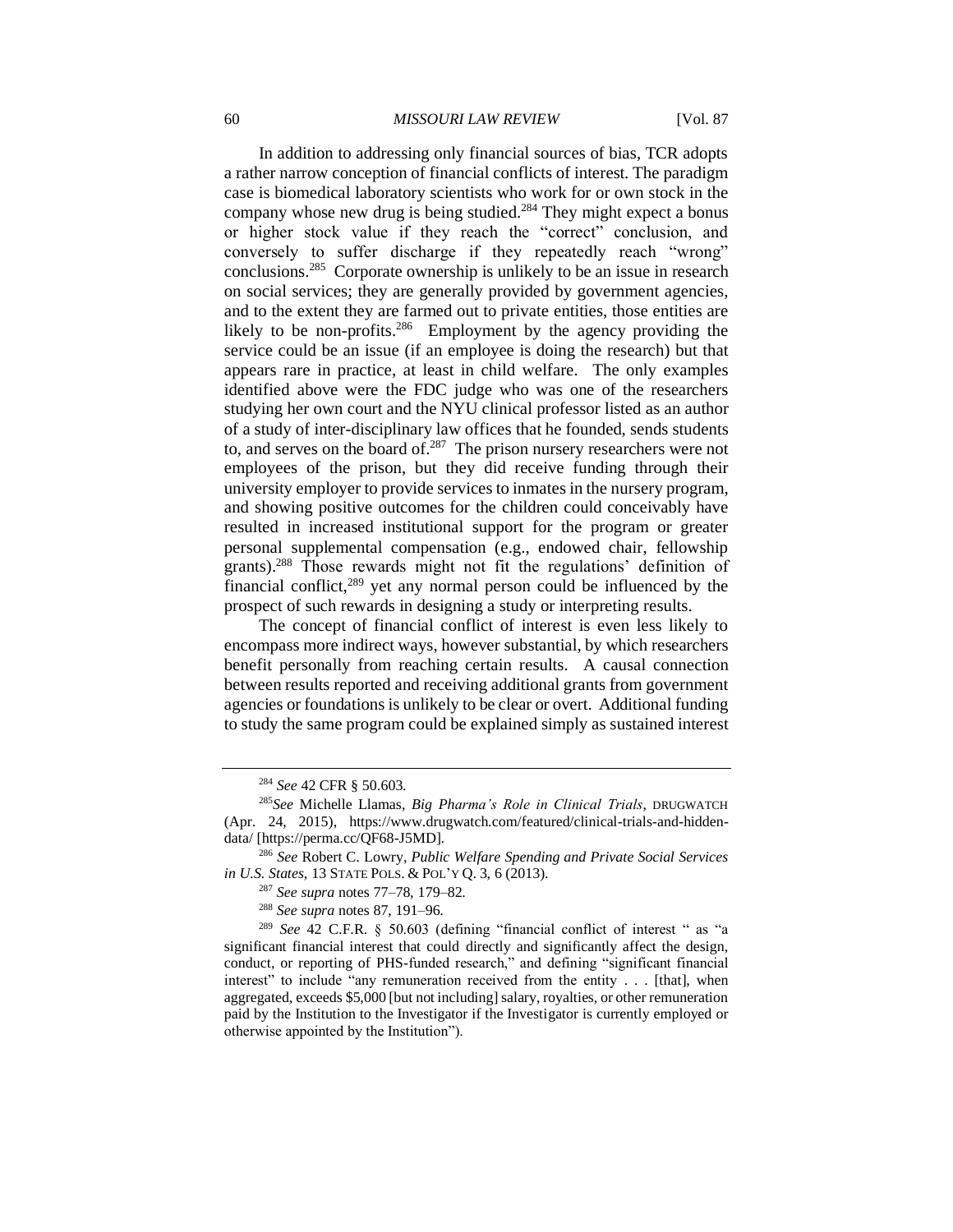#### 60 *MISSOURI LAW REVIEW* [Vol. 87

In addition to addressing only financial sources of bias, TCR adopts a rather narrow conception of financial conflicts of interest. The paradigm case is biomedical laboratory scientists who work for or own stock in the company whose new drug is being studied.<sup>284</sup> They might expect a bonus or higher stock value if they reach the "correct" conclusion, and conversely to suffer discharge if they repeatedly reach "wrong" conclusions.<sup>285</sup> Corporate ownership is unlikely to be an issue in research on social services; they are generally provided by government agencies, and to the extent they are farmed out to private entities, those entities are likely to be non-profits.<sup>286</sup> Employment by the agency providing the service could be an issue (if an employee is doing the research) but that appears rare in practice, at least in child welfare. The only examples identified above were the FDC judge who was one of the researchers studying her own court and the NYU clinical professor listed as an author of a study of inter-disciplinary law offices that he founded, sends students to, and serves on the board of. $287$  The prison nursery researchers were not employees of the prison, but they did receive funding through their university employer to provide services to inmates in the nursery program, and showing positive outcomes for the children could conceivably have resulted in increased institutional support for the program or greater personal supplemental compensation (e.g., endowed chair, fellowship grants).<sup>288</sup> Those rewards might not fit the regulations' definition of financial conflict, $289$  yet any normal person could be influenced by the prospect of such rewards in designing a study or interpreting results.

The concept of financial conflict of interest is even less likely to encompass more indirect ways, however substantial, by which researchers benefit personally from reaching certain results. A causal connection between results reported and receiving additional grants from government agencies or foundations is unlikely to be clear or overt. Additional funding to study the same program could be explained simply as sustained interest

<sup>286</sup> *See* Robert C. Lowry, *Public Welfare Spending and Private Social Services in U.S. States*, 13 STATE POLS. & POL'Y Q. 3, 6 (2013).

<sup>287</sup> *See supra* notes 77–78, 179–82.

<sup>288</sup> *See supra* notes 87, 191–96.

<sup>289</sup> *See* 42 C.F.R. § 50.603 (defining "financial conflict of interest " as "a significant financial interest that could directly and significantly affect the design, conduct, or reporting of PHS-funded research," and defining "significant financial interest" to include "any remuneration received from the entity . . . [that], when aggregated, exceeds \$5,000 [but not including] salary, royalties, or other remuneration paid by the Institution to the Investigator if the Investigator is currently employed or otherwise appointed by the Institution").

<sup>284</sup> *See* 42 CFR § 50.603.

<sup>285</sup>*See* Michelle Llamas, *Big Pharma's Role in Clinical Trials*, DRUGWATCH (Apr. 24, 2015), https://www.drugwatch.com/featured/clinical-trials-and-hiddendata/ [https://perma.cc/QF68-J5MD].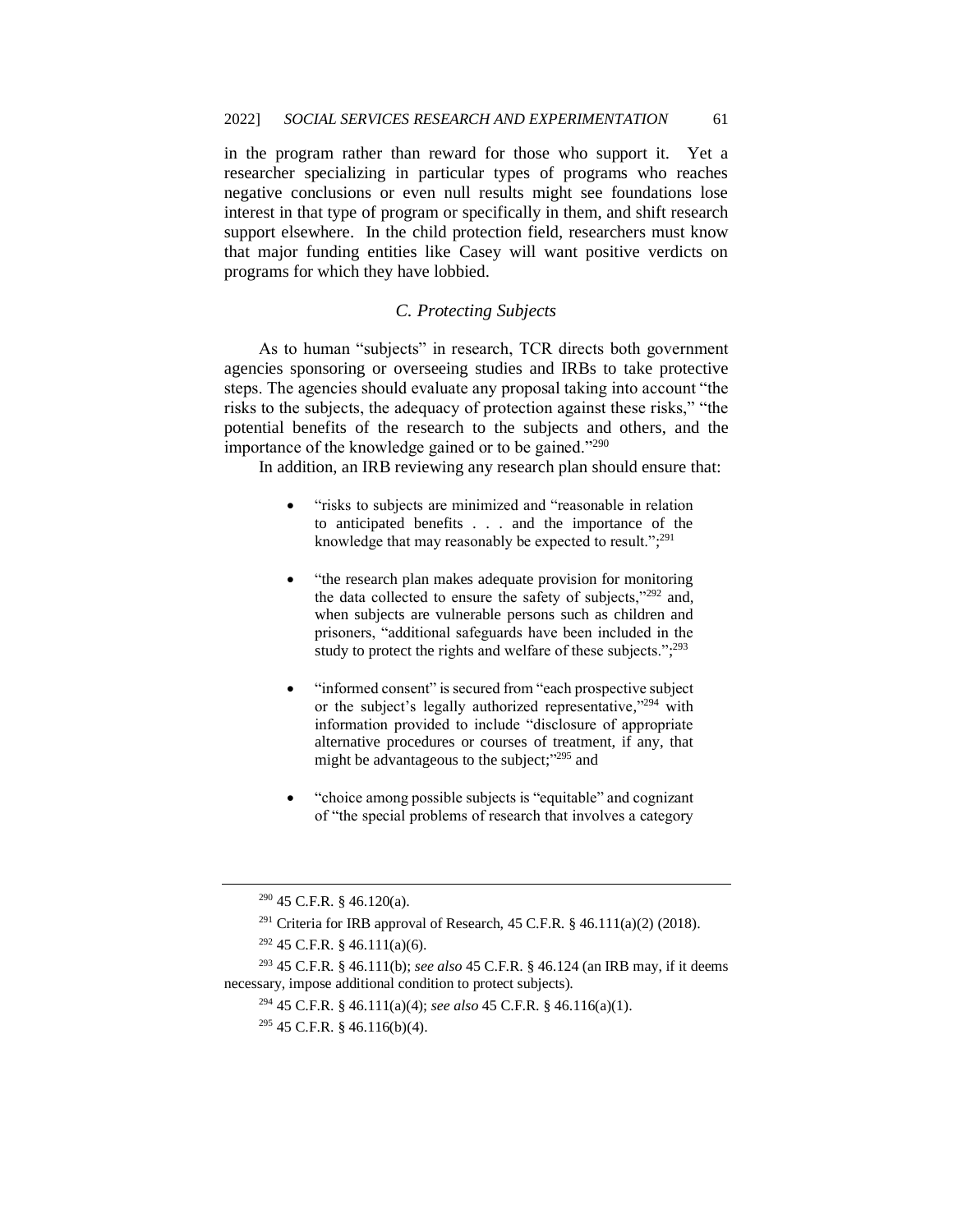in the program rather than reward for those who support it. Yet a researcher specializing in particular types of programs who reaches negative conclusions or even null results might see foundations lose interest in that type of program or specifically in them, and shift research support elsewhere. In the child protection field, researchers must know that major funding entities like Casey will want positive verdicts on programs for which they have lobbied.

# *C. Protecting Subjects*

As to human "subjects" in research, TCR directs both government agencies sponsoring or overseeing studies and IRBs to take protective steps. The agencies should evaluate any proposal taking into account "the risks to the subjects, the adequacy of protection against these risks," "the potential benefits of the research to the subjects and others, and the importance of the knowledge gained or to be gained."<sup>290</sup>

In addition, an IRB reviewing any research plan should ensure that:

- "risks to subjects are minimized and "reasonable in relation to anticipated benefits . . . and the importance of the knowledge that may reasonably be expected to result.";<sup>291</sup>
- "the research plan makes adequate provision for monitoring the data collected to ensure the safety of subjects,"<sup>292</sup> and, when subjects are vulnerable persons such as children and prisoners, "additional safeguards have been included in the study to protect the rights and welfare of these subjects.";<sup>293</sup>
- "informed consent" is secured from "each prospective subject or the subject's legally authorized representative,"<sup>294</sup> with information provided to include "disclosure of appropriate alternative procedures or courses of treatment, if any, that might be advantageous to the subject;"<sup>295</sup> and
- "choice among possible subjects is "equitable" and cognizant of "the special problems of research that involves a category

 $290$  45 C.F.R. § 46.120(a).

<sup>&</sup>lt;sup>291</sup> Criteria for IRB approval of Research, 45 C.F.R.  $§$  46.111(a)(2) (2018).

 $292$  45 C.F.R. § 46.111(a)(6).

<sup>293</sup> 45 C.F.R. § 46.111(b); *see also* 45 C.F.R. § 46.124 (an IRB may, if it deems necessary, impose additional condition to protect subjects).

<sup>294</sup> 45 C.F.R. § 46.111(a)(4); *see also* 45 C.F.R. § 46.116(a)(1).

 $295$  45 C.F.R. § 46.116(b)(4).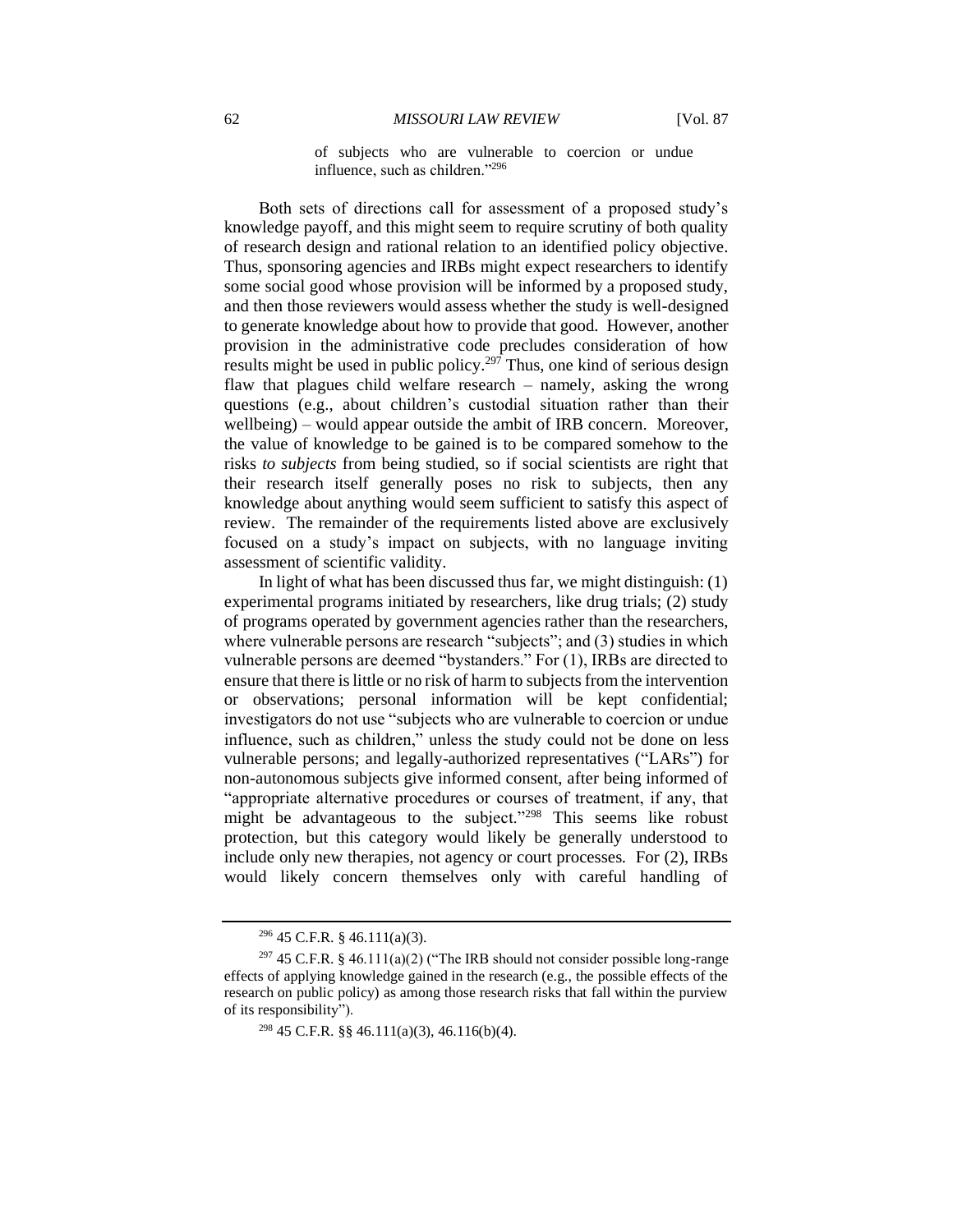of subjects who are vulnerable to coercion or undue influence, such as children."<sup>296</sup>

Both sets of directions call for assessment of a proposed study's knowledge payoff, and this might seem to require scrutiny of both quality of research design and rational relation to an identified policy objective. Thus, sponsoring agencies and IRBs might expect researchers to identify some social good whose provision will be informed by a proposed study, and then those reviewers would assess whether the study is well-designed to generate knowledge about how to provide that good. However, another provision in the administrative code precludes consideration of how results might be used in public policy.<sup>297</sup> Thus, one kind of serious design flaw that plagues child welfare research – namely, asking the wrong questions (e.g., about children's custodial situation rather than their wellbeing) – would appear outside the ambit of IRB concern. Moreover, the value of knowledge to be gained is to be compared somehow to the risks *to subjects* from being studied, so if social scientists are right that their research itself generally poses no risk to subjects, then any knowledge about anything would seem sufficient to satisfy this aspect of review. The remainder of the requirements listed above are exclusively focused on a study's impact on subjects, with no language inviting assessment of scientific validity.

In light of what has been discussed thus far, we might distinguish: (1) experimental programs initiated by researchers, like drug trials; (2) study of programs operated by government agencies rather than the researchers, where vulnerable persons are research "subjects"; and (3) studies in which vulnerable persons are deemed "bystanders." For (1), IRBs are directed to ensure that there is little or no risk of harm to subjects from the intervention or observations; personal information will be kept confidential; investigators do not use "subjects who are vulnerable to coercion or undue influence, such as children," unless the study could not be done on less vulnerable persons; and legally-authorized representatives ("LARs") for non-autonomous subjects give informed consent, after being informed of "appropriate alternative procedures or courses of treatment, if any, that might be advantageous to the subject."<sup>298</sup> This seems like robust protection, but this category would likely be generally understood to include only new therapies, not agency or court processes. For (2), IRBs would likely concern themselves only with careful handling of

<sup>296</sup> 45 C.F.R. § 46.111(a)(3).

<sup>&</sup>lt;sup>297</sup> 45 C.F.R. § 46.111(a)(2) ("The IRB should not consider possible long-range effects of applying knowledge gained in the research (e.g., the possible effects of the research on public policy) as among those research risks that fall within the purview of its responsibility").

<sup>&</sup>lt;sup>298</sup> 45 C.F.R. §§ 46.111(a)(3), 46.116(b)(4).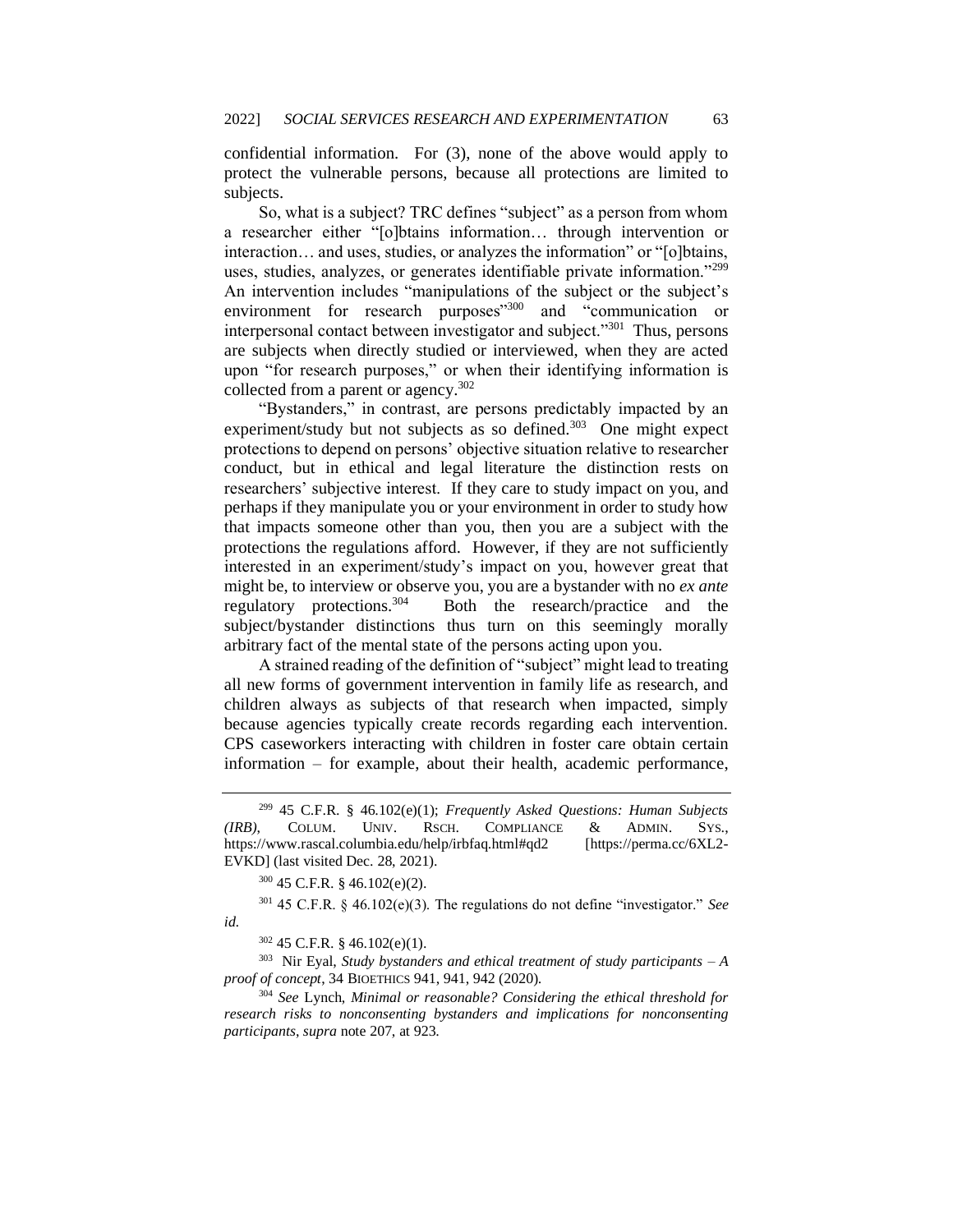confidential information. For (3), none of the above would apply to protect the vulnerable persons, because all protections are limited to subjects.

So, what is a subject? TRC defines "subject" as a person from whom a researcher either "[o]btains information… through intervention or interaction… and uses, studies, or analyzes the information" or "[o]btains, uses, studies, analyzes, or generates identifiable private information."<sup>299</sup> An intervention includes "manipulations of the subject or the subject's environment for research purposes"<sup>300</sup> and "communication or interpersonal contact between investigator and subject."<sup>301</sup> Thus, persons are subjects when directly studied or interviewed, when they are acted upon "for research purposes," or when their identifying information is collected from a parent or agency.<sup>302</sup>

"Bystanders," in contrast, are persons predictably impacted by an experiment/study but not subjects as so defined.<sup>303</sup> One might expect protections to depend on persons' objective situation relative to researcher conduct, but in ethical and legal literature the distinction rests on researchers' subjective interest. If they care to study impact on you, and perhaps if they manipulate you or your environment in order to study how that impacts someone other than you, then you are a subject with the protections the regulations afford. However, if they are not sufficiently interested in an experiment/study's impact on you, however great that might be, to interview or observe you, you are a bystander with no *ex ante* regulatory protections.<sup>304</sup> Both the research/practice and the subject/bystander distinctions thus turn on this seemingly morally arbitrary fact of the mental state of the persons acting upon you.

A strained reading of the definition of "subject" might lead to treating all new forms of government intervention in family life as research, and children always as subjects of that research when impacted, simply because agencies typically create records regarding each intervention. CPS caseworkers interacting with children in foster care obtain certain information – for example, about their health, academic performance,

303 Nir Eyal, *Study bystanders and ethical treatment of study participants – A proof of concept*, 34 BIOETHICS 941, 941, 942 (2020).

<sup>304</sup> *See* Lynch, *Minimal or reasonable? Considering the ethical threshold for research risks to nonconsenting bystanders and implications for nonconsenting participants*, *supra* note 207, at 923.

<sup>299</sup> 45 C.F.R. § 46.102(e)(1); *Frequently Asked Questions: Human Subjects (IRB)*, COLUM. UNIV. RSCH. COMPLIANCE & ADMIN. SYS., https://www.rascal.columbia.edu/help/irbfaq.html#qd2 [https://perma.cc/6XL2- EVKD] (last visited Dec. 28, 2021).

 $300$  45 C.F.R. § 46.102(e)(2).

<sup>301</sup> 45 C.F.R. § 46.102(e)(3). The regulations do not define "investigator." *See id.*

<sup>302</sup> 45 C.F.R. § 46.102(e)(1).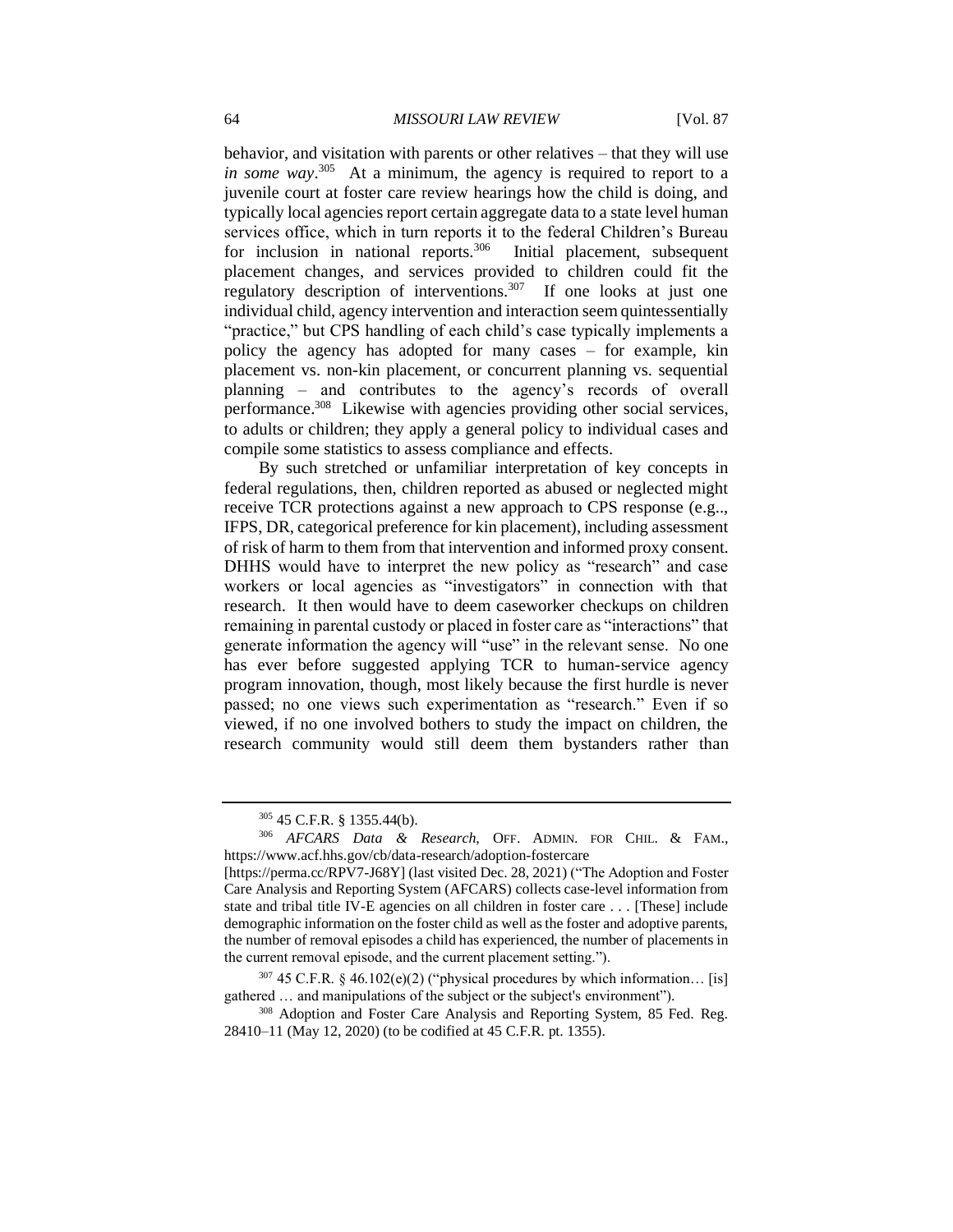behavior, and visitation with parents or other relatives – that they will use *in some way*. 305 At a minimum, the agency is required to report to a juvenile court at foster care review hearings how the child is doing, and typically local agencies report certain aggregate data to a state level human services office, which in turn reports it to the federal Children's Bureau for inclusion in national reports.<sup>306</sup> Initial placement, subsequent placement changes, and services provided to children could fit the regulatory description of interventions.<sup>307</sup> If one looks at just one individual child, agency intervention and interaction seem quintessentially "practice," but CPS handling of each child's case typically implements a policy the agency has adopted for many cases – for example, kin placement vs. non-kin placement, or concurrent planning vs. sequential planning – and contributes to the agency's records of overall performance.<sup>308</sup> Likewise with agencies providing other social services, to adults or children; they apply a general policy to individual cases and compile some statistics to assess compliance and effects.

By such stretched or unfamiliar interpretation of key concepts in federal regulations, then, children reported as abused or neglected might receive TCR protections against a new approach to CPS response (e.g.., IFPS, DR, categorical preference for kin placement), including assessment of risk of harm to them from that intervention and informed proxy consent. DHHS would have to interpret the new policy as "research" and case workers or local agencies as "investigators" in connection with that research. It then would have to deem caseworker checkups on children remaining in parental custody or placed in foster care as "interactions" that generate information the agency will "use" in the relevant sense. No one has ever before suggested applying TCR to human-service agency program innovation, though, most likely because the first hurdle is never passed; no one views such experimentation as "research." Even if so viewed, if no one involved bothers to study the impact on children, the research community would still deem them bystanders rather than

<sup>305</sup> 45 C.F.R. § 1355.44(b).

<sup>306</sup> *AFCARS Data & Research*, OFF. ADMIN. FOR CHIL. & FAM., https://www.acf.hhs.gov/cb/data-research/adoption-fostercare

<sup>[</sup>https://perma.cc/RPV7-J68Y] (last visited Dec. 28, 2021) ("The Adoption and Foster Care Analysis and Reporting System (AFCARS) collects case-level information from state and tribal title IV-E agencies on all children in foster care . . . [These] include demographic information on the foster child as well as the foster and adoptive parents, the number of removal episodes a child has experienced, the number of placements in the current removal episode, and the current placement setting.").

 $307$  45 C.F.R. § 46.102(e)(2) ("physical procedures by which information... [is] gathered … and manipulations of the subject or the subject's environment").

<sup>&</sup>lt;sup>308</sup> Adoption and Foster Care Analysis and Reporting System, 85 Fed. Reg. 28410–11 (May 12, 2020) (to be codified at 45 C.F.R. pt. 1355).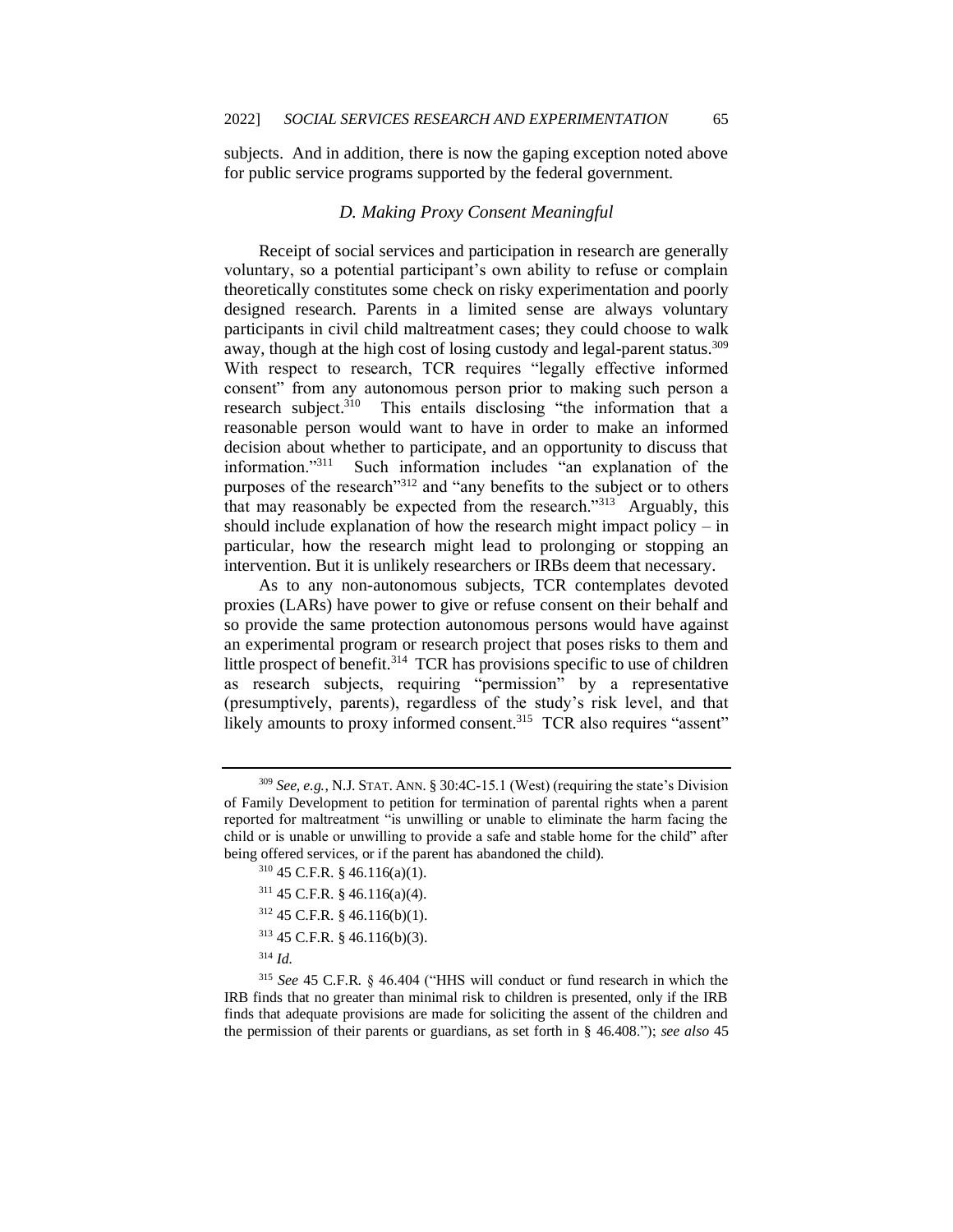subjects. And in addition, there is now the gaping exception noted above for public service programs supported by the federal government.

## *D. Making Proxy Consent Meaningful*

Receipt of social services and participation in research are generally voluntary, so a potential participant's own ability to refuse or complain theoretically constitutes some check on risky experimentation and poorly designed research. Parents in a limited sense are always voluntary participants in civil child maltreatment cases; they could choose to walk away, though at the high cost of losing custody and legal-parent status.<sup>309</sup> With respect to research, TCR requires "legally effective informed consent" from any autonomous person prior to making such person a research subject.<sup>310</sup> This entails disclosing "the information that a reasonable person would want to have in order to make an informed decision about whether to participate, and an opportunity to discuss that information."<sup>311</sup> Such information includes "an explanation of the purposes of the research"312 and "any benefits to the subject or to others that may reasonably be expected from the research."<sup>313</sup> Arguably, this should include explanation of how the research might impact policy – in particular, how the research might lead to prolonging or stopping an intervention. But it is unlikely researchers or IRBs deem that necessary.

As to any non-autonomous subjects, TCR contemplates devoted proxies (LARs) have power to give or refuse consent on their behalf and so provide the same protection autonomous persons would have against an experimental program or research project that poses risks to them and little prospect of benefit.<sup>314</sup> TCR has provisions specific to use of children as research subjects, requiring "permission" by a representative (presumptively, parents), regardless of the study's risk level, and that likely amounts to proxy informed consent.<sup>315</sup> TCR also requires "assent"

- <sup>310</sup> 45 C.F.R. § 46.116(a)(1).
- <sup>311</sup> 45 C.F.R. § 46.116(a)(4).
- <sup>312</sup> 45 C.F.R. § 46.116(b)(1).
- <sup>313</sup> 45 C.F.R. § 46.116(b)(3).
- <sup>314</sup> *Id.*

<sup>309</sup> *See, e.g.*, N.J. STAT. ANN. § 30:4C-15.1 (West) (requiring the state's Division of Family Development to petition for termination of parental rights when a parent reported for maltreatment "is unwilling or unable to eliminate the harm facing the child or is unable or unwilling to provide a safe and stable home for the child" after being offered services, or if the parent has abandoned the child).

<sup>315</sup> *See* 45 C.F.R. § 46.404 ("HHS will conduct or fund research in which the IRB finds that no greater than minimal risk to children is presented, only if the IRB finds that adequate provisions are made for soliciting the assent of the children and the permission of their parents or guardians, as set forth in [§ 46.408.](http://www.westlaw.com/Link/Document/FullText?findType=L&pubNum=1000547&cite=45CFRS46.408&originatingDoc=NAA108F008B4011D98CF4E0B65F42E6DA&refType=VP&originationContext=document&vr=3.0&rs=cblt1.0&transitionType=DocumentItem&contextData=(sc.DocLink))"); *see also* 45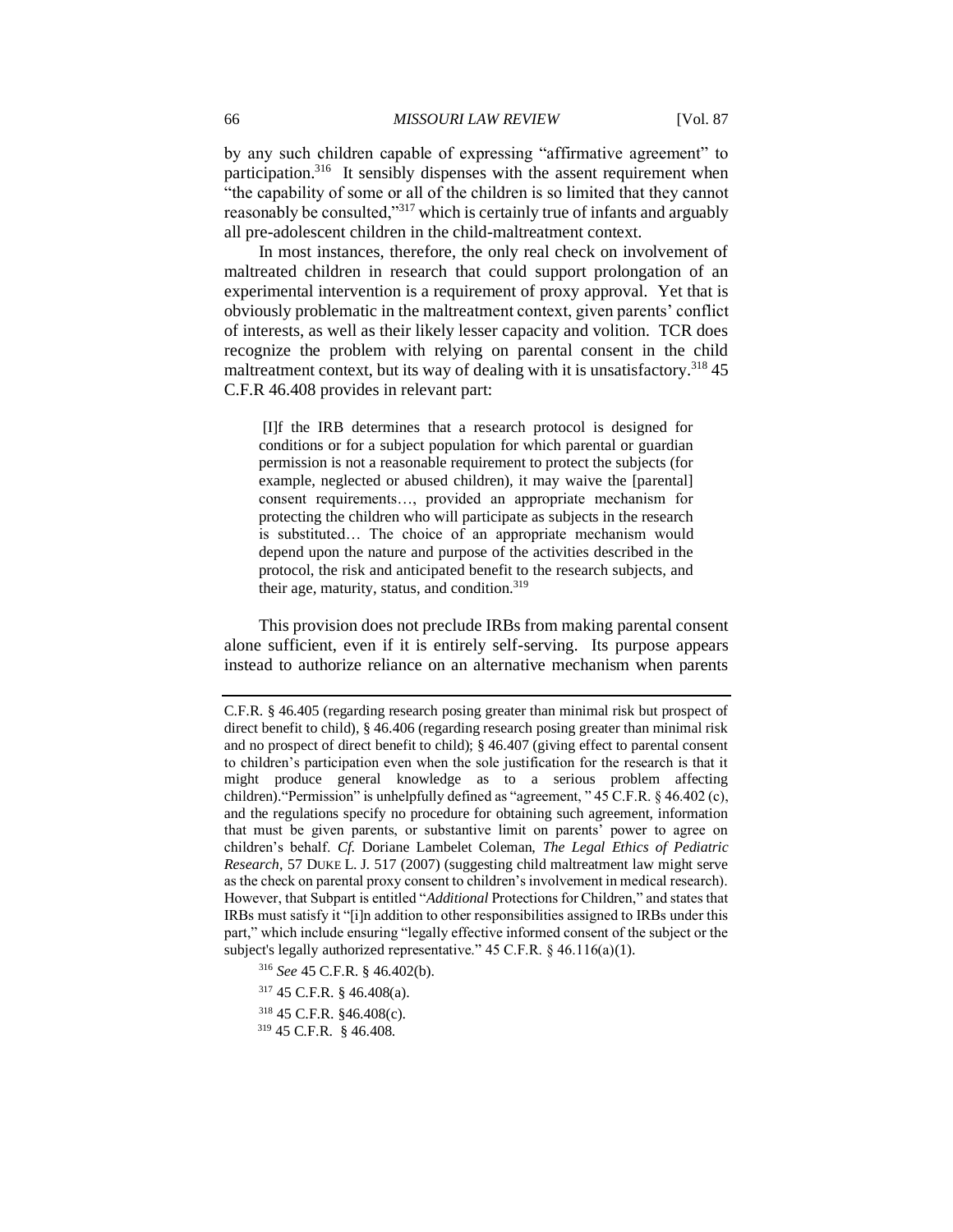by any such children capable of expressing "affirmative agreement" to participation.<sup>316</sup> It sensibly dispenses with the assent requirement when "the capability of some or all of the children is so limited that they cannot reasonably be consulted,"<sup>317</sup> which is certainly true of infants and arguably all pre-adolescent children in the child-maltreatment context.

In most instances, therefore, the only real check on involvement of maltreated children in research that could support prolongation of an experimental intervention is a requirement of proxy approval. Yet that is obviously problematic in the maltreatment context, given parents' conflict of interests, as well as their likely lesser capacity and volition. TCR does recognize the problem with relying on parental consent in the child maltreatment context, but its way of dealing with it is unsatisfactory.<sup>318</sup> 45 C.F.R 46.408 provides in relevant part:

[I]f the IRB determines that a research protocol is designed for conditions or for a subject population for which parental or guardian permission is not a reasonable requirement to protect the subjects (for example, neglected or abused children), it may waive the [parental] consent requirements…, provided an appropriate mechanism for protecting the children who will participate as subjects in the research is substituted… The choice of an appropriate mechanism would depend upon the nature and purpose of the activities described in the protocol, the risk and anticipated benefit to the research subjects, and their age, maturity, status, and condition.<sup>319</sup>

This provision does not preclude IRBs from making parental consent alone sufficient, even if it is entirely self-serving. Its purpose appears instead to authorize reliance on an alternative mechanism when parents

- <sup>316</sup> *See* 45 C.F.R. § 46.402(b).
- <sup>317</sup> 45 C.F.R. § 46.408(a).
- <sup>318</sup> 45 C.F.R. §46.408(c).
- <sup>319</sup> 45 C.F.R. § 46.408.

C.F.R. § 46.405 (regarding research posing greater than minimal risk but prospect of direct benefit to child), § 46.406 (regarding research posing greater than minimal risk and no prospect of direct benefit to child); § 46.407 (giving effect to parental consent to children's participation even when the sole justification for the research is that it might produce general knowledge as to a serious problem affecting children)."Permission" is unhelpfully defined as "agreement, " 45 C.F.R. § 46.402 (c), and the regulations specify no procedure for obtaining such agreement, information that must be given parents, or substantive limit on parents' power to agree on children's behalf. *Cf*. Doriane Lambelet Coleman, *The Legal Ethics of Pediatric Research*, 57 DUKE L. J. 517 (2007) (suggesting child maltreatment law might serve as the check on parental proxy consent to children's involvement in medical research). However, that Subpart is entitled "*Additional* Protections for Children," and states that IRBs must satisfy it "[i]n addition to other responsibilities assigned to IRBs under this part," which include ensuring "legally effective informed consent of the subject or the subject's legally authorized representative." 45 C.F.R. § 46.116(a)(1).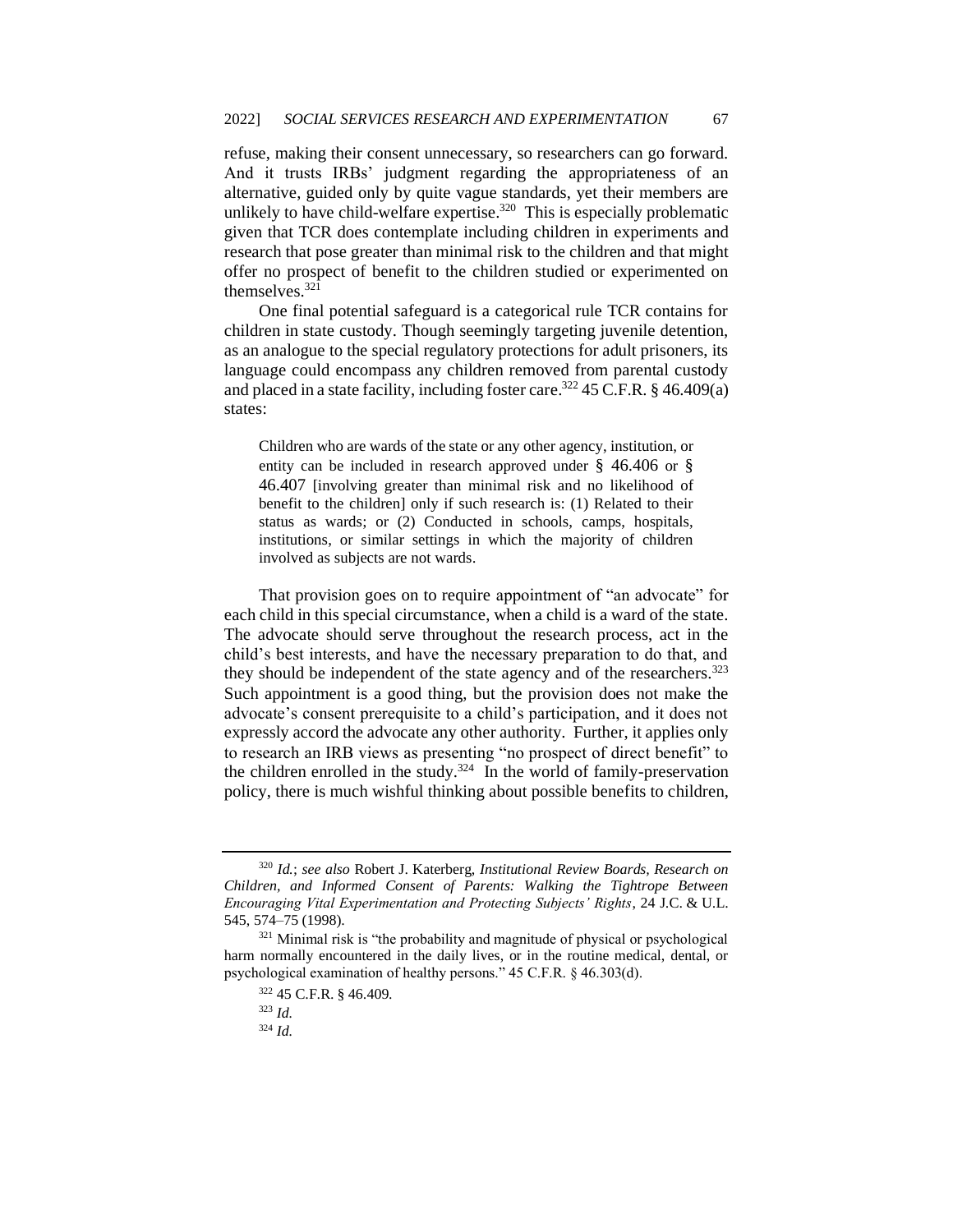refuse, making their consent unnecessary, so researchers can go forward. And it trusts IRBs' judgment regarding the appropriateness of an alternative, guided only by quite vague standards, yet their members are unlikely to have child-welfare expertise.<sup>320</sup> This is especially problematic given that TCR does contemplate including children in experiments and research that pose greater than minimal risk to the children and that might offer no prospect of benefit to the children studied or experimented on themselves.<sup>321</sup>

One final potential safeguard is a categorical rule TCR contains for children in state custody. Though seemingly targeting juvenile detention, as an analogue to the special regulatory protections for adult prisoners, its language could encompass any children removed from parental custody and placed in a state facility, including foster care.<sup>322</sup> 45 C.F.R. § 46.409(a) states:

Children who are wards of the state or any other agency, institution, or entity can be included in research approved under § 46.406 or § 46.407 [involving greater than minimal risk and no likelihood of benefit to the children] only if such research is: (1) Related to their status as wards; or (2) Conducted in schools, camps, hospitals, institutions, or similar settings in which the majority of children involved as subjects are not wards.

That provision goes on to require appointment of "an advocate" for each child in this special circumstance, when a child is a ward of the state. The advocate should serve throughout the research process, act in the child's best interests, and have the necessary preparation to do that, and they should be independent of the state agency and of the researchers.<sup>323</sup> Such appointment is a good thing, but the provision does not make the advocate's consent prerequisite to a child's participation, and it does not expressly accord the advocate any other authority. Further, it applies only to research an IRB views as presenting "no prospect of direct benefit" to the children enrolled in the study. $324$  In the world of family-preservation policy, there is much wishful thinking about possible benefits to children,

<sup>324</sup> *Id.*

<sup>320</sup> *Id.*; *see also* Robert J. Katerberg, *Institutional Review Boards, Research on Children, and Informed Consent of Parents: Walking the Tightrope Between Encouraging Vital Experimentation and Protecting Subjects' Rights*, 24 J.C. & U.L. 545, 574–75 (1998).

 $321$  Minimal risk is "the probability and magnitude of physical or psychological harm normally encountered in the daily lives, or in the routine medical, dental, or psychological examination of healthy persons." 45 C.F.R. § 46.303(d).

<sup>322</sup> 45 C.F.R. § 46.409.

<sup>323</sup> *Id.*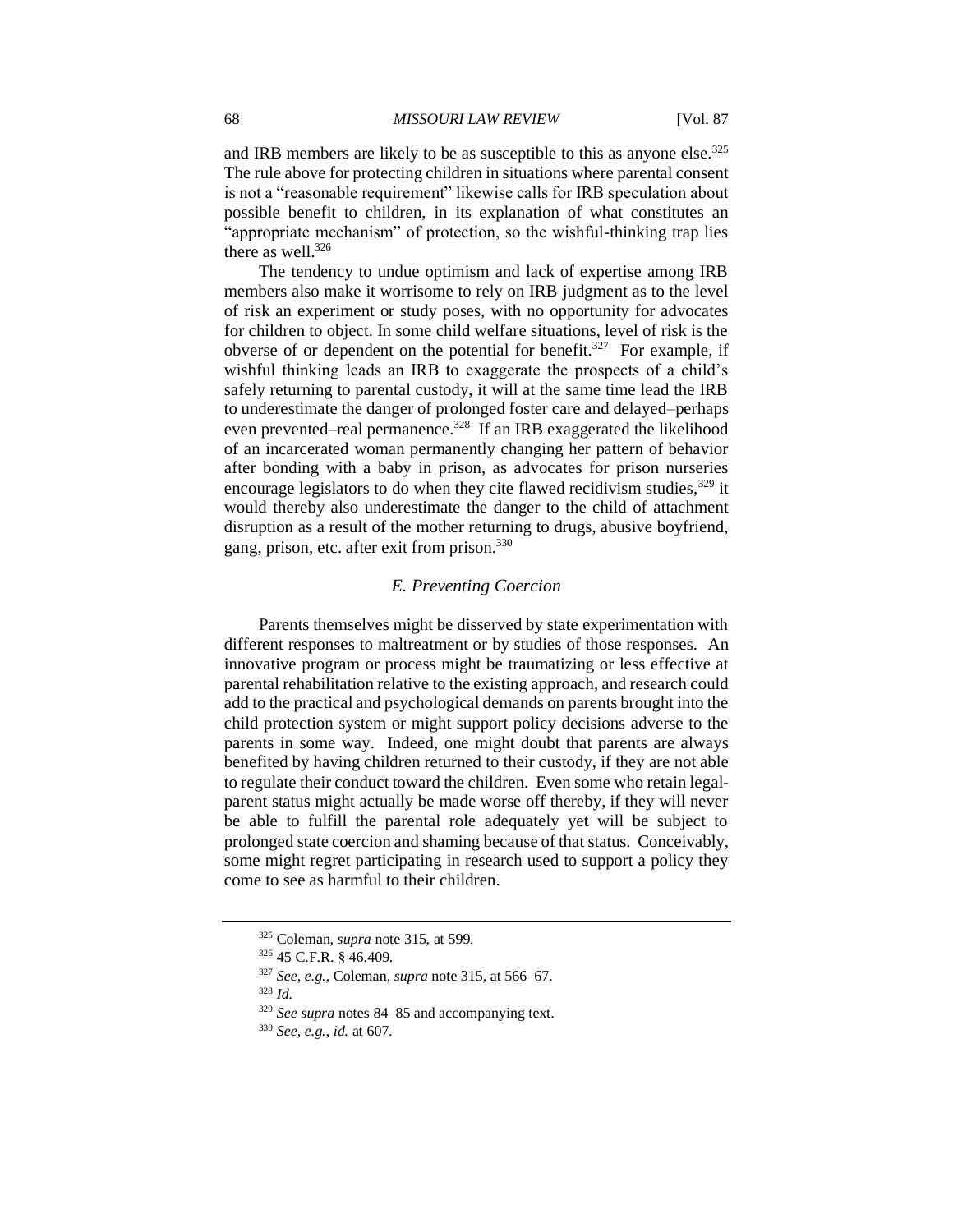and IRB members are likely to be as susceptible to this as anyone else.<sup>325</sup> The rule above for protecting children in situations where parental consent is not a "reasonable requirement" likewise calls for IRB speculation about possible benefit to children, in its explanation of what constitutes an "appropriate mechanism" of protection, so the wishful-thinking trap lies there as well.<sup>326</sup>

The tendency to undue optimism and lack of expertise among IRB members also make it worrisome to rely on IRB judgment as to the level of risk an experiment or study poses, with no opportunity for advocates for children to object. In some child welfare situations, level of risk is the obverse of or dependent on the potential for benefit.<sup>327</sup> For example, if wishful thinking leads an IRB to exaggerate the prospects of a child's safely returning to parental custody, it will at the same time lead the IRB to underestimate the danger of prolonged foster care and delayed–perhaps even prevented–real permanence.<sup>328</sup> If an IRB exaggerated the likelihood of an incarcerated woman permanently changing her pattern of behavior after bonding with a baby in prison, as advocates for prison nurseries encourage legislators to do when they cite flawed recidivism studies,  $329$  it would thereby also underestimate the danger to the child of attachment disruption as a result of the mother returning to drugs, abusive boyfriend, gang, prison, etc. after exit from prison.<sup>330</sup>

### *E. Preventing Coercion*

Parents themselves might be disserved by state experimentation with different responses to maltreatment or by studies of those responses. An innovative program or process might be traumatizing or less effective at parental rehabilitation relative to the existing approach, and research could add to the practical and psychological demands on parents brought into the child protection system or might support policy decisions adverse to the parents in some way. Indeed, one might doubt that parents are always benefited by having children returned to their custody, if they are not able to regulate their conduct toward the children. Even some who retain legalparent status might actually be made worse off thereby, if they will never be able to fulfill the parental role adequately yet will be subject to prolonged state coercion and shaming because of that status. Conceivably, some might regret participating in research used to support a policy they come to see as harmful to their children.

<sup>325</sup> Coleman, *supra* note 315, at 599.

<sup>326</sup> 45 C.F.R. § 46.409.

<sup>327</sup> *See, e.g.*, Coleman, *supra* note 315, at 566–67.

<sup>328</sup> *Id.*

<sup>329</sup> *See supra* notes 84–85 and accompanying text.

<sup>330</sup> *See, e.g.*, *id.* at 607.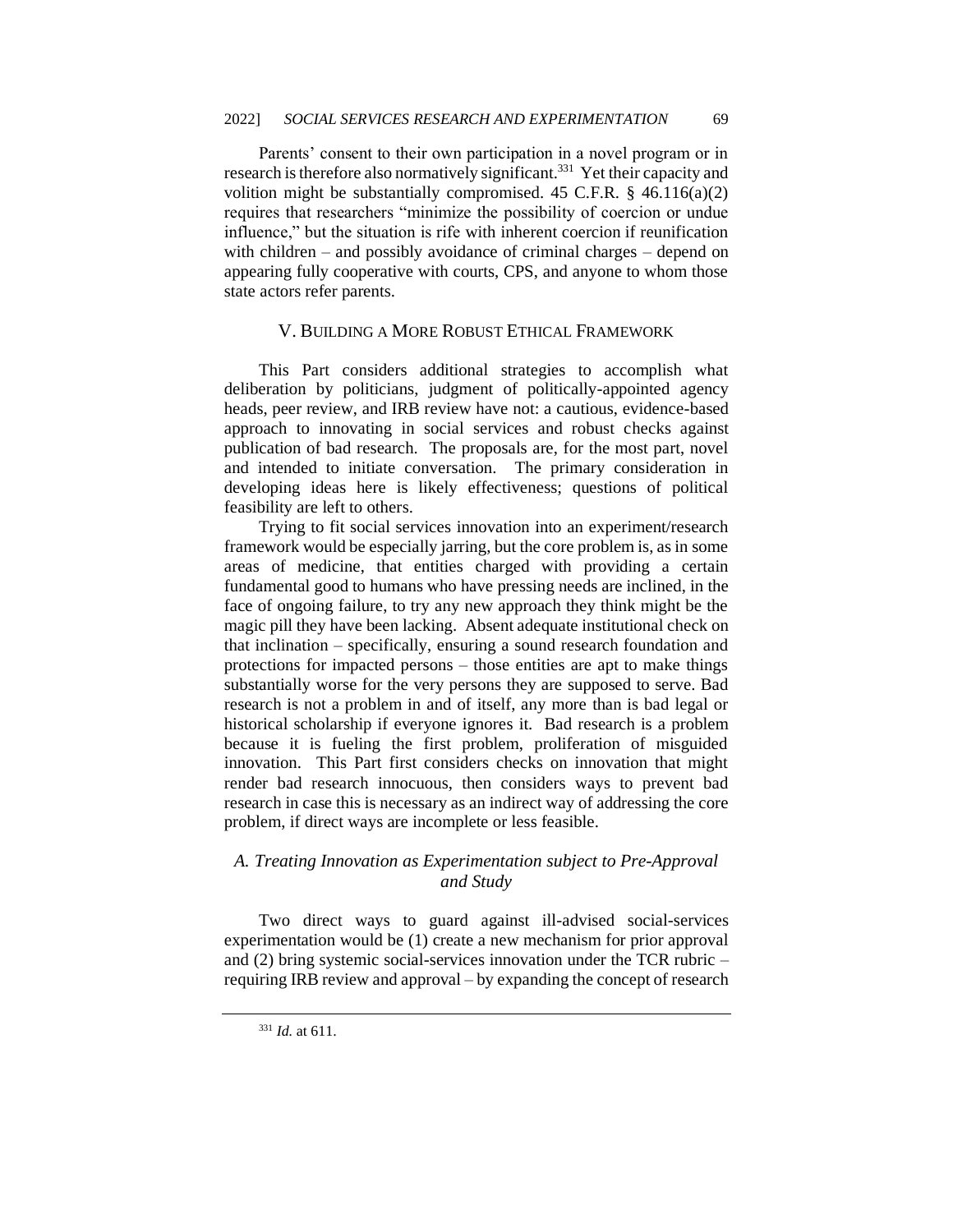Parents' consent to their own participation in a novel program or in research is therefore also normatively significant.<sup>331</sup> Yet their capacity and volition might be substantially compromised. 45 C.F.R.  $\S$  46.116(a)(2) requires that researchers "minimize the possibility of coercion or undue influence," but the situation is rife with inherent coercion if reunification with children – and possibly avoidance of criminal charges – depend on appearing fully cooperative with courts, CPS, and anyone to whom those state actors refer parents.

# V. BUILDING A MORE ROBUST ETHICAL FRAMEWORK

This Part considers additional strategies to accomplish what deliberation by politicians, judgment of politically-appointed agency heads, peer review, and IRB review have not: a cautious, evidence-based approach to innovating in social services and robust checks against publication of bad research. The proposals are, for the most part, novel and intended to initiate conversation. The primary consideration in developing ideas here is likely effectiveness; questions of political feasibility are left to others.

Trying to fit social services innovation into an experiment/research framework would be especially jarring, but the core problem is, as in some areas of medicine, that entities charged with providing a certain fundamental good to humans who have pressing needs are inclined, in the face of ongoing failure, to try any new approach they think might be the magic pill they have been lacking. Absent adequate institutional check on that inclination – specifically, ensuring a sound research foundation and protections for impacted persons – those entities are apt to make things substantially worse for the very persons they are supposed to serve. Bad research is not a problem in and of itself, any more than is bad legal or historical scholarship if everyone ignores it. Bad research is a problem because it is fueling the first problem, proliferation of misguided innovation. This Part first considers checks on innovation that might render bad research innocuous, then considers ways to prevent bad research in case this is necessary as an indirect way of addressing the core problem, if direct ways are incomplete or less feasible.

# *A. Treating Innovation as Experimentation subject to Pre-Approval and Study*

Two direct ways to guard against ill-advised social-services experimentation would be (1) create a new mechanism for prior approval and (2) bring systemic social-services innovation under the TCR rubric – requiring IRB review and approval – by expanding the concept of research

<sup>331</sup> *Id.* at 611.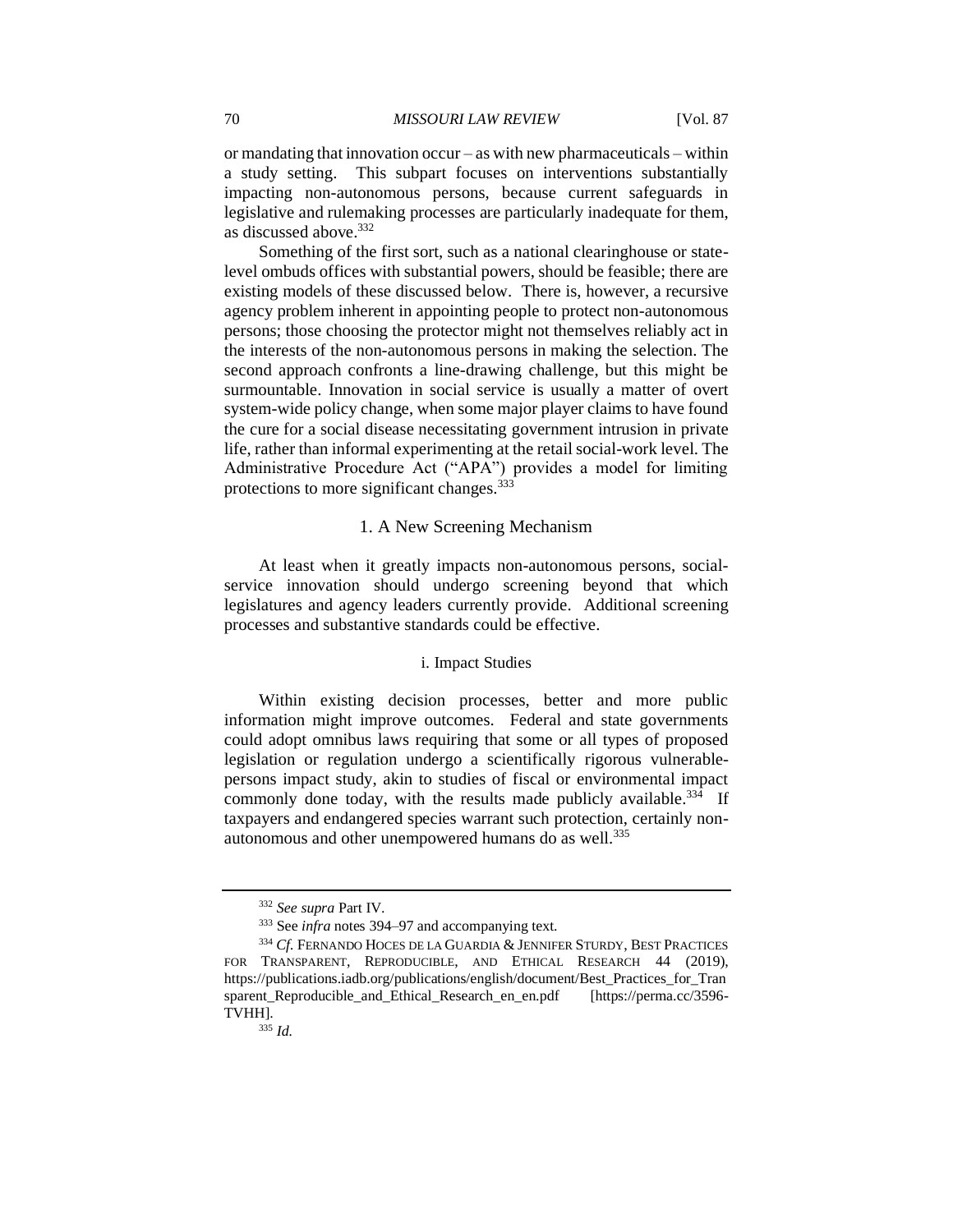or mandating that innovation occur – as with new pharmaceuticals – within a study setting. This subpart focuses on interventions substantially impacting non-autonomous persons, because current safeguards in legislative and rulemaking processes are particularly inadequate for them, as discussed above.<sup>332</sup>

Something of the first sort, such as a national clearinghouse or statelevel ombuds offices with substantial powers, should be feasible; there are existing models of these discussed below. There is, however, a recursive agency problem inherent in appointing people to protect non-autonomous persons; those choosing the protector might not themselves reliably act in the interests of the non-autonomous persons in making the selection. The second approach confronts a line-drawing challenge, but this might be surmountable. Innovation in social service is usually a matter of overt system-wide policy change, when some major player claims to have found the cure for a social disease necessitating government intrusion in private life, rather than informal experimenting at the retail social-work level. The Administrative Procedure Act ("APA") provides a model for limiting protections to more significant changes.<sup>333</sup>

### 1. A New Screening Mechanism

At least when it greatly impacts non-autonomous persons, socialservice innovation should undergo screening beyond that which legislatures and agency leaders currently provide. Additional screening processes and substantive standards could be effective.

#### i. Impact Studies

Within existing decision processes, better and more public information might improve outcomes. Federal and state governments could adopt omnibus laws requiring that some or all types of proposed legislation or regulation undergo a scientifically rigorous vulnerablepersons impact study, akin to studies of fiscal or environmental impact commonly done today, with the results made publicly available.<sup>334</sup> If taxpayers and endangered species warrant such protection, certainly nonautonomous and other unempowered humans do as well.<sup>335</sup>

<sup>332</sup> *See supra* Part IV.

<sup>333</sup> See *infra* notes 394–97 and accompanying text.

<sup>334</sup> *Cf.* FERNANDO HOCES DE LA GUARDIA & JENNIFER STURDY, BEST PRACTICES FOR TRANSPARENT, REPRODUCIBLE, AND ETHICAL RESEARCH 44 (2019), https://publications.iadb.org/publications/english/document/Best\_Practices\_for\_Tran sparent Reproducible and Ethical Research en en.pdf [https://perma.cc/3596-TVHH].

<sup>335</sup> *Id.*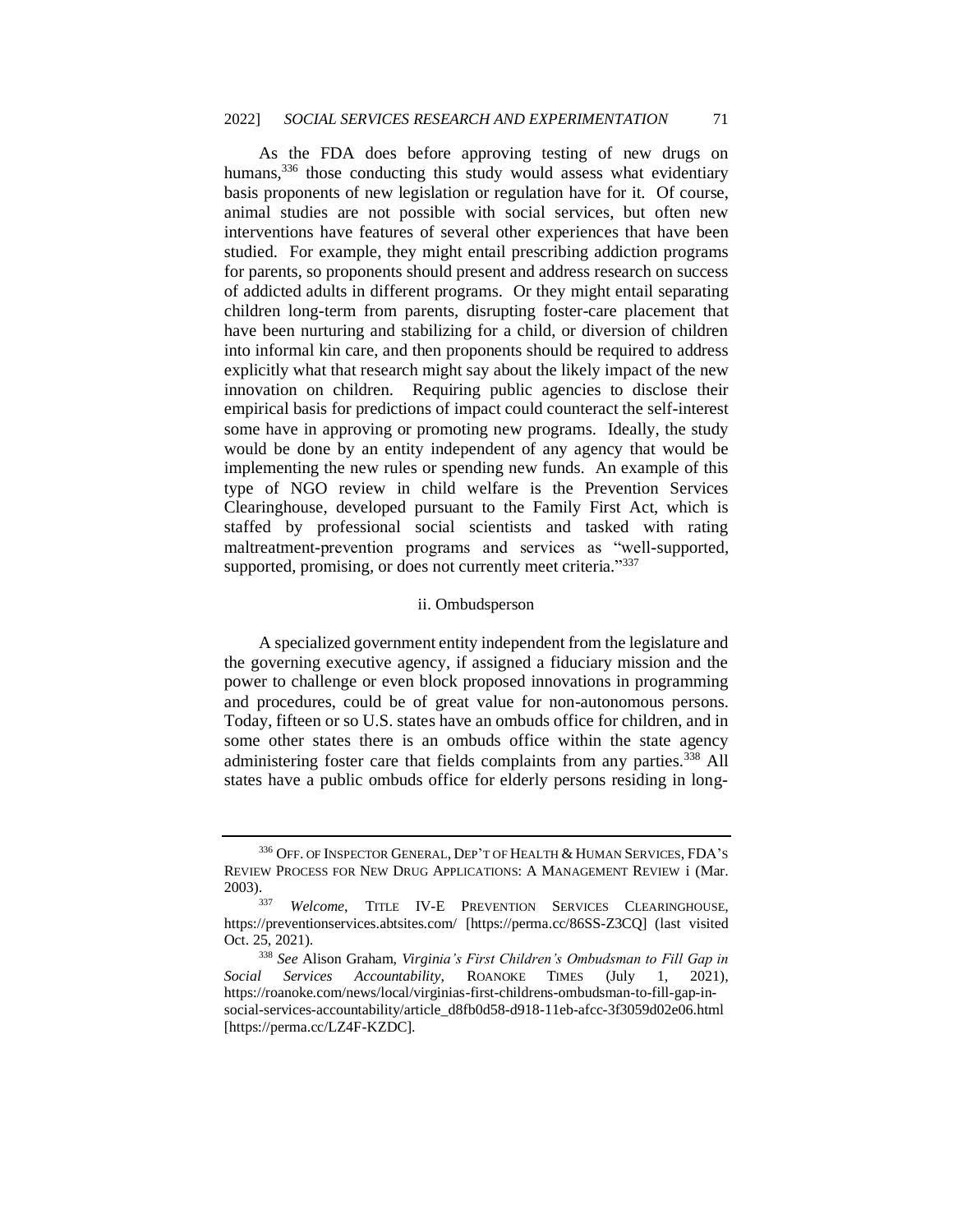As the FDA does before approving testing of new drugs on humans,<sup>336</sup> those conducting this study would assess what evidentiary basis proponents of new legislation or regulation have for it. Of course, animal studies are not possible with social services, but often new interventions have features of several other experiences that have been studied. For example, they might entail prescribing addiction programs for parents, so proponents should present and address research on success of addicted adults in different programs. Or they might entail separating children long-term from parents, disrupting foster-care placement that have been nurturing and stabilizing for a child, or diversion of children into informal kin care, and then proponents should be required to address explicitly what that research might say about the likely impact of the new innovation on children. Requiring public agencies to disclose their empirical basis for predictions of impact could counteract the self-interest some have in approving or promoting new programs. Ideally, the study would be done by an entity independent of any agency that would be implementing the new rules or spending new funds. An example of this type of NGO review in child welfare is the Prevention Services Clearinghouse, developed pursuant to the Family First Act, which is staffed by professional social scientists and tasked with rating maltreatment-prevention programs and services as "well-supported*,*  supported*,* promising*,* or does not currently meet criteria*.*" 337

#### ii. Ombudsperson

A specialized government entity independent from the legislature and the governing executive agency, if assigned a fiduciary mission and the power to challenge or even block proposed innovations in programming and procedures, could be of great value for non-autonomous persons. Today, fifteen or so U.S. states have an ombuds office for children, and in some other states there is an ombuds office within the state agency administering foster care that fields complaints from any parties.<sup>338</sup> All states have a public ombuds office for elderly persons residing in long-

<sup>&</sup>lt;sup>336</sup> OFF. OF INSPECTOR GENERAL, DEP'T OF HEALTH & HUMAN SERVICES, FDA'S REVIEW PROCESS FOR NEW DRUG APPLICATIONS: A MANAGEMENT REVIEW i (Mar. 2003).

<sup>337</sup> *Welcome*, TITLE IV-E PREVENTION SERVICES CLEARINGHOUSE, https://preventionservices.abtsites.com/ [https://perma.cc/86SS-Z3CQ] (last visited Oct. 25, 2021).

<sup>338</sup> *See* Alison Graham, *Virginia's First Children's Ombudsman to Fill Gap in Social Services Accountability*, ROANOKE TIMES (July 1, 2021), https://roanoke.com/news/local/virginias-first-childrens-ombudsman-to-fill-gap-insocial-services-accountability/article\_d8fb0d58-d918-11eb-afcc-3f3059d02e06.html [https://perma.cc/LZ4F-KZDC].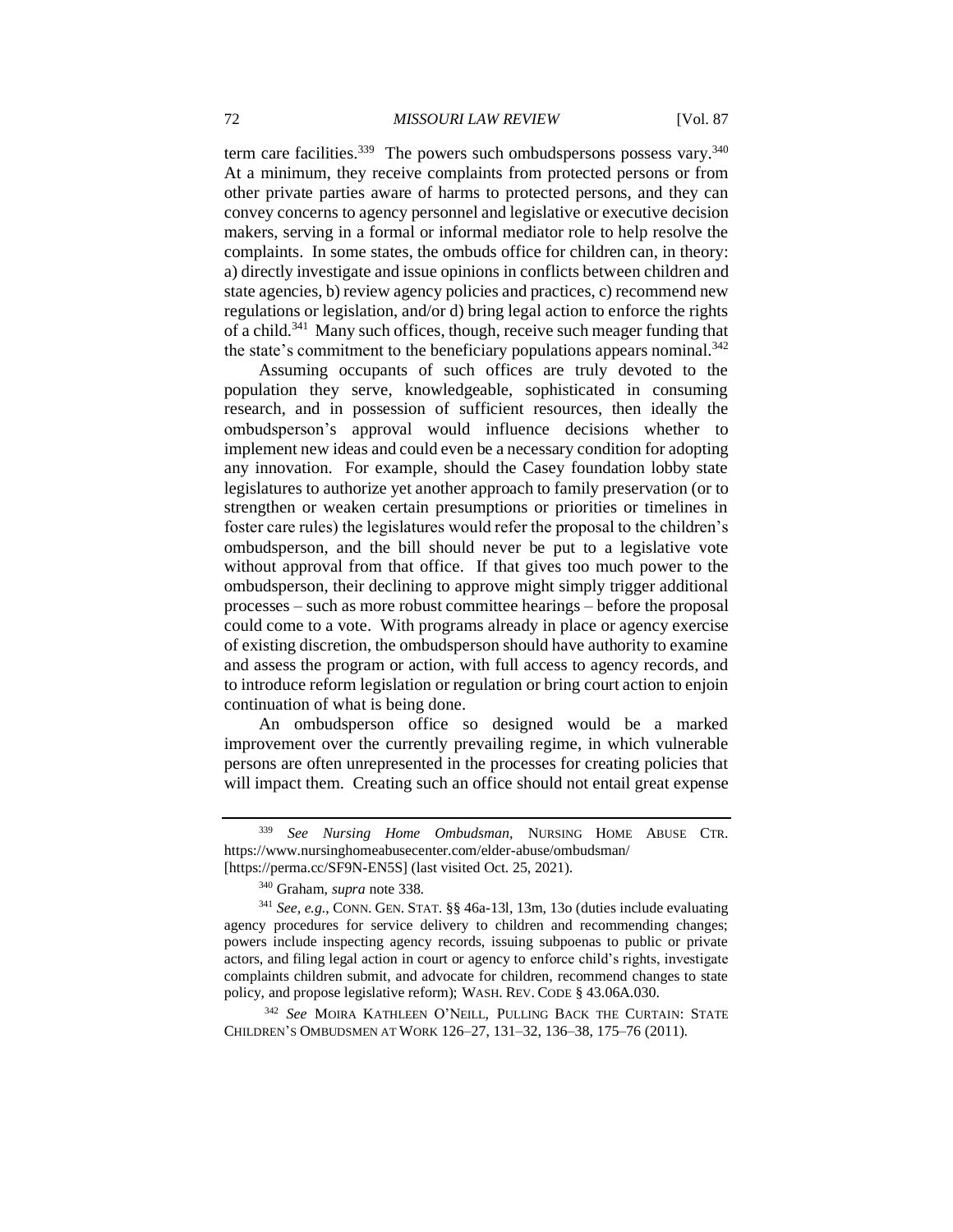term care facilities.<sup>339</sup> The powers such ombudspersons possess vary.<sup>340</sup> At a minimum, they receive complaints from protected persons or from other private parties aware of harms to protected persons, and they can convey concerns to agency personnel and legislative or executive decision makers, serving in a formal or informal mediator role to help resolve the complaints. In some states, the ombuds office for children can, in theory: a) directly investigate and issue opinions in conflicts between children and state agencies, b) review agency policies and practices, c) recommend new regulations or legislation, and/or d) bring legal action to enforce the rights of a child.<sup>341</sup> Many such offices, though, receive such meager funding that the state's commitment to the beneficiary populations appears nominal.<sup>342</sup>

Assuming occupants of such offices are truly devoted to the population they serve, knowledgeable, sophisticated in consuming research, and in possession of sufficient resources, then ideally the ombudsperson's approval would influence decisions whether to implement new ideas and could even be a necessary condition for adopting any innovation. For example, should the Casey foundation lobby state legislatures to authorize yet another approach to family preservation (or to strengthen or weaken certain presumptions or priorities or timelines in foster care rules) the legislatures would refer the proposal to the children's ombudsperson, and the bill should never be put to a legislative vote without approval from that office. If that gives too much power to the ombudsperson, their declining to approve might simply trigger additional processes – such as more robust committee hearings – before the proposal could come to a vote. With programs already in place or agency exercise of existing discretion, the ombudsperson should have authority to examine and assess the program or action, with full access to agency records, and to introduce reform legislation or regulation or bring court action to enjoin continuation of what is being done.

An ombudsperson office so designed would be a marked improvement over the currently prevailing regime, in which vulnerable persons are often unrepresented in the processes for creating policies that will impact them. Creating such an office should not entail great expense

<sup>342</sup> *See* MOIRA KATHLEEN O'NEILL, PULLING BACK THE CURTAIN: STATE CHILDREN'S OMBUDSMEN AT WORK 126–27, 131–32, 136–38, 175–76 (2011).

<sup>339</sup> *See Nursing Home Ombudsman*, NURSING HOME ABUSE CTR. https://www.nursinghomeabusecenter.com/elder-abuse/ombudsman/

<sup>[</sup>https://perma.cc/SF9N-EN5S] (last visited Oct. 25, 2021).

<sup>340</sup> Graham, *supra* note 338.

<sup>341</sup> *See, e.g.*, CONN. GEN. STAT. §§ 46a-13l, 13m, 13o (duties include evaluating agency procedures for service delivery to children and recommending changes; powers include inspecting agency records, issuing subpoenas to public or private actors, and filing legal action in court or agency to enforce child's rights, investigate complaints children submit, and advocate for children, recommend changes to state policy, and propose legislative reform); WASH. REV. CODE § 43.06A.030.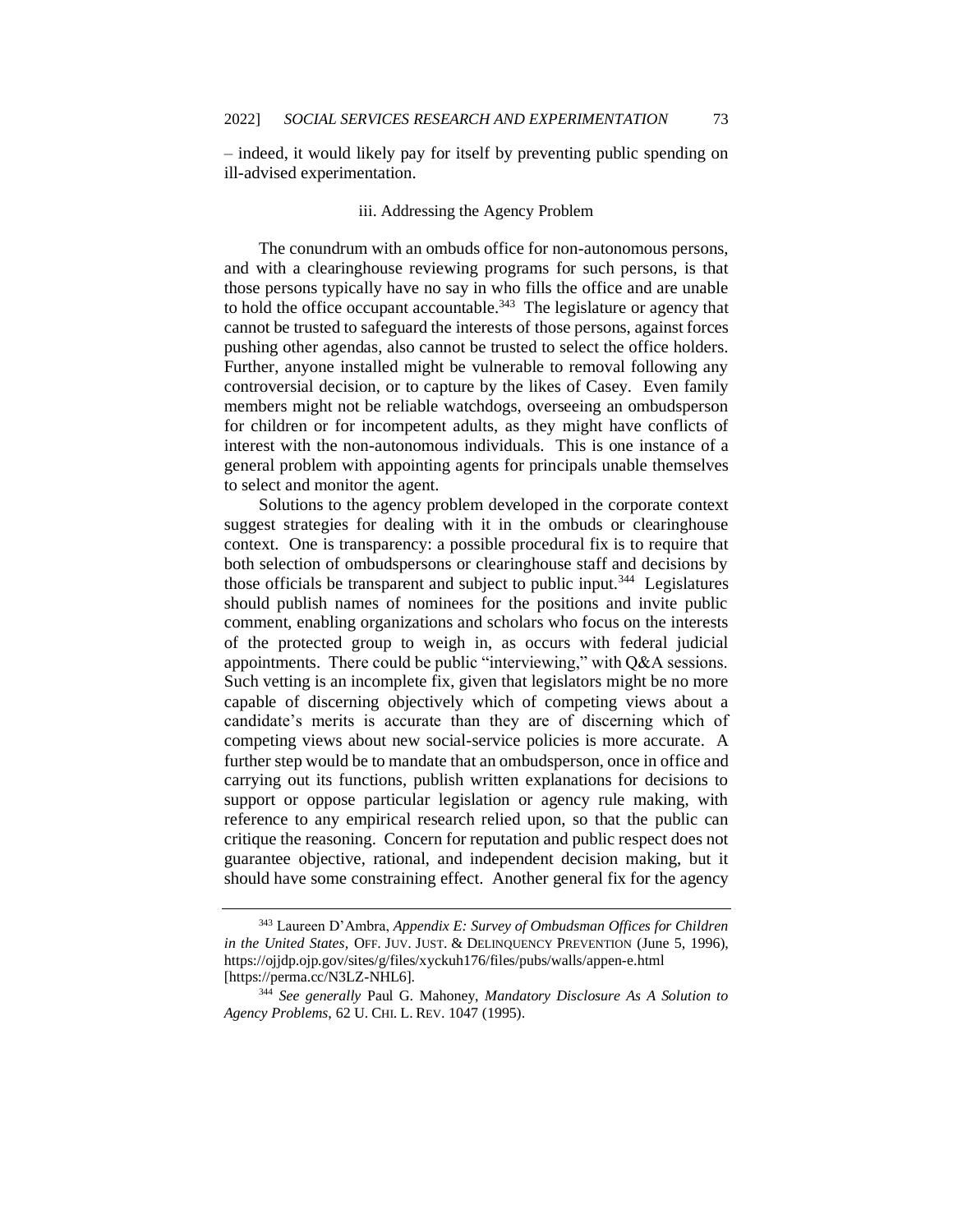– indeed, it would likely pay for itself by preventing public spending on ill-advised experimentation.

# iii. Addressing the Agency Problem

The conundrum with an ombuds office for non-autonomous persons, and with a clearinghouse reviewing programs for such persons, is that those persons typically have no say in who fills the office and are unable to hold the office occupant accountable.<sup>343</sup> The legislature or agency that cannot be trusted to safeguard the interests of those persons, against forces pushing other agendas, also cannot be trusted to select the office holders. Further, anyone installed might be vulnerable to removal following any controversial decision, or to capture by the likes of Casey. Even family members might not be reliable watchdogs, overseeing an ombudsperson for children or for incompetent adults, as they might have conflicts of interest with the non-autonomous individuals. This is one instance of a general problem with appointing agents for principals unable themselves to select and monitor the agent.

Solutions to the agency problem developed in the corporate context suggest strategies for dealing with it in the ombuds or clearinghouse context. One is transparency: a possible procedural fix is to require that both selection of ombudspersons or clearinghouse staff and decisions by those officials be transparent and subject to public input.<sup>344</sup> Legislatures should publish names of nominees for the positions and invite public comment, enabling organizations and scholars who focus on the interests of the protected group to weigh in, as occurs with federal judicial appointments. There could be public "interviewing," with Q&A sessions. Such vetting is an incomplete fix, given that legislators might be no more capable of discerning objectively which of competing views about a candidate's merits is accurate than they are of discerning which of competing views about new social-service policies is more accurate. A further step would be to mandate that an ombudsperson, once in office and carrying out its functions, publish written explanations for decisions to support or oppose particular legislation or agency rule making, with reference to any empirical research relied upon, so that the public can critique the reasoning. Concern for reputation and public respect does not guarantee objective, rational, and independent decision making, but it should have some constraining effect. Another general fix for the agency

<sup>343</sup> Laureen D'Ambra, *Appendix E: Survey of Ombudsman Offices for Children in the United States,* OFF. JUV. JUST. & DELINQUENCY PREVENTION (June 5, 1996), https://ojjdp.ojp.gov/sites/g/files/xyckuh176/files/pubs/walls/appen-e.html [https://perma.cc/N3LZ-NHL6].

<sup>344</sup> *See generally* Paul G. Mahoney, *Mandatory Disclosure As A Solution to Agency Problems*, 62 U. CHI. L. REV. 1047 (1995).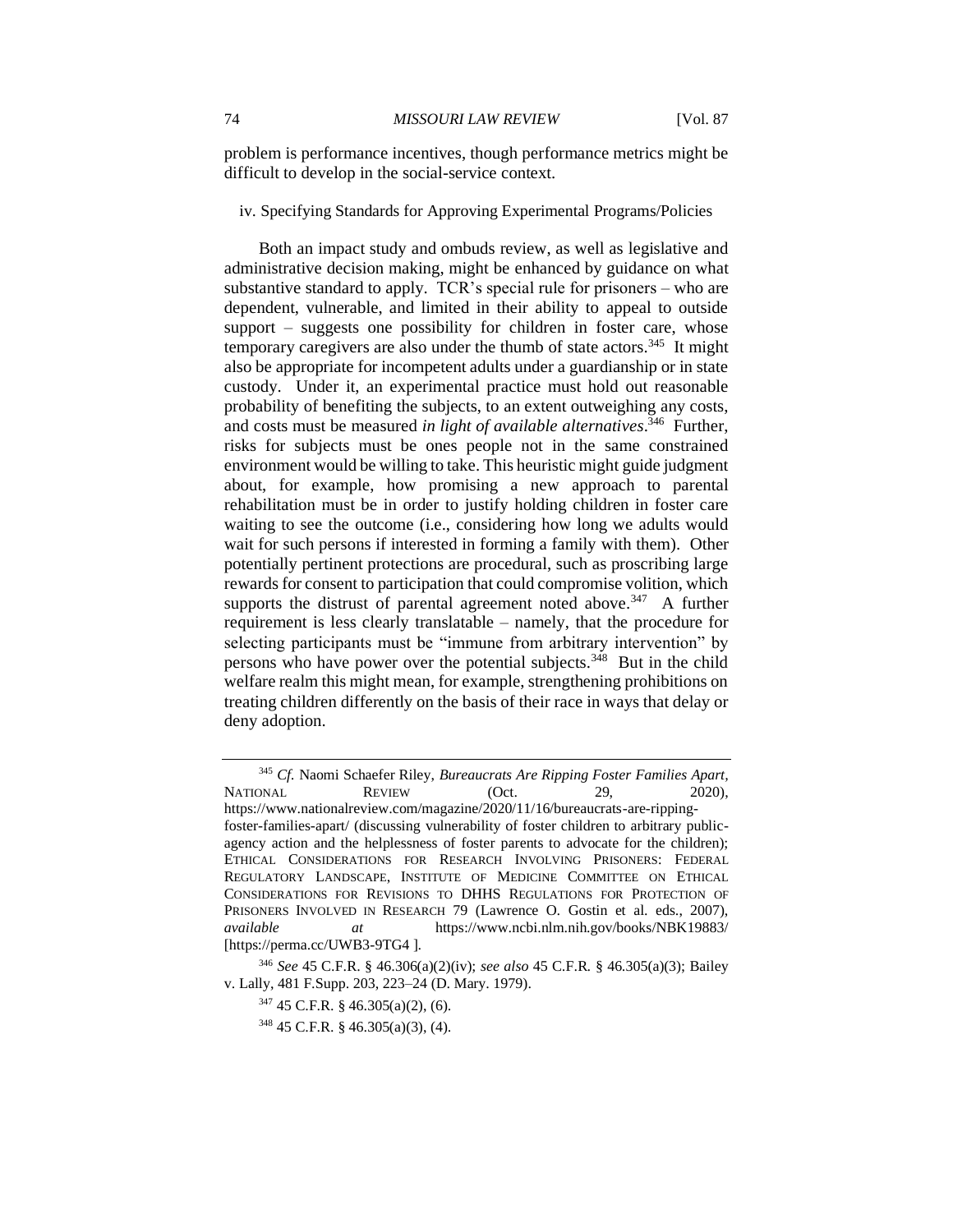problem is performance incentives, though performance metrics might be difficult to develop in the social-service context.

iv. Specifying Standards for Approving Experimental Programs/Policies

Both an impact study and ombuds review, as well as legislative and administrative decision making, might be enhanced by guidance on what substantive standard to apply. TCR's special rule for prisoners – who are dependent, vulnerable, and limited in their ability to appeal to outside support – suggests one possibility for children in foster care, whose temporary caregivers are also under the thumb of state actors.<sup>345</sup> It might also be appropriate for incompetent adults under a guardianship or in state custody. Under it, an experimental practice must hold out reasonable probability of benefiting the subjects, to an extent outweighing any costs, and costs must be measured *in light of available alternatives*. 346 Further, risks for subjects must be ones people not in the same constrained environment would be willing to take. This heuristic might guide judgment about, for example, how promising a new approach to parental rehabilitation must be in order to justify holding children in foster care waiting to see the outcome (i.e., considering how long we adults would wait for such persons if interested in forming a family with them). Other potentially pertinent protections are procedural, such as proscribing large rewards for consent to participation that could compromise volition, which supports the distrust of parental agreement noted above.<sup>347</sup> A further requirement is less clearly translatable – namely, that the procedure for selecting participants must be "immune from arbitrary intervention" by persons who have power over the potential subjects.<sup>348</sup> But in the child welfare realm this might mean, for example, strengthening prohibitions on treating children differently on the basis of their race in ways that delay or deny adoption.

<sup>345</sup> *Cf.* Naomi Schaefer Riley, *Bureaucrats Are Ripping Foster Families Apart,* NATIONAL REVIEW (Oct. 29, 2020), https://www.nationalreview.com/magazine/2020/11/16/bureaucrats-are-rippingfoster-families-apart/ (discussing vulnerability of foster children to arbitrary publicagency action and the helplessness of foster parents to advocate for the children); ETHICAL CONSIDERATIONS FOR RESEARCH INVOLVING PRISONERS: FEDERAL REGULATORY LANDSCAPE, INSTITUTE OF MEDICINE COMMITTEE ON ETHICAL CONSIDERATIONS FOR REVISIONS TO DHHS REGULATIONS FOR PROTECTION OF PRISONERS INVOLVED IN RESEARCH 79 (Lawrence O. Gostin et al. eds., 2007), *available at* https://www.ncbi.nlm.nih.gov/books/NBK19883/ [https://perma.cc/UWB3-9TG4 ].

<sup>346</sup> *See* 45 C.F.R. § 46.306(a)(2)(iv); *see also* 45 C.F.R. § 46.305(a)(3); Bailey v. Lally, 481 F.Supp. 203, 223–24 (D. Mary. 1979).

<sup>347</sup> 45 C.F.R. § 46.305(a)(2), (6).

<sup>348</sup> 45 C.F.R. § 46.305(a)(3), (4).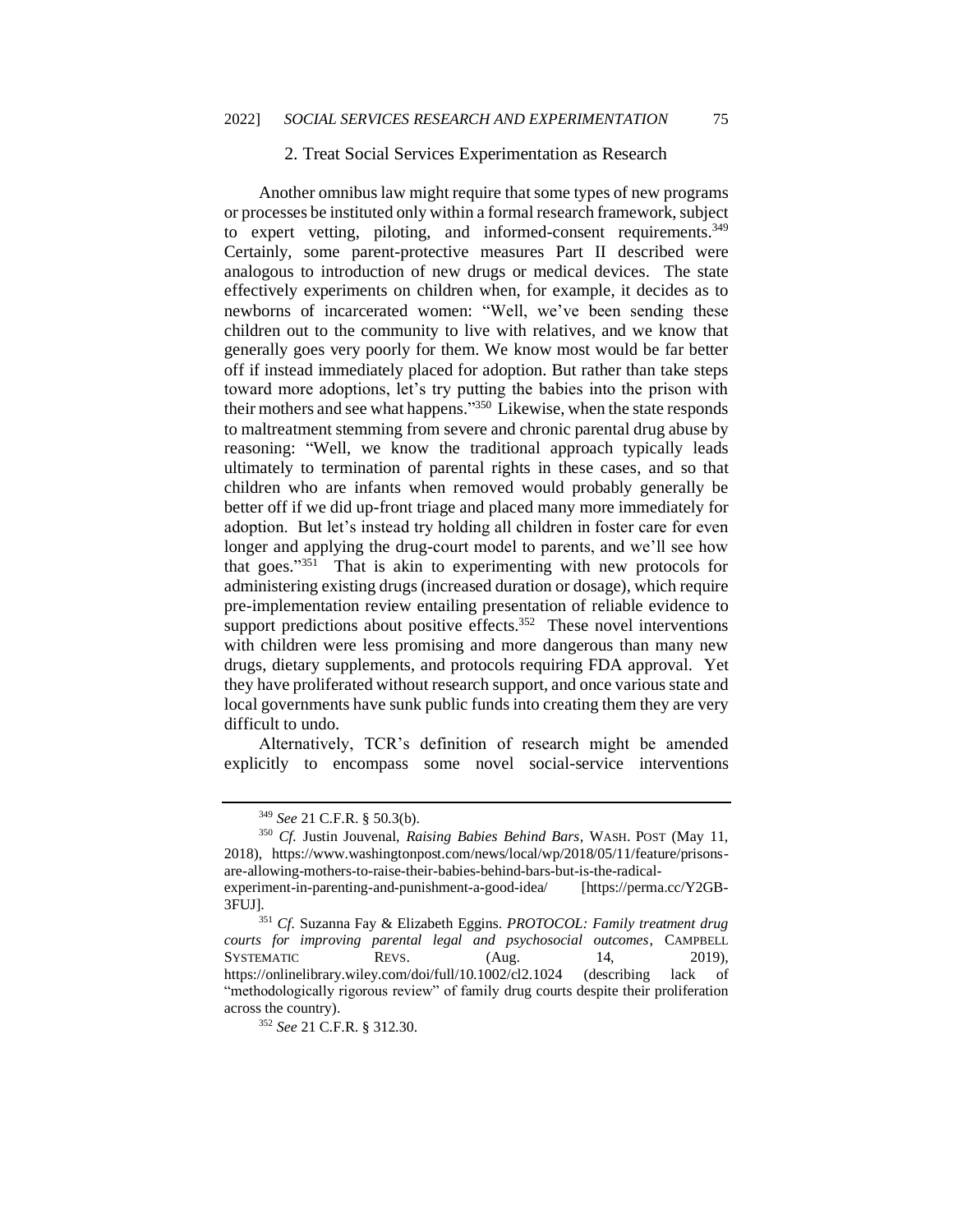# 2. Treat Social Services Experimentation as Research

Another omnibus law might require that some types of new programs or processes be instituted only within a formal research framework, subject to expert vetting, piloting, and informed-consent requirements.<sup>349</sup> Certainly, some parent-protective measures Part II described were analogous to introduction of new drugs or medical devices. The state effectively experiments on children when, for example, it decides as to newborns of incarcerated women: "Well, we've been sending these children out to the community to live with relatives, and we know that generally goes very poorly for them. We know most would be far better off if instead immediately placed for adoption. But rather than take steps toward more adoptions, let's try putting the babies into the prison with their mothers and see what happens."<sup>350</sup> Likewise, when the state responds to maltreatment stemming from severe and chronic parental drug abuse by reasoning: "Well, we know the traditional approach typically leads ultimately to termination of parental rights in these cases, and so that children who are infants when removed would probably generally be better off if we did up-front triage and placed many more immediately for adoption. But let's instead try holding all children in foster care for even longer and applying the drug-court model to parents, and we'll see how that goes." 351 That is akin to experimenting with new protocols for administering existing drugs (increased duration or dosage), which require pre-implementation review entailing presentation of reliable evidence to support predictions about positive effects.<sup>352</sup> These novel interventions with children were less promising and more dangerous than many new drugs, dietary supplements, and protocols requiring FDA approval. Yet they have proliferated without research support, and once various state and local governments have sunk public funds into creating them they are very difficult to undo.

Alternatively, TCR's definition of research might be amended explicitly to encompass some novel social-service interventions

<sup>349</sup> *See* 21 C.F.R. § 50.3(b).

<sup>350</sup> *Cf.* Justin Jouvenal, *Raising Babies Behind Bars*, WASH. POST (May 11, 2018), https://www.washingtonpost.com/news/local/wp/2018/05/11/feature/prisonsare-allowing-mothers-to-raise-their-babies-behind-bars-but-is-the-radicalexperiment-in-parenting-and-punishment-a-good-idea/ [https://perma.cc/Y2GB-3FUJ].

<sup>351</sup> *Cf.* Suzanna Fay & Elizabeth Eggins. *PROTOCOL: Family treatment drug courts for improving parental legal and psychosocial outcomes*, CAMPBELL SYSTEMATIC REVS. (Aug. 14, 2019), https://onlinelibrary.wiley.com/doi/full/10.1002/cl2.1024 (describing lack of "methodologically rigorous review" of family drug courts despite their proliferation across the country).

<sup>352</sup> *See* 21 C.F.R. § 312.30.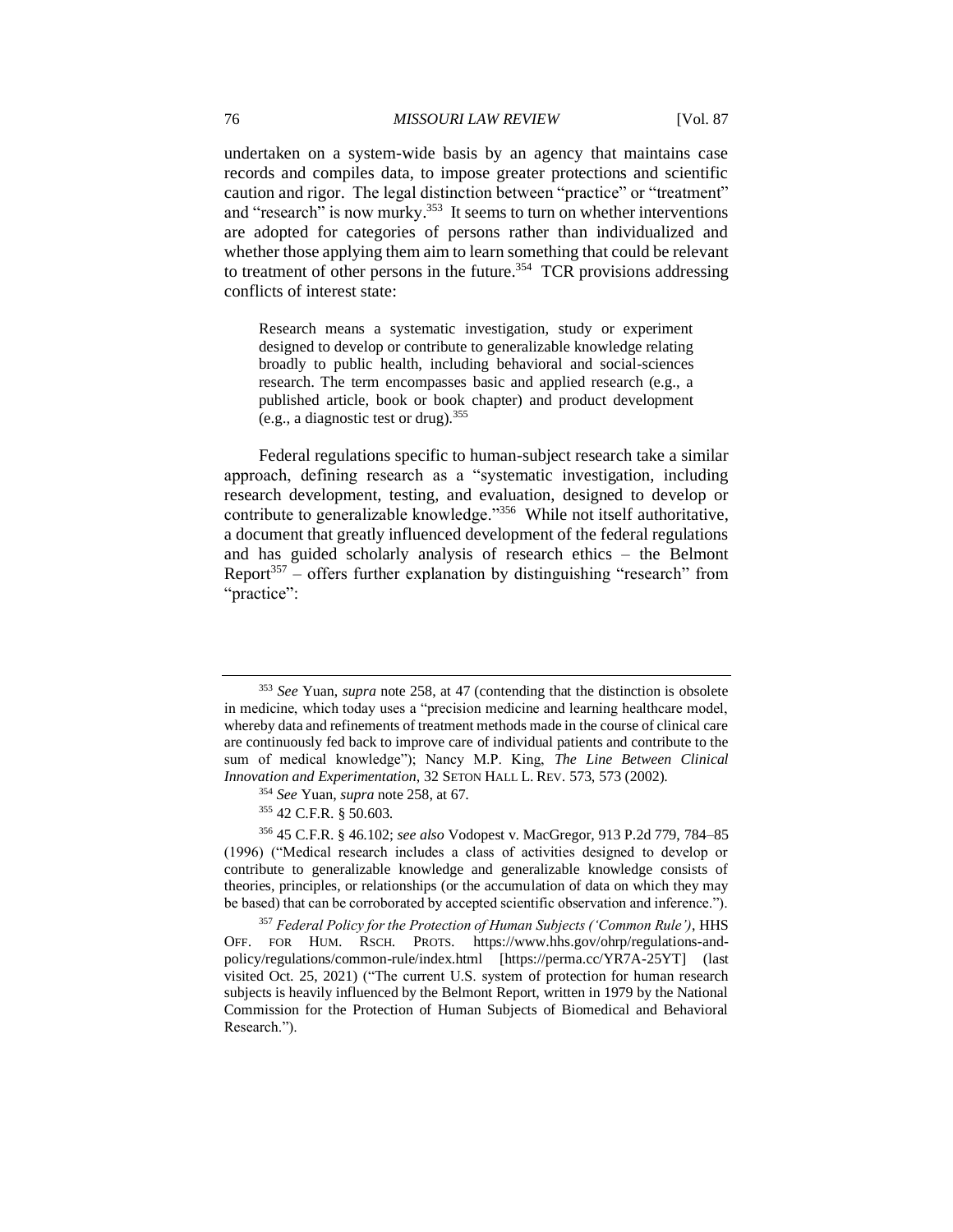undertaken on a system-wide basis by an agency that maintains case records and compiles data, to impose greater protections and scientific caution and rigor. The legal distinction between "practice" or "treatment" and "research" is now murky.<sup>353</sup> It seems to turn on whether interventions are adopted for categories of persons rather than individualized and whether those applying them aim to learn something that could be relevant to treatment of other persons in the future.<sup>354</sup> TCR provisions addressing conflicts of interest state:

Research means a systematic investigation, study or experiment designed to develop or contribute to generalizable knowledge relating broadly to public health, including behavioral and social-sciences research. The term encompasses basic and applied research (e.g., a published article, book or book chapter) and product development (e.g., a diagnostic test or drug).<sup>355</sup>

Federal regulations specific to human-subject research take a similar approach, defining research as a "systematic investigation, including research development, testing, and evaluation, designed to develop or contribute to generalizable knowledge."<sup>356</sup> While not itself authoritative, a document that greatly influenced development of the federal regulations and has guided scholarly analysis of research ethics – the Belmont Report<sup>357</sup> – offers further explanation by distinguishing "research" from "practice":

<sup>353</sup> *See* Yuan, *supra* note 258, at 47 (contending that the distinction is obsolete in medicine, which today uses a "precision medicine and learning healthcare model, whereby data and refinements of treatment methods made in the course of clinical care are continuously fed back to improve care of individual patients and contribute to the sum of medical knowledge"); Nancy M.P. King, *The Line Between Clinical Innovation and Experimentation*, 32 SETON HALL L. REV. 573, 573 (2002).

<sup>354</sup> *See* Yuan, *supra* note 258, at 67.

<sup>355</sup> 42 C.F.R. § 50.603.

<sup>356</sup> 45 C.F.R. § 46.102; *see also* Vodopest v. MacGregor, 913 P.2d 779, 784–85 (1996) ("Medical research includes a class of activities designed to develop or contribute to generalizable knowledge and generalizable knowledge consists of theories, principles, or relationships (or the accumulation of data on which they may be based) that can be corroborated by accepted scientific observation and inference.").

<sup>357</sup> *Federal Policy for the Protection of Human Subjects ('Common Rule')*, HHS OFF. FOR HUM. RSCH. PROTS. https://www.hhs.gov/ohrp/regulations-andpolicy/regulations/common-rule/index.html [https://perma.cc/YR7A-25YT] (last visited Oct. 25, 2021) ("The current U.S. system of protection for human research subjects is heavily influenced by the Belmont Report, written in 1979 by the National Commission for the Protection of Human Subjects of Biomedical and Behavioral Research.").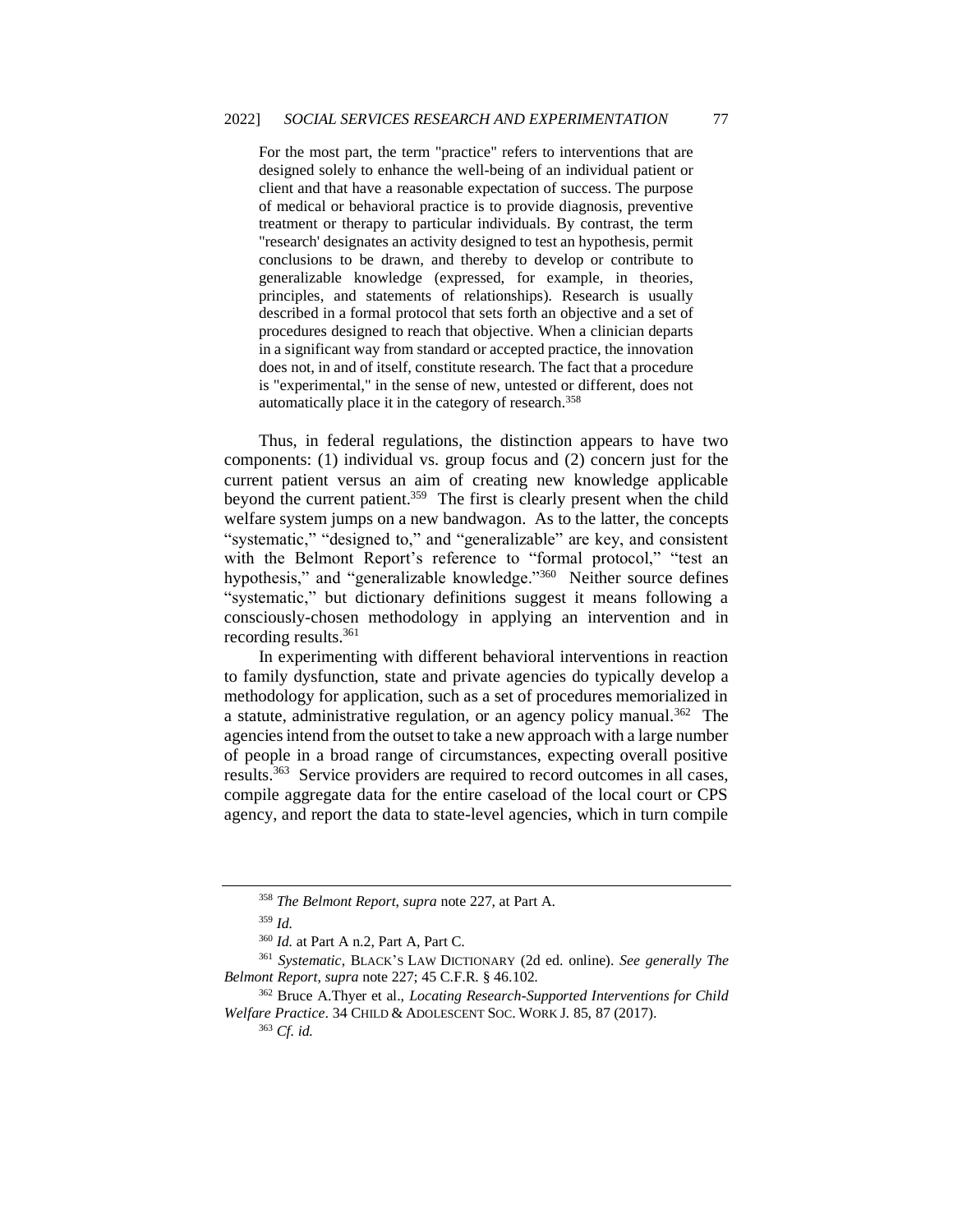For the most part, the term "practice" refers to interventions that are designed solely to enhance the well-being of an individual patient or client and that have a reasonable expectation of success. The purpose of medical or behavioral practice is to provide diagnosis, preventive treatment or therapy to particular individuals. By contrast, the term "research' designates an activity designed to test an hypothesis, permit conclusions to be drawn, and thereby to develop or contribute to generalizable knowledge (expressed, for example, in theories, principles, and statements of relationships). Research is usually described in a formal protocol that sets forth an objective and a set of procedures designed to reach that objective. When a clinician departs in a significant way from standard or accepted practice, the innovation does not, in and of itself, constitute research. The fact that a procedure is "experimental," in the sense of new, untested or different, does not automatically place it in the category of research.<sup>358</sup>

Thus, in federal regulations, the distinction appears to have two components: (1) individual vs. group focus and (2) concern just for the current patient versus an aim of creating new knowledge applicable beyond the current patient.<sup>359</sup> The first is clearly present when the child welfare system jumps on a new bandwagon. As to the latter, the concepts "systematic," "designed to," and "generalizable" are key, and consistent with the Belmont Report's reference to "formal protocol," "test an hypothesis," and "generalizable knowledge."<sup>360</sup> Neither source defines "systematic," but dictionary definitions suggest it means following a consciously-chosen methodology in applying an intervention and in recording results.<sup>361</sup>

In experimenting with different behavioral interventions in reaction to family dysfunction, state and private agencies do typically develop a methodology for application, such as a set of procedures memorialized in a statute, administrative regulation, or an agency policy manual.<sup>362</sup> The agencies intend from the outset to take a new approach with a large number of people in a broad range of circumstances, expecting overall positive results.<sup>363</sup> Service providers are required to record outcomes in all cases, compile aggregate data for the entire caseload of the local court or CPS agency, and report the data to state-level agencies, which in turn compile

<sup>358</sup> *The Belmont Report*, *supra* note 227, at Part A.

<sup>359</sup> *Id.*

<sup>360</sup> *Id.* at Part A n.2, Part A, Part C.

<sup>361</sup> *Systematic*, BLACK'S LAW DICTIONARY (2d ed. online). *See generally The Belmont Report*, *supra* note 227; 45 C.F.R. § 46.102.

<sup>362</sup> Bruce A.Thyer et al., *Locating Research-Supported Interventions for Child Welfare Practice*. 34 CHILD & ADOLESCENT SOC. WORK J. 85, 87 (2017).

<sup>363</sup> *Cf. id.*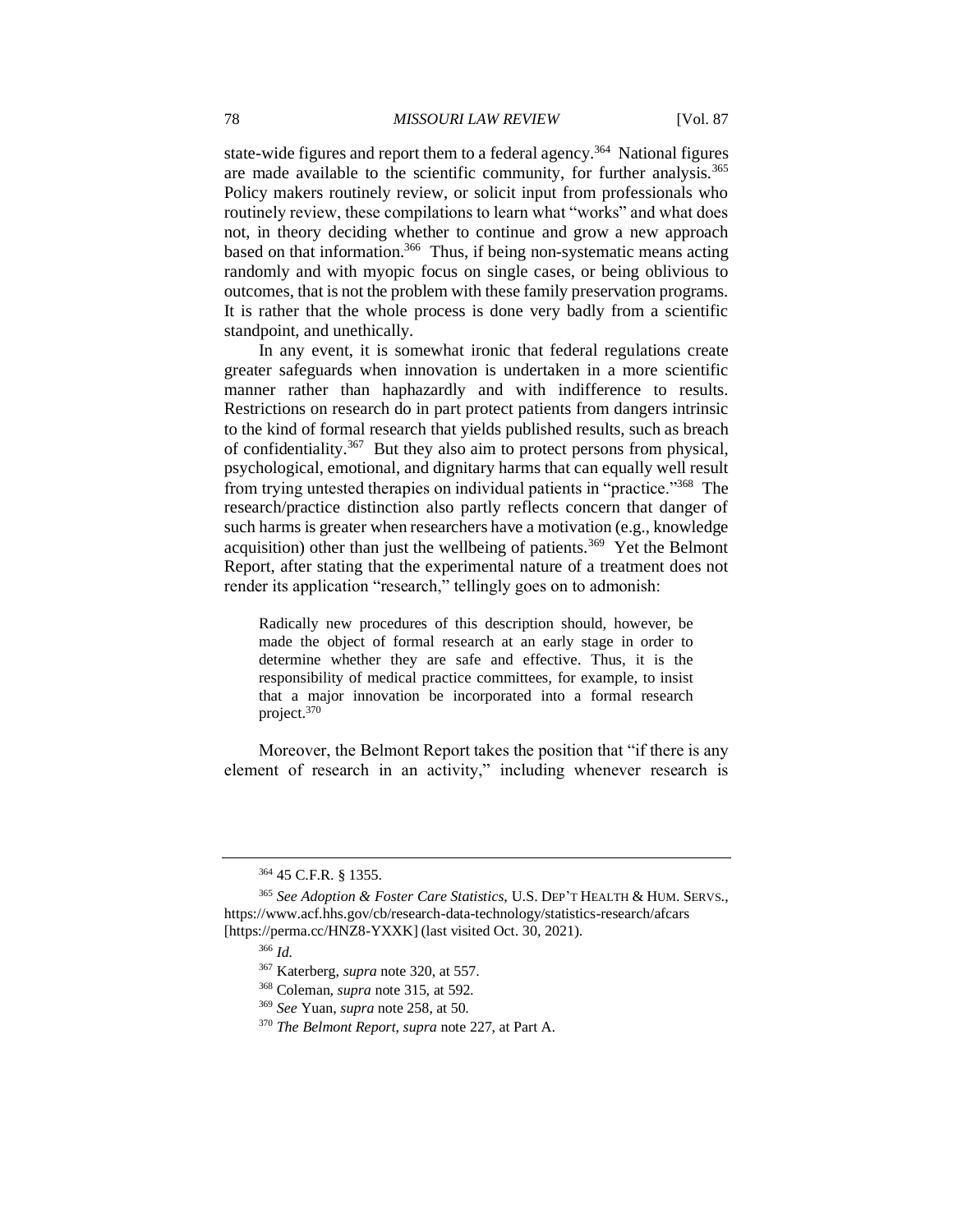state-wide figures and report them to a federal agency.<sup>364</sup> National figures are made available to the scientific community, for further analysis.<sup>365</sup> Policy makers routinely review, or solicit input from professionals who routinely review, these compilations to learn what "works" and what does not, in theory deciding whether to continue and grow a new approach based on that information.<sup>366</sup> Thus, if being non-systematic means acting randomly and with myopic focus on single cases, or being oblivious to outcomes, that is not the problem with these family preservation programs. It is rather that the whole process is done very badly from a scientific standpoint, and unethically.

In any event, it is somewhat ironic that federal regulations create greater safeguards when innovation is undertaken in a more scientific manner rather than haphazardly and with indifference to results. Restrictions on research do in part protect patients from dangers intrinsic to the kind of formal research that yields published results, such as breach of confidentiality.<sup>367</sup> But they also aim to protect persons from physical, psychological, emotional, and dignitary harms that can equally well result from trying untested therapies on individual patients in "practice."<sup>368</sup> The research/practice distinction also partly reflects concern that danger of such harms is greater when researchers have a motivation (e.g., knowledge acquisition) other than just the wellbeing of patients.<sup>369</sup> Yet the Belmont Report, after stating that the experimental nature of a treatment does not render its application "research," tellingly goes on to admonish:

Radically new procedures of this description should, however, be made the object of formal research at an early stage in order to determine whether they are safe and effective. Thus, it is the responsibility of medical practice committees, for example, to insist that a major innovation be incorporated into a formal research project.<sup>370</sup>

Moreover, the Belmont Report takes the position that "if there is any element of research in an activity," including whenever research is

<sup>364</sup> 45 C.F.R. § 1355.

<sup>365</sup> *See Adoption & Foster Care Statistics*, U.S. DEP'T HEALTH & HUM. SERVS., https://www.acf.hhs.gov/cb/research-data-technology/statistics-research/afcars [https://perma.cc/HNZ8-YXXK] (last visited Oct. 30, 2021).

<sup>366</sup> *Id.*

<sup>367</sup> Katerberg, *supra* note 320, at 557.

<sup>368</sup> Coleman, *supra* note 315, at 592.

<sup>369</sup> *See* Yuan, *supra* note 258, at 50.

<sup>370</sup> *The Belmont Report*, *supra* note 227, at Part A.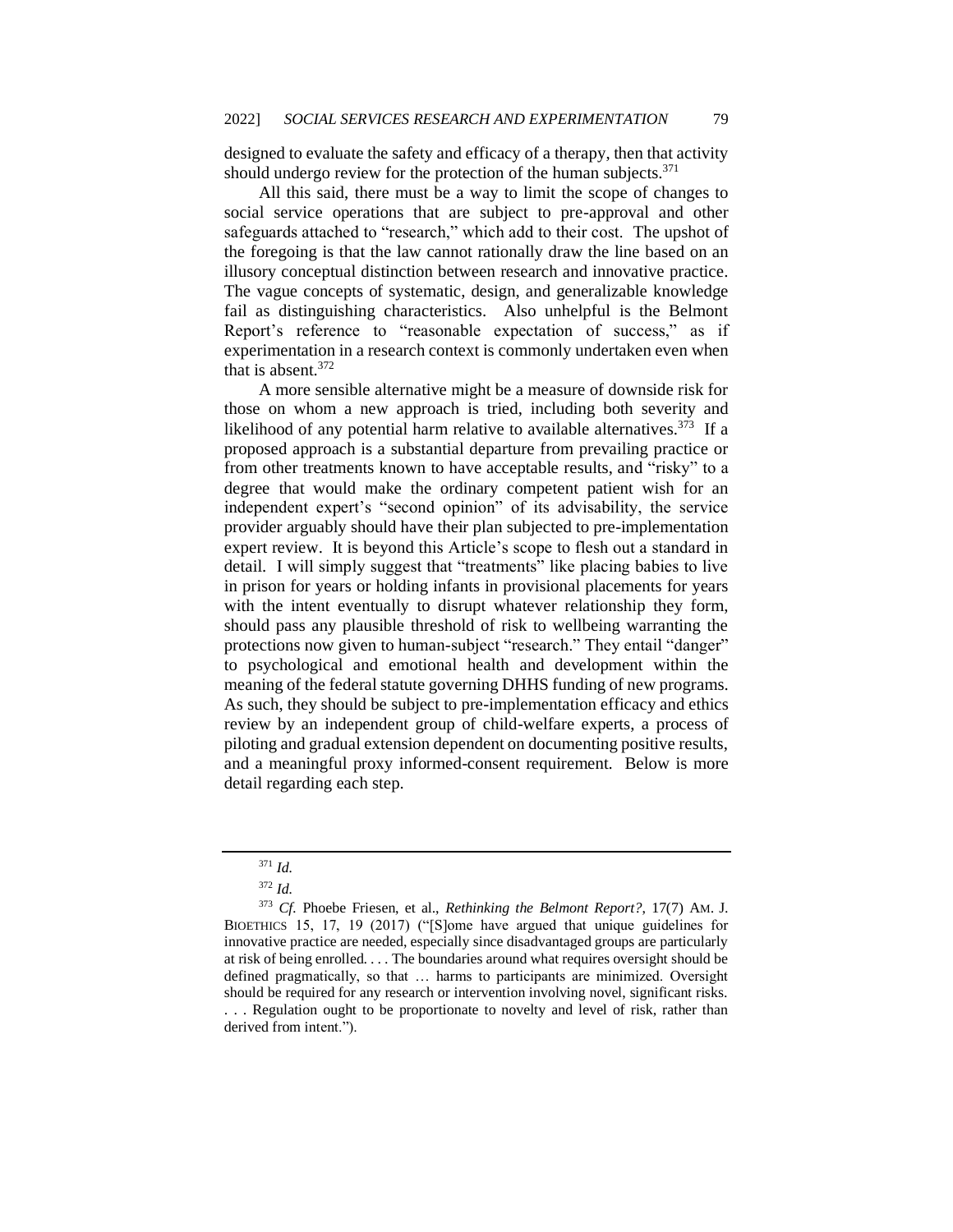designed to evaluate the safety and efficacy of a therapy, then that activity should undergo review for the protection of the human subjects. $371$ 

All this said, there must be a way to limit the scope of changes to social service operations that are subject to pre-approval and other safeguards attached to "research," which add to their cost. The upshot of the foregoing is that the law cannot rationally draw the line based on an illusory conceptual distinction between research and innovative practice. The vague concepts of systematic, design, and generalizable knowledge fail as distinguishing characteristics. Also unhelpful is the Belmont Report's reference to "reasonable expectation of success," as if experimentation in a research context is commonly undertaken even when that is absent. $372$ 

A more sensible alternative might be a measure of downside risk for those on whom a new approach is tried, including both severity and likelihood of any potential harm relative to available alternatives.<sup>373</sup> If a proposed approach is a substantial departure from prevailing practice or from other treatments known to have acceptable results, and "risky" to a degree that would make the ordinary competent patient wish for an independent expert's "second opinion" of its advisability, the service provider arguably should have their plan subjected to pre-implementation expert review. It is beyond this Article's scope to flesh out a standard in detail. I will simply suggest that "treatments" like placing babies to live in prison for years or holding infants in provisional placements for years with the intent eventually to disrupt whatever relationship they form, should pass any plausible threshold of risk to wellbeing warranting the protections now given to human-subject "research." They entail "danger" to psychological and emotional health and development within the meaning of the federal statute governing DHHS funding of new programs. As such, they should be subject to pre-implementation efficacy and ethics review by an independent group of child-welfare experts, a process of piloting and gradual extension dependent on documenting positive results, and a meaningful proxy informed-consent requirement. Below is more detail regarding each step.

<sup>371</sup> *Id.*

<sup>372</sup> *Id.*

<sup>373</sup> *Cf.* Phoebe Friesen, et al., *Rethinking the Belmont Report?*, 17(7) AM. J. BIOETHICS 15, 17, 19 (2017) ("[S]ome have argued that unique guidelines for innovative practice are needed, especially since disadvantaged groups are particularly at risk of being enrolled. . . . The boundaries around what requires oversight should be defined pragmatically, so that … harms to participants are minimized. Oversight should be required for any research or intervention involving novel, significant risks.

<sup>. . .</sup> Regulation ought to be proportionate to novelty and level of risk, rather than derived from intent.").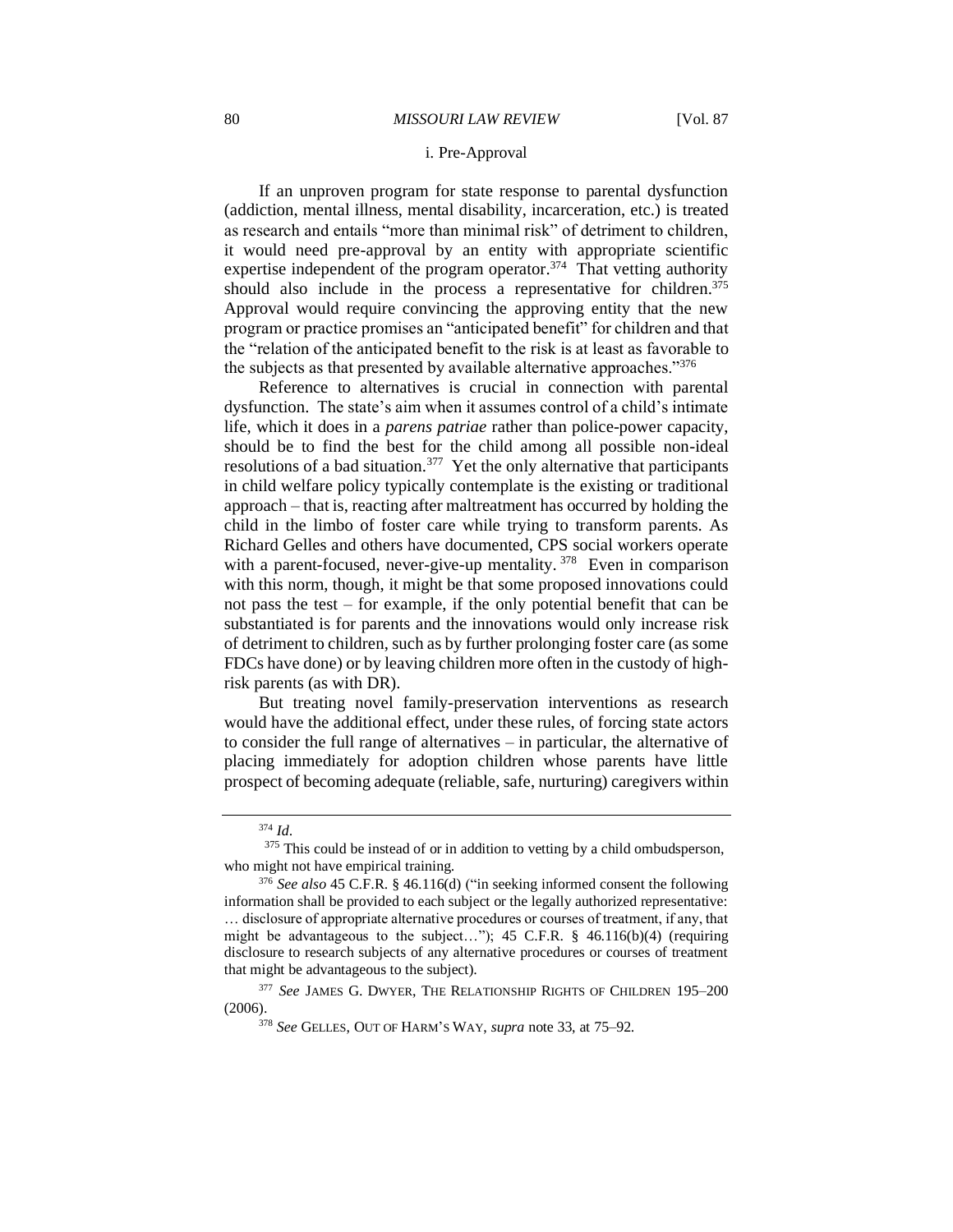#### i. Pre-Approval

If an unproven program for state response to parental dysfunction (addiction, mental illness, mental disability, incarceration, etc.) is treated as research and entails "more than minimal risk" of detriment to children, it would need pre-approval by an entity with appropriate scientific expertise independent of the program operator.<sup>374</sup> That vetting authority should also include in the process a representative for children.<sup>375</sup> Approval would require convincing the approving entity that the new program or practice promises an "anticipated benefit" for children and that the "relation of the anticipated benefit to the risk is at least as favorable to the subjects as that presented by available alternative approaches."<sup>376</sup>

Reference to alternatives is crucial in connection with parental dysfunction. The state's aim when it assumes control of a child's intimate life, which it does in a *parens patriae* rather than police-power capacity, should be to find the best for the child among all possible non-ideal resolutions of a bad situation.<sup>377</sup> Yet the only alternative that participants in child welfare policy typically contemplate is the existing or traditional approach – that is, reacting after maltreatment has occurred by holding the child in the limbo of foster care while trying to transform parents. As Richard Gelles and others have documented, CPS social workers operate with a parent-focused, never-give-up mentality.<sup>378</sup> Even in comparison with this norm, though, it might be that some proposed innovations could not pass the test – for example, if the only potential benefit that can be substantiated is for parents and the innovations would only increase risk of detriment to children, such as by further prolonging foster care (as some FDCs have done) or by leaving children more often in the custody of highrisk parents (as with DR).

But treating novel family-preservation interventions as research would have the additional effect, under these rules, of forcing state actors to consider the full range of alternatives – in particular, the alternative of placing immediately for adoption children whose parents have little prospect of becoming adequate (reliable, safe, nurturing) caregivers within

<sup>377</sup> See JAMES G. DWYER, THE RELATIONSHIP RIGHTS OF CHILDREN 195-200 (2006).

<sup>374</sup> *Id*.

<sup>&</sup>lt;sup>375</sup> This could be instead of or in addition to vetting by a child ombudsperson, who might not have empirical training.

<sup>376</sup> *See also* 45 C.F.R. § 46.116(d) ("in seeking informed consent the following information shall be provided to each subject or the legally authorized representative: … disclosure of appropriate alternative procedures or courses of treatment, if any, that might be advantageous to the subject..."); 45 C.F.R. § 46.116(b)(4) (requiring disclosure to research subjects of any alternative procedures or courses of treatment that might be advantageous to the subject).

<sup>378</sup> *See* GELLES, OUT OF HARM'S WAY, *supra* note 33, at 75–92.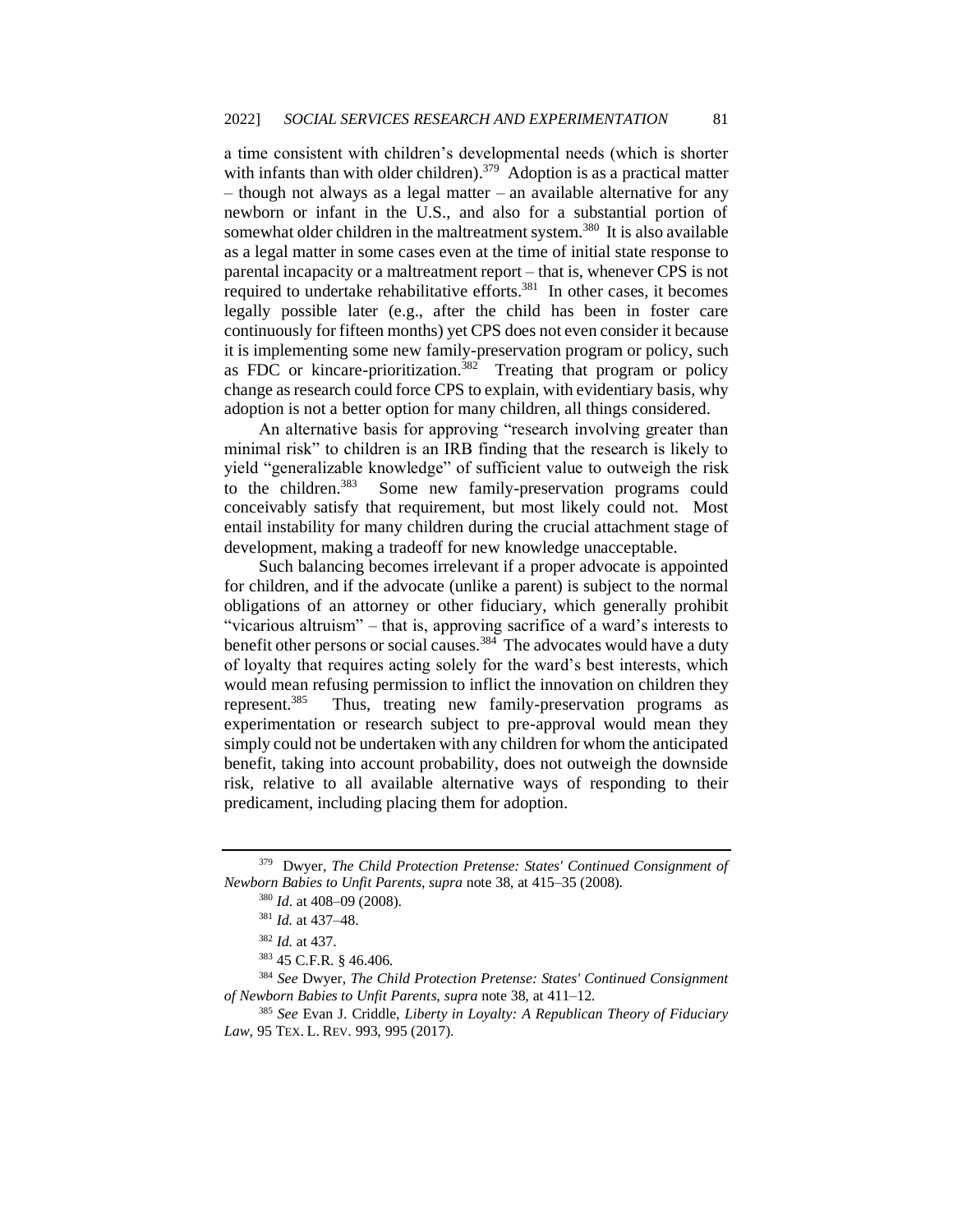a time consistent with children's developmental needs (which is shorter with infants than with older children).<sup>379</sup> Adoption is as a practical matter  $-$  though not always as a legal matter – an available alternative for any newborn or infant in the U.S., and also for a substantial portion of somewhat older children in the maltreatment system.<sup>380</sup> It is also available as a legal matter in some cases even at the time of initial state response to parental incapacity or a maltreatment report – that is, whenever CPS is not required to undertake rehabilitative efforts.<sup>381</sup> In other cases, it becomes legally possible later (e.g., after the child has been in foster care continuously for fifteen months) yet CPS does not even consider it because it is implementing some new family-preservation program or policy, such as FDC or kincare-prioritization.<sup>382</sup> Treating that program or policy change as research could force CPS to explain, with evidentiary basis, why adoption is not a better option for many children, all things considered.

An alternative basis for approving "research involving greater than minimal risk" to children is an IRB finding that the research is likely to yield "generalizable knowledge" of sufficient value to outweigh the risk to the children.<sup>383</sup> Some new family-preservation programs could conceivably satisfy that requirement, but most likely could not. Most entail instability for many children during the crucial attachment stage of development, making a tradeoff for new knowledge unacceptable.

Such balancing becomes irrelevant if a proper advocate is appointed for children, and if the advocate (unlike a parent) is subject to the normal obligations of an attorney or other fiduciary, which generally prohibit "vicarious altruism" – that is, approving sacrifice of a ward's interests to benefit other persons or social causes.<sup>384</sup> The advocates would have a duty of loyalty that requires acting solely for the ward's best interests, which would mean refusing permission to inflict the innovation on children they represent.<sup>385</sup> Thus, treating new family-preservation programs as experimentation or research subject to pre-approval would mean they simply could not be undertaken with any children for whom the anticipated benefit, taking into account probability, does not outweigh the downside risk, relative to all available alternative ways of responding to their predicament, including placing them for adoption.

<sup>379</sup> Dwyer, *The Child Protection Pretense: States' Continued Consignment of Newborn Babies to Unfit Parents*, *supra* note 38, at 415–35 (2008).

<sup>380</sup> *Id*. at 408–09 (2008).

<sup>381</sup> *Id.* at 437–48.

<sup>382</sup> *Id.* at 437.

<sup>383</sup> 45 C.F.R. § 46.406.

<sup>384</sup> *See* Dwyer, *The Child Protection Pretense: States' Continued Consignment of Newborn Babies to Unfit Parents*, *supra* note 38, at 411–12.

<sup>385</sup> *See* Evan J. Criddle, *Liberty in Loyalty: A Republican Theory of Fiduciary Law,* 95 TEX. L. REV. 993, 995 (2017).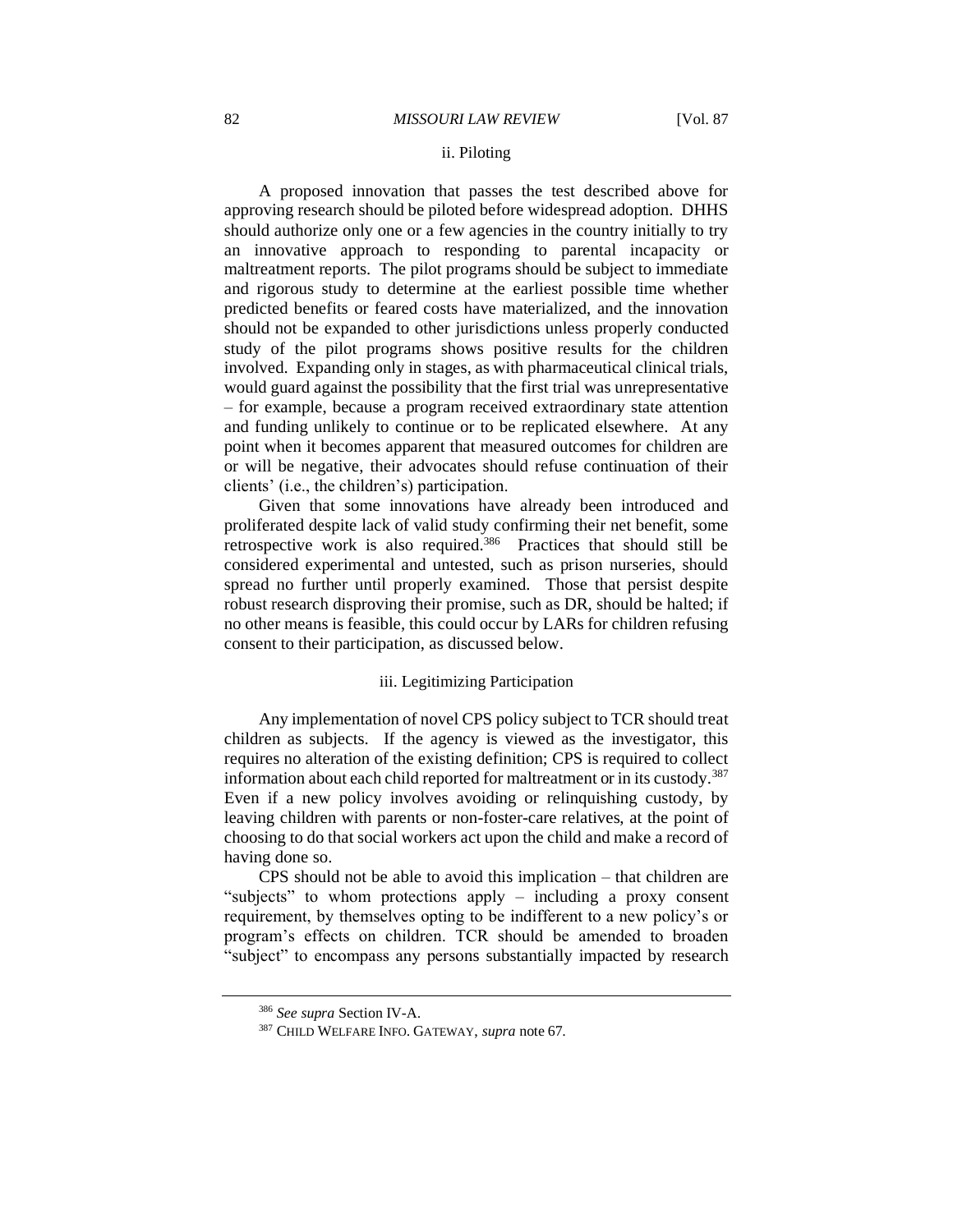# ii. Piloting

A proposed innovation that passes the test described above for approving research should be piloted before widespread adoption. DHHS should authorize only one or a few agencies in the country initially to try an innovative approach to responding to parental incapacity or maltreatment reports. The pilot programs should be subject to immediate and rigorous study to determine at the earliest possible time whether predicted benefits or feared costs have materialized, and the innovation should not be expanded to other jurisdictions unless properly conducted study of the pilot programs shows positive results for the children involved. Expanding only in stages, as with pharmaceutical clinical trials, would guard against the possibility that the first trial was unrepresentative – for example, because a program received extraordinary state attention and funding unlikely to continue or to be replicated elsewhere. At any point when it becomes apparent that measured outcomes for children are or will be negative, their advocates should refuse continuation of their clients' (i.e., the children's) participation.

Given that some innovations have already been introduced and proliferated despite lack of valid study confirming their net benefit, some retrospective work is also required.<sup>386</sup> Practices that should still be considered experimental and untested, such as prison nurseries, should spread no further until properly examined. Those that persist despite robust research disproving their promise, such as DR, should be halted; if no other means is feasible, this could occur by LARs for children refusing consent to their participation, as discussed below.

#### iii. Legitimizing Participation

Any implementation of novel CPS policy subject to TCR should treat children as subjects. If the agency is viewed as the investigator, this requires no alteration of the existing definition; CPS is required to collect information about each child reported for maltreatment or in its custody.<sup>387</sup> Even if a new policy involves avoiding or relinquishing custody, by leaving children with parents or non-foster-care relatives, at the point of choosing to do that social workers act upon the child and make a record of having done so.

CPS should not be able to avoid this implication – that children are "subjects" to whom protections apply – including a proxy consent requirement, by themselves opting to be indifferent to a new policy's or program's effects on children. TCR should be amended to broaden "subject" to encompass any persons substantially impacted by research

<sup>386</sup> *See supra* Section IV-A.

<sup>387</sup> CHILD WELFARE INFO. GATEWAY, *supra* note 67.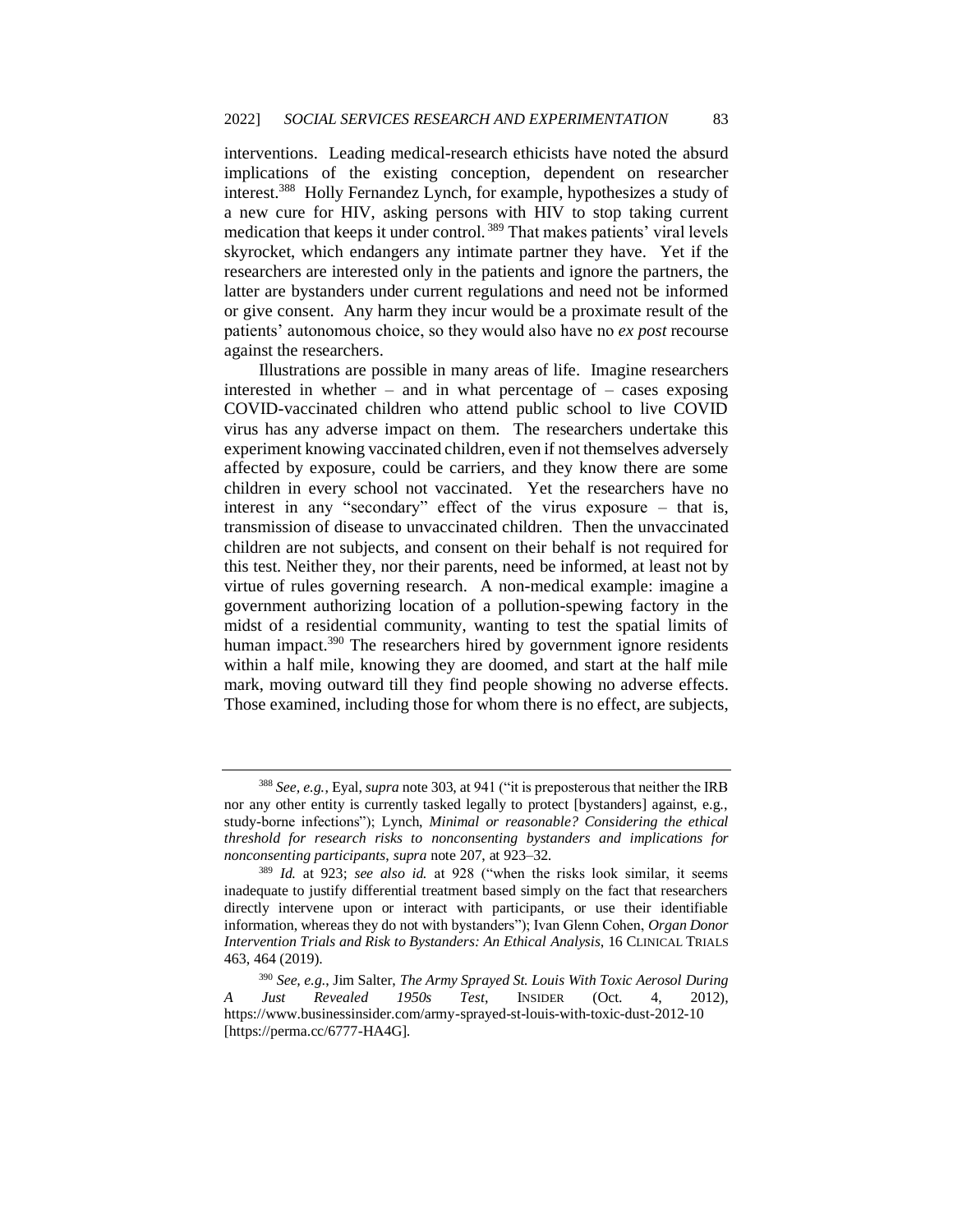interventions. Leading medical-research ethicists have noted the absurd implications of the existing conception, dependent on researcher interest.<sup>388</sup> Holly Fernandez Lynch, for example, hypothesizes a study of a new cure for HIV, asking persons with HIV to stop taking current medication that keeps it under control. <sup>389</sup> That makes patients' viral levels skyrocket, which endangers any intimate partner they have. Yet if the researchers are interested only in the patients and ignore the partners, the latter are bystanders under current regulations and need not be informed or give consent. Any harm they incur would be a proximate result of the patients' autonomous choice, so they would also have no *ex post* recourse against the researchers.

Illustrations are possible in many areas of life. Imagine researchers interested in whether – and in what percentage of – cases exposing COVID-vaccinated children who attend public school to live COVID virus has any adverse impact on them. The researchers undertake this experiment knowing vaccinated children, even if not themselves adversely affected by exposure, could be carriers, and they know there are some children in every school not vaccinated. Yet the researchers have no interest in any "secondary" effect of the virus exposure – that is, transmission of disease to unvaccinated children. Then the unvaccinated children are not subjects, and consent on their behalf is not required for this test. Neither they, nor their parents, need be informed, at least not by virtue of rules governing research. A non-medical example: imagine a government authorizing location of a pollution-spewing factory in the midst of a residential community, wanting to test the spatial limits of human impact.<sup>390</sup> The researchers hired by government ignore residents within a half mile, knowing they are doomed, and start at the half mile mark, moving outward till they find people showing no adverse effects. Those examined, including those for whom there is no effect, are subjects,

<sup>388</sup> *See, e.g.*, Eyal, *supra* note 303, at 941 ("it is preposterous that neither the IRB nor any other entity is currently tasked legally to protect [bystanders] against, e.g., study-borne infections"); Lynch, *Minimal or reasonable? Considering the ethical threshold for research risks to nonconsenting bystanders and implications for nonconsenting participants*, *supra* note 207, at 923–32.

<sup>389</sup> *Id.* at 923; *see also id.* at 928 ("when the risks look similar, it seems inadequate to justify differential treatment based simply on the fact that researchers directly intervene upon or interact with participants, or use their identifiable information, whereas they do not with bystanders"); Ivan Glenn Cohen, *Organ Donor Intervention Trials and Risk to Bystanders: An Ethical Analysis*, 16 CLINICAL TRIALS 463, 464 (2019).

<sup>390</sup> *See, e.g*., Jim Salter, *The Army Sprayed St. Louis With Toxic Aerosol During A Just Revealed 1950s Test*, INSIDER (Oct. 4, 2012), https://www.businessinsider.com/army-sprayed-st-louis-with-toxic-dust-2012-10 [https://perma.cc/6777-HA4G].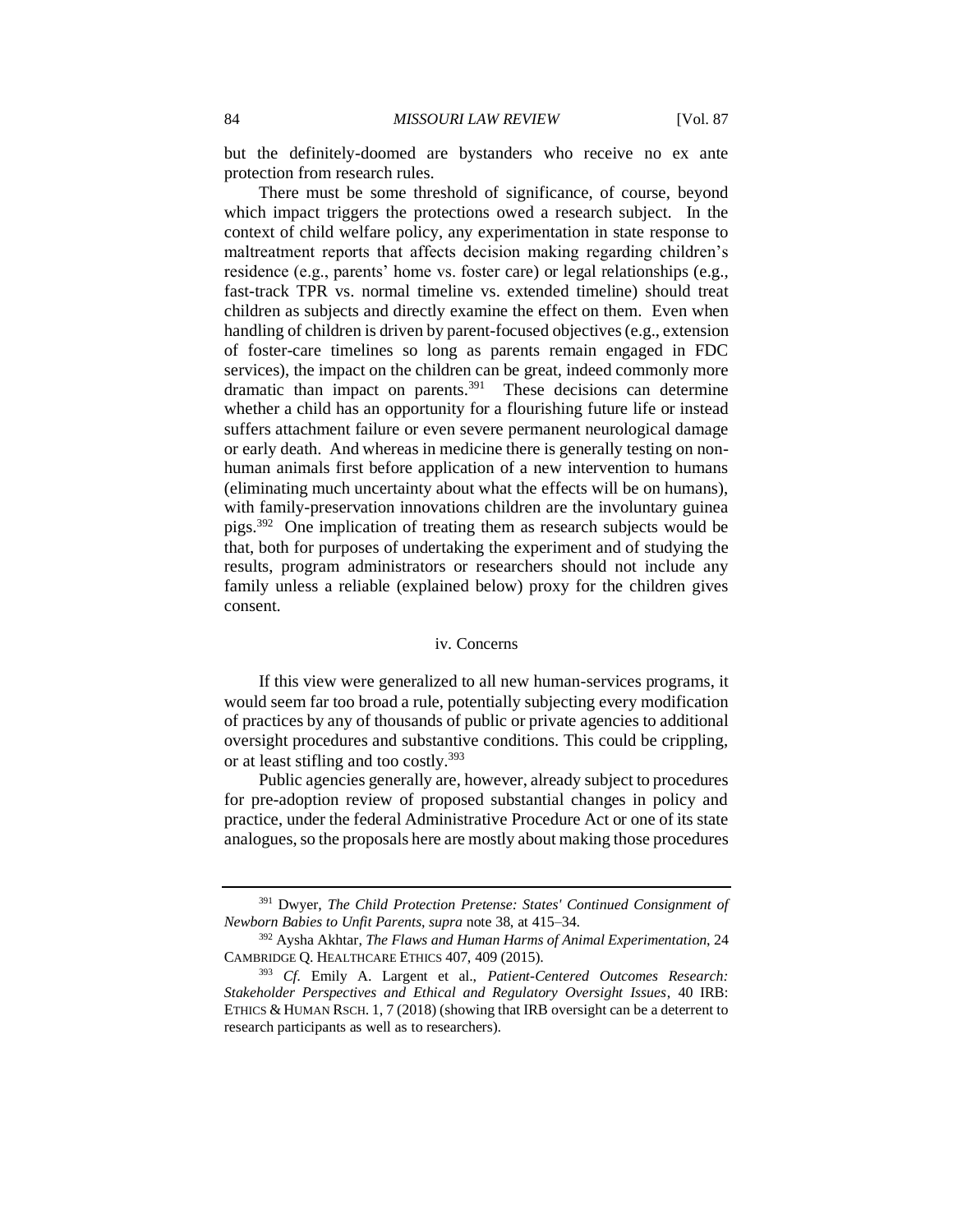but the definitely-doomed are bystanders who receive no ex ante protection from research rules.

There must be some threshold of significance, of course, beyond which impact triggers the protections owed a research subject. In the context of child welfare policy, any experimentation in state response to maltreatment reports that affects decision making regarding children's residence (e.g., parents' home vs. foster care) or legal relationships (e.g., fast-track TPR vs. normal timeline vs. extended timeline) should treat children as subjects and directly examine the effect on them. Even when handling of children is driven by parent-focused objectives (e.g., extension of foster-care timelines so long as parents remain engaged in FDC services), the impact on the children can be great, indeed commonly more dramatic than impact on parents.<sup>391</sup> These decisions can determine whether a child has an opportunity for a flourishing future life or instead suffers attachment failure or even severe permanent neurological damage or early death. And whereas in medicine there is generally testing on nonhuman animals first before application of a new intervention to humans (eliminating much uncertainty about what the effects will be on humans), with family-preservation innovations children are the involuntary guinea pigs.<sup>392</sup> One implication of treating them as research subjects would be that, both for purposes of undertaking the experiment and of studying the results, program administrators or researchers should not include any family unless a reliable (explained below) proxy for the children gives consent.

#### iv. Concerns

If this view were generalized to all new human-services programs, it would seem far too broad a rule, potentially subjecting every modification of practices by any of thousands of public or private agencies to additional oversight procedures and substantive conditions. This could be crippling, or at least stifling and too costly.<sup>393</sup>

Public agencies generally are, however, already subject to procedures for pre-adoption review of proposed substantial changes in policy and practice, under the federal Administrative Procedure Act or one of its state analogues, so the proposals here are mostly about making those procedures

<sup>391</sup> Dwyer, *The Child Protection Pretense: States' Continued Consignment of Newborn Babies to Unfit Parents*, *supra* note 38, at 415–34.

<sup>392</sup> Aysha Akhtar, *The Flaws and Human Harms of Animal Experimentation*, 24 CAMBRIDGE Q. HEALTHCARE ETHICS 407, 409 (2015).

<sup>393</sup> *Cf.* Emily A. Largent et al., *Patient-Centered Outcomes Research: Stakeholder Perspectives and Ethical and Regulatory Oversight Issues*, 40 IRB: ETHICS & HUMAN RSCH. 1, 7 (2018) (showing that IRB oversight can be a deterrent to research participants as well as to researchers).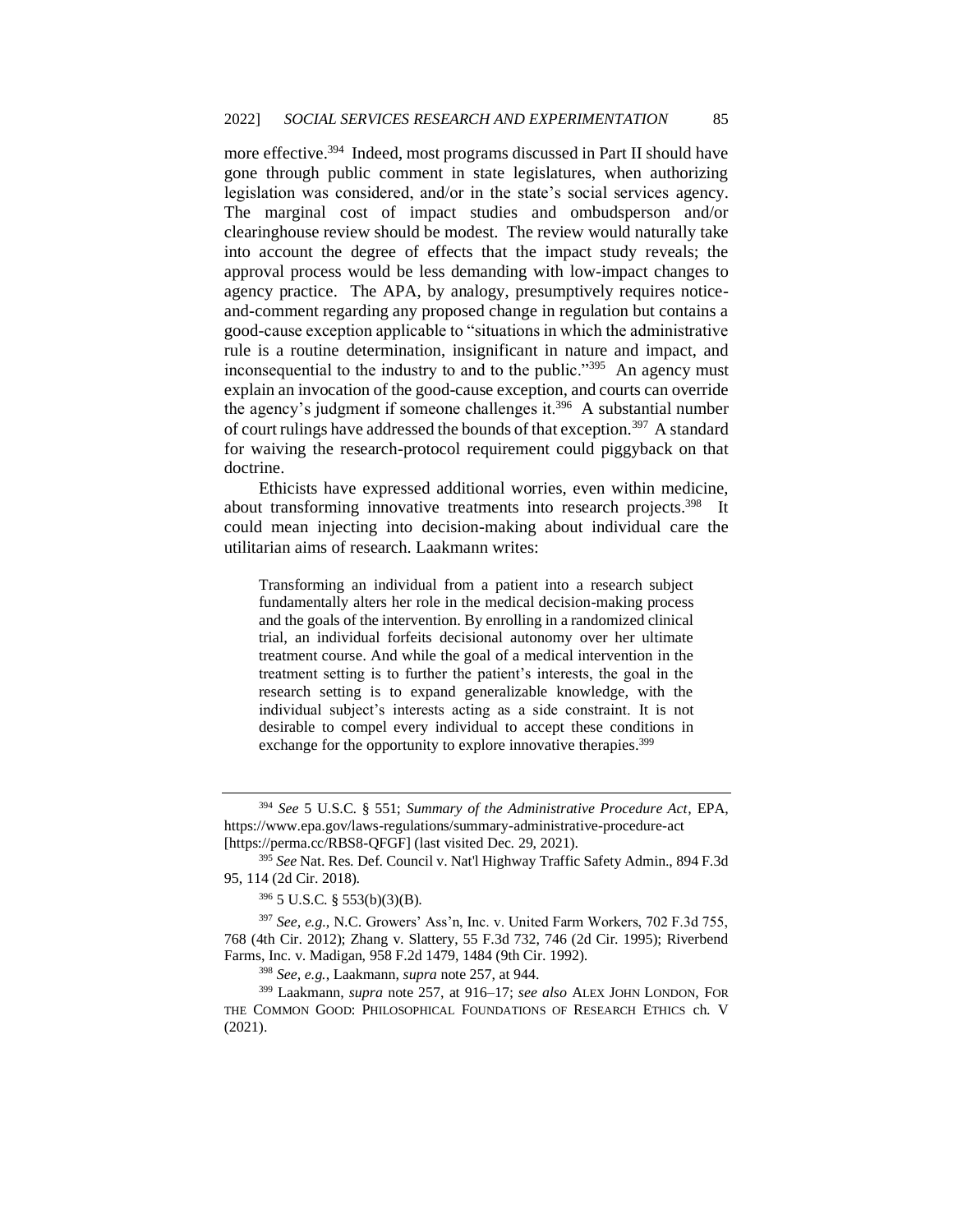more effective.<sup>394</sup> Indeed, most programs discussed in Part II should have gone through public comment in state legislatures, when authorizing legislation was considered, and/or in the state's social services agency. The marginal cost of impact studies and ombudsperson and/or clearinghouse review should be modest. The review would naturally take into account the degree of effects that the impact study reveals; the approval process would be less demanding with low-impact changes to agency practice. The APA, by analogy, presumptively requires noticeand-comment regarding any proposed change in regulation but contains a good-cause exception applicable to "situations in which the administrative rule is a routine determination, insignificant in nature and impact, and inconsequential to the industry to and to the public."<sup>395</sup> An agency must explain an invocation of the good-cause exception, and courts can override the agency's judgment if someone challenges it.<sup>396</sup> A substantial number of court rulings have addressed the bounds of that exception.<sup>397</sup> A standard for waiving the research-protocol requirement could piggyback on that doctrine.

Ethicists have expressed additional worries, even within medicine, about transforming innovative treatments into research projects.<sup>398</sup> It could mean injecting into decision-making about individual care the utilitarian aims of research. Laakmann writes:

Transforming an individual from a patient into a research subject fundamentally alters her role in the medical decision-making process and the goals of the intervention. By enrolling in a randomized clinical trial, an individual forfeits decisional autonomy over her ultimate treatment course. And while the goal of a medical intervention in the treatment setting is to further the patient's interests, the goal in the research setting is to expand generalizable knowledge, with the individual subject's interests acting as a side constraint. It is not desirable to compel every individual to accept these conditions in exchange for the opportunity to explore innovative therapies.<sup>399</sup>

<sup>394</sup> *See* 5 U.S.C. § 551; *Summary of the Administrative Procedure Act*, EPA, https://www.epa.gov/laws-regulations/summary-administrative-procedure-act [https://perma.cc/RBS8-QFGF] (last visited Dec. 29, 2021).

<sup>395</sup> *See* Nat. Res. Def. Council v. Nat'l Highway Traffic Safety Admin., 894 F.3d 95, 114 (2d Cir. 2018).

<sup>396</sup> 5 U.S.C. § 553(b)(3)(B).

<sup>397</sup> *See, e.g.*, N.C. Growers' Ass'n, Inc. v. United Farm Workers, 702 F.3d 755, 768 (4th Cir. 2012); Zhang v. Slattery, 55 F.3d 732, 746 (2d Cir. 1995); Riverbend Farms, Inc. v. Madigan, 958 F.2d 1479, 1484 (9th Cir. 1992).

<sup>398</sup> *See, e.g.*, Laakmann, *supra* note 257, at 944.

<sup>399</sup> Laakmann, *supra* note 257, at 916–17; *see also* ALEX JOHN LONDON, FOR THE COMMON GOOD: PHILOSOPHICAL FOUNDATIONS OF RESEARCH ETHICS ch. V (2021).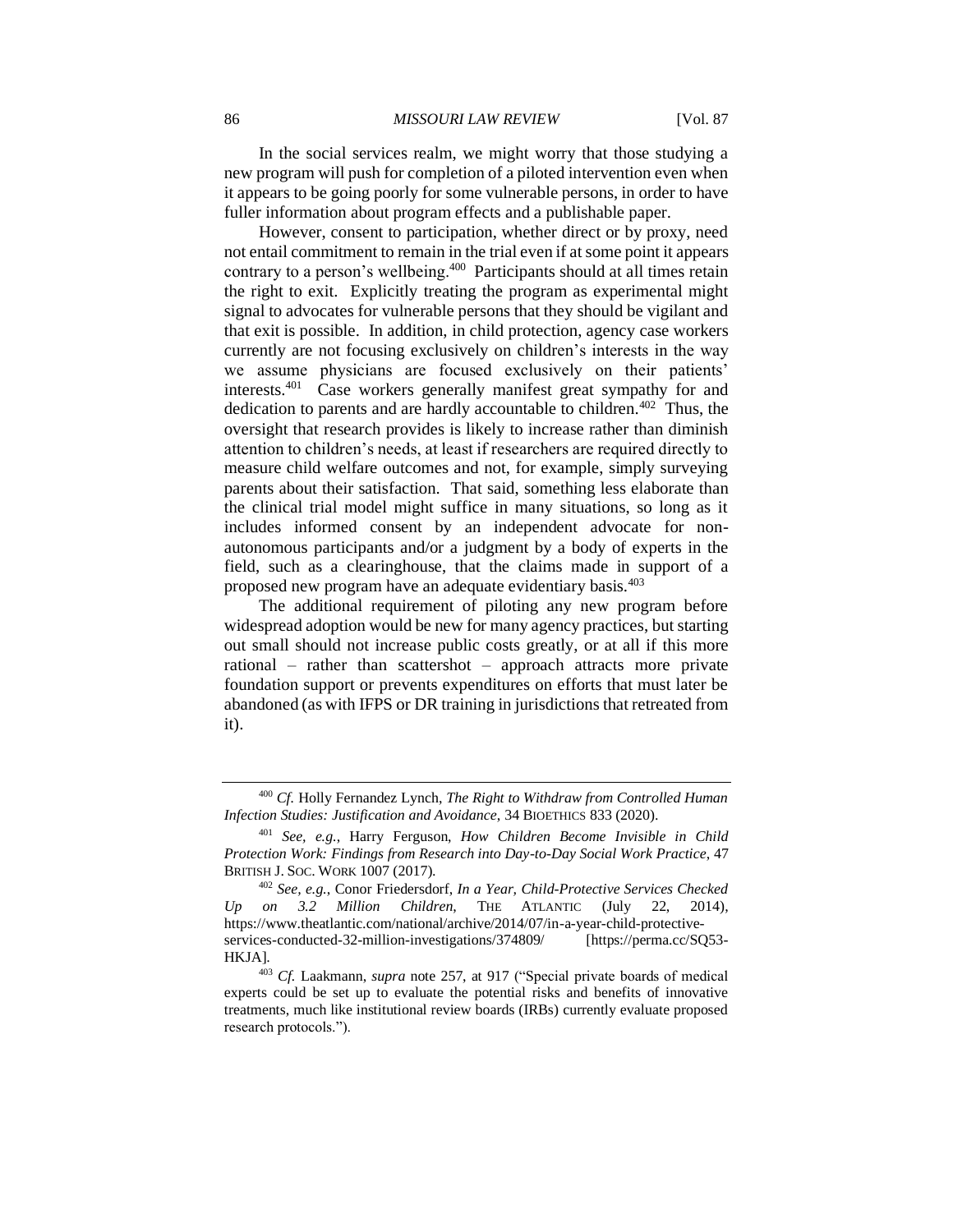# 86 *MISSOURI LAW REVIEW* [Vol. 87

In the social services realm, we might worry that those studying a new program will push for completion of a piloted intervention even when it appears to be going poorly for some vulnerable persons, in order to have fuller information about program effects and a publishable paper.

However, consent to participation, whether direct or by proxy, need not entail commitment to remain in the trial even if at some point it appears contrary to a person's wellbeing.<sup>400</sup> Participants should at all times retain the right to exit. Explicitly treating the program as experimental might signal to advocates for vulnerable persons that they should be vigilant and that exit is possible. In addition, in child protection, agency case workers currently are not focusing exclusively on children's interests in the way we assume physicians are focused exclusively on their patients' interests.<sup>401</sup> Case workers generally manifest great sympathy for and dedication to parents and are hardly accountable to children.<sup>402</sup> Thus, the oversight that research provides is likely to increase rather than diminish attention to children's needs, at least if researchers are required directly to measure child welfare outcomes and not, for example, simply surveying parents about their satisfaction. That said, something less elaborate than the clinical trial model might suffice in many situations, so long as it includes informed consent by an independent advocate for nonautonomous participants and/or a judgment by a body of experts in the field, such as a clearinghouse, that the claims made in support of a proposed new program have an adequate evidentiary basis.<sup>403</sup>

The additional requirement of piloting any new program before widespread adoption would be new for many agency practices, but starting out small should not increase public costs greatly, or at all if this more rational – rather than scattershot – approach attracts more private foundation support or prevents expenditures on efforts that must later be abandoned (as with IFPS or DR training in jurisdictions that retreated from it).

<sup>400</sup> *Cf.* Holly Fernandez Lynch, *The Right to Withdraw from Controlled Human Infection Studies: Justification and Avoidance*, 34 BIOETHICS 833 (2020).

<sup>401</sup> *See, e.g.*, Harry Ferguson, *How Children Become Invisible in Child Protection Work: Findings from Research into Day-to-Day Social Work Practice*, 47 BRITISH J. SOC. WORK 1007 (2017).

<sup>402</sup> *See, e.g.*, Conor Friedersdorf, *In a Year, Child-Protective Services Checked Up on 3.2 Million Children*, THE ATLANTIC (July 22, 2014), https://www.theatlantic.com/national/archive/2014/07/in-a-year-child-protectiveservices-conducted-32-million-investigations/374809/ [https://perma.cc/SQ53- HKJA].

<sup>403</sup> *Cf.* Laakmann, *supra* note 257, at 917 ("Special private boards of medical experts could be set up to evaluate the potential risks and benefits of innovative treatments, much like institutional review boards (IRBs) currently evaluate proposed research protocols.").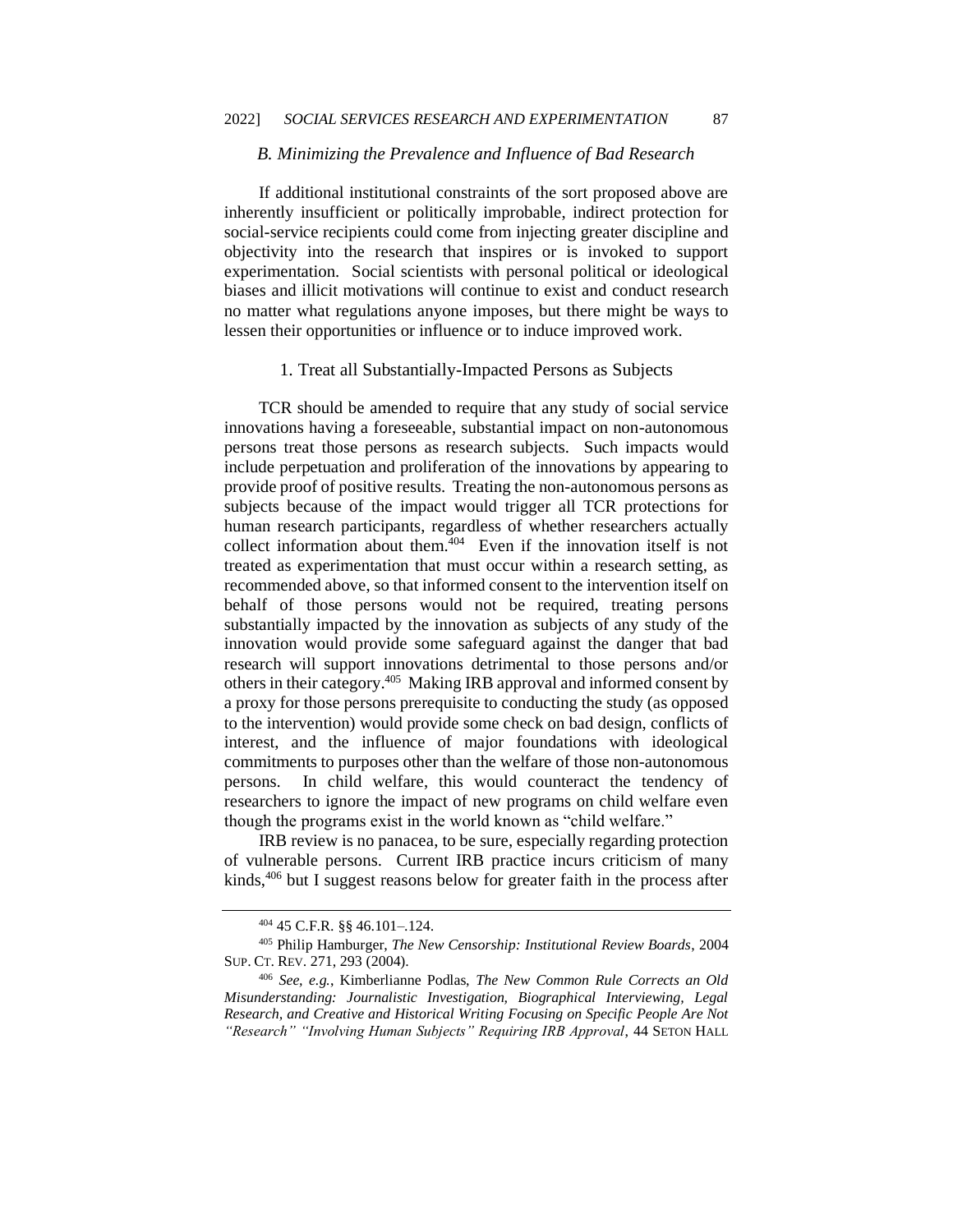# *B. Minimizing the Prevalence and Influence of Bad Research*

If additional institutional constraints of the sort proposed above are inherently insufficient or politically improbable, indirect protection for social-service recipients could come from injecting greater discipline and objectivity into the research that inspires or is invoked to support experimentation. Social scientists with personal political or ideological biases and illicit motivations will continue to exist and conduct research no matter what regulations anyone imposes, but there might be ways to lessen their opportunities or influence or to induce improved work.

#### 1. Treat all Substantially-Impacted Persons as Subjects

TCR should be amended to require that any study of social service innovations having a foreseeable, substantial impact on non-autonomous persons treat those persons as research subjects. Such impacts would include perpetuation and proliferation of the innovations by appearing to provide proof of positive results. Treating the non-autonomous persons as subjects because of the impact would trigger all TCR protections for human research participants, regardless of whether researchers actually collect information about them.<sup>404</sup> Even if the innovation itself is not treated as experimentation that must occur within a research setting, as recommended above, so that informed consent to the intervention itself on behalf of those persons would not be required, treating persons substantially impacted by the innovation as subjects of any study of the innovation would provide some safeguard against the danger that bad research will support innovations detrimental to those persons and/or others in their category.<sup>405</sup> Making IRB approval and informed consent by a proxy for those persons prerequisite to conducting the study (as opposed to the intervention) would provide some check on bad design, conflicts of interest, and the influence of major foundations with ideological commitments to purposes other than the welfare of those non-autonomous persons. In child welfare, this would counteract the tendency of researchers to ignore the impact of new programs on child welfare even though the programs exist in the world known as "child welfare."

IRB review is no panacea, to be sure, especially regarding protection of vulnerable persons. Current IRB practice incurs criticism of many kinds,<sup>406</sup> but I suggest reasons below for greater faith in the process after

<sup>404</sup> 45 C.F.R. §§ 46.101–.124.

<sup>405</sup> Philip Hamburger, *The New Censorship: Institutional Review Boards*, 2004 SUP. CT. REV. 271, 293 (2004).

<sup>406</sup> *See, e.g.*, Kimberlianne Podlas, *The New Common Rule Corrects an Old Misunderstanding: Journalistic Investigation, Biographical Interviewing, Legal Research, and Creative and Historical Writing Focusing on Specific People Are Not "Research" "Involving Human Subjects" Requiring IRB Approval*, 44 SETON HALL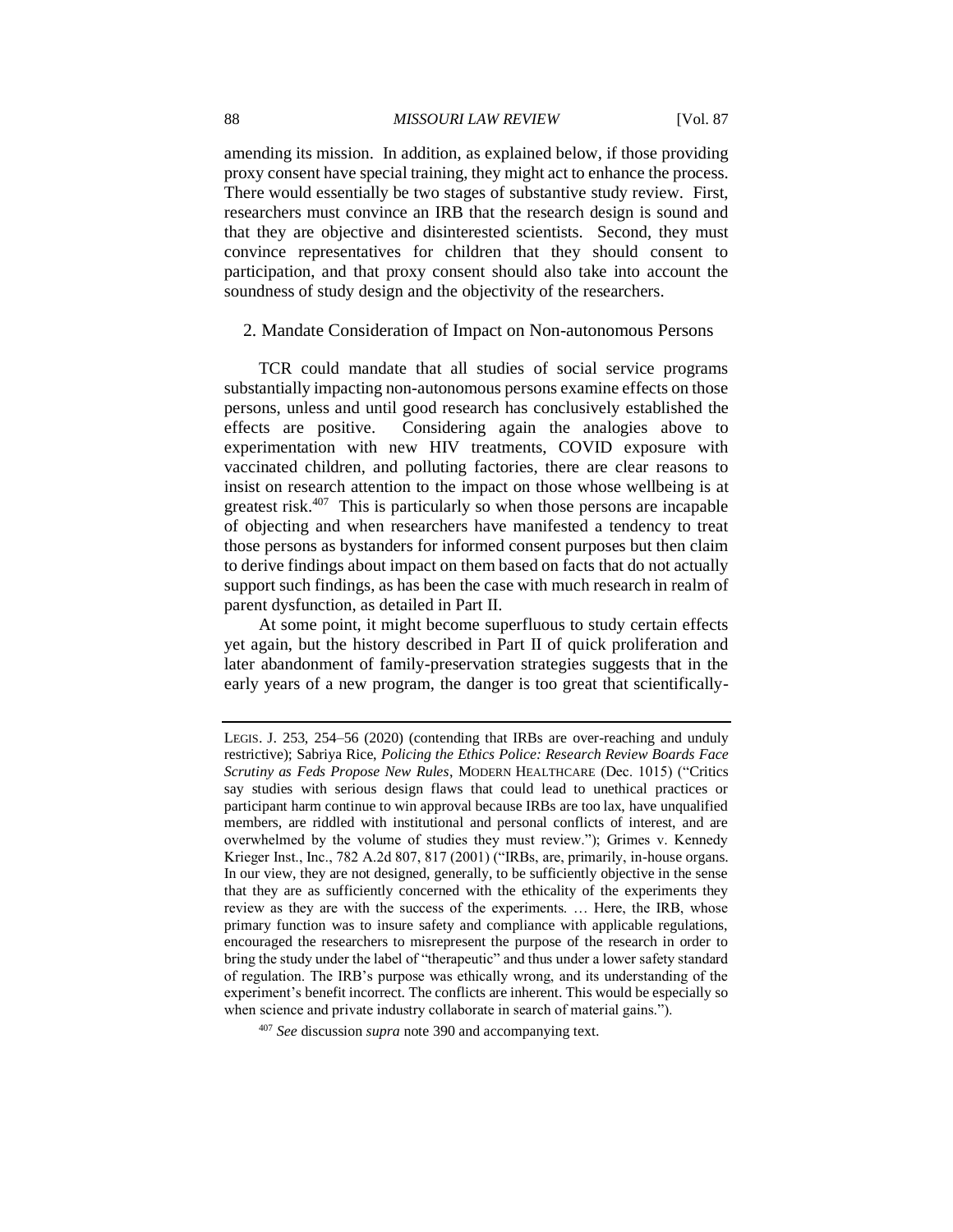amending its mission. In addition, as explained below, if those providing proxy consent have special training, they might act to enhance the process. There would essentially be two stages of substantive study review. First, researchers must convince an IRB that the research design is sound and that they are objective and disinterested scientists. Second, they must convince representatives for children that they should consent to participation, and that proxy consent should also take into account the soundness of study design and the objectivity of the researchers.

# 2. Mandate Consideration of Impact on Non-autonomous Persons

TCR could mandate that all studies of social service programs substantially impacting non-autonomous persons examine effects on those persons, unless and until good research has conclusively established the effects are positive. Considering again the analogies above to experimentation with new HIV treatments, COVID exposure with vaccinated children, and polluting factories, there are clear reasons to insist on research attention to the impact on those whose wellbeing is at greatest risk.<sup>407</sup> This is particularly so when those persons are incapable of objecting and when researchers have manifested a tendency to treat those persons as bystanders for informed consent purposes but then claim to derive findings about impact on them based on facts that do not actually support such findings, as has been the case with much research in realm of parent dysfunction, as detailed in Part II.

At some point, it might become superfluous to study certain effects yet again, but the history described in Part II of quick proliferation and later abandonment of family-preservation strategies suggests that in the early years of a new program, the danger is too great that scientifically-

LEGIS. J. 253, 254–56 (2020) (contending that IRBs are over-reaching and unduly restrictive); Sabriya Rice, *Policing the Ethics Police: Research Review Boards Face Scrutiny as Feds Propose New Rules*, MODERN HEALTHCARE (Dec. 1015) ("Critics say studies with serious design flaws that could lead to unethical practices or participant harm continue to win approval because IRBs are too lax, have unqualified members, are riddled with institutional and personal conflicts of interest, and are overwhelmed by the volume of studies they must review."); Grimes v. Kennedy Krieger Inst., Inc., 782 A.2d 807, 817 (2001) ("IRBs, are, primarily, in-house organs. In our view, they are not designed, generally, to be sufficiently objective in the sense that they are as sufficiently concerned with the ethicality of the experiments they review as they are with the success of the experiments. … Here, the IRB, whose primary function was to insure safety and compliance with applicable regulations, encouraged the researchers to misrepresent the purpose of the research in order to bring the study under the label of "therapeutic" and thus under a lower safety standard of regulation. The IRB's purpose was ethically wrong, and its understanding of the experiment's benefit incorrect. The conflicts are inherent. This would be especially so when science and private industry collaborate in search of material gains.").

<sup>407</sup> *See* discussion *supra* note 390 and accompanying text.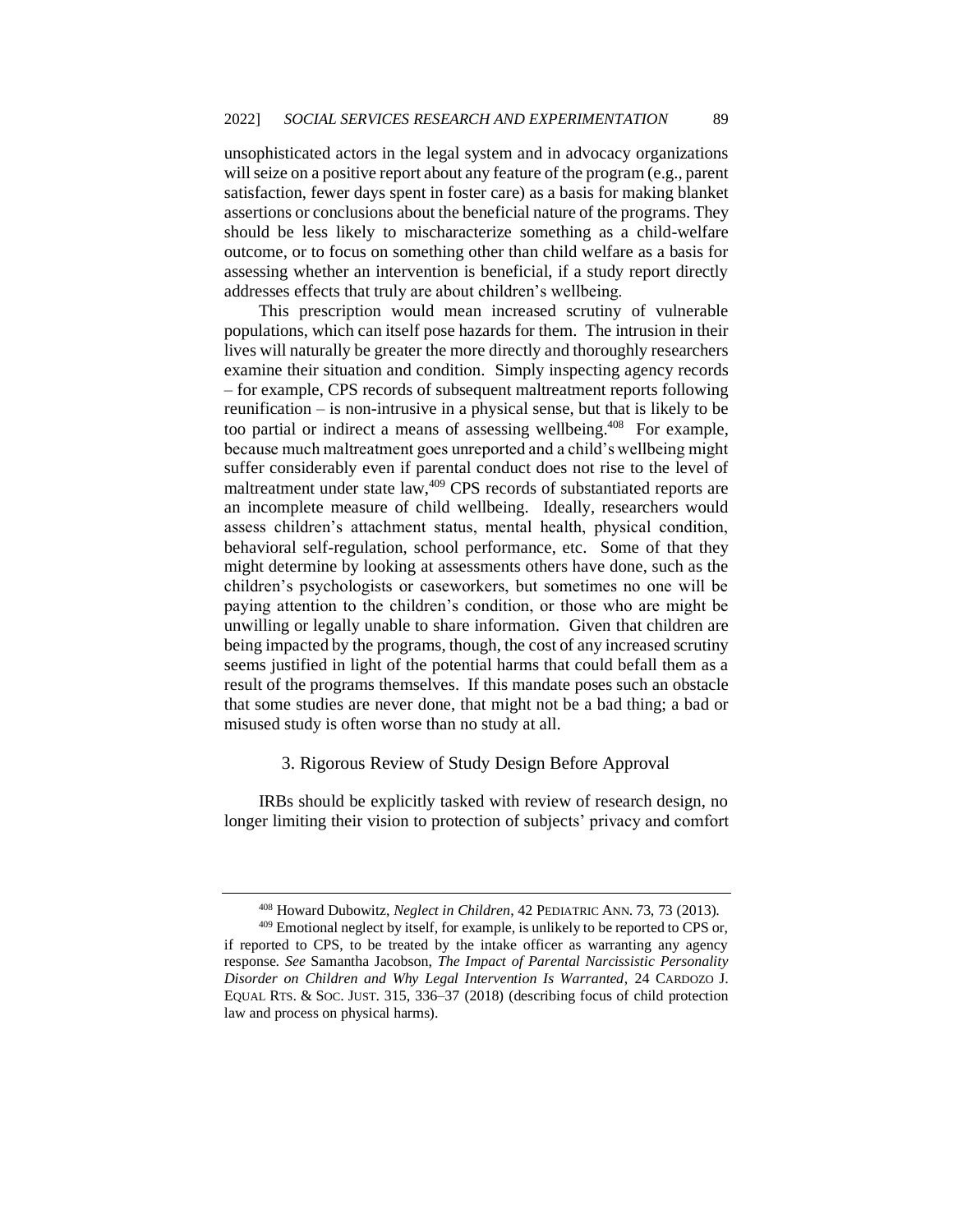unsophisticated actors in the legal system and in advocacy organizations will seize on a positive report about any feature of the program (e.g., parent satisfaction, fewer days spent in foster care) as a basis for making blanket assertions or conclusions about the beneficial nature of the programs. They should be less likely to mischaracterize something as a child-welfare outcome, or to focus on something other than child welfare as a basis for assessing whether an intervention is beneficial, if a study report directly addresses effects that truly are about children's wellbeing.

This prescription would mean increased scrutiny of vulnerable populations, which can itself pose hazards for them. The intrusion in their lives will naturally be greater the more directly and thoroughly researchers examine their situation and condition. Simply inspecting agency records – for example, CPS records of subsequent maltreatment reports following reunification – is non-intrusive in a physical sense, but that is likely to be too partial or indirect a means of assessing wellbeing.<sup>408</sup> For example, because much maltreatment goes unreported and a child's wellbeing might suffer considerably even if parental conduct does not rise to the level of maltreatment under state law,<sup>409</sup> CPS records of substantiated reports are an incomplete measure of child wellbeing. Ideally, researchers would assess children's attachment status, mental health, physical condition, behavioral self-regulation, school performance, etc. Some of that they might determine by looking at assessments others have done, such as the children's psychologists or caseworkers, but sometimes no one will be paying attention to the children's condition, or those who are might be unwilling or legally unable to share information. Given that children are being impacted by the programs, though, the cost of any increased scrutiny seems justified in light of the potential harms that could befall them as a result of the programs themselves. If this mandate poses such an obstacle that some studies are never done, that might not be a bad thing; a bad or misused study is often worse than no study at all.

# 3. Rigorous Review of Study Design Before Approval

IRBs should be explicitly tasked with review of research design, no longer limiting their vision to protection of subjects' privacy and comfort

<sup>408</sup> Howard Dubowitz, *Neglect in Children*, 42 PEDIATRIC ANN. 73, 73 (2013).

<sup>&</sup>lt;sup>409</sup> Emotional neglect by itself, for example, is unlikely to be reported to CPS or, if reported to CPS, to be treated by the intake officer as warranting any agency response. *See* Samantha Jacobson, *The Impact of Parental Narcissistic Personality Disorder on Children and Why Legal Intervention Is Warranted*, 24 CARDOZO J. EQUAL RTS. & SOC. JUST. 315, 336–37 (2018) (describing focus of child protection law and process on physical harms).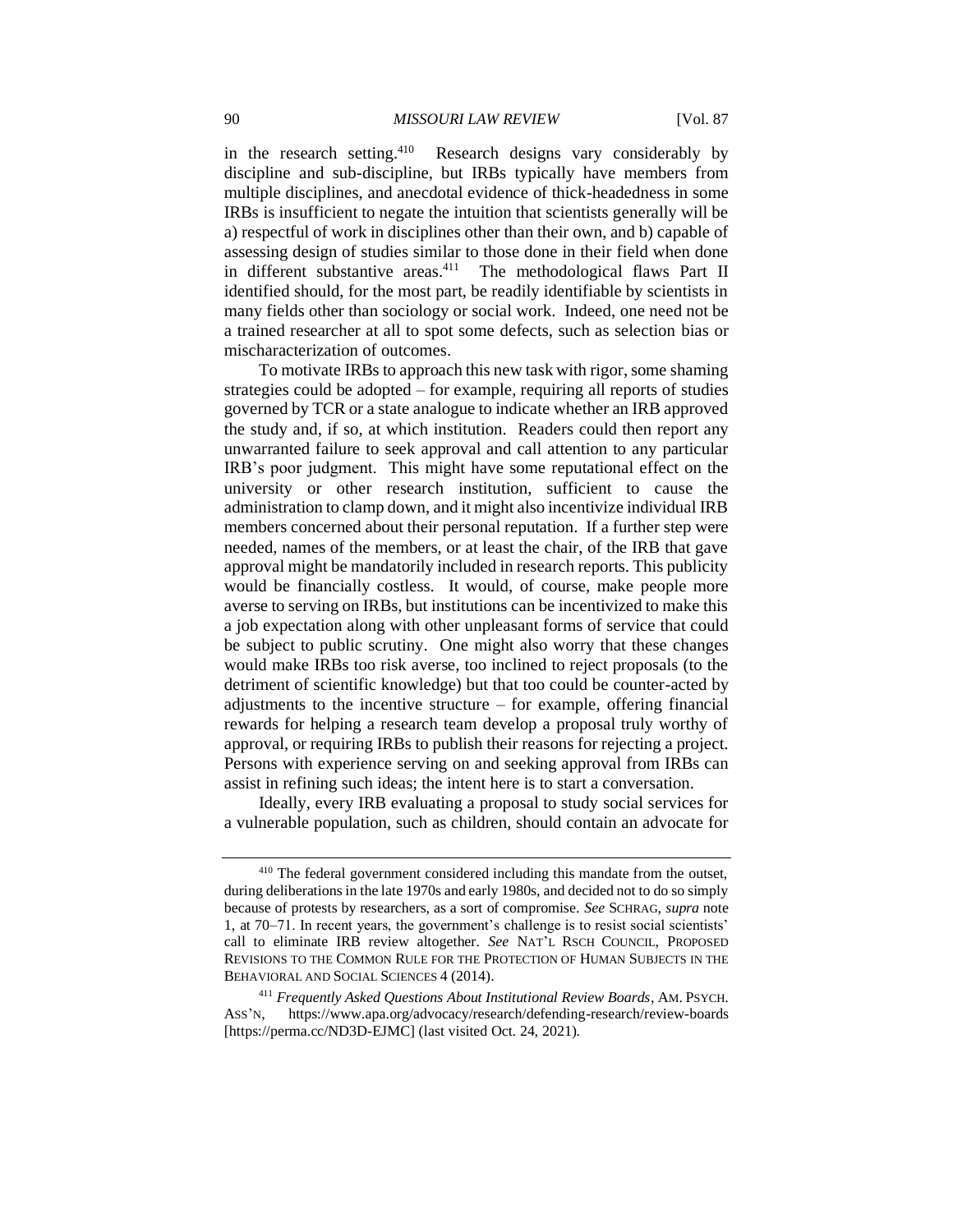in the research setting.<sup>410</sup> Research designs vary considerably by discipline and sub-discipline, but IRBs typically have members from multiple disciplines, and anecdotal evidence of thick-headedness in some IRBs is insufficient to negate the intuition that scientists generally will be a) respectful of work in disciplines other than their own, and b) capable of assessing design of studies similar to those done in their field when done in different substantive areas.<sup>411</sup> The methodological flaws Part II identified should, for the most part, be readily identifiable by scientists in many fields other than sociology or social work. Indeed, one need not be a trained researcher at all to spot some defects, such as selection bias or mischaracterization of outcomes.

To motivate IRBs to approach this new task with rigor, some shaming strategies could be adopted – for example, requiring all reports of studies governed by TCR or a state analogue to indicate whether an IRB approved the study and, if so, at which institution. Readers could then report any unwarranted failure to seek approval and call attention to any particular IRB's poor judgment. This might have some reputational effect on the university or other research institution, sufficient to cause the administration to clamp down, and it might also incentivize individual IRB members concerned about their personal reputation. If a further step were needed, names of the members, or at least the chair, of the IRB that gave approval might be mandatorily included in research reports. This publicity would be financially costless. It would, of course, make people more averse to serving on IRBs, but institutions can be incentivized to make this a job expectation along with other unpleasant forms of service that could be subject to public scrutiny. One might also worry that these changes would make IRBs too risk averse, too inclined to reject proposals (to the detriment of scientific knowledge) but that too could be counter-acted by adjustments to the incentive structure – for example, offering financial rewards for helping a research team develop a proposal truly worthy of approval, or requiring IRBs to publish their reasons for rejecting a project. Persons with experience serving on and seeking approval from IRBs can assist in refining such ideas; the intent here is to start a conversation.

Ideally, every IRB evaluating a proposal to study social services for a vulnerable population, such as children, should contain an advocate for

<sup>&</sup>lt;sup>410</sup> The federal government considered including this mandate from the outset, during deliberations in the late 1970s and early 1980s, and decided not to do so simply because of protests by researchers, as a sort of compromise. *See* SCHRAG, *supra* note 1, at 70–71. In recent years, the government's challenge is to resist social scientists' call to eliminate IRB review altogether. *See* NAT'L RSCH COUNCIL, PROPOSED REVISIONS TO THE COMMON RULE FOR THE PROTECTION OF HUMAN SUBJECTS IN THE BEHAVIORAL AND SOCIAL SCIENCES 4 (2014).

<sup>411</sup> *Frequently Asked Questions About Institutional Review Boards*, AM. PSYCH. ASS'N, https://www.apa.org/advocacy/research/defending-research/review-boards [https://perma.cc/ND3D-EJMC] (last visited Oct. 24, 2021).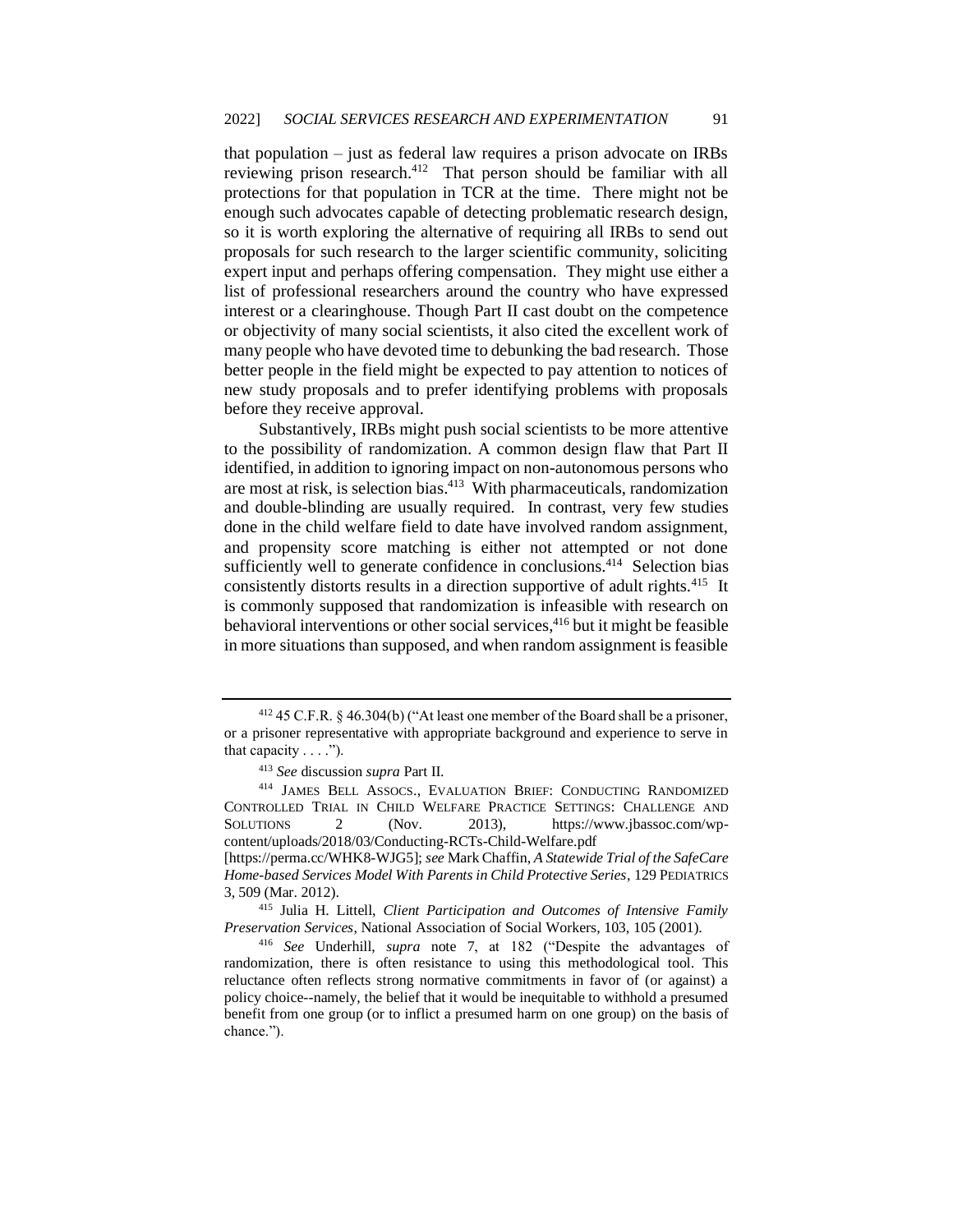that population – just as federal law requires a prison advocate on IRBs reviewing prison research.<sup>412</sup> That person should be familiar with all protections for that population in TCR at the time. There might not be enough such advocates capable of detecting problematic research design, so it is worth exploring the alternative of requiring all IRBs to send out proposals for such research to the larger scientific community, soliciting expert input and perhaps offering compensation. They might use either a list of professional researchers around the country who have expressed interest or a clearinghouse. Though Part II cast doubt on the competence or objectivity of many social scientists, it also cited the excellent work of many people who have devoted time to debunking the bad research. Those better people in the field might be expected to pay attention to notices of new study proposals and to prefer identifying problems with proposals before they receive approval.

Substantively, IRBs might push social scientists to be more attentive to the possibility of randomization. A common design flaw that Part II identified, in addition to ignoring impact on non-autonomous persons who are most at risk, is selection bias.<sup>413</sup> With pharmaceuticals, randomization and double-blinding are usually required. In contrast, very few studies done in the child welfare field to date have involved random assignment, and propensity score matching is either not attempted or not done sufficiently well to generate confidence in conclusions. $414$  Selection bias consistently distorts results in a direction supportive of adult rights.<sup>415</sup> It is commonly supposed that randomization is infeasible with research on behavioral interventions or other social services,  $416$  but it might be feasible in more situations than supposed, and when random assignment is feasible

 $412$  45 C.F.R. § 46.304(b) ("At least one member of the Board shall be a prisoner, or a prisoner representative with appropriate background and experience to serve in that capacity  $\dots$ .").

<sup>413</sup> *See* discussion *supra* Part II.

<sup>414</sup> JAMES BELL ASSOCS., EVALUATION BRIEF: CONDUCTING RANDOMIZED CONTROLLED TRIAL IN CHILD WELFARE PRACTICE SETTINGS: CHALLENGE AND SOLUTIONS 2 (Nov. 2013), https://www.jbassoc.com/wpcontent/uploads/2018/03/Conducting-RCTs-Child-Welfare.pdf

<sup>[</sup>https://perma.cc/WHK8-WJG5]; *see* Mark Chaffin, *A Statewide Trial of the SafeCare Home-based Services Model With Parents in Child Protective Series*, 129 PEDIATRICS 3, 509 (Mar. 2012).

<sup>415</sup> Julia H. Littell, *Client Participation and Outcomes of Intensive Family Preservation Services*, National Association of Social Workers, 103, 105 (2001).

<sup>416</sup> *See* Underhill, *supra* note 7, at 182 ("Despite the advantages of randomization, there is often resistance to using this methodological tool. This reluctance often reflects strong normative commitments in favor of (or against) a policy choice--namely, the belief that it would be inequitable to withhold a presumed benefit from one group (or to inflict a presumed harm on one group) on the basis of chance.").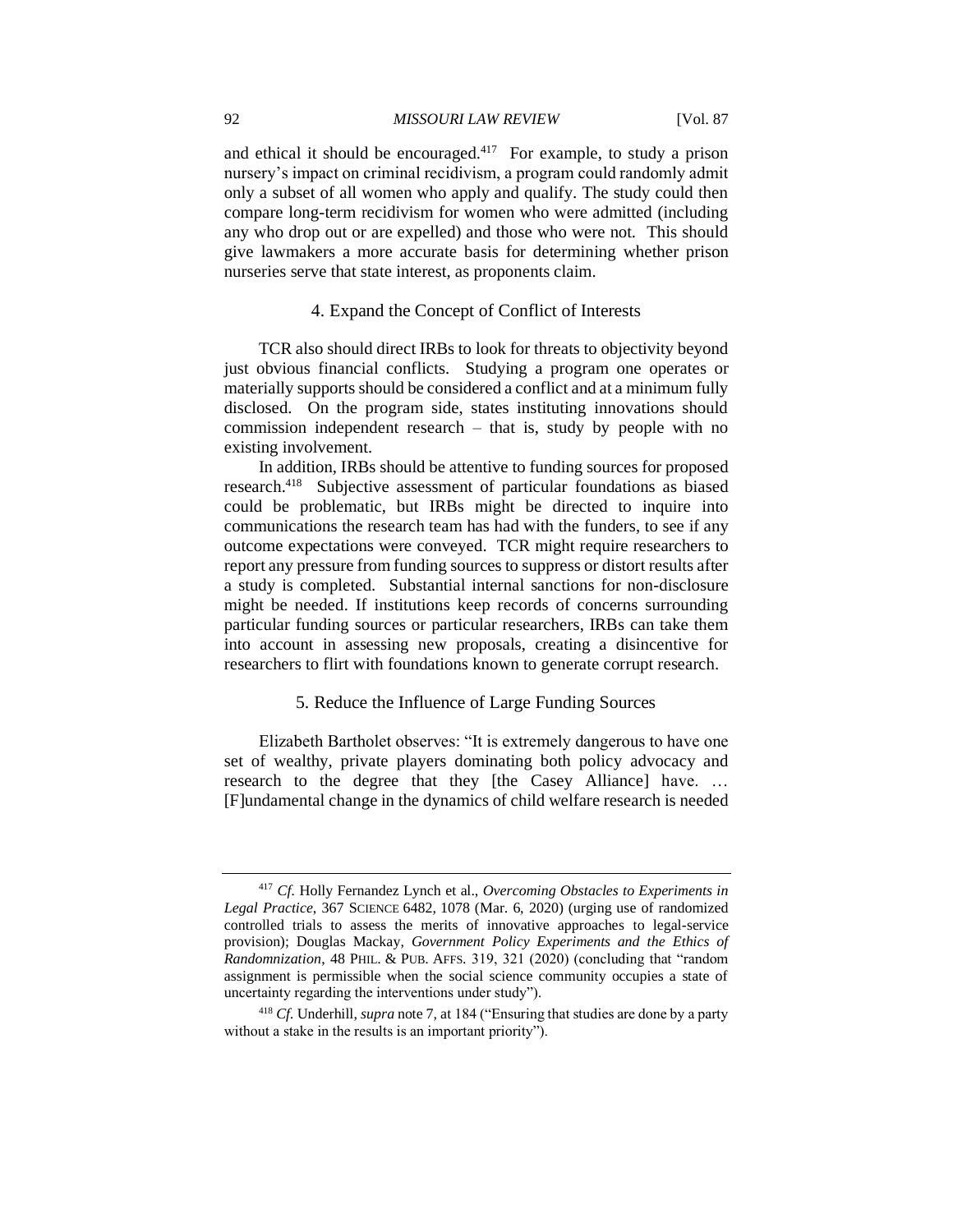and ethical it should be encouraged. $417$  For example, to study a prison nursery's impact on criminal recidivism, a program could randomly admit only a subset of all women who apply and qualify. The study could then compare long-term recidivism for women who were admitted (including any who drop out or are expelled) and those who were not. This should give lawmakers a more accurate basis for determining whether prison nurseries serve that state interest, as proponents claim.

# 4. Expand the Concept of Conflict of Interests

TCR also should direct IRBs to look for threats to objectivity beyond just obvious financial conflicts. Studying a program one operates or materially supports should be considered a conflict and at a minimum fully disclosed. On the program side, states instituting innovations should commission independent research – that is, study by people with no existing involvement.

In addition, IRBs should be attentive to funding sources for proposed research.<sup>418</sup> Subjective assessment of particular foundations as biased could be problematic, but IRBs might be directed to inquire into communications the research team has had with the funders, to see if any outcome expectations were conveyed. TCR might require researchers to report any pressure from funding sources to suppress or distort results after a study is completed. Substantial internal sanctions for non-disclosure might be needed. If institutions keep records of concerns surrounding particular funding sources or particular researchers, IRBs can take them into account in assessing new proposals, creating a disincentive for researchers to flirt with foundations known to generate corrupt research.

# 5. Reduce the Influence of Large Funding Sources

Elizabeth Bartholet observes: "It is extremely dangerous to have one set of wealthy, private players dominating both policy advocacy and research to the degree that they [the Casey Alliance] have. … [F]undamental change in the dynamics of child welfare research is needed

<sup>417</sup> *Cf.* Holly Fernandez Lynch et al., *Overcoming Obstacles to Experiments in Legal Practice*, 367 SCIENCE 6482, 1078 (Mar. 6, 2020) (urging use of randomized controlled trials to assess the merits of innovative approaches to legal-service provision); Douglas Mackay, *Government Policy Experiments and the Ethics of Randomnization*, 48 PHIL. & PUB. AFFS. 319, 321 (2020) (concluding that "random assignment is permissible when the social science community occupies a state of uncertainty regarding the interventions under study").

<sup>418</sup> *Cf.* Underhill, *supra* note 7, at 184 ("Ensuring that studies are done by a party without a stake in the results is an important priority").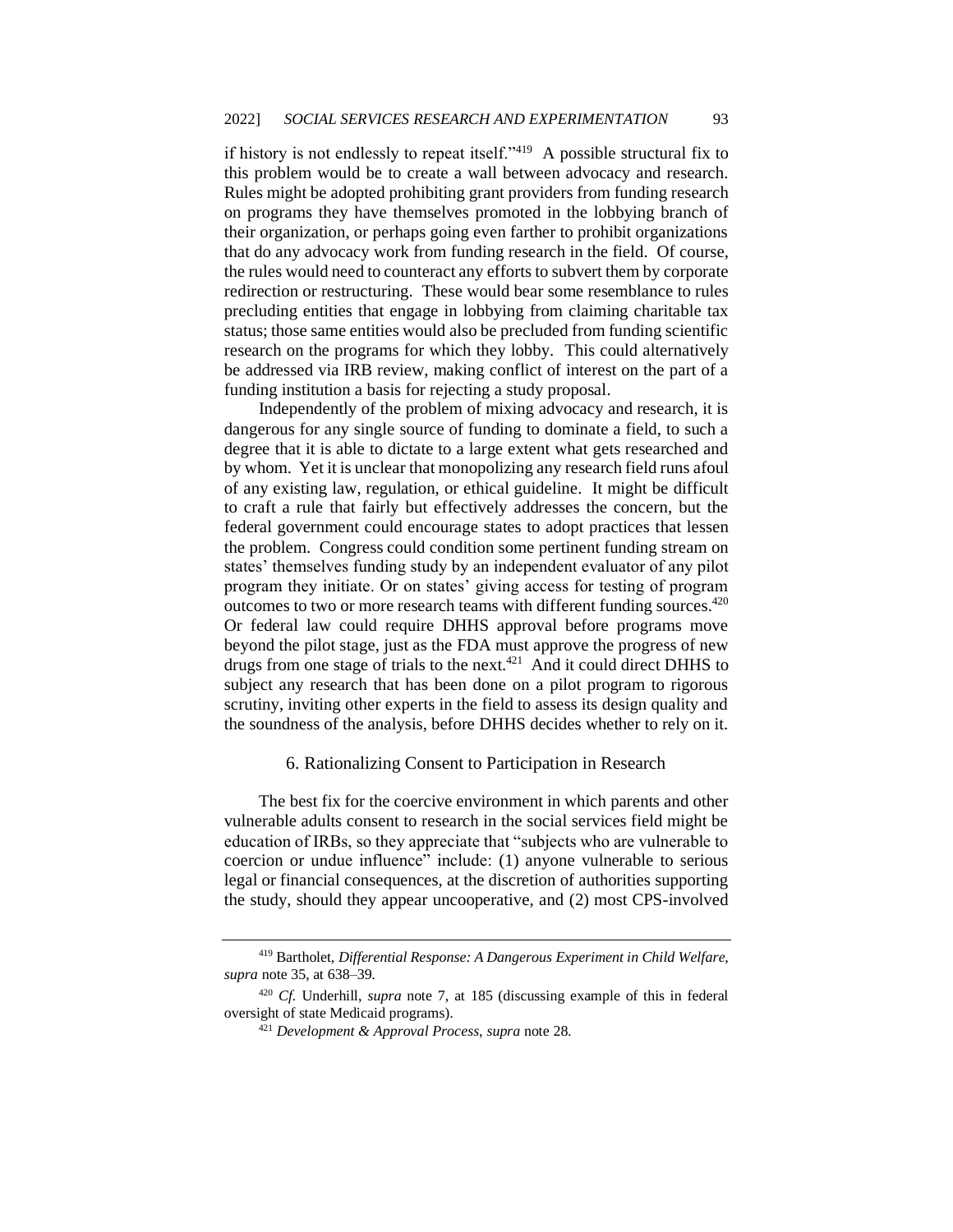if history is not endlessly to repeat itself." $419$  A possible structural fix to this problem would be to create a wall between advocacy and research. Rules might be adopted prohibiting grant providers from funding research on programs they have themselves promoted in the lobbying branch of their organization, or perhaps going even farther to prohibit organizations that do any advocacy work from funding research in the field. Of course, the rules would need to counteract any efforts to subvert them by corporate redirection or restructuring. These would bear some resemblance to rules precluding entities that engage in lobbying from claiming charitable tax status; those same entities would also be precluded from funding scientific research on the programs for which they lobby. This could alternatively be addressed via IRB review, making conflict of interest on the part of a funding institution a basis for rejecting a study proposal.

Independently of the problem of mixing advocacy and research, it is dangerous for any single source of funding to dominate a field, to such a degree that it is able to dictate to a large extent what gets researched and by whom. Yet it is unclear that monopolizing any research field runs afoul of any existing law, regulation, or ethical guideline. It might be difficult to craft a rule that fairly but effectively addresses the concern, but the federal government could encourage states to adopt practices that lessen the problem. Congress could condition some pertinent funding stream on states' themselves funding study by an independent evaluator of any pilot program they initiate. Or on states' giving access for testing of program outcomes to two or more research teams with different funding sources.<sup>420</sup> Or federal law could require DHHS approval before programs move beyond the pilot stage, just as the FDA must approve the progress of new drugs from one stage of trials to the next. $421$  And it could direct DHHS to subject any research that has been done on a pilot program to rigorous scrutiny, inviting other experts in the field to assess its design quality and the soundness of the analysis, before DHHS decides whether to rely on it.

# 6. Rationalizing Consent to Participation in Research

The best fix for the coercive environment in which parents and other vulnerable adults consent to research in the social services field might be education of IRBs, so they appreciate that "subjects who are vulnerable to coercion or undue influence" include: (1) anyone vulnerable to serious legal or financial consequences, at the discretion of authorities supporting the study, should they appear uncooperative, and (2) most CPS-involved

<sup>419</sup> Bartholet, *Differential Response: A Dangerous Experiment in Child Welfare*, *supra* note 35, at 638–39.

<sup>420</sup> *Cf.* Underhill, *supra* note 7, at 185 (discussing example of this in federal oversight of state Medicaid programs).

<sup>421</sup> *Development & Approval Process*, *supra* note 28.